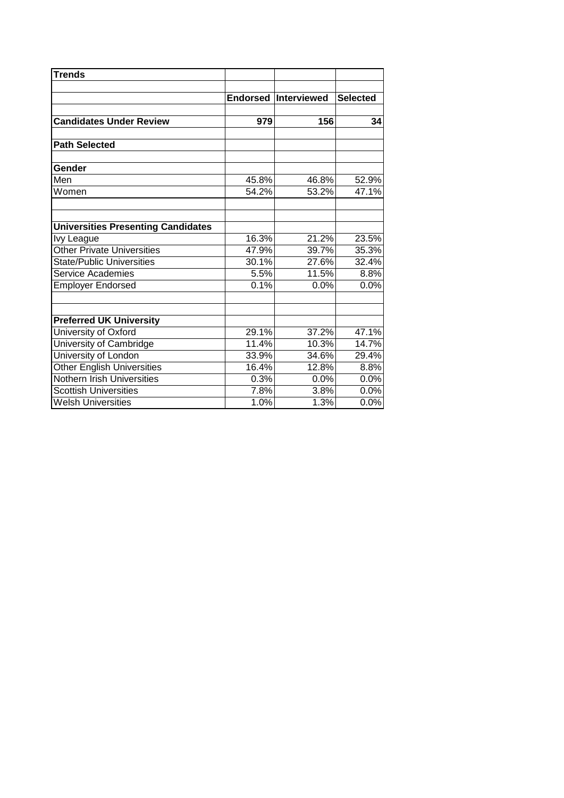| <b>Trends</b>                             |       |                             |                 |
|-------------------------------------------|-------|-----------------------------|-----------------|
|                                           |       | <b>Endorsed Interviewed</b> | <b>Selected</b> |
| <b>Candidates Under Review</b>            | 979   | 156                         | 34              |
| <b>Path Selected</b>                      |       |                             |                 |
| Gender                                    |       |                             |                 |
| Men                                       | 45.8% | 46.8%                       | 52.9%           |
| Women                                     | 54.2% | 53.2%                       | 47.1%           |
| <b>Universities Presenting Candidates</b> |       |                             |                 |
| Ivy League                                | 16.3% | 21.2%                       | 23.5%           |
| <b>Other Private Universities</b>         | 47.9% | 39.7%                       | 35.3%           |
| <b>State/Public Universities</b>          | 30.1% | 27.6%                       | 32.4%           |
| Service Academies                         | 5.5%  | 11.5%                       | 8.8%            |
| <b>Employer Endorsed</b>                  | 0.1%  | 0.0%                        | 0.0%            |
| <b>Preferred UK University</b>            |       |                             |                 |
| University of Oxford                      | 29.1% | 37.2%                       | 47.1%           |
| University of Cambridge                   | 11.4% | 10.3%                       | 14.7%           |
| University of London                      | 33.9% | 34.6%                       | 29.4%           |
| <b>Other English Universities</b>         | 16.4% | 12.8%                       | 8.8%            |
| Nothern Irish Universities                | 0.3%  | 0.0%                        | 0.0%            |
| <b>Scottish Universities</b>              | 7.8%  | 3.8%                        | 0.0%            |
| <b>Welsh Universities</b>                 | 1.0%  | 1.3%                        | 0.0%            |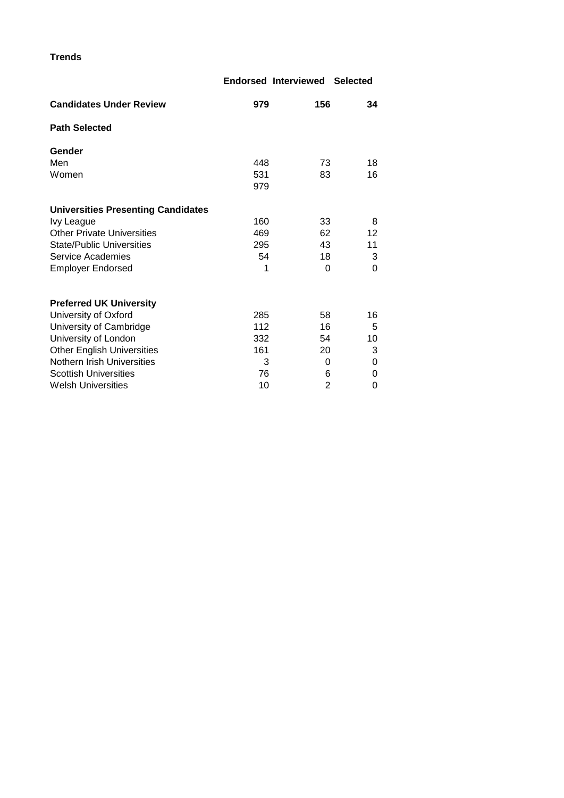**Trends**

|                                           |     | <b>Endorsed Interviewed Selected</b> |                   |
|-------------------------------------------|-----|--------------------------------------|-------------------|
| <b>Candidates Under Review</b>            | 979 | 156                                  | 34                |
| <b>Path Selected</b>                      |     |                                      |                   |
| Gender                                    |     |                                      |                   |
| Men                                       | 448 | 73                                   | 18                |
| Women                                     | 531 | 83                                   | 16                |
|                                           | 979 |                                      |                   |
| <b>Universities Presenting Candidates</b> |     |                                      |                   |
| Ivy League                                | 160 | 33                                   | 8                 |
| <b>Other Private Universities</b>         | 469 | 62                                   | $12 \overline{ }$ |
| <b>State/Public Universities</b>          | 295 | 43                                   | 11                |
| Service Academies                         | 54  | 18                                   | 3                 |
| <b>Employer Endorsed</b>                  | 1   | 0                                    | $\Omega$          |
|                                           |     |                                      |                   |
| <b>Preferred UK University</b>            |     |                                      |                   |
| University of Oxford                      | 285 | 58                                   | 16                |
| University of Cambridge                   | 112 | 16                                   | 5                 |
| University of London                      | 332 | 54                                   | 10                |
| <b>Other English Universities</b>         | 161 | 20                                   | 3                 |
| Nothern Irish Universities                | 3   | 0                                    | 0                 |
| <b>Scottish Universities</b>              | 76  | 6                                    | 0                 |
| <b>Welsh Universities</b>                 | 10  | 2                                    | 0                 |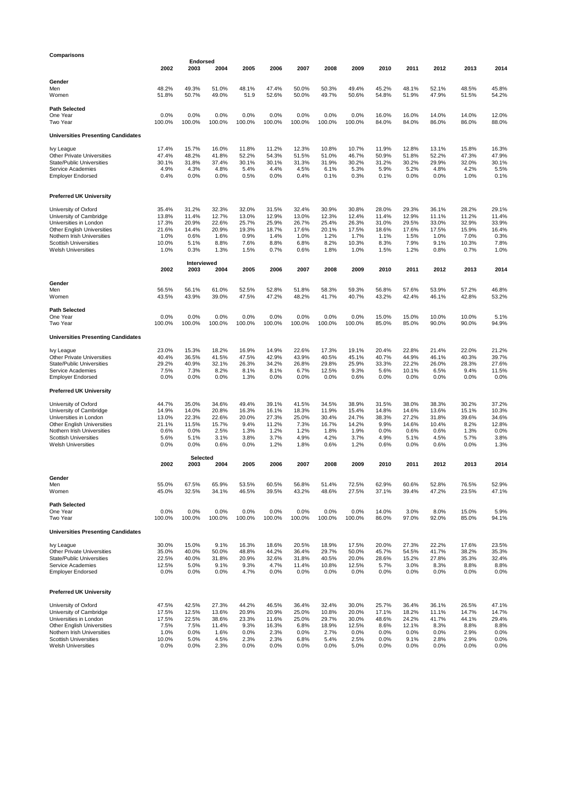| Comparisons                                                 |                |                         |                |                |                |                |                |                |                |                |                |                |                |
|-------------------------------------------------------------|----------------|-------------------------|----------------|----------------|----------------|----------------|----------------|----------------|----------------|----------------|----------------|----------------|----------------|
|                                                             | 2002           | <b>Endorsed</b><br>2003 | 2004           | 2005           | 2006           | 2007           | 2008           | 2009           | 2010           | 2011           | 2012           | 2013           | 2014           |
|                                                             |                |                         |                |                |                |                |                |                |                |                |                |                |                |
| Gender                                                      |                |                         |                |                |                |                |                |                |                |                |                |                |                |
| Men                                                         | 48.2%          | 49.3%                   | 51.0%          | 48.1%          | 47.4%          | 50.0%          | 50.3%          | 49.4%          | 45.2%          | 48.1%          | 52.1%          | 48.5%          | 45.8%          |
| Women                                                       | 51.8%          | 50.7%                   | 49.0%          | 51.9           | 52.6%          | 50.0%          | 49.7%          | 50.6%          | 54.8%          | 51.9%          | 47.9%          | 51.5%          | 54.2%          |
| Path Selected                                               |                |                         |                |                |                |                |                |                |                |                |                |                |                |
| One Year                                                    | 0.0%           | 0.0%                    | 0.0%           | 0.0%           | 0.0%           | 0.0%           | 0.0%           | 0.0%           | 16.0%          | 16.0%          | 14.0%          | 14.0%          | 12.0%          |
| Two Year                                                    | 100.0%         | 100.0%                  | 100.0%         | 100.0%         | 100.0%         | 100.0%         | 100.0%         | 100.0%         | 84.0%          | 84.0%          | 86.0%          | 86.0%          | 88.0%          |
| <b>Universities Presenting Candidates</b>                   |                |                         |                |                |                |                |                |                |                |                |                |                |                |
|                                                             |                |                         |                |                |                |                |                |                |                |                |                |                |                |
| lvy League<br><b>Other Private Universities</b>             | 17.4%<br>47.4% | 15.7%<br>48.2%          | 16.0%<br>41.8% | 11.8%<br>52.2% | 11.2%<br>54.3% | 12.3%<br>51.5% | 10.8%<br>51.0% | 10.7%<br>46.7% | 11.9%<br>50.9% | 12.8%<br>51.8% | 13.1%<br>52.2% | 15.8%<br>47.3% | 16.3%<br>47.9% |
| <b>State/Public Universities</b>                            | 30.1%          | 31.8%                   | 37.4%          | 30.1%          | 30.1%          | 31.3%          | 31.9%          | 30.2%          | 31.2%          | 30.2%          | 29.9%          | 32.0%          | 30.1%          |
| Service Academies                                           | 4.9%           | 4.3%                    | 4.8%           | 5.4%           | 4.4%           | 4.5%           | 6.1%           | 5.3%           | 5.9%           | 5.2%           | 4.8%           | 4.2%           | 5.5%           |
| <b>Employer Endorsed</b>                                    | 0.4%           | 0.0%                    | 0.0%           | 0.5%           | 0.0%           | 0.4%           | 0.1%           | 0.3%           | 0.1%           | 0.0%           | 0.0%           | 1.0%           | 0.1%           |
| Preferred UK University                                     |                |                         |                |                |                |                |                |                |                |                |                |                |                |
|                                                             |                |                         |                |                |                |                |                |                |                |                |                |                |                |
| University of Oxford<br>University of Cambridge             | 35.4%<br>13.8% | 31.2%<br>11.4%          | 32.3%<br>12.7% | 32.0%<br>13.0% | 31.5%<br>12.9% | 32.4%<br>13.0% | 30.9%<br>12.3% | 30.8%<br>12.4% | 28.0%<br>11.4% | 29.3%<br>12.9% | 36.1%<br>11.1% | 28.2%<br>11.2% | 29.1%<br>11.4% |
| Universities in London                                      | 17.3%          | 20.9%                   | 22.6%          | 25.7%          | 25.9%          | 26.7%          | 25.4%          | 26.3%          | 31.0%          | 29.5%          | 33.0%          | 32.9%          | 33.9%          |
| Other English Universities                                  | 21.6%          | 14.4%                   | 20.9%          | 19.3%          | 18.7%          | 17.6%          | 20.1%          | 17.5%          | 18.6%          | 17.6%          | 17.5%          | 15.9%          | 16.4%          |
| Nothern Irish Universities<br><b>Scottish Universities</b>  | 1.0%<br>10.0%  | 0.6%<br>5.1%            | 1.6%<br>8.8%   | 0.9%<br>7.6%   | 1.4%<br>8.8%   | 1.0%<br>6.8%   | 1.2%<br>8.2%   | 1.7%<br>10.3%  | 1.1%<br>8.3%   | 1.5%<br>7.9%   | 1.0%<br>9.1%   | 7.0%<br>10.3%  | 0.3%<br>7.8%   |
| <b>Welsh Universities</b>                                   | 1.0%           | 0.3%                    | 1.3%           | 1.5%           | 0.7%           | 0.6%           | 1.8%           | 1.0%           | 1.5%           | 1.2%           | 0.8%           | 0.7%           | 1.0%           |
|                                                             |                |                         |                |                |                |                |                |                |                |                |                |                |                |
|                                                             | 2002           | Interviewed<br>2003     | 2004           | 2005           | 2006           | 2007           | 2008           | 2009           | 2010           | 2011           | 2012           | 2013           | 2014           |
| Gender                                                      |                |                         |                |                |                |                |                |                |                |                |                |                |                |
| Men<br>Women                                                | 56.5%<br>43.5% | 56.1%<br>43.9%          | 61.0%<br>39.0% | 52.5%<br>47.5% | 52.8%<br>47.2% | 51.8%<br>48.2% | 58.3%<br>41.7% | 59.3%<br>40.7% | 56.8%<br>43.2% | 57.6%<br>42.4% | 53.9%<br>46.1% | 57.2%<br>42.8% | 46.8%<br>53.2% |
|                                                             |                |                         |                |                |                |                |                |                |                |                |                |                |                |
| Path Selected                                               |                |                         |                |                |                |                |                |                |                |                |                |                |                |
| One Year<br>Two Year                                        | 0.0%<br>100.0% | 0.0%<br>100.0%          | 0.0%<br>100.0% | 0.0%<br>100.0% | 0.0%<br>100.0% | 0.0%<br>100.0% | 0.0%<br>100.0% | 0.0%<br>100.0% | 15.0%<br>85.0% | 15.0%<br>85.0% | 10.0%<br>90.0% | 10.0%<br>90.0% | 5.1%<br>94.9%  |
|                                                             |                |                         |                |                |                |                |                |                |                |                |                |                |                |
| <b>Universities Presenting Candidates</b>                   |                |                         |                |                |                |                |                |                |                |                |                |                |                |
| lvy League                                                  | 23.0%          | 15.3%                   | 18.2%          | 16.9%          | 14.9%          | 22.6%          | 17.3%          | 19.1%          | 20.4%          | 22.8%          | 21.4%          | 22.0%          | 21.2%          |
| Other Private Universities                                  | 40.4%          | 36.5%                   | 41.5%          | 47.5%          | 42.9%          | 43.9%          | 40.5%          | 45.1%          | 40.7%          | 44.9%          | 46.1%          | 40.3%          | 39.7%          |
| <b>State/Public Universities</b><br>Service Academies       | 29.2%<br>7.5%  | 40.9%<br>7.3%           | 32.1%<br>8.2%  | 26.3%<br>8.1%  | 34.2%<br>8.1%  | 26.8%<br>6.7%  | 29.8%          | 25.9%<br>9.3%  | 33.3%<br>5.6%  | 22.2%<br>10.1% | 26.0%          | 28.3%<br>9.4%  | 27.6%<br>11.5% |
| <b>Employer Endorsed</b>                                    | 0.0%           | 0.0%                    | 0.0%           | 1.3%           | 0.0%           | 0.0%           | 12.5%<br>0.0%  | 0.6%           | 0.0%           | 0.0%           | 6.5%<br>0.0%   | 0.0%           | 0.0%           |
|                                                             |                |                         |                |                |                |                |                |                |                |                |                |                |                |
| Preferred UK University                                     |                |                         |                |                |                |                |                |                |                |                |                |                |                |
| University of Oxford                                        | 44.7%          | 35.0%                   | 34.6%          | 49.4%          | 39.1%          | 41.5%          | 34.5%          | 38.9%          | 31.5%          | 38.0%          | 38.3%          | 30.2%          | 37.2%          |
| University of Cambridge                                     | 14.9%          | 14.0%                   | 20.8%          | 16.3%          | 16.1%          | 18.3%          | 11.9%          | 15.4%          | 14.8%          | 14.6%          | 13.6%          | 15.1%          | 10.3%          |
| Universities in London<br><b>Other English Universities</b> | 13.0%<br>21.1% | 22.3%<br>11.5%          | 22.6%<br>15.7% | 20.0%<br>9.4%  | 27.3%<br>11.2% | 25.0%<br>7.3%  | 30.4%<br>16.7% | 24.7%<br>14.2% | 38.3%<br>9.9%  | 27.2%<br>14.6% | 31.8%<br>10.4% | 39.6%<br>8.2%  | 34.6%<br>12.8% |
| Nothern Irish Universities                                  | 0.6%           | 0.0%                    | 2.5%           | 1.3%           | 1.2%           | 1.2%           | 1.8%           | 1.9%           | $0.0\%$        | 0.6%           | 0.6%           | 1.3%           | 0.0%           |
| <b>Scottish Universities</b>                                | 5.6%           | 5.1%                    | 3.1%           | 3.8%           | 3.7%           | 4.9%           | 4.2%           | 3.7%           | 4.9%           | 5.1%           | 4.5%           | 5.7%           | 3.8%           |
| <b>Welsh Universities</b>                                   | 0.0%           | 0.0%                    | 0.6%           | 0.0%           | 1.2%           | 1.8%           | 0.6%           | 1.2%           | 0.6%           | $0.0\%$        | 0.6%           | 0.0%           | 1.3%           |
|                                                             | 2002           | <b>Selected</b><br>2003 | 2004           | 2005           | 2006           | 2007           | 2008           | 2009           | 2010           | 2011           | 2012           | 2013           | 2014           |
|                                                             |                |                         |                |                |                |                |                |                |                |                |                |                |                |
| Gender                                                      |                |                         |                |                |                |                |                |                |                |                |                |                |                |
| Men<br>Women                                                | 55.0%<br>45.0% | 67.5%<br>32.5%          | 65.9%<br>34.1% | 53.5%<br>46.5% | 60.5%<br>39.5% | 56.8%<br>43.2% | 51.4%<br>48.6% | 72.5%<br>27.5% | 62.9%<br>37.1% | 60.6%<br>39.4% | 52.8%<br>47.2% | 76.5%<br>23.5% | 52.9%<br>47.1% |
|                                                             |                |                         |                |                |                |                |                |                |                |                |                |                |                |
| Path Selected<br>One Year                                   | 0.0%           | 0.0%                    | 0.0%           | 0.0%           | 0.0%           | 0.0%           | 0.0%           | 0.0%           | 14.0%          | 3.0%           | 8.0%           | 15.0%          | 5.9%           |
| Two Year                                                    | 100.0%         | 100.0%                  | 100.0%         | 100.0%         | 100.0%         | 100.0%         | 100.0%         | 100.0%         | 86.0%          | 97.0%          | 92.0%          | 85.0%          | 94.1%          |
| <b>Universities Presenting Candidates</b>                   |                |                         |                |                |                |                |                |                |                |                |                |                |                |
| lvy League                                                  | 30.0%          | 15.0%                   | 9.1%           | 16.3%          | 18.6%          | 20.5%          | 18.9%          | 17.5%          | 20.0%          | 27.3%          | 22.2%          | 17.6%          | 23.5%          |
| <b>Other Private Universities</b>                           | 35.0%          | 40.0%                   | 50.0%          | 48.8%          | 44.2%          | 36.4%          | 29.7%          | 50.0%          | 45.7%          | 54.5%          | 41.7%          | 38.2%          | 35.3%          |
| <b>State/Public Universities</b><br>Service Academies       | 22.5%<br>12.5% | 40.0%<br>5.0%           | 31.8%<br>9.1%  | 20.9%<br>9.3%  | 32.6%<br>4.7%  | 31.8%<br>11.4% | 40.5%<br>10.8% | 20.0%<br>12.5% | 28.6%<br>5.7%  | 15.2%<br>3.0%  | 27.8%<br>8.3%  | 35.3%<br>8.8%  | 32.4%<br>8.8%  |
| <b>Employer Endorsed</b>                                    | 0.0%           | 0.0%                    | 0.0%           | 4.7%           | 0.0%           | 0.0%           | 0.0%           | 0.0%           | 0.0%           | 0.0%           | 0.0%           | 0.0%           | 0.0%           |
| <b>Preferred UK University</b>                              |                |                         |                |                |                |                |                |                |                |                |                |                |                |
| University of Oxford                                        | 47.5%          | 42.5%                   | 27.3%          | 44.2%          | 46.5%          | 36.4%          | 32.4%          | 30.0%          | 25.7%          | 36.4%          | 36.1%          | 26.5%          | 47.1%          |
| University of Cambridge                                     | 17.5%          | 12.5%                   | 13.6%          | 20.9%          | 20.9%          | 25.0%          | 10.8%          | 20.0%          | 17.1%          | 18.2%          | 11.1%          | 14.7%          | 14.7%          |
| Universities in London                                      | 17.5%          | 22.5%                   | 38.6%          | 23.3%          | 11.6%          | 25.0%          | 29.7%          | 30.0%          | 48.6%          | 24.2%          | 41.7%          | 44.1%          | 29.4%          |
| Other English Universities<br>Nothern Irish Universities    | 7.5%<br>1.0%   | 7.5%<br>0.0%            | 11.4%<br>1.6%  | 9.3%<br>0.0%   | 16.3%<br>2.3%  | 6.8%<br>0.0%   | 18.9%<br>2.7%  | 12.5%<br>0.0%  | 8.6%<br>0.0%   | 12.1%<br>0.0%  | 8.3%<br>0.0%   | 8.8%<br>2.9%   | 8.8%<br>0.0%   |
| <b>Scottish Universities</b>                                | 10.0%          | 5.0%                    | 4.5%           | 2.3%           | 2.3%           | 6.8%           | 5.4%           | 2.5%           | 0.0%           | 9.1%           | 2.8%           | 2.9%           | 0.0%           |
| <b>Welsh Universities</b>                                   | 0.0%           | 0.0%                    | 2.3%           | 0.0%           | 0.0%           | 0.0%           | 0.0%           | 5.0%           | 0.0%           | 0.0%           | 0.0%           | 0.0%           | 0.0%           |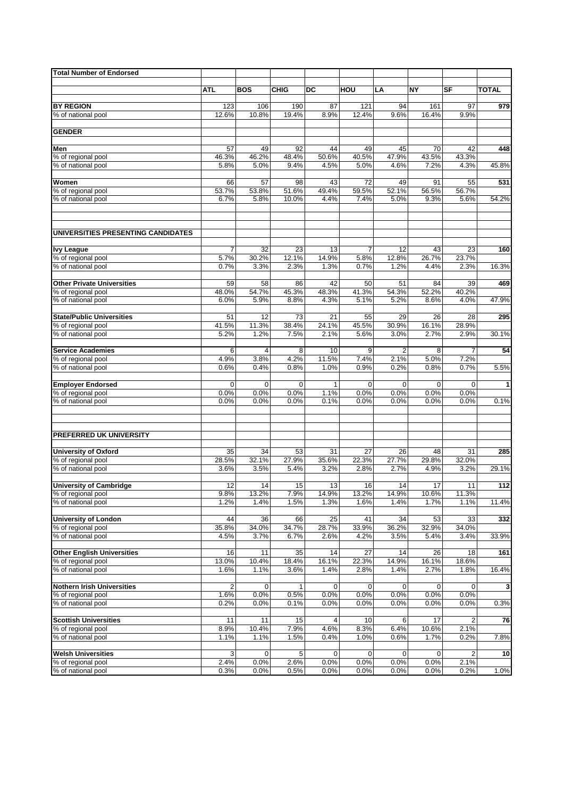| <b>Total Number of Endorsed</b>                         |                |             |               |                 |             |                        |             |                 |              |
|---------------------------------------------------------|----------------|-------------|---------------|-----------------|-------------|------------------------|-------------|-----------------|--------------|
|                                                         |                |             |               |                 |             |                        |             |                 |              |
|                                                         | <b>ATL</b>     | <b>BOS</b>  | <b>CHIG</b>   | DC              | HOU         | LA                     | NΥ          | SF              | <b>TOTAL</b> |
| <b>BY REGION</b>                                        | 123            | 106         | 190           | 87              | 121         | 94                     | 161         | 97              | 979          |
| % of national pool                                      | 12.6%          | 10.8%       | 19.4%         | 8.9%            | 12.4%       | 9.6%                   | 16.4%       | 9.9%            |              |
|                                                         |                |             |               |                 |             |                        |             |                 |              |
| <b>GENDER</b>                                           |                |             |               |                 |             |                        |             |                 |              |
| Men                                                     | 57             | 49          | 92            | 44              | 49          | 45                     | 70          | 42              | 448          |
| % of regional pool                                      | 46.3%          | 46.2%       | 48.4%         | 50.6%           | 40.5%       | 47.9%                  | 43.5%       | 43.3%           |              |
| % of national pool                                      | 5.8%           | 5.0%        | 9.4%          | 4.5%            | 5.0%        | 4.6%                   | 7.2%        | 4.3%            | 45.8%        |
|                                                         |                |             |               |                 |             |                        |             |                 |              |
| Women<br>% of regional pool                             | 66<br>53.7%    | 57<br>53.8% | 98<br>51.6%   | 43<br>49.4%     | 72<br>59.5% | 49<br>52.1%            | 91<br>56.5% | 55<br>56.7%     | 531          |
| % of national pool                                      | 6.7%           | 5.8%        | 10.0%         | 4.4%            | 7.4%        | 5.0%                   | 9.3%        | 5.6%            | 54.2%        |
|                                                         |                |             |               |                 |             |                        |             |                 |              |
|                                                         |                |             |               |                 |             |                        |             |                 |              |
| UNIVERSITIES PRESENTING CANDIDATES                      |                |             |               |                 |             |                        |             |                 |              |
| <b>Ivy League</b>                                       | $\overline{7}$ | 32          | 23            | 13              | 7           | 12                     | 43          | $\overline{23}$ | 160          |
| % of regional pool                                      | 5.7%           | 30.2%       | 12.1%         | 14.9%           | 5.8%        | 12.8%                  | 26.7%       | 23.7%           |              |
| % of national pool                                      | 0.7%           | 3.3%        | 2.3%          | 1.3%            | 0.7%        | 1.2%                   | 4.4%        | 2.3%            | 16.3%        |
| <b>Other Private Universities</b>                       | 59             | 58          | 86            | 42              | 50          | 51                     | 84          | 39              | 469          |
| % of regional pool                                      | 48.0%          | 54.7%       | 45.3%         | 48.3%           | 41.3%       | 54.3%                  | 52.2%       | 40.2%           |              |
| % of national pool                                      | 6.0%           | 5.9%        | 8.8%          | 4.3%            | 5.1%        | 5.2%                   | 8.6%        | 4.0%            | 47.9%        |
|                                                         |                |             |               |                 |             |                        |             |                 |              |
| <b>State/Public Universities</b>                        | 51             | 12          | 73            | 21              | 55          | 29                     | 26          | 28              | 295          |
| % of regional pool                                      | 41.5%          | 11.3%       | 38.4%<br>7.5% | 24.1%           | 45.5%       | 30.9%                  | 16.1%       | 28.9%           |              |
| % of national pool                                      | 5.2%           | 1.2%        |               | 2.1%            | 5.6%        | 3.0%                   | 2.7%        | 2.9%            | 30.1%        |
| <b>Service Academies</b>                                | 6              | 4           | 8             | 10              | 9           | $\overline{2}$         | 8           | $\overline{7}$  | 54           |
| % of regional pool                                      | 4.9%           | 3.8%        | 4.2%          | 11.5%           | 7.4%        | 2.1%                   | 5.0%        | 7.2%            |              |
| % of national pool                                      | 0.6%           | 0.4%        | 0.8%          | 1.0%            | 0.9%        | 0.2%                   | 0.8%        | 0.7%            | 5.5%         |
| <b>Employer Endorsed</b>                                | 0              | 0           | $\mathbf 0$   |                 | 0           | $\mathbf 0$            | $\mathbf 0$ | 0               | 1            |
| % of regional pool                                      | 0.0%           | 0.0%        | 0.0%          | 1.1%            | 0.0%        | 0.0%                   | 0.0%        | 0.0%            |              |
| % of national pool                                      | 0.0%           | 0.0%        | 0.0%          | 0.1%            | 0.0%        | 0.0%                   | 0.0%        | 0.0%            | 0.1%         |
|                                                         |                |             |               |                 |             |                        |             |                 |              |
|                                                         |                |             |               |                 |             |                        |             |                 |              |
| PREFERRED UK UNIVERSITY                                 |                |             |               |                 |             |                        |             |                 |              |
| University of Oxford                                    | 35             | 34          | 53            | 31              | 27          | 26                     | 48          | 31              | 285          |
| % of regional pool                                      | 28.5%          | 32.1%       | 27.9%         | 35.6%           | 22.3%       | 27.7%                  | 29.8%       | 32.0%           |              |
| % of national pool                                      | 3.6%           | 3.5%        | 5.4%          | 3.2%            | 2.8%        | 2.7%                   | 4.9%        | 3.2%            | 29.1%        |
|                                                         |                |             |               |                 |             |                        |             |                 |              |
| <b>University of Cambridge</b><br>% of regional pool    | 12<br>9.8%     | 14<br>13.2% | 15<br>7.9%    | 13<br>14.9%     | 16<br>13.2% | 14<br>14.9%            | 17<br>10.6% | 11<br>11.3%     | 112          |
| % of national pool                                      | 1.2%           | 1.4%        | 1.5%          | 1.3%            | 1.6%        | 1.4%                   | 1.7%        | 1.1%            | 11.4%        |
|                                                         |                |             |               |                 |             |                        |             |                 |              |
| <b>University of London</b>                             | 44             | 36          | 66            | $\overline{25}$ | 41          | 34                     | 53          | 33              | 332          |
| % of regional pool                                      | 35.8%          | 34.0%       | 34.7%         | 28.7%           | 33.9%       | 36.2%                  | 32.9%       | 34.0%           |              |
| % of national pool                                      | 4.5%           | 3.7%        | 6.7%          | 2.6%            | 4.2%        | 3.5%                   | 5.4%        | 3.4%            | 33.9%        |
| <b>Other English Universities</b>                       | 16             | 11          | 35            | 14              | 27          | 14                     | 26          | 18              | 161          |
| % of regional pool                                      | 13.0%          | 10.4%       | 18.4%         | 16.1%           | 22.3%       | 14.9%                  | 16.1%       | 18.6%           |              |
| % of national pool                                      | 1.6%           | 1.1%        | 3.6%          | 1.4%            | 2.8%        | 1.4%                   | 2.7%        | 1.8%            | 16.4%        |
|                                                         |                |             |               |                 |             |                        |             |                 |              |
| <b>Nothern Irish Universities</b><br>% of regional pool | 2<br>1.6%      | 0<br>0.0%   | 1<br>0.5%     | 0<br>0.0%       | 0<br>0.0%   | $\overline{0}$<br>0.0% | 0<br>0.0%   | 0<br>0.0%       | 3            |
| % of national pool                                      | 0.2%           | 0.0%        | 0.1%          | 0.0%            | 0.0%        | 0.0%                   | 0.0%        | 0.0%            | 0.3%         |
|                                                         |                |             |               |                 |             |                        |             |                 |              |
| <b>Scottish Universities</b>                            | 11             | 11          | 15            | 4               | 10          | 6                      | 17          | $\overline{2}$  | 76           |
| % of regional pool                                      | 8.9%           | 10.4%       | 7.9%          | 4.6%            | 8.3%        | 6.4%                   | 10.6%       | 2.1%            |              |
| % of national pool                                      | 1.1%           | 1.1%        | 1.5%          | 0.4%            | 1.0%        | 0.6%                   | 1.7%        | 0.2%            | 7.8%         |
| <b>Welsh Universities</b>                               | 3              | $\mathbf 0$ | 5             | 0               | 0           | $\mathbf 0$            | 0           | 2               | 10           |
| % of regional pool                                      | 2.4%           | 0.0%        | 2.6%          | 0.0%            | 0.0%        | 0.0%                   | 0.0%        | 2.1%            |              |
| % of national pool                                      | 0.3%           | 0.0%        | 0.5%          | 0.0%            | 0.0%        | 0.0%                   | 0.0%        | 0.2%            | 1.0%         |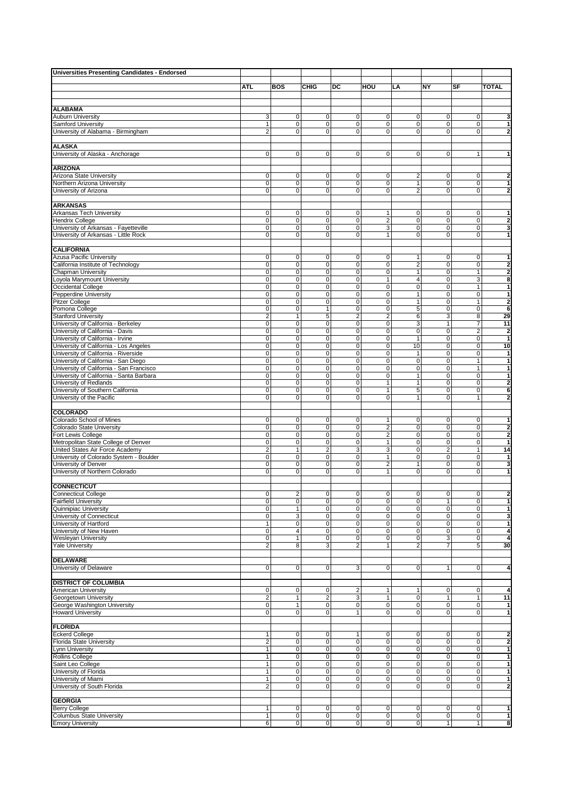| <b>Universities Presenting Candidates - Endorsed</b> |                         |                         |                         |                |                |                |                         |                |                         |
|------------------------------------------------------|-------------------------|-------------------------|-------------------------|----------------|----------------|----------------|-------------------------|----------------|-------------------------|
|                                                      |                         |                         |                         |                |                |                |                         |                |                         |
|                                                      | <b>ATL</b>              | <b>BOS</b>              | <b>CHIG</b>             | DC             | HOU            | LA             | NY                      | SF             | <b>TOTAL</b>            |
|                                                      |                         |                         |                         |                |                |                |                         |                |                         |
|                                                      |                         |                         |                         |                |                |                |                         |                |                         |
| <b>ALABAMA</b>                                       |                         |                         |                         |                |                |                |                         |                |                         |
| <b>Auburn University</b>                             | 3                       | 0                       | 0                       | $\mathbf 0$    | 0              | 0              | 0                       | 0              | 3                       |
| Samford University                                   | 1                       | 0                       | 0                       | 0              | $\mathbf 0$    | 0              | 0                       | $\mathbf 0$    | 1                       |
| University of Alabama - Birmingham                   | $\overline{2}$          | $\mathbf 0$             | 0                       | 0              | $\mathbf 0$    | $\mathbf 0$    | $\mathbf 0$             | 0              | 2                       |
|                                                      |                         |                         |                         |                |                |                |                         |                |                         |
| <b>ALASKA</b>                                        |                         |                         |                         |                |                |                |                         |                |                         |
| University of Alaska - Anchorage                     | 0                       | $\mathbf 0$             | 0                       | $\mathbf 0$    | $\mathbf 0$    | 0              | 0                       | $\mathbf{1}$   | 1                       |
|                                                      |                         |                         |                         |                |                |                |                         |                |                         |
| <b>ARIZONA</b>                                       |                         |                         |                         |                |                |                |                         |                |                         |
| Arizona State University                             | 0                       | $\pmb{0}$               | 0                       | 0              | $\mathbf 0$    | 2              | $\mathbf 0$             | $\mathbf 0$    | $\overline{2}$          |
| Northern Arizona University                          | $\overline{0}$          | $\overline{0}$          | $\overline{0}$          | 0              | $\mathbf 0$    | $\overline{1}$ | 0                       | $\mathbf 0$    | 1                       |
| University of Arizona                                | $\mathbf 0$             | $\mathbf 0$             | 0                       | 0              | $\mathbf 0$    | $\overline{2}$ | 0                       | $\mathbf 0$    | $\overline{2}$          |
|                                                      |                         |                         |                         |                |                |                |                         |                |                         |
| <b>ARKANSAS</b>                                      |                         |                         |                         |                |                |                |                         |                |                         |
| Arkansas Tech University                             | 0                       | $\mathbf 0$             | 0                       | 0              | $\mathbf{1}$   | 0              | 0                       | 0              | 1                       |
| Hendrix College                                      | $\mathbf 0$             | $\overline{0}$          | $\overline{0}$          | 0              | $\overline{2}$ | 0              | 0                       | $\mathbf 0$    | $\overline{\mathbf{2}}$ |
| University of Arkansas - Fayetteville                | 0                       | 0                       | 0                       | 0              | 3              | $\mathbf 0$    | $\mathbf 0$             | $\mathbf 0$    | 3                       |
| University of Arkansas - Little Rock                 | 0                       | $\mathbf 0$             | 0                       | $\mathbf{O}$   | $\mathbf{1}$   | 0              | 0                       | $\mathbf 0$    | 1                       |
|                                                      |                         |                         |                         |                |                |                |                         |                |                         |
| <b>CALIFORNIA</b>                                    |                         |                         |                         |                |                |                |                         |                |                         |
| Azusa Pacific University                             | 0                       | 0                       | 0                       | 0              | $\mathbf 0$    | 1              | 0                       | 0              | 1                       |
| California Institute of Technology                   | $\mathbf 0$             | $\mathbf 0$             | 0                       | 0              | $\mathbf 0$    | $\overline{2}$ | 0                       | $\mathbf 0$    | $\overline{2}$          |
| <b>Chapman University</b>                            | 0                       | $\pmb{0}$               | 0                       | 0              | $\mathbf 0$    | 1              | 0                       | 1              | $\overline{2}$          |
| Loyola Marymount University                          | 0                       | 0                       | 0                       | 0              | $\mathbf{1}$   | $\overline{4}$ | $\mathbf 0$             | 3              | 8                       |
| Occidental College                                   | $\overline{0}$          | $\overline{0}$          | 0                       | $\mathbf{O}$   | $\overline{0}$ | $\mathbf 0$    | $\overline{0}$          | $\mathbf{1}$   | 1                       |
| Pepperdine University                                | 0                       | $\overline{0}$          | 0                       | 0              | $\mathbf 0$    | 1              | 0                       | $\mathbf 0$    | $\mathbf{1}$            |
| <b>Pitzer College</b>                                | 0                       | $\pmb{0}$               | 0                       | 0              | $\mathbf 0$    | $\mathbf{1}$   | 0                       | $\mathbf{1}$   | $\overline{\mathbf{2}}$ |
| Pomona College                                       | 0                       | $\mathbf 0$             | $\mathbf{1}$            | $\mathbf{O}$   | $\mathbf 0$    | 5              | 0                       | $\mathbf 0$    | 6                       |
| <b>Stanford University</b>                           | 2                       | 1                       | 5                       | 2              | $\overline{2}$ | 6              | 3                       | 8              | 29                      |
| University of California - Berkeley                  | $\overline{0}$          | $\overline{0}$          | 0                       | $\overline{0}$ | $\overline{0}$ | 3              | $\mathbf{1}$            | $\overline{7}$ | 11                      |
| University of California - Davis                     | $\overline{0}$          | $\overline{0}$          | $\overline{0}$          | 0              | $\overline{0}$ | $\mathbf 0$    | $\overline{0}$          | $\overline{2}$ | $\overline{\mathbf{2}}$ |
| University of California - Irvine                    | 0                       | $\pmb{0}$               | 0                       | 0              | $\mathbf 0$    | 1              | 0                       | $\mathbf 0$    | $\mathbf{1}$            |
| University of California - Los Angeles               | 0                       | $\pmb{0}$               | 0                       | $\overline{0}$ | $\mathbf 0$    | 10             | 0                       | 0              | 10                      |
| University of California - Riverside                 | 0                       | 0                       | 0                       | 0              | $\mathbf 0$    | $\mathbf{1}$   | 0                       | 0              | 1                       |
| University of California - San Diego                 | $\overline{0}$          | $\overline{0}$          | 0                       | $\mathbf{O}$   | $\overline{0}$ | $\mathbf 0$    | $\overline{0}$          | $\mathbf{1}$   | $\mathbf{1}$            |
| University of California - San Francisco             | 0                       | $\overline{0}$          | $\overline{0}$          | 0              | $\mathbf 0$    | 0              | 0                       | $\mathbf{1}$   | $\mathbf{1}$            |
| University of California - Santa Barbara             | 0                       | 0                       | 0                       | 0              | $\mathbf 0$    | $\mathbf{1}$   | 0                       | 0              | 1                       |
| University of Redlands                               | 0                       | $\mathbf 0$             | 0                       | $\mathbf{O}$   | $\mathbf{1}$   | $\mathbf{1}$   | 0                       | $\mathbf 0$    | $\overline{\mathbf{2}}$ |
| University of Southern California                    | 0                       | $\pmb{0}$               | 0                       | 0              | $\mathbf{1}$   | 5              | 0                       | 0              | 6                       |
| University of the Pacific                            | $\overline{0}$          | $\mathbf 0$             | 0                       | $\overline{0}$ | $\mathbf{0}$   | $\mathbf{1}$   | 0                       | 1              | $\overline{2}$          |
|                                                      |                         |                         |                         |                |                |                |                         |                |                         |
| COLORADO                                             |                         |                         |                         |                |                |                |                         |                |                         |
| Colorado School of Mines                             | 0                       | $\pmb{0}$               | 0                       | 0              | $\mathbf{1}$   | 0              | 0                       | 0              | 1                       |
| Colorado State University                            | 0                       | 0                       | 0                       | 0              | $\overline{2}$ | $\mathbf 0$    | 0                       | 0              | $\overline{\mathbf{2}}$ |
| Fort Lewis College                                   | $\overline{0}$          | $\overline{0}$          | 0                       | $\overline{0}$ | $\overline{2}$ | $\mathbf 0$    | 0                       | $\mathbf 0$    | $\overline{2}$          |
| Metropolitan State College of Denver                 | 0                       | $\overline{0}$          | $\overline{0}$          | $\mathbf 0$    | $\mathbf{1}$   | 0              | 0                       | $\mathbf 0$    | 1                       |
| United States Air Force Academy                      | $\overline{\mathbf{c}}$ | $\mathbf{1}$            | $\overline{\mathbf{c}}$ | 3              | 3              | 0              | $\overline{\mathbf{c}}$ | $\mathbf{1}$   | 14                      |
| University of Colorado System - Boulder              | $\pmb{0}$               | $\pmb{0}$               | 0                       | $\mathbf{O}$   | $\mathbf{1}$   | $\mathbf 0$    | 0                       | 0              | 1                       |
| University of Denver                                 | 0                       | 0                       | 0                       | 0              | $\overline{2}$ | $\mathbf{1}$   | 0                       | 0              | 3                       |
| University of Northern Colorado                      | 0                       | $\mathbf 0$             | 0                       | 0              | $\mathbf{1}$   | $\mathbf 0$    | 0                       | $\mathbf 0$    | 1                       |
|                                                      |                         |                         |                         |                |                |                |                         |                |                         |
| <b>CONNECTICUT</b>                                   |                         |                         |                         |                |                |                |                         |                |                         |
| Connecticut College                                  | 0                       | $\overline{2}$          | $\mathbf{0}$            | $\sigma$       | $\mathbf{0}$   | $\sigma$       | 0                       | 0              | 2                       |
| <b>Fairfield University</b>                          | 0                       | $\mathbf 0$             | 0                       | 0              | $\mathbf{0}$   | $\pmb{0}$      | 1                       | $\mathbf 0$    | 1                       |
| Quinnipiac University                                | $\pmb{0}$               | $\mathbf{1}$            | 0                       | $\overline{0}$ | $\mathbf{0}$   | 0              | $\overline{0}$          | $\mathbf 0$    | $\mathbf{1}$            |
| University of Connecticut                            | $\overline{0}$          | $\overline{\mathbf{3}}$ | $\overline{0}$          | $\overline{0}$ | $\mathbf 0$    | 0              | 0                       | $\pmb{0}$      | 3                       |
| University of Hartford                               | $\mathbf{1}$            | $\overline{\text{o}}$   | 0                       | $\mathbf 0$    | $\mathbf 0$    | 0              | 0                       | $\mathbf 0$    | 1                       |
| University of New Haven                              | $\mathsf 0$             | $\overline{4}$          | 0                       | $\overline{0}$ | $\mathbf 0$    | 0              | $\overline{0}$          | 0              | 4                       |
| <b>Wesleyan University</b>                           | $\mathsf{O}\xspace$     | $\mathbf{1}$            | 0                       | $\mathbf 0$    | $\mathsf 0$    | 0              | 3                       | $\pmb{0}$      | 4                       |
| <b>Yale University</b>                               | $\overline{2}$          | 8                       | 3                       | 2              | $\mathbf{1}$   | $\overline{2}$ | $\overline{7}$          | 5              | 30                      |
|                                                      |                         |                         |                         |                |                |                |                         |                |                         |
| <b>DELAWARE</b>                                      |                         |                         |                         |                |                |                |                         |                |                         |
| University of Delaware                               | $\mathbf 0$             | $\mathbf 0$             | $\mathbf 0$             | $\overline{3}$ | $\mathbf{0}$   | $\overline{0}$ | $\mathbf{1}$            | $\mathbf 0$    | 4                       |
|                                                      |                         |                         |                         |                |                |                |                         |                |                         |
| <b>DISTRICT OF COLUMBIA</b>                          |                         |                         |                         |                |                |                |                         |                |                         |
| American University                                  | $\pmb{0}$               | 0                       | 0                       | 2              | 1              | 1              | 0                       | 0              | 4                       |
| Georgetown University                                | $\overline{2}$          | $\mathbf{1}$            | $\overline{2}$          | $\overline{3}$ | $\mathbf{1}$   | 0              | $\mathbf{1}$            | $\mathbf{1}$   | 11                      |
| George Washington University                         | $\overline{\mathbf{0}}$ | $\mathbf{1}$            | $\overline{0}$          | $\overline{0}$ | $\mathbf 0$    | 0              | 0                       | 0              | 1                       |
| <b>Howard University</b>                             | $\mathsf 0$             | $\pmb{0}$               | 0                       | 1              | $\mathbf{0}$   | $\mathbf 0$    | 0                       | 0              | $\mathbf{1}$            |
|                                                      |                         |                         |                         |                |                |                |                         |                |                         |
| <b>FLORIDA</b>                                       |                         |                         |                         |                |                |                |                         |                |                         |
| <b>Eckerd College</b>                                | 1                       | 0                       | 0                       | 1              | 0              | 0              | 0                       | 0              | $\overline{2}$          |
| <b>Florida State University</b>                      | $\overline{2}$          | $\overline{0}$          | 0                       | $\mathbf 0$    | $\mathbf 0$    | 0              | $\pmb{0}$               | $\mathbf 0$    | $\overline{2}$          |
| Lynn University                                      | $\mathbf{1}$            | $\mathbf 0$             | 0                       | $\overline{0}$ | $\mathbf{0}$   | $\mathbf 0$    | $\mathbf 0$             | $\mathbf 0$    | 1                       |
| Rollins College                                      | $\overline{1}$          | $\overline{0}$          | 0                       | $\overline{0}$ | $\mathbf 0$    | 0              | $\overline{0}$          | $\mathbf 0$    | $\mathbf{1}$            |
| Saint Leo College                                    | $\mathbf{1}$            | $\overline{0}$          | $\overline{0}$          | $\mathbf 0$    | $\pmb{0}$      | 0              | 0                       | 0              | 1                       |
| University of Florida                                | 1                       | $\pmb{0}$               | 0                       | $\mathbf 0$    | $\mathbf 0$    | 0              | 0                       | $\mathbf 0$    | 1                       |
| University of Miami                                  | $\mathbf{1}$            | $\overline{0}$          | 0                       | $\overline{0}$ | $\mathbf 0$    | 0              | $\overline{0}$          | 0              | $\mathbf{1}$            |
| University of South Florida                          | $\overline{2}$          | $\mathbf 0$             | 0                       | $\overline{0}$ | $\mathbf{0}$   | $\mathbf 0$    | 0                       | 0              | $\overline{\mathbf{2}}$ |
|                                                      |                         |                         |                         |                |                |                |                         |                |                         |
| <b>GEORGIA</b>                                       |                         |                         |                         |                |                |                |                         |                |                         |
| <b>Berry College</b>                                 | 1                       | 0                       | 0                       | 0              | 0              | 0              | 0                       | 0              | $\mathbf{1}$            |
| <b>Columbus State University</b>                     | $\mathbf{1}$            | $\overline{\text{o}}$   | $\mathbf 0$             | $\mathbf 0$    | $\mathbf 0$    | $\mathbf 0$    | $\overline{0}$          | $\pmb{0}$      | $\mathbf{1}$            |
| <b>Emory University</b>                              | 6                       | $\overline{0}$          | $\overline{0}$          | $\overline{0}$ | $\overline{0}$ | $\overline{0}$ | $\overline{1}$          | $\overline{1}$ | 8                       |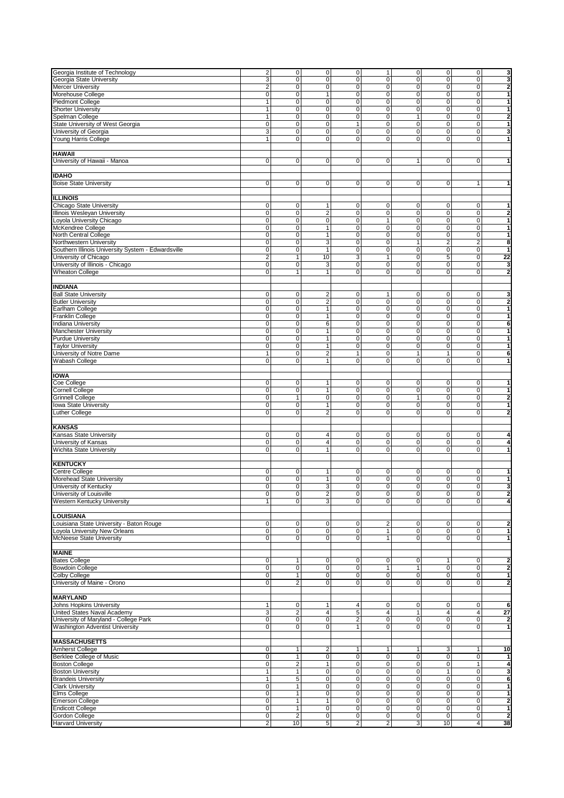| Georgia Institute of Technology                    | $\overline{\mathbf{2}}$ | $\overline{0}$          | $\overline{0}$          | $\mathbf 0$             | $\mathbf{1}$            | $\overline{\mathbf{0}}$ | $\overline{0}$          | $\pmb{0}$               | 3                       |
|----------------------------------------------------|-------------------------|-------------------------|-------------------------|-------------------------|-------------------------|-------------------------|-------------------------|-------------------------|-------------------------|
|                                                    | 3                       | $\overline{0}$          | $\mathbf 0$             | $\mathbf 0$             | $\mathbf 0$             | $\mathbf 0$             | $\mathbf 0$             | 0                       | 3                       |
| Georgia State University                           |                         |                         |                         |                         |                         |                         |                         |                         |                         |
| Mercer University                                  | 2                       | $\pmb{0}$               | 0                       | 0                       | 0                       | 0                       | $\overline{0}$          | 0                       | $\boldsymbol{2}$        |
| Morehouse College                                  | 0                       | $\pmb{0}$               | 1                       | $\mathbf 0$             | 0                       | 0                       | 0                       | 0                       | $\mathbf{1}$            |
| Piedmont College                                   | 1                       | $\overline{0}$          | $\pmb{0}$               | $\mathbf 0$             | 0                       | $\mathbf 0$             | 0                       | 0                       | 1                       |
| <b>Shorter University</b>                          | $\mathbf{1}$            | $\pmb{0}$               | $\mathbf 0$             | $\mathbf 0$             | $\pmb{0}$               | $\mathbf 0$             | $\mathbf 0$             | $\pmb{0}$               | $\mathbf{1}$            |
| Spelman College                                    | 1                       | $\overline{0}$          | $\mathbf 0$             | $\mathbf 0$             | 0                       | 1                       | $\pmb{0}$               | 0                       | $\overline{\mathbf{2}}$ |
| State University of West Georgia                   | 0                       | $\overline{0}$          | $\pmb{0}$               | $\mathbf{1}$            | $\pmb{0}$               | 0                       | $\overline{0}$          | 0                       | $\mathbf{1}$            |
|                                                    |                         |                         |                         |                         |                         |                         |                         |                         |                         |
| University of Georgia                              | 3                       | 0                       | 0                       | $\mathbf 0$             | 0                       | 0                       | 0                       | 0                       | 3                       |
| Young Harris College                               | 1                       | $\mathbf 0$             | 0                       | 0                       | 0                       | $\mathbf 0$             | 0                       | 0                       | 1                       |
|                                                    |                         |                         |                         |                         |                         |                         |                         |                         |                         |
| HAWAII                                             |                         |                         |                         |                         |                         |                         |                         |                         |                         |
| University of Hawaii - Manoa                       | $\mathbf 0$             | $\overline{0}$          | $\pmb{0}$               | $\mathbf 0$             | 0                       | 1                       | $\pmb{0}$               | 0                       | $\overline{1}$          |
|                                                    |                         |                         |                         |                         |                         |                         |                         |                         |                         |
| <b>IDAHO</b>                                       |                         |                         |                         |                         |                         |                         |                         |                         |                         |
|                                                    |                         |                         |                         |                         |                         |                         |                         |                         |                         |
| <b>Boise State University</b>                      | 0                       | $\pmb{0}$               | $\pmb{0}$               | $\mathbf 0$             | $\mathbf 0$             | 0                       | $\mathsf 0$             | $\mathbf{1}$            | $\mathbf{1}$            |
|                                                    |                         |                         |                         |                         |                         |                         |                         |                         |                         |
| ILLINOIS                                           |                         |                         |                         |                         |                         |                         |                         |                         |                         |
| Chicago State University                           | 0                       | 0                       | 1                       | 0                       | 0                       | 0                       | 0                       | 0                       | 1                       |
| Illinois Wesleyan University                       | $\overline{0}$          | $\overline{0}$          | $\overline{2}$          | 0                       | 0                       | $\mathbf 0$             | $\mathbf 0$             | 0                       | $\boldsymbol{2}$        |
| Loyola University Chicago                          | $\overline{0}$          | $\overline{0}$          | $\overline{0}$          | $\overline{0}$          | $\mathbf{1}$            | $\overline{0}$          | $\overline{0}$          | $\mathsf 0$             | $\mathbf{1}$            |
| McKendree College                                  | 0                       | $\mathbf 0$             | $\mathbf{1}$            | $\mathbf 0$             | 0                       | 0                       | $\pmb{0}$               | 0                       | $\mathbf{1}$            |
|                                                    |                         |                         |                         |                         |                         |                         |                         |                         |                         |
| North Central College                              | 0                       | $\pmb{0}$               | $\mathbf{1}$            | 0                       | 0                       | 0                       | $\pmb{0}$               | 0                       | 1                       |
| Northwestern University                            | 0                       | $\pmb{0}$               | 3                       | $\mathbf 0$             | 0                       | 1                       | $\overline{\mathbf{c}}$ | $\overline{\mathbf{c}}$ | 8                       |
| Southern Illinois University System - Edwardsville | $\overline{0}$          | $\overline{0}$          | $\mathbf{1}$            | 0                       | 0                       | $\mathbf 0$             | $\overline{0}$          | 0                       | $\mathbf{1}$            |
| University of Chicago                              | $\overline{\mathbf{c}}$ | $\overline{1}$          | 10                      | 3                       | $\mathbf{1}$            | $\overline{0}$          | 5                       | $\overline{0}$          | 22                      |
| University of Illinois - Chicago                   | 0                       | $\pmb{0}$               | 3                       | $\mathbf 0$             | 0                       | 0                       | $\mathbf 0$             | 0                       | $\overline{\mathbf{3}}$ |
| <b>Wheaton College</b>                             | 0                       | $\mathbf{1}$            | $\mathbf{1}$            | 0                       | $\mathbf 0$             | $\mathbf 0$             | $\mathsf 0$             | 0                       | $\boldsymbol{2}$        |
|                                                    |                         |                         |                         |                         |                         |                         |                         |                         |                         |
|                                                    |                         |                         |                         |                         |                         |                         |                         |                         |                         |
| INDIANA                                            |                         |                         |                         |                         |                         |                         |                         |                         |                         |
| <b>Ball State University</b>                       | 0                       | $\mathbf 0$             | $\overline{2}$          | $\mathbf 0$             | 1                       | 0                       | $\mathsf 0$             | 0                       | 3                       |
| <b>Butler University</b>                           | 0                       | $\pmb{0}$               | $\overline{2}$          | $\mathbf 0$             | $\mathbf 0$             | $\mathbf 0$             | $\mathbf 0$             | $\overline{0}$          | $\bf{2}$                |
| Earlham College                                    | 0                       | $\pmb{0}$               | $\mathbf{1}$            | $\mathbf 0$             | $\mathbf 0$             | 0                       | $\pmb{0}$               | 0                       | $\mathbf{1}$            |
| <b>Franklin College</b>                            | 0                       | $\pmb{0}$               | 1                       | 0                       | 0                       | 0                       | 0                       | 0                       | $\mathbf{1}$            |
| Indiana University                                 | 0                       | $\overline{0}$          | 6                       | $\mathbf 0$             | 0                       | $\mathbf 0$             | $\overline{0}$          | 0                       | 6                       |
|                                                    | $\overline{0}$          | $\overline{0}$          |                         | $\overline{0}$          | $\overline{0}$          | $\overline{0}$          | $\overline{0}$          | $\overline{0}$          | $\mathbf{1}$            |
| Manchester University                              |                         |                         | 1                       |                         |                         |                         |                         |                         |                         |
| <b>Purdue University</b>                           | 0                       | $\overline{0}$          | $\mathbf{1}$            | $\mathbf 0$             | $\pmb{0}$               | 0                       | $\boldsymbol{0}$        | 0                       | $\overline{1}$          |
| <b>Taylor University</b>                           | 0                       | $\pmb{0}$               | $\mathbf{1}$            | $\mathbf 0$             | 0                       | $\mathbf 0$             | $\pmb{0}$               | 0                       | $\mathbf{1}$            |
| University of Notre Dame                           | $\mathbf{1}$            | $\pmb{0}$               | $\overline{\mathbf{c}}$ | 1                       | 0                       | 1                       | $\mathbf{1}$            | 0                       | 6                       |
| Wabash College                                     | 0                       | 0                       | $\mathbf{1}$            | 0                       | 0                       | $\mathbf 0$             | 0                       | 0                       | 1                       |
|                                                    |                         |                         |                         |                         |                         |                         |                         |                         |                         |
| <b>IOWA</b>                                        |                         |                         |                         |                         |                         |                         |                         |                         |                         |
|                                                    | 0                       | $\pmb{0}$               | 1                       |                         |                         |                         | $\mathbf 0$             |                         | $\mathbf{1}$            |
| Coe College                                        |                         |                         |                         | 0                       | $\pmb{0}$               | 0                       |                         | 0                       |                         |
| Cornell College                                    | 0                       | $\pmb{0}$               | 1                       | 0                       | 0                       | 0                       | $\pmb{0}$               | 0                       | $\mathbf{1}$            |
| Grinnell College                                   | 0                       | 1                       | 0                       | $\Omega$                | 0                       | 1                       | 0                       | 0                       | $\boldsymbol{2}$        |
| lowa State University                              | $\overline{0}$          | $\overline{0}$          | $\mathbf{1}$            | $\overline{0}$          | $\overline{0}$          | $\overline{0}$          | $\overline{0}$          | $\overline{0}$          | $\mathbf{1}$            |
| Luther College                                     | $\overline{0}$          | $\mathbf 0$             | $\overline{2}$          | $\mathbf 0$             | $\mathbf 0$             | $\mathbf 0$             | 0                       | 0                       | $\overline{2}$          |
|                                                    |                         |                         |                         |                         |                         |                         |                         |                         |                         |
| KANSAS                                             |                         |                         |                         |                         |                         |                         |                         |                         |                         |
| Kansas State University                            | 0                       | $\pmb{0}$               | $\overline{4}$          | 0                       | 0                       | $\mathbf 0$             | $\mathbf 0$             | 0                       | 4                       |
|                                                    | $\overline{0}$          | $\overline{0}$          | $\overline{4}$          | $\overline{0}$          | $\overline{0}$          | 0                       | $\overline{0}$          | $\mathbf 0$             | 4                       |
| University of Kansas                               |                         |                         |                         |                         |                         |                         |                         |                         |                         |
| Wichita State University                           | $\overline{0}$          | $\overline{0}$          | $\mathbf{1}$            | $\mathbf 0$             | $\mathbf 0$             | 0                       | $\overline{0}$          | $\overline{0}$          | $\overline{1}$          |
|                                                    |                         |                         |                         |                         |                         |                         |                         |                         |                         |
| <b>KENTUCKY</b>                                    |                         |                         |                         |                         |                         |                         |                         |                         |                         |
| Centre College                                     | 0                       | 0                       | 1                       | 0                       | 0                       | 0                       | 0                       | 0                       | 1                       |
| Morehead State University                          | $\overline{0}$          | $\overline{0}$          | $\mathbf{1}$            | $\mathbf 0$             | $\overline{0}$          | 0                       | $\overline{0}$          | $\mathbf 0$             | $\mathbf{1}$            |
| University of Kentucky                             | $\overline{0}$          | $\overline{0}$          | 3                       | 0                       | $\mathbf 0$             | 0                       | $\overline{\text{o}}$   | $\overline{0}$          | $\overline{\mathbf{3}}$ |
|                                                    |                         |                         |                         |                         |                         |                         |                         |                         |                         |
| University of Louisville                           | 0                       | 0                       | 2                       | $\mathbf 0$             | 0                       | $\mathbf 0$             | 0                       | 0                       | $\boldsymbol{2}$        |
| Western Kentucky University                        | $\mathbf{1}$            | $\mathbf 0$             | 3                       | $\Omega$                | $\mathbf 0$             | 0                       | 0                       | 0                       | 4                       |
|                                                    |                         |                         |                         |                         |                         |                         |                         |                         |                         |
| LOUISIANA                                          |                         |                         |                         |                         |                         |                         |                         |                         |                         |
| Louisiana State University - Baton Rouge           | 0                       | $\mathbf 0$             | 0                       | 0                       | $\overline{\mathbf{c}}$ | 0                       | $\pmb{0}$               | 0                       | $\overline{2}$          |
| Loyola University New Orleans                      | $\overline{0}$          | $\mathbf 0$             | 0                       | $\mathbf 0$             | 1                       | 0                       | $\pmb{0}$               | 0                       | $\mathbf{1}$            |
| McNeese State University                           | 0                       | $\mathbf 0$             | $\pmb{0}$               | $\mathbf 0$             | $\mathbf{1}$            | $\mathbf{0}$            | 0                       | 0                       | $\mathbf{1}$            |
|                                                    |                         |                         |                         |                         |                         |                         |                         |                         |                         |
| <b>MAINE</b>                                       |                         |                         |                         |                         |                         |                         |                         |                         |                         |
|                                                    |                         |                         |                         |                         |                         |                         |                         |                         |                         |
| <b>Bates College</b>                               | 0                       | 1                       | 0                       | 0                       | $\mathbf 0$             | 0                       | $\mathbf{1}$            | 0                       | $\overline{2}$          |
| <b>Bowdoin College</b>                             | 0                       | $\overline{\text{o}}$   | $\pmb{0}$               | $\mathbf 0$             | $\mathbf{1}$            | $\mathbf{1}$            | $\pmb{0}$               | 0                       | $\boldsymbol{2}$        |
| Colby College                                      | 0                       | $\mathbf{1}$            | $\pmb{0}$               | 0                       | $\mathbf 0$             | $\mathbf{0}$            | $\pmb{0}$               | 0                       | $\mathbf{1}$            |
| University of Maine - Orono                        | 0                       | $\overline{2}$          | 0                       | 0                       | $\mathbf 0$             | 0                       | 0                       | 0                       | $\overline{\mathbf{2}}$ |
|                                                    |                         |                         |                         |                         |                         |                         |                         |                         |                         |
| <b>MARYLAND</b>                                    |                         |                         |                         |                         |                         |                         |                         |                         |                         |
| Johns Hopkins University                           | 1                       | 0                       | 1                       | 4                       | 0                       | 0                       | $\mathbf 0$             | 0                       | 6                       |
| United States Naval Academy                        | 3                       | $\boldsymbol{2}$        | $\overline{\mathbf{4}}$ | 5                       | $\overline{\mathbf{4}}$ | 1                       | $\overline{4}$          | 4                       | 27                      |
| University of Maryland - College Park              | 0                       | $\overline{\mathbf{0}}$ | $\overline{0}$          |                         |                         |                         |                         |                         |                         |
|                                                    |                         |                         |                         | $\overline{\mathbf{c}}$ | $\overline{0}$          | 0                       | $\overline{0}$          | 0                       | $\boldsymbol{2}$        |
| <b>Washington Adventist University</b>             | 0                       | $\overline{\mathbf{0}}$ | $\overline{0}$          | $\mathbf{1}$            | $\overline{0}$          | $\overline{0}$          | $\overline{0}$          | $\mathbf 0$             | $\overline{1}$          |
|                                                    |                         |                         |                         |                         |                         |                         |                         |                         |                         |
| <b>MASSACHUSETTS</b>                               |                         |                         |                         |                         |                         |                         |                         |                         |                         |
| Amherst College                                    | 0                       | $\mathbf{1}$            | $\overline{c}$          | 1                       | 1                       | 1                       | 3                       | 1                       | 10                      |
| Berklee College of Music                           | 0                       | $\mathbf{1}$            | 0                       | 0                       | 0                       | $\mathbf 0$             | 0                       | 0                       | $\mathbf{1}$            |
| <b>Boston College</b>                              | 0                       | $\overline{2}$          | $\mathbf{1}$            | $\overline{0}$          | $\pmb{0}$               | 0                       | $\overline{0}$          | $\mathbf{1}$            | $\overline{\mathbf{4}}$ |
| <b>Boston University</b>                           | $\overline{1}$          | $\overline{1}$          | $\overline{0}$          | $\overline{0}$          | $\overline{0}$          | 0                       | $\overline{1}$          | $\overline{0}$          | $\overline{\mathbf{3}}$ |
|                                                    |                         |                         |                         |                         |                         |                         |                         |                         |                         |
| <b>Brandeis University</b>                         | $\overline{1}$          | 5                       | 0                       | 0                       | $\mathbf 0$             | 0                       | $\mathsf 0$             | 0                       | 6                       |
| <b>Clark University</b>                            | 0                       | $\mathbf{1}$            | $\pmb{0}$               | 0                       | $\pmb{0}$               | $\mathbf 0$             | $\pmb{0}$               | 0                       | $\mathbf{1}$            |
| Elms College                                       | 0                       | $\mathbf{1}$            | $\pmb{0}$               | $\mathbf 0$             | $\pmb{0}$               | $\mathbf 0$             | 0                       | 0                       | $\mathbf{1}$            |
| Emerson College                                    | 0                       | $\mathbf{1}$            | $\mathbf{1}$            | 0                       | $\overline{0}$          | 0                       | $\overline{0}$          | $\mathsf 0$             | $\overline{\mathbf{2}}$ |
| <b>Endicott College</b>                            | O                       | $\mathbf{1}$            | 0                       | $\mathbf 0$             | $\pmb{0}$               | 0                       | $\pmb{0}$               | 0                       | $\mathbf{1}$            |
| Gordon College                                     | $\overline{0}$          | $\overline{2}$          | 0                       | $\mathsf 0$             | 0                       | 0                       | $\overline{0}$          | 0                       | $\overline{\mathbf{2}}$ |
| <b>Harvard University</b>                          | $\overline{2}$          | 10                      | 5                       | $\overline{2}$          | $\overline{2}$          | 3                       | 10                      | $\overline{4}$          | 38                      |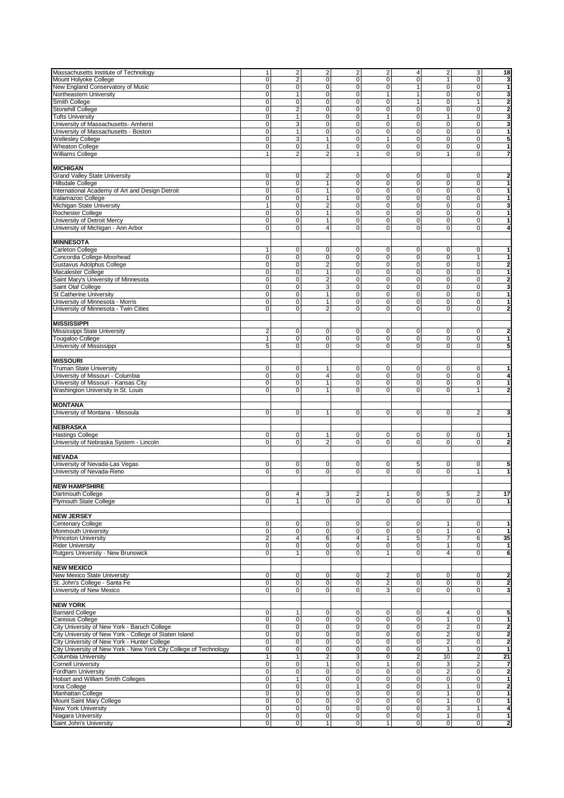| Massachusetts Institute of Technology                             |                                                  |                                           |                                         |                                           |                                  |                                  |                                |                                  |                                         |
|-------------------------------------------------------------------|--------------------------------------------------|-------------------------------------------|-----------------------------------------|-------------------------------------------|----------------------------------|----------------------------------|--------------------------------|----------------------------------|-----------------------------------------|
|                                                                   | 1                                                | $\overline{c}$                            | $\overline{\mathbf{c}}$                 | $\overline{2}$                            | $\sqrt{2}$                       | $\overline{\mathbf{4}}$          | $\overline{2}$                 | 3                                | 18                                      |
| Mount Holyoke College                                             | $\mathbf 0$                                      | $\overline{c}$                            | 0                                       | 0                                         | $\mathbf 0$                      | 0                                | $\mathbf{1}$                   | $\pmb{0}$                        | 3                                       |
| New England Conservatory of Music                                 | $\overline{\mathbf{0}}$                          | $\mathbf 0$                               | 0                                       | $\overline{0}$                            | $\mathbf 0$                      | 1                                | 0                              | $\mathbf 0$                      | 1                                       |
| Northeastern University                                           | $\overline{0}$                                   | $\mathbf{1}$                              | 0                                       | $\mathbf 0$                               | $\mathbf{1}$                     | 1                                | 0                              | $\mathbf 0$                      | 3                                       |
|                                                                   |                                                  |                                           |                                         |                                           |                                  |                                  |                                |                                  |                                         |
| Smith College                                                     | $\overline{\mathbf{0}}$                          | $\overline{0}$                            | $\pmb{0}$                               | $\mathbf 0$                               | $\pmb{0}$                        | 1                                | $\pmb{0}$                      | $\mathbf{1}$                     | $\overline{2}$                          |
| Stonehill College                                                 | 0                                                | $\overline{2}$                            | 0                                       | 0                                         | $\mathbf 0$                      | 0                                | 0                              | $\mathbf 0$                      | $\overline{2}$                          |
| <b>Tufts University</b>                                           | 0                                                | $\mathbf{1}$                              | 0                                       | 0                                         | 1                                | 0                                | $\mathbf{1}$                   | $\mathbf 0$                      | 3                                       |
| University of Massachusetts- Amherst                              | $\overline{0}$                                   | 3                                         | 0                                       | $\overline{0}$                            | $\mathbf 0$                      | 0                                | 0                              | $\mathbf 0$                      | 3                                       |
| University of Massachusetts - Boston                              | $\overline{0}$                                   | $\overline{1}$                            | $\overline{0}$                          | $\overline{0}$                            | $\overline{0}$                   | $\overline{0}$                   | $\overline{0}$                 | $\overline{0}$                   | 1                                       |
|                                                                   |                                                  |                                           |                                         |                                           |                                  |                                  |                                |                                  |                                         |
| Wellesley College                                                 | $\overline{0}$                                   | $\overline{3}$                            | $\mathbf{1}$                            | $\mathbf 0$                               | $\mathbf{1}$                     | 0                                | 0                              | $\mathbf 0$                      | 5                                       |
| Wheaton College                                                   | 0                                                | $\pmb{0}$                                 | 1                                       | 0                                         | $\mathbf 0$                      | 0                                | 0                              | $\mathbf 0$                      | 1                                       |
| Williams College                                                  | $\mathbf{1}$                                     | $\overline{2}$                            | $\overline{2}$                          | $\mathbf{1}$                              | $\mathbf 0$                      | 0                                | $\mathbf{1}$                   | 0                                | 7                                       |
|                                                                   |                                                  |                                           |                                         |                                           |                                  |                                  |                                |                                  |                                         |
|                                                                   |                                                  |                                           |                                         |                                           |                                  |                                  |                                |                                  |                                         |
| <b>MICHIGAN</b>                                                   |                                                  |                                           |                                         |                                           |                                  |                                  |                                |                                  |                                         |
| <b>Grand Valley State University</b>                              | $\pmb{0}$                                        | $\pmb{0}$                                 | 2                                       | 0                                         | $\mathbf 0$                      | 0                                | 0                              | 0                                | $\overline{\mathbf{2}}$                 |
| Hillsdale College                                                 | $\mathsf 0$                                      | $\overline{0}$                            | 1                                       | $\mathbf 0$                               | $\mathbf 0$                      | 0                                | 0                              | $\mathsf 0$                      | 1                                       |
|                                                                   |                                                  |                                           |                                         |                                           |                                  |                                  |                                |                                  |                                         |
| International Academy of Art and Design Detroit                   | 0                                                | $\pmb{0}$                                 | $\mathbf{1}$                            | 0                                         | $\mathbf 0$                      | 0                                | 0                              | $\mathbf 0$                      | 1                                       |
| Kalamazoo College                                                 | $\mathbf 0$                                      | $\pmb{0}$                                 | 1                                       | $\overline{0}$                            | $\mathbf 0$                      | 0                                | 0                              | $\mathsf 0$                      | 1                                       |
| Michigan State University                                         | $\overline{1}$                                   | $\overline{0}$                            | $\overline{2}$                          | 0                                         | $\mathbf 0$                      | 0                                | $\overline{0}$                 | $\overline{0}$                   | 3                                       |
| Rochester College                                                 | $\overline{0}$                                   | $\overline{0}$                            | 1                                       | $\mathbf 0$                               | $\mathbf 0$                      | 0                                | $\pmb{0}$                      | $\pmb{0}$                        | 1                                       |
|                                                                   | 0                                                | $\pmb{0}$                                 | $\mathbf{1}$                            | $\mathbf 0$                               | $\mathbf 0$                      | 0                                | 0                              | $\mathbf 0$                      | 1                                       |
| University of Detroit Mercy                                       |                                                  |                                           |                                         |                                           |                                  |                                  |                                |                                  |                                         |
| University of Michigan - Ann Arbor                                | 0                                                | 0                                         | $\overline{4}$                          | $\mathbf 0$                               | $\mathbf 0$                      | 0                                | 0                              | 0                                | 4                                       |
|                                                                   |                                                  |                                           |                                         |                                           |                                  |                                  |                                |                                  |                                         |
| <b>MINNESOTA</b>                                                  |                                                  |                                           |                                         |                                           |                                  |                                  |                                |                                  |                                         |
|                                                                   |                                                  |                                           |                                         |                                           |                                  |                                  |                                |                                  | 1                                       |
| Carleton College                                                  | 1                                                | 0                                         | 0                                       | 0                                         | $\mathbf 0$                      | 0                                | 0                              | 0                                |                                         |
| Concordia College-Moorhead                                        | 0                                                | $\pmb{0}$                                 | 0                                       | $\mathbf 0$                               | $\mathbf 0$                      | 0                                | 0                              | $\mathbf{1}$                     | 1                                       |
| Gustavus Adolphus College                                         | 0                                                | $\mathbf 0$                               | $\overline{2}$                          | $\mathbf 0$                               | $\mathbf 0$                      | 0                                | 0                              | $\mathbf 0$                      | $\overline{2}$                          |
| Macalester College                                                | 0                                                | $\pmb{0}$                                 | $\mathbf{1}$                            | $\mathbf 0$                               | $\mathbf 0$                      | 0                                | 0                              | $\pmb{0}$                        | 1                                       |
| Saint Mary's University of Minnesota                              | $\overline{0}$                                   | $\pmb{0}$                                 | $\overline{2}$                          | $\mathbf 0$                               | $\mathbf 0$                      | 0                                | 0                              | $\mathbf 0$                      | $\overline{2}$                          |
|                                                                   |                                                  |                                           |                                         |                                           |                                  |                                  |                                |                                  |                                         |
| Saint Olaf College                                                | $\overline{0}$                                   | $\overline{0}$                            | $\overline{3}$                          | $\mathbf 0$                               | $\mathbf 0$                      | 0                                | $\pmb{0}$                      | $\overline{0}$                   | 3                                       |
| <b>St Catherine University</b>                                    | $\mathbf 0$                                      | $\pmb{0}$                                 | 1                                       | 0                                         | $\mathbf 0$                      | 0                                | 0                              | $\pmb{0}$                        | 1                                       |
| University of Minnesota - Morris                                  | 0                                                | 0                                         | $\mathbf{1}$                            | 0                                         | $\mathbf 0$                      | 0                                | 0                              | 0                                | 1                                       |
| University of Minnesota - Twin Cities                             | $\mathbf 0$                                      | $\mathbf 0$                               | $\overline{2}$                          | $\mathbf{O}$                              | $\mathbf 0$                      | $\mathbf 0$                      | $\mathbf 0$                    | $\mathbf 0$                      | $\overline{2}$                          |
|                                                                   |                                                  |                                           |                                         |                                           |                                  |                                  |                                |                                  |                                         |
|                                                                   |                                                  |                                           |                                         |                                           |                                  |                                  |                                |                                  |                                         |
| MISSISSIPPI                                                       |                                                  |                                           |                                         |                                           |                                  |                                  |                                |                                  |                                         |
| Mississippi State University                                      | $\overline{2}$                                   | $\pmb{0}$                                 | 0                                       | 0                                         | 0                                | 0                                | 0                              | 0                                | $\overline{2}$                          |
|                                                                   |                                                  | $\mathbf 0$                               |                                         | 0                                         |                                  |                                  |                                |                                  |                                         |
| <b>Tougaloo College</b>                                           | 1                                                |                                           | 0                                       |                                           | $\mathbf 0$                      | 0                                | 0                              | $\mathbf 0$                      | 1                                       |
| University of Mississippi                                         | 5                                                | $\mathbf 0$                               | 0                                       | $\mathbf{0}$                              | $\mathbf 0$                      | $\overline{0}$                   | $\mathbf 0$                    | $\mathbf 0$                      | 5                                       |
|                                                                   |                                                  |                                           |                                         |                                           |                                  |                                  |                                |                                  |                                         |
| <b>MISSOURI</b>                                                   |                                                  |                                           |                                         |                                           |                                  |                                  |                                |                                  |                                         |
| <b>Truman State University</b>                                    | 0                                                |                                           |                                         |                                           |                                  |                                  | 0                              | $\mathbf 0$                      | 1                                       |
|                                                                   |                                                  | 0                                         |                                         | 0                                         | 0                                | 0                                |                                |                                  |                                         |
| University of Missouri - Columbia                                 | 0                                                | 0                                         | 4                                       | $\mathbf 0$                               | $\mathbf 0$                      | 0                                | 0                              | $\mathbf 0$                      | 4                                       |
| University of Missouri - Kansas City                              | 0                                                | $\mathbf 0$                               | $\mathbf{1}$                            | $\mathbf 0$                               | $\mathbf 0$                      | $\mathbf 0$                      | $\mathbf 0$                    | $\mathbf 0$                      | $\mathbf{1}$                            |
| <b>Washington University in St. Louis</b>                         | 0                                                | 0                                         | $\mathbf{1}$                            | 0                                         | $\mathbf 0$                      | 0                                | 0                              | $\mathbf{1}$                     | $\overline{2}$                          |
|                                                                   |                                                  |                                           |                                         |                                           |                                  |                                  |                                |                                  |                                         |
|                                                                   |                                                  |                                           |                                         |                                           |                                  |                                  |                                |                                  |                                         |
| <b>MONTANA</b>                                                    |                                                  |                                           |                                         |                                           |                                  |                                  |                                |                                  |                                         |
| University of Montana - Missoula                                  | $\mathbf 0$                                      | $\mathbf 0$                               | $\mathbf{1}$                            | $\mathbf 0$                               | $\mathbf 0$                      | 0                                | 0                              | $\overline{2}$                   | 3                                       |
|                                                                   |                                                  |                                           |                                         |                                           |                                  |                                  |                                |                                  |                                         |
| <b>NEBRASKA</b>                                                   |                                                  |                                           |                                         |                                           |                                  |                                  |                                |                                  |                                         |
|                                                                   |                                                  |                                           |                                         |                                           |                                  |                                  |                                |                                  |                                         |
| Hastings College                                                  | $\mathbf 0$                                      |                                           |                                         | 0                                         | $\mathbf 0$                      | 0                                | 0                              | 0                                | 1                                       |
|                                                                   |                                                  | 0                                         | 1                                       |                                           |                                  |                                  |                                |                                  | $\overline{2}$                          |
| University of Nebraska System - Lincoln                           | $\mathbf 0$                                      | $\mathbf 0$                               | $\overline{\mathbf{c}}$                 | $\overline{0}$                            | $\mathbf 0$                      | 0                                | 0                              | 0                                |                                         |
|                                                                   |                                                  |                                           |                                         |                                           |                                  |                                  |                                |                                  |                                         |
|                                                                   |                                                  |                                           |                                         |                                           |                                  |                                  |                                |                                  |                                         |
| <b>NEVADA</b>                                                     |                                                  |                                           |                                         |                                           |                                  |                                  |                                |                                  |                                         |
| University of Nevada-Las Vegas                                    | 0                                                | 0                                         | 0                                       | 0                                         | 0                                | 5                                | 0                              | 0                                | 5                                       |
| University of Nevada-Reno                                         | $\mathbf 0$                                      | $\mathbf 0$                               | 0                                       | 0                                         | $\mathbf 0$                      | 0                                | 0                              | $\mathbf{1}$                     | 1                                       |
|                                                                   |                                                  |                                           |                                         |                                           |                                  |                                  |                                |                                  |                                         |
|                                                                   |                                                  |                                           |                                         |                                           |                                  |                                  |                                |                                  |                                         |
| <b>NEW HAMPSHIRE</b>                                              |                                                  |                                           |                                         |                                           |                                  |                                  |                                |                                  |                                         |
| Dartmouth College                                                 | 0                                                | 4                                         | 3                                       | 2                                         | 1                                | 0                                | 5                              | 2                                | 17                                      |
| Plymouth State College                                            | 0                                                | $\mathbf{1}$                              | 0                                       | 0                                         | $\mathbf 0$                      | 0                                | 0                              | 0                                | 1                                       |
|                                                                   |                                                  |                                           |                                         |                                           |                                  |                                  |                                |                                  |                                         |
|                                                                   |                                                  |                                           |                                         |                                           |                                  |                                  |                                |                                  |                                         |
| <b>NEW JERSEY</b>                                                 |                                                  |                                           |                                         |                                           |                                  |                                  |                                |                                  |                                         |
| Centenary College                                                 | $\mathbf 0$                                      | 0                                         | 0                                       | $\mathbf 0$                               | $\mathbf 0$                      | 0                                | 1                              | 0                                | 1                                       |
| Monmouth University                                               | $\mathsf{O}\xspace$                              | $\pmb{0}$                                 | $\pmb{0}$                               | $\mathbf 0$                               | $\mathbf 0$                      | 0                                | $\mathbf{1}$                   | $\pmb{0}$                        | $\mathbf{1}$                            |
| <b>Princeton University</b>                                       | 2                                                | $\overline{\mathbf{4}}$                   | 6                                       | $\overline{4}$                            | $\mathbf{1}$                     | 5                                | $\overline{7}$                 | 6                                | 35                                      |
| <b>Rider University</b>                                           | $\overline{\mathbf{0}}$                          | $\overline{\mathbf{0}}$                   | 0                                       | $\mathbf 0$                               | $\overline{0}$                   | 0                                | $\mathbf{1}$                   | 0                                | $\mathbf{1}$                            |
|                                                                   |                                                  |                                           |                                         |                                           |                                  |                                  |                                |                                  |                                         |
| Rutgers University - New Brunswick                                | $\overline{0}$                                   | $\mathbf{1}$                              | 0                                       | $\mathbf 0$                               | $\mathbf{1}$                     | 0                                | 4                              | 0                                | 6                                       |
|                                                                   |                                                  |                                           |                                         |                                           |                                  |                                  |                                |                                  |                                         |
| <b>NEW MEXICO</b>                                                 |                                                  |                                           |                                         |                                           |                                  |                                  |                                |                                  |                                         |
|                                                                   | $\pmb{0}$                                        | 0                                         | 0                                       | $\mathbf 0$                               | $\sqrt{2}$                       | 0                                | $\overline{0}$                 | 0                                | $\overline{\mathbf{2}}$                 |
| New Mexico State University                                       |                                                  | $\overline{\mathbf{0}}$                   | 0                                       | $\mathbf{0}$                              | 2                                | 0                                | $\overline{0}$                 | 0                                | $\overline{2}$                          |
| St. John's College - Santa Fe                                     | $\overline{\mathbf{0}}$                          |                                           |                                         |                                           |                                  |                                  |                                |                                  |                                         |
| University of New Mexico                                          | $\mathbf 0$                                      | $\pmb{0}$                                 | 0                                       | $\overline{0}$                            | 3                                | 0                                | 0                              | 0                                | 3                                       |
|                                                                   |                                                  |                                           |                                         |                                           |                                  |                                  |                                |                                  |                                         |
| <b>NEW YORK</b>                                                   |                                                  |                                           |                                         |                                           |                                  |                                  |                                |                                  |                                         |
|                                                                   | $\pmb{0}$                                        | 1                                         | 0                                       | 0                                         | $\pmb{0}$                        | 0                                | 4                              | 0                                | 5                                       |
| <b>Barnard College</b>                                            |                                                  |                                           |                                         |                                           |                                  |                                  |                                |                                  |                                         |
| Canisius College                                                  | $\overline{\mathbf{0}}$                          | $\overline{0}$                            | 0                                       | $\mathbf 0$                               | $\pmb{0}$                        | 0                                | $\mathbf{1}$                   | 0                                | 1                                       |
| City University of New York - Baruch College                      | $\overline{\mathbf{0}}$                          | 0                                         | 0                                       | $\overline{0}$                            | $\mathbf 0$                      | 0                                | $\overline{\mathbf{c}}$        | $\pmb{0}$                        | $\overline{\mathbf{2}}$                 |
| City University of New York - College of Staten Island            | $\overline{0}$                                   | $\pmb{0}$                                 | 0                                       | $\mathbf 0$                               | $\mathbf 0$                      | 0                                | $\overline{2}$                 | $\pmb{0}$                        | $\overline{2}$                          |
|                                                                   | $\overline{\mathsf{o}}$                          | $\overline{\text{o}}$                     | $\pmb{0}$                               | $\overline{0}$                            | $\overline{0}$                   | $\overline{0}$                   |                                | $\overline{0}$                   | $\overline{2}$                          |
| City University of New York - Hunter College                      |                                                  |                                           |                                         |                                           |                                  |                                  | $\overline{2}$                 |                                  |                                         |
| City University of New York - New York City College of Technology | $\mathsf 0$                                      | $\pmb{0}$                                 | 0                                       | $\mathbf 0$                               | $\mathbf 0$                      | 0                                | $\mathbf{1}$                   | $\pmb{0}$                        | $\mathbf{1}$                            |
| Columbia University                                               | $\mathbf{1}$                                     | $\mathbf{1}$                              | $\overline{\mathbf{c}}$                 | 3                                         | $\overline{0}$                   | 2                                | 10                             | $\overline{2}$                   | 21                                      |
| <b>Cornell University</b>                                         | 0                                                | 0                                         | 1                                       | $\mathbf 0$                               | $\mathbf{1}$                     | 0                                | 3                              | $\overline{2}$                   | 7                                       |
| Fordham University                                                | $\overline{0}$                                   | $\pmb{0}$                                 | 0                                       | $\mathbf 0$                               | $\mathbf 0$                      | 0                                | $\overline{2}$                 | $\mathbf 0$                      | $\overline{\mathbf{2}}$                 |
|                                                                   |                                                  |                                           |                                         |                                           |                                  |                                  |                                |                                  |                                         |
| Hobart and William Smith Colleges                                 | $\mathbf 0$                                      | $\mathbf{1}$                              | 0                                       | $\overline{0}$                            | $\overline{0}$                   | 0                                | $\overline{0}$                 | $\mathsf 0$                      | 1                                       |
| Iona College                                                      | $\mathsf{O}\xspace$                              | $\pmb{0}$                                 | 0                                       | 1                                         | $\pmb{0}$                        | 0                                | $\mathbf{1}$                   | $\mathsf 0$                      | $\overline{\mathbf{2}}$                 |
| Manhattan College                                                 | $\mathsf 0$                                      | $\pmb{0}$                                 | 0                                       | $\mathbf 0$                               | $\pmb{0}$                        | 0                                | $\mathbf{1}$                   | $\mathbf 0$                      | 1                                       |
| Mount Saint Mary College                                          | $\overline{\mathbf{0}}$                          | $\pmb{0}$                                 | 0                                       | $\mathbf 0$                               | $\mathbf 0$                      | 0                                | $\mathbf{1}$                   | $\mathsf 0$                      | 1                                       |
|                                                                   |                                                  |                                           |                                         |                                           |                                  |                                  |                                |                                  |                                         |
| New York University                                               | $\overline{\mathbf{0}}$                          | 0                                         | 0                                       | $\overline{0}$                            | $\pmb{0}$                        | 0                                | 3                              | $\mathbf{1}$                     | 4                                       |
| Niagara University<br>Saint John's University                     | $\overline{\text{o}}$<br>$\overline{\mathbf{0}}$ | $\overline{\mathbf{0}}$<br>$\overline{0}$ | $\overline{\text{o}}$<br>$\overline{1}$ | $\overline{\mathbf{0}}$<br>$\overline{0}$ | $\overline{0}$<br>$\overline{1}$ | $\overline{0}$<br>$\overline{0}$ | $\mathbf{1}$<br>$\overline{0}$ | $\overline{0}$<br>$\overline{0}$ | $\mathbf{1}$<br>$\overline{\mathbf{2}}$ |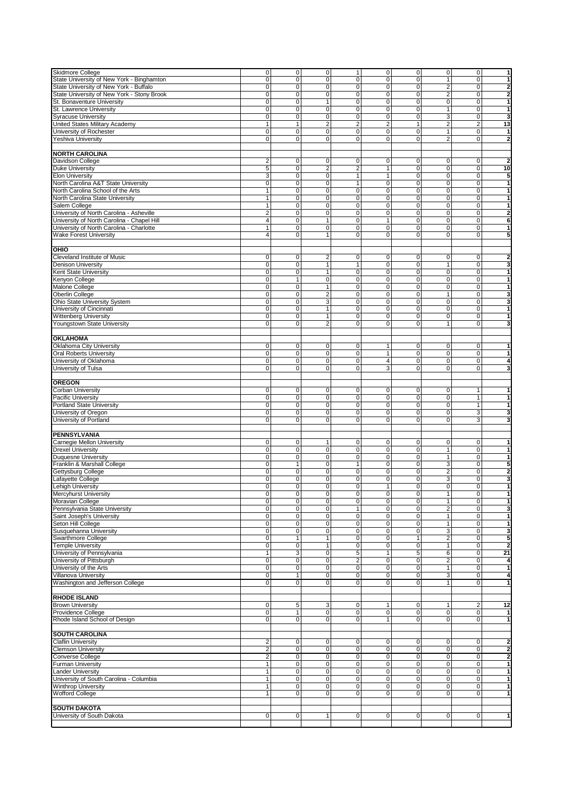| Skidmore College                           | $\mathbf 0$             | $\mathbf 0$      | $\mathbf 0$             | 1              | $\mathbf 0$    | $\overline{0}$ | $\mathsf 0$             | $\mathbf 0$    | 1                       |
|--------------------------------------------|-------------------------|------------------|-------------------------|----------------|----------------|----------------|-------------------------|----------------|-------------------------|
| State University of New York - Binghamton  | 0                       | 0                | 0                       | 0              | 0              | $\mathbf 0$    | 1                       | 0              | 1                       |
|                                            |                         |                  |                         |                |                |                |                         |                |                         |
| State University of New York - Buffalo     | $\overline{0}$          | $\overline{0}$   | 0                       | $\mathbf{O}$   | $\mathbf 0$    | $\mathbf 0$    | $\overline{2}$          | $\mathbf 0$    | $\overline{2}$          |
| State University of New York - Stony Brook | $\overline{0}$          | $\overline{0}$   | $\overline{0}$          | 0              | $\mathbf 0$    | 0              | $\overline{2}$          | 0              | $\overline{\mathbf{2}}$ |
| St. Bonaventure University                 | 0                       | $\pmb{0}$        | $\mathbf{1}$            | $\mathbf 0$    | $\mathbf 0$    | $\mathbf 0$    | 0                       | $\mathbf 0$    | 1                       |
|                                            |                         |                  |                         |                |                |                |                         |                |                         |
| St. Lawrence University                    | 0                       | $\mathbf 0$      | 0                       | $\mathbf{O}$   | $\mathbf 0$    | $\mathbf 0$    | $\mathbf{1}$            | $\mathbf 0$    | $\mathbf{1}$            |
| <b>Syracuse University</b>                 | 0                       | $\pmb{0}$        | 0                       | 0              | $\mathbf 0$    | 0              | 3                       | 0              | 3                       |
| <b>United States Military Academy</b>      | $\mathbf{1}$            | $\mathbf{1}$     | $\overline{2}$          | $\overline{2}$ | $\overline{2}$ | $\mathbf{1}$   | $\overline{2}$          | $\overline{2}$ | 13                      |
|                                            |                         |                  |                         |                |                |                |                         |                |                         |
| University of Rochester                    | $\overline{0}$          | $\overline{0}$   | 0                       | 0              | $\mathbf 0$    | $\mathbf 0$    | $\mathbf{1}$            | 0              | 1                       |
| Yeshiva University                         | $\mathbf 0$             | $\mathbf 0$      | 0                       | 0              | $\mathbf 0$    | $\mathbf 0$    | $\overline{2}$          | $\mathbf 0$    | $\overline{2}$          |
|                                            |                         |                  |                         |                |                |                |                         |                |                         |
|                                            |                         |                  |                         |                |                |                |                         |                |                         |
| <b>NORTH CAROLINA</b>                      |                         |                  |                         |                |                |                |                         |                |                         |
| Davidson College                           | $\overline{\mathbf{c}}$ | $\mathbf 0$      | 0                       | $\overline{0}$ | $\mathbf 0$    | 0              | 0                       | $\mathbf 0$    | $\overline{2}$          |
|                                            |                         |                  |                         |                |                |                |                         |                |                         |
| <b>Duke University</b>                     | 5                       | $\overline{0}$   | 2                       | 2              | 1              | 0              | 0                       | 0              | 10                      |
| <b>Elon University</b>                     | 3                       | $\pmb{0}$        | 0                       | $\mathbf{1}$   | $\mathbf{1}$   | 0              | 0                       | $\mathbf 0$    | 5                       |
| North Carolina A&T State University        | $\overline{0}$          | $\mathbf 0$      | 0                       | $\mathbf{1}$   | $\mathbf 0$    | $\mathbf 0$    | 0                       | $\mathbf 0$    | 1                       |
|                                            |                         |                  |                         |                |                |                |                         |                |                         |
| North Carolina School of the Arts          | $\mathbf{1}$            | $\mathbf 0$      | 0                       | 0              | $\mathbf 0$    | $\mathbf 0$    | $\mathbf 0$             | $\mathbf 0$    | 1                       |
| North Carolina State University            | $\mathbf{1}$            | $\overline{0}$   | 0                       | 0              | $\overline{0}$ | 0              | $\pmb{0}$               | $\mathbf 0$    | 1                       |
|                                            |                         |                  |                         |                |                |                |                         |                |                         |
| Salem College                              | 1                       | $\pmb{0}$        | 0                       | 0              | $\mathbf 0$    | $\mathbf 0$    | 0                       | 0              | 1                       |
| University of North Carolina - Asheville   | $\overline{2}$          | $\pmb{0}$        | 0                       | 0              | $\mathbf 0$    | 0              | 0                       | $\mathbf 0$    | $\overline{2}$          |
| University of North Carolina - Chapel Hill | 4                       | $\overline{0}$   | $\mathbf{1}$            | $\mathbf 0$    | $\mathbf{1}$   | 0              | 0                       | $\mathbf 0$    | 6                       |
|                                            |                         |                  |                         |                |                |                |                         |                |                         |
| University of North Carolina - Charlotte   | $\mathbf{1}$            | $\mathbf 0$      | 0                       | 0              | $\mathbf 0$    | $\mathbf 0$    | $\mathbf 0$             | 0              | 1                       |
| <b>Wake Forest University</b>              | $\overline{4}$          | $\mathbf 0$      | $\mathbf{1}$            | $\mathbf{O}$   | $\mathbf 0$    | $\mathbf 0$    | 0                       | $\mathbf 0$    | 5                       |
|                                            |                         |                  |                         |                |                |                |                         |                |                         |
|                                            |                         |                  |                         |                |                |                |                         |                |                         |
| OHIO                                       |                         |                  |                         |                |                |                |                         |                |                         |
| Cleveland Institute of Music               | 0                       | 0                | 2                       | 0              | 0              | 0              | 0                       | 0              | $\overline{\mathbf{2}}$ |
|                                            | $\mathbf 0$             | $\mathbf 0$      |                         | 1              |                |                | 1                       |                |                         |
| <b>Denison University</b>                  |                         |                  | 1                       |                | $\mathbf 0$    | $\mathbf 0$    |                         | $\mathbf 0$    | 3                       |
| Kent State University                      | $\overline{0}$          | $\overline{0}$   | $\mathbf{1}$            | 0              | $\overline{0}$ | 0              | $\mathbf 0$             | $\mathbf 0$    | $\mathbf{1}$            |
| Kenyon College                             | 0                       | $\mathbf{1}$     | 0                       | $\mathbf 0$    | $\mathbf 0$    | $\mathbf 0$    | 0                       | 0              | 1                       |
|                                            |                         |                  |                         |                |                |                |                         |                |                         |
| Malone College                             | 0                       | $\pmb{0}$        | $\mathbf{1}$            | $\mathbf{O}$   | $\mathbf 0$    | 0              | 0                       | $\mathbf 0$    | $\mathbf{1}$            |
| Oberlin College                            | 0                       | $\pmb{0}$        | $\overline{\mathbf{c}}$ | $\mathbf 0$    | $\mathbf 0$    | 0              | $\mathbf{1}$            | $\mathbf 0$    | 3                       |
|                                            | 0                       | $\overline{0}$   | 3                       | $\overline{0}$ | $\overline{0}$ | $\mathbf 0$    |                         | $\mathbf 0$    |                         |
| Ohio State University System               |                         |                  |                         |                |                |                | $\mathbf 0$             |                | 3                       |
| University of Cincinnati                   | 0                       | $\mathbf 0$      | $\mathbf{1}$            | $\mathbf 0$    | $\mathbf 0$    | $\mathbf 0$    | 0                       | $\mathbf 0$    | 1                       |
| Wittenberg University                      | $\mathbf 0$             | $\pmb{0}$        | 1                       | 0              | 0              | 0              | 0                       | 0              | 1                       |
|                                            |                         |                  |                         |                |                |                |                         |                |                         |
| Youngstown State University                | $\mathbf 0$             | 0                | $\overline{\mathbf{c}}$ | 0              | $\mathbf 0$    | $\mathbf 0$    | $\mathbf{1}$            | $\mathbf 0$    | 3                       |
|                                            |                         |                  |                         |                |                |                |                         |                |                         |
| <b>OKLAHOMA</b>                            |                         |                  |                         |                |                |                |                         |                |                         |
|                                            |                         |                  |                         |                |                |                |                         |                |                         |
| Oklahoma City University                   | 0                       | $\pmb{0}$        | 0                       | 0              | $\mathbf{1}$   | 0              | 0                       | 0              | 1                       |
| <b>Oral Roberts University</b>             | $\mathbf 0$             | $\pmb{0}$        | 0                       | 0              | 1              | 0              | 0                       | 0              | 1                       |
|                                            |                         |                  |                         |                |                |                |                         |                |                         |
| University of Oklahoma                     | 0                       | $\pmb{0}$        | 0                       | 0              | 4              | $\mathbf 0$    | 0                       | $\mathbf 0$    | 4                       |
| University of Tulsa                        | 0                       | 0                | 0                       | 0              | 3              | $\mathbf 0$    | 0                       | $\mathbf 0$    | 3                       |
|                                            |                         |                  |                         |                |                |                |                         |                |                         |
|                                            |                         |                  |                         |                |                |                |                         |                |                         |
| <b>OREGON</b>                              |                         |                  |                         |                |                |                |                         |                |                         |
| Corban University                          | 0                       | $\pmb{0}$        | 0                       | 0              | 0              | 0              | 0                       | 1              | 1                       |
| Pacific University                         | 0                       | 0                | 0                       | 0              | $\mathbf 0$    | 0              | 0                       | $\mathbf{1}$   | 1                       |
|                                            |                         |                  |                         |                |                |                |                         |                |                         |
| Portland State University                  | $\overline{0}$          | $\mathbf 0$      | 0                       | $\mathbf{O}$   | $\mathbf 0$    | $\mathbf 0$    | 0                       | $\mathbf{1}$   | $\mathbf{1}$            |
| University of Oregon                       | $\overline{0}$          | $\mathbf 0$      | 0                       | 0              | $\mathbf 0$    | $\mathbf 0$    | 0                       | 3              | 3                       |
|                                            |                         |                  |                         |                |                |                |                         |                |                         |
| University of Portland                     | $\mathbf 0$             | $\mathbf 0$      | 0                       | 0              | $\mathbf 0$    | $\mathbf 0$    | 0                       | 3              | 3                       |
|                                            |                         |                  |                         |                |                |                |                         |                |                         |
| PENNSYLVANIA                               |                         |                  |                         |                |                |                |                         |                |                         |
|                                            |                         |                  |                         |                |                |                |                         |                |                         |
| Carnegie Mellon University                 | 0                       | $\pmb{0}$        | 1                       | 0              | 0              | 0              | 0                       | 0              | 1                       |
| <b>Drexel University</b>                   | $\overline{0}$          | $\overline{0}$   | 0                       | 0              | $\overline{0}$ | $\mathbf 0$    | $\mathbf{1}$            | $\overline{0}$ | 1                       |
|                                            | $\pmb{0}$               | $\mathbf 0$      | 0                       | 0              | $\mathbf 0$    | $\mathbf 0$    | $\mathbf{1}$            | $\mathbf 0$    | $\mathbf{1}$            |
| <b>Duquesne University</b>                 |                         |                  |                         |                |                |                |                         |                |                         |
| Franklin & Marshall College                | 0                       | 1                | 0                       | 1              | 0              | 0              | 3                       | 0              | 5                       |
| Gettysburg College                         | 0                       | 0                | 0                       | 0              | $\mathbf 0$    | 0              | $\overline{\mathbf{c}}$ | $\mathbf 0$    | $\overline{\mathbf{2}}$ |
|                                            |                         |                  |                         |                |                |                |                         |                |                         |
| Lafayette College                          | 0                       | $\mathbf 0$      | 0                       | $\mathbf{O}$   | $\mathbf 0$    | $\mathbf 0$    | $\overline{3}$          | 0              | 3                       |
| Lehigh University                          | 0                       | $\pmb{0}$        | 0                       | 0              | $\mathbf{1}$   | 0              | 0                       | 0              | 1                       |
| Mercyhurst University                      | 0                       | 0                | 0                       | 0              | 0              | 0              | 1                       | 0              | 1                       |
|                                            |                         |                  |                         |                |                |                |                         |                |                         |
| Moravian College                           | 0                       | 0                | 0                       | $\overline{0}$ | $\mathbf 0$    | 0              | 1                       | 0              | 1                       |
| Pennsylvania State University              | $\mathbf 0$             | 0                | 0                       | 1              | $\mathbf 0$    | 0              | $\overline{2}$          | 0              | 3                       |
| Saint Joseph's University                  | $\overline{0}$          | $\overline{0}$   | 0                       | $\overline{0}$ | $\mathbf 0$    | 0              | 1                       | $\mathbf 0$    | 1                       |
|                                            |                         |                  |                         |                |                |                |                         |                |                         |
| Seton Hill College                         | $\overline{0}$          | $\overline{0}$   | 0                       | $\overline{0}$ | $\overline{0}$ | $\mathbf 0$    | $\overline{1}$          | $\overline{0}$ | 1                       |
| Susquehanna University                     | $\mathbf 0$             | $\mathbf 0$      | 0                       | 0              | $\mathbf 0$    | 0              | 3                       | $\mathbf 0$    | 3                       |
| Swarthmore College                         | 0                       | $\mathbf{1}$     | $\mathbf{1}$            | $\overline{0}$ | $\mathbf 0$    | 1              | $\mathbf 2$             | $\mathbf 0$    | 5                       |
|                                            |                         |                  |                         |                |                |                |                         |                |                         |
| <b>Temple University</b>                   | $\pmb{0}$               | 0                | $\mathbf{1}$            | $\overline{0}$ | $\pmb{0}$      | 0              | $\mathbf{1}$            | 0              | $\overline{2}$          |
| University of Pennsylvania                 | 1                       | 3                | 0                       | 5 <sub>5</sub> | $\mathbf{1}$   | 5              | 6                       | 0              | 21                      |
| University of Pittsburgh                   | $\overline{0}$          | $\overline{0}$   | 0                       | $\overline{2}$ | $\mathbf 0$    | 0              | $\overline{2}$          | $\mathbf 0$    | 4                       |
|                                            |                         |                  |                         |                |                |                |                         |                |                         |
| University of the Arts                     | $\mathbf 0$             | $\boldsymbol{0}$ | 0                       | $\mathbf 0$    | $\pmb{0}$      | 0              | $\mathbf{1}$            | $\mathbf 0$    | 1                       |
| Villanova University                       | 0                       | $\mathbf{1}$     | 0                       | $\overline{0}$ | $\mathbf 0$    | 0              | 3                       | 0              | 4                       |
| Washington and Jefferson College           | 0                       | $\mathbf 0$      | 0                       | 0              | $\mathbf 0$    | 0              | 1                       | 0              | 1                       |
|                                            |                         |                  |                         |                |                |                |                         |                |                         |
|                                            |                         |                  |                         |                |                |                |                         |                |                         |
| <b>RHODE ISLAND</b>                        |                         |                  |                         |                |                |                |                         |                |                         |
| <b>Brown University</b>                    |                         |                  |                         | 0              | $\mathbf{1}$   | 0              |                         |                | 12                      |
|                                            | 0                       | 5                | 3                       |                |                |                | 1                       | 2              |                         |
| Providence College                         | $\mathsf 0$             | $\mathbf{1}$     | 0                       | $\overline{0}$ | $\mathbf 0$    | 0              | 0                       | $\mathbf 0$    | 1                       |
| Rhode Island School of Design              | $\mathbf 0$             | $\pmb{0}$        | 0                       | $\overline{0}$ | $\mathbf{1}$   | 0              | 0                       | 0              | 1                       |
|                                            |                         |                  |                         |                |                |                |                         |                |                         |
|                                            |                         |                  |                         |                |                |                |                         |                |                         |
| <b>SOUTH CAROLINA</b>                      |                         |                  |                         |                |                |                |                         |                |                         |
| <b>Claflin University</b>                  | 2                       | 0                | 0                       | 0              | 0              | 0              | 0                       | 0              | $\overline{2}$          |
|                                            |                         |                  |                         |                |                |                |                         |                |                         |
| <b>Clemson University</b>                  | $\overline{2}$          | $\mathbf 0$      | 0                       | $\overline{0}$ | $\mathbf 0$    | 0              | 0                       | 0              | $\overline{\mathbf{2}}$ |
| Converse College                           | $\overline{\mathbf{c}}$ | $\pmb{0}$        | 0                       | $\overline{0}$ | 0              | 0              | 0                       | 0              | $\overline{2}$          |
| <b>Furman University</b>                   | 1                       | $\overline{0}$   | 0                       | $\overline{0}$ | $\mathbf 0$    | 0              | 0                       | $\mathbf 0$    | 1                       |
|                                            |                         |                  |                         |                |                |                |                         |                |                         |
| <b>Lander University</b>                   | $\overline{1}$          | $\overline{0}$   | 0                       | $\mathbf{O}$   | $\mathbf{0}$   | $\mathbf 0$    | 0                       | $\overline{0}$ | 1                       |
| University of South Carolina - Columbia    | $\overline{1}$          | $\overline{0}$   | 0                       | $\overline{0}$ | $\mathbf 0$    | 0              | 0                       | $\mathbf 0$    | $\mathbf{1}$            |
|                                            |                         |                  |                         |                |                |                |                         |                |                         |
| <b>Winthrop University</b>                 | 1                       | $\pmb{0}$        | 0                       | $\mathbf 0$    | $\mathbf 0$    | 0              | 0                       | $\mathbf 0$    | 1                       |
| <b>Wofford College</b>                     | $\mathbf{1}$            | 0                | 0                       | $\mathbf{O}$   | $\mathbf 0$    | $\mathbf 0$    | 0                       | 0              | 1                       |
|                                            |                         |                  |                         |                |                |                |                         |                |                         |
|                                            |                         |                  |                         |                |                |                |                         |                |                         |
| <b>SOUTH DAKOTA</b>                        |                         |                  |                         |                |                |                |                         |                |                         |
| University of South Dakota                 | $\pmb{0}$               | $\pmb{0}$        | 1                       | $\mathbf 0$    | $\mathbf 0$    | 0              | 0                       | 0              | 1                       |
|                                            |                         |                  |                         |                |                |                |                         |                |                         |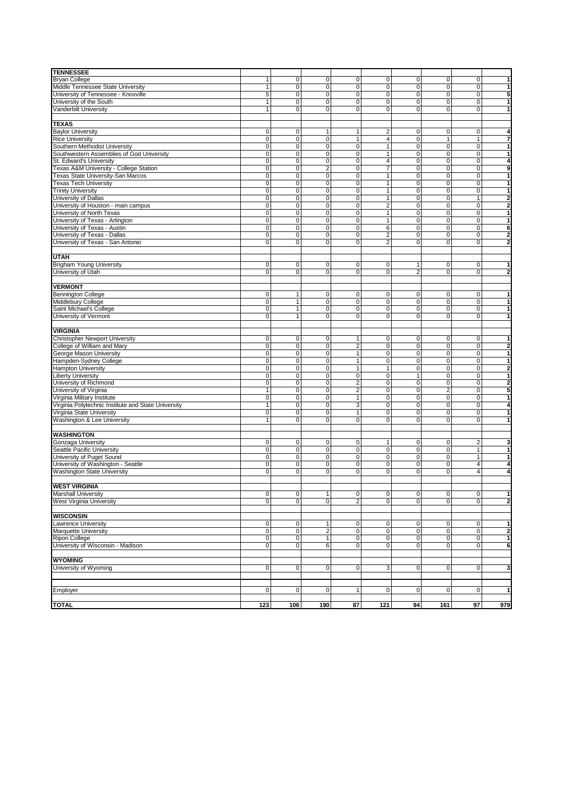| <b>TENNESSEE</b>                                          |                            |                     |                             |                                |                  |                                  |                             |                         |                |
|-----------------------------------------------------------|----------------------------|---------------------|-----------------------------|--------------------------------|------------------|----------------------------------|-----------------------------|-------------------------|----------------|
| <b>Bryan College</b>                                      | $\mathbf{1}$               | $\mathbf{0}$        | $\mathbf 0$                 | $\mathbf 0$                    | $\mathbf 0$      | $\overline{0}$                   | $\overline{0}$              | $\mathbf 0$             |                |
| Middle Tennessee State University                         | 1                          | $\mathbf{0}$        | $\overline{0}$              | 0                              | $\mathbf{0}$     | $\overline{0}$                   | 0                           | $\Omega$                |                |
| University of Tennessee - Knoxville                       | 5                          | $\mathbf{0}$        | $\pmb{0}$                   | 0                              | $\mathbf 0$      | $\overline{0}$                   | 0                           | $\Omega$                |                |
| University of the South                                   | $\mathbf{1}$               | $\mathbf{0}$        | $\overline{0}$              | 0                              | $\mathbf 0$      | $\overline{0}$                   | $\overline{0}$              | $\mathbf 0$             |                |
| Vanderbilt University                                     | 1                          | $\Omega$            | 0                           | $\mathbf 0$                    | $\Omega$         | $\overline{0}$                   | $\mathbf 0$                 | $\Omega$                |                |
| <b>TEXAS</b>                                              |                            |                     |                             |                                |                  |                                  |                             |                         |                |
| <b>Baylor University</b>                                  | 0                          | 0                   | $\mathbf{1}$                | 1                              | 2                | $\mathbf 0$                      | 0                           | $\mathbf 0$             |                |
| <b>Rice University</b>                                    | $\pmb{0}$                  | $\mathbf{0}$        | $\overline{0}$              | $\mathbf{1}$                   | 4                | $\overline{0}$                   | $\mathbf{1}$                | 1                       |                |
| Southern Methodist University                             | $\mathbf 0$                | $\overline{0}$      | $\overline{0}$              | $\mathbf 0$                    | $\overline{1}$   | $\mathsf{O}\xspace$              | $\overline{0}$              | $\mathbf 0$             |                |
| Southwestern Assemblies of God University                 | $\mathbf 0$                | $\pmb{0}$           | $\pmb{0}$                   | 0                              | $\mathbf{1}$     | $\overline{0}$                   | 0                           | $\mathbf 0$             |                |
| St. Edward's University                                   | 0                          | $\mathbf 0$         | 0                           | 0                              | $\overline{4}$   | $\mathbf 0$                      | 0                           | $\mathbf 0$             |                |
| Texas A&M University - College Station                    | $\mathbf 0$                | 0                   | $\overline{c}$              | 0                              | $\overline{7}$   | $\overline{0}$                   | 0                           | 0                       | 9              |
| Texas State University-San Marcos                         | $\mathbf 0$                | $\mathbf 0$         | $\overline{0}$              | 0                              | 1                | $\overline{0}$                   | $\overline{0}$              | $\mathbf 0$             |                |
| <b>Texas Tech University</b><br><b>Trinity University</b> | $\mathbf 0$<br>$\mathbf 0$ | $\overline{0}$<br>0 | $\overline{0}$<br>$\pmb{0}$ | $\overline{0}$<br>$\mathbf 0$  | 1<br>1           | $\mathsf 0$<br>$\mathbf 0$       | $\overline{0}$<br>$\pmb{0}$ | $\Omega$<br>$\mathbf 0$ |                |
| University of Dallas                                      | 0                          | 0                   | 0                           | 0                              | 1                | $\mathbf 0$                      | 0                           | 1                       | 2              |
| University of Houston - main campus                       | $\mathbf 0$                | 0                   | 0                           | 0                              | $\overline{2}$   | $\mathbf 0$                      | 0                           | 0                       | $\overline{2}$ |
| University of North Texas                                 | $\mathbf 0$                | $\mathbf{0}$        | $\overline{0}$              | 0                              | 1                | $\overline{0}$                   | $\overline{0}$              | $\mathbf 0$             |                |
| University of Texas - Arlington                           | $\mathbf 0$                | $\overline{0}$      | $\overline{0}$              | $\overline{0}$                 | 1                | $\mathsf 0$                      | $\overline{0}$              | 0                       | 1              |
| University of Texas - Austin                              | $\mathbf 0$                | $\pmb{0}$           | $\pmb{0}$                   | $\mathbf 0$                    | 6                | $\mathbf 0$                      | $\pmb{0}$                   | $\mathbf 0$             | 6              |
| University of Texas - Dallas                              | 0                          | 0                   | 0                           | 0                              | 2                | $\overline{0}$                   | 0                           | 0                       |                |
| University of Texas - San Antonio                         | $\mathbf 0$                | $\mathbf{0}$        | $\mathbf 0$                 | $\mathbf 0$                    | 2                | $\overline{0}$                   | 0                           | $\Omega$                | $\overline{2}$ |
|                                                           |                            |                     |                             |                                |                  |                                  |                             |                         |                |
| <b>UTAH</b>                                               |                            |                     |                             |                                |                  |                                  |                             |                         |                |
| <b>Brigham Young University</b><br>University of Utah     | 0<br>0                     | 0<br>0              | 0<br>0                      | 0<br>0                         | $\mathbf 0$<br>0 | $\mathbf{1}$<br>$\overline{2}$   | 0<br>0                      | $\mathbf 0$<br>$\Omega$ |                |
|                                                           |                            |                     |                             |                                |                  |                                  |                             |                         |                |
| <b>VERMONT</b>                                            |                            |                     |                             |                                |                  |                                  |                             |                         |                |
| <b>Bennington College</b>                                 | 0                          | 1                   | $\pmb{0}$                   | $\mathbf 0$                    | 0                | $\overline{0}$                   | 0                           | 0                       |                |
| Middlebury College                                        | $\pmb{0}$                  | 1                   | $\mathsf 0$                 | $\mathbf 0$                    | 0                | $\mathsf 0$                      | $\mathbf 0$                 | $\mathbf 0$             |                |
| Saint Michael's College                                   | $\mathbf 0$                | 1                   | $\pmb{0}$                   | 0                              | 0                | $\overline{0}$                   | 0                           | $\Omega$                |                |
| University of Vermont                                     | $\mathbf 0$                | 1                   | $\pmb{0}$                   | 0                              | 0                | $\overline{0}$                   | $\overline{0}$              | $\Omega$                |                |
|                                                           |                            |                     |                             |                                |                  |                                  |                             |                         |                |
| <b>VIRGINIA</b>                                           |                            |                     |                             |                                |                  |                                  |                             |                         |                |
| Christopher Newport University                            | 0                          | $\mathbf 0$         | $\mathbf 0$                 | $\mathbf{1}$                   | 0                | $\overline{0}$                   | 0                           | $\mathbf 0$             |                |
| College of William and Mary<br>George Mason University    | $\mathbf 0$<br>$\mathbf 0$ | 0<br>$\mathbf{0}$   | $\pmb{0}$<br>$\pmb{0}$      | $\overline{2}$<br>$\mathbf{1}$ | 0<br>$\mathbf 0$ | $\overline{0}$<br>$\overline{0}$ | 0<br>0                      | 0<br>$\mathbf 0$        |                |
| Hampden-Sydney College                                    | $\mathbf 0$                | $\mathbf{0}$        | $\overline{0}$              | $\mathbf{1}$                   | 0                | $\overline{0}$                   | $\overline{0}$              | $\Omega$                |                |
| <b>Hampton University</b>                                 | $\mathbf 0$                | $\overline{0}$      | $\overline{0}$              | $\overline{1}$                 | 1                | $\overline{0}$                   | $\overline{0}$              | $\mathbf 0$             | $\overline{2}$ |
| <b>Liberty University</b>                                 | $\mathbf 0$                | $\pmb{0}$           | $\pmb{0}$                   | $\mathbf 0$                    | $\mathbf 0$      | $\mathbf{1}$                     | 0                           | $\mathbf 0$             |                |
| University of Richmond                                    | $\mathbf 0$                | 0                   | $\pmb{0}$                   | $\mathbf 2$                    | 0                | $\overline{0}$                   | 0                           | $\mathbf 0$             | 2              |
| University of Virginia                                    | $\mathbf{1}$               | $\mathbf 0$         | $\mathbf 0$                 | $\overline{\mathbf{c}}$        | 0                | $\overline{0}$                   | $\overline{\mathbf{c}}$     | 0                       | 5              |
| Virginia Military Institute                               | $\mathbf 0$                | $\mathbf 0$         | $\overline{0}$              | $\mathbf{1}$                   | $\mathbf{0}$     | $\overline{0}$                   | $\overline{0}$              | $\mathbf 0$             |                |
| Virginia Polytechnic Institute and State University       | 1                          | $\mathbf 0$         | $\overline{0}$              | $\overline{3}$                 | 0                | $\overline{0}$                   | $\overline{0}$              | $\Omega$                |                |
| Virginia State University                                 | $\overline{0}$             | 0                   | $\overline{0}$              | $\mathbf{1}$                   | 0                | $\mathsf 0$                      | $\overline{0}$              | $\mathbf 0$             |                |
| Washington & Lee University                               |                            | $\mathbf{0}$        | $\mathbf 0$                 | $\mathbf 0$                    | $\Omega$         | $\overline{0}$                   | 0                           | $\Omega$                |                |
| WASHINGTON                                                |                            |                     |                             |                                |                  |                                  |                             |                         |                |
| Gonzaga University                                        | 0                          | $\mathbf 0$         | $\pmb{0}$                   | 0                              | 1                | $\overline{0}$                   | 0                           | 2                       |                |
| Seattle Pacific University                                | $\pmb{0}$                  | $\pmb{0}$           | $\pmb{0}$                   | 0                              | $\mathbf 0$      | $\mathbf 0$                      | 0                           | 1                       |                |
| University of Puget Sound                                 | $\mathbf 0$                | 0                   | $\pmb{0}$                   | 0                              | 0                | $\overline{0}$                   | 0                           | 1                       |                |
| University of Washington - Seattle                        | 0                          | $\mathbf{0}$        | $\pmb{0}$                   | 0                              | 0                | $\overline{0}$                   | 0                           | $\overline{4}$          |                |
| <b>Washington State University</b>                        | $\mathbf 0$                | $\mathbf{0}$        | $\overline{0}$              | 0                              | 0                | $\overline{0}$                   | 0                           | 4                       |                |
|                                                           |                            |                     |                             |                                |                  |                                  |                             |                         |                |
| <b>WEST VIRGINIA</b>                                      |                            |                     |                             |                                |                  |                                  |                             |                         |                |
| <b>Marshall University</b>                                | $\pmb{0}$                  | $\mathbf 0$         | $\mathbf{1}$                | $\pmb{0}$                      | $\mathbf 0$      | $\mathsf{O}\xspace$              | $\pmb{0}$                   | $\mathbf 0$             | 1              |
| West Virginia University                                  | $\pmb{0}$                  | οl                  | $\pmb{0}$                   | $\overline{c}$                 | $\overline{0}$   | $\overline{0}$                   | $\overline{0}$              | $\Omega$                | $\overline{2}$ |
| <b>WISCONSIN</b>                                          |                            |                     |                             |                                |                  |                                  |                             |                         |                |
| Lawrence University                                       | $\pmb{0}$                  | $\mathbf 0$         | $\mathbf{1}$                | 0                              | 0                | $\mathbf 0$                      | $\overline{0}$              | 0                       |                |
| Marquette University                                      | $\pmb{0}$                  | $\overline{0}$      | $\overline{c}$              | 0                              | $\overline{0}$   | $\pmb{0}$                        | $\overline{0}$              | $\mathbf 0$             | $\mathbf{2}$   |
| Ripon College                                             | $\pmb{0}$                  | $\mathbf 0$         | $\mathbf{1}$                | 0                              | 0                | $\overline{0}$                   | $\overline{0}$              | $\mathbf 0$             |                |
| University of Wisconsin - Madison                         | $\mathbf 0$                | $\overline{0}$      | 6                           | 0                              | $\overline{0}$   | $\overline{0}$                   | $\overline{0}$              | $\mathbf 0$             | 6              |
|                                                           |                            |                     |                             |                                |                  |                                  |                             |                         |                |
| <b>WYOMING</b>                                            |                            |                     |                             |                                |                  |                                  |                             |                         |                |
| University of Wyoming                                     | $\pmb{0}$                  | $\mathbf 0$         | $\mathbf 0$                 | 0                              | 3                | $\overline{0}$                   | $\overline{0}$              | $\mathbf 0$             |                |
|                                                           |                            |                     |                             |                                |                  |                                  |                             |                         |                |
| Employer                                                  | 0                          | $\mathbf 0$         | $\mathbf 0$                 | $\mathbf{1}$                   | $\mathbf 0$      | $\mathbf 0$                      | $\overline{0}$              | $\overline{0}$          |                |
|                                                           |                            |                     |                             |                                |                  |                                  |                             |                         |                |
| <b>TOTAL</b>                                              | 123                        | 106                 | 190                         | 87                             | 121              | 94                               | 161                         | 97                      | 979            |
|                                                           |                            |                     |                             |                                |                  |                                  |                             |                         |                |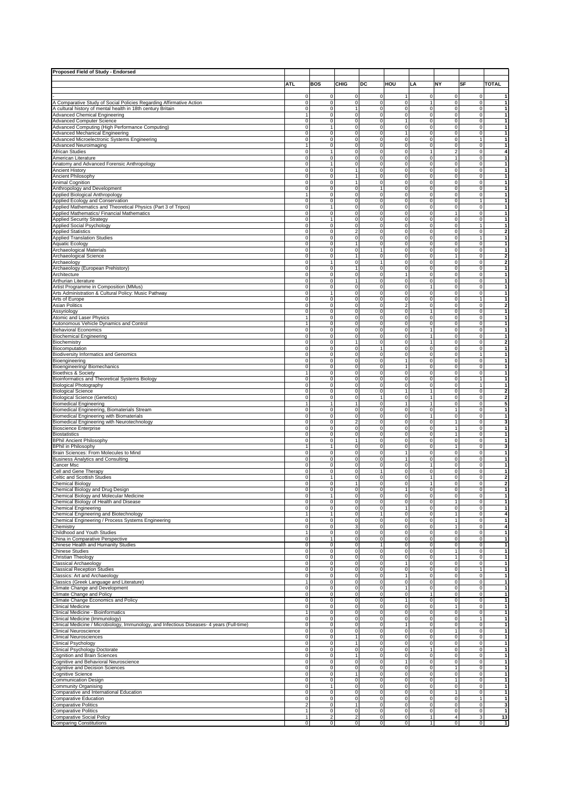| Proposed Field of Study - Endorsed                                                                 |                                  |                                  |                                       |                                       |                                                  |                                      |                                        |                                  |                           |
|----------------------------------------------------------------------------------------------------|----------------------------------|----------------------------------|---------------------------------------|---------------------------------------|--------------------------------------------------|--------------------------------------|----------------------------------------|----------------------------------|---------------------------|
|                                                                                                    |                                  |                                  |                                       |                                       |                                                  |                                      |                                        |                                  |                           |
|                                                                                                    | ATL                              | <b>BOS</b>                       | CHIG                                  | DC                                    | HOU                                              | LA                                   | <b>NY</b>                              | SF                               | <b>TOTAL</b>              |
|                                                                                                    | $\mathbf 0$                      | $\mathbf 0$                      | $\mathbf{0}$                          | $\mathbf 0$                           |                                                  | 0                                    | $\pmb{0}$                              | $\Omega$                         | $\mathbf{1}$              |
| A Comparative Study of Social Policies Regarding Affirmative Action                                | $\bf 0$                          | $\overline{0}$                   | $\overline{0}$                        | $\mathsf{O}\xspace$                   | $\overline{0}$                                   | $\mathbf{1}$                         | $\overline{\mathbf{0}}$                | $\circ$                          | $\vert$                   |
| A cultural history of mental health in 18th century Britain                                        | $\mathbf 0$                      | $\mathbf{0}$                     | 1                                     | $\mathsf{O}\xspace$                   | 0                                                | 0                                    | $\mathbf 0$                            | $\overline{0}$                   | $\vert$                   |
| <b>Advanced Chemical Engineering</b>                                                               | $\overline{1}$                   | $\overline{0}$                   | $\mathbf{0}$                          | $\mathsf{O}\xspace$                   | 0                                                | $\pmb{0}$                            | 0                                      | $\overline{0}$                   | 1                         |
| <b>Advanced Computer Science</b><br>Advanced Computing (High Performance Computing)                | $\mathbf 0$                      | $\overline{0}$                   | $\overline{0}$                        | $\overline{0}$                        | 1                                                | $\overline{0}$                       | $\overline{0}$                         | $\overline{0}$                   | $\vert$                   |
| Advanced Mechanical Engineering                                                                    | $\overline{0}$<br>$\mathbf 0$    | 1<br>$\overline{0}$              | $\mathbf{0}$<br>$\mathbf{0}$          | $\mathbf 0$<br>$\mathbf 0$            | $\mathbf 0$<br>1                                 | 0<br>0                               | $\mathbf 0$<br>$\mathbf 0$             | $\overline{0}$<br>$\overline{0}$ | $\vert$<br>$\vert$        |
| Advanced Microelectronic Systems Engineering                                                       | $\overline{0}$                   | $\overline{0}$                   | $\overline{0}$                        | $\mathbf 0$                           | $\pmb{0}$                                        | $\pmb{0}$                            | $\mathbf 0$                            | 1                                | $\overline{1}$            |
| <b>Advanced Neuroimaging</b>                                                                       | $\mathbf{1}$                     | $\mathbf{0}$                     | $\mathbf{0}$                          | $\overline{0}$                        | $\overline{0}$                                   | $\pmb{0}$                            | $\mathbf 0$                            | $\overline{0}$                   | $\vert$ 1                 |
| African Studies                                                                                    | $\mathbf 0$                      | 1                                | $\mathbf 0$                           | $\mathbf 0$                           | 0                                                | $\mathbf{1}$                         | $\overline{\mathbf{c}}$                | $\Omega$                         | $\overline{4}$            |
| American Literature                                                                                | $\bf 0$<br>$\overline{0}$        | $\mathbf{0}$<br>$\mathbf{1}$     | $\mathbf 0$<br>$\mathbf 0$            | $\mathsf{O}\xspace$<br>$\overline{0}$ | 0<br>$\overline{0}$                              | 0<br>$\overline{0}$                  | $\mathbf{1}$<br>$\overline{0}$         | $\overline{0}$<br>$\overline{0}$ | 1<br>$\vert$              |
| Anatomy and Advanced Forensic Anthropology<br><b>Ancient History</b>                               | $\mathbf 0$                      | $\overline{0}$                   | $\mathbf{1}$                          | $\mathsf{O}\xspace$                   | 0                                                | $\pmb{0}$                            | $\mathbf 0$                            | $\overline{0}$                   | $\vert$                   |
| Ancient Philosophy                                                                                 | $\pmb{0}$                        | $\mathbf{0}$                     | $\mathbf{1}$                          | $\mathbf 0$                           | 0                                                | $\pmb{0}$                            | $\mathbf 0$                            | $\overline{0}$                   | $\vert$                   |
| Animal Cognition                                                                                   | $\mathbf 0$                      | $\mathbf 0$                      | $\overline{1}$                        | $\mathbf 0$                           | $\pmb{0}$                                        | $\pmb{0}$                            | $\mathbf 0$                            | $\overline{0}$                   | $\vert$                   |
| Anthropology and Development                                                                       | $\mathbf 0$                      | $\overline{0}$                   | $\mathbf{O}$                          | $\mathbf{1}$                          | 0                                                | 0                                    | $\pmb{0}$                              | $\overline{0}$                   | 1                         |
| Applied Biological Anthropology                                                                    | $\overline{1}$                   | $\overline{0}$                   | $\mathbf{O}$                          | $\mathbf 0$                           | 0<br>0                                           | 0<br>$\pmb{0}$                       | $\pmb{0}$                              | $\overline{0}$                   | 1                         |
| Applied Ecology and Conservation<br>Applied Mathematics and Theoretical Physics (Part 3 of Tripos) | $\mathbf 0$<br>$\mathbf 0$       | $\mathbf 0$<br>1                 | $\mathbf 0$<br>$\mathbf{0}$           | $\mathbf 0$<br>$\mathbf 0$            | 0                                                | 0                                    | $\mathbf 0$<br>$\mathbf 0$             | 1<br>$\overline{0}$              | $\vert$<br>$\vert$        |
| Applied Mathematics/ Financial Mathematics                                                         | $\mathbf 0$                      | $\mathbf 0$                      | $\mathsf{O}\xspace$                   | $\mathsf{O}\xspace$                   | 0                                                | $\pmb{0}$                            | $\mathbf{1}$                           | $\overline{0}$                   | $\vert$                   |
| <b>Applied Security Strategy</b>                                                                   | 0                                | $\mathbf{1}$                     | $\mathbf 0$                           | $\mathbf 0$                           | 0                                                | $\mathbf 0$                          | $\mathbf 0$                            | $\overline{0}$                   | $\mathbf{1}$              |
| Applied Social Psychology                                                                          | $\mathbf 0$                      | $\overline{0}$                   | $\mathbf 0$                           | $\mathbf 0$                           | $\pmb{0}$                                        | 0                                    | 0                                      | 1                                | $\vert$                   |
| <b>Applied Statistics</b>                                                                          | $\bf 0$<br>$\mathbf 0$           | $\overline{0}$<br>$\mathbf 0$    | $\overline{2}$<br>$\mathsf{O}\xspace$ | $\mathsf{O}\xspace$<br>$\mathbf 0$    | 0<br>0                                           | $\pmb{0}$<br>$\pmb{0}$               | $\pmb{0}$                              | $\overline{0}$<br>1              | $\overline{2}$            |
| <b>Applied Translation Studies</b><br><b>Aquatic Ecology</b>                                       | $\mathbf 0$                      | $\mathbf 0$                      | $\mathbf{1}$                          | $\mathbf 0$                           | 0                                                | 0                                    | $\mathbf 0$<br>$\mathbf 0$             | $\overline{0}$                   | $\vert$<br>$\vert$        |
| Archaeological Materials                                                                           | $\overline{0}$                   | $\overline{0}$                   | $\overline{0}$                        | 1                                     | $\overline{\text{o}}$                            | $\overline{\text{o}}$                | $\overline{0}$                         | $\overline{0}$                   | $\vert$                   |
| Archaeological Science                                                                             | $\pmb{0}$                        | $\mathbf{0}$                     | 1                                     | $\mathbf 0$                           | $\pmb{0}$                                        | $\pmb{0}$                            | $\mathbf{1}$                           | $\circ$                          | $\overline{2}$            |
| Archaeology                                                                                        | $\mathbf 0$                      | $\mathbf{1}$                     | $\mathbf 0$                           | 1                                     | 0                                                | 0                                    | $\mathbf 0$                            | $\overline{0}$                   | $\mathbf{2}$              |
| Archaeology (European Prehistory)                                                                  | $\mathbf 0$<br>$\mathbf 0$       | $\overline{0}$<br>$\mathbf{0}$   | $\mathsf{O}\xspace$                   | $\mathbf 0$<br>$\mathsf{O}\xspace$    | $\pmb{0}$<br>1                                   | $\pmb{0}$<br>$\pmb{0}$               | 0<br>$\pmb{0}$                         | $\overline{0}$<br>$\overline{0}$ | 1<br>$\vert$              |
| Architecture<br>Arthurian Literature                                                               | $\mathbf 0$                      | $\mathbf{0}$                     | 1                                     | $\mathbf 0$                           | 0                                                | 0                                    | $\mathbf 0$                            | $\overline{0}$                   | $\vert$                   |
| Artist Programme in Composition (MMus)                                                             | $\mathbf 0$                      | $\overline{0}$                   | $\mathbf 0$                           | $\mathbf 0$                           | 0                                                | $\mathbf{1}$                         | $\mathbf 0$                            | $\overline{0}$                   | $\vert$ 1                 |
| Arts Administration & Cultural Policy: Music Pathway                                               | $\mathbf 0$                      | $\overline{1}$                   | $\overline{0}$                        | $\overline{0}$                        | $\overline{0}$                                   | $\overline{0}$                       | $\overline{0}$                         | $\overline{0}$                   | $\overline{1}$            |
| Arts of Europe                                                                                     | $\mathbf 0$                      | $\mathbf 0$                      | $\mathbf 0$                           | $\mathbf 0$                           | 0                                                | 0                                    | $\mathbf 0$                            | 1                                | $\vert$                   |
| Asian Politics                                                                                     | $\mathbf 0$<br>$\overline{0}$    | $\overline{0}$<br>$\overline{0}$ | $\mathbf{0}$<br>$\mathsf 0$           | $\mathbf 0$<br>$\overline{0}$         | $\overline{c}$<br>$\mathbf 0$                    | $\pmb{0}$<br>$\mathbf{1}$            | 0<br>$\overline{0}$                    | $\overline{0}$<br>$\overline{0}$ | $\overline{2}$            |
| Assyriology<br>Atomic and Laser Physics                                                            | $\mathbf{1}$                     | $\mathbf{0}$                     | $\mathbf{0}$                          | $\mathbf 0$                           | $\pmb{0}$                                        | $\pmb{0}$                            | $\mathbf 0$                            | $\overline{0}$                   | $\vert$<br>$\vert$ 1      |
| Autonomous Vehicle Dynamics and Control                                                            | $\mathbf{1}$                     | $\overline{0}$                   | $\mathbf 0$                           | $\mathbf 0$                           | 0                                                | $\pmb{0}$                            | $\mathbf 0$                            | $\overline{0}$                   | $\vert$ 1                 |
| <b>Behavioral Economics</b>                                                                        | $\mathbf 0$                      | $\mathbf 0$                      | $\mathbf 0$                           | $\mathbf 0$                           | $\pmb{0}$                                        | $\overline{1}$                       | $\mathbf 0$                            | $\overline{0}$                   | 1                         |
| <b>Biochemical Engineering</b>                                                                     | $\overline{0}$                   | $\overline{0}$                   | $\overline{0}$                        | $\overline{0}$                        | $\overline{0}$                                   | $\overline{1}$                       | $\overline{0}$                         | $\overline{0}$                   | $\overline{1}$            |
| Biochemistry                                                                                       | $\mathbf 0$                      | $\overline{0}$                   | 1                                     | $\mathsf{O}\xspace$                   | 0                                                | $\mathbf{1}$                         | $\pmb{0}$                              | $\Omega$                         | $\overline{2}$            |
| Biocomputation<br><b>Biodiversity Informatics and Genomics</b>                                     | $\mathbf 0$<br>$\mathbf 0$       | $\overline{0}$<br>$\mathbf 0$    | $\mathsf{O}\xspace$<br>$\mathbf{0}$   | 1<br>$\mathbf 0$                      | 0<br>$\overline{0}$                              | 0<br>0                               | $\pmb{0}$<br>$\mathbf 0$               | $\overline{0}$<br>1              | $\vert$<br>$\vert$ 1      |
| Bioengineering                                                                                     | $\mathbf 0$                      | $\mathbf{0}$                     | $\mathbf{O}$                          | $\mathsf{O}\xspace$                   | $\mathbf{1}$                                     | 0                                    | $\mathbf 0$                            | $\overline{0}$                   | $\vert$                   |
| Bioengineering/ Biomechanics                                                                       | $\mathbf 0$                      | $\overline{0}$                   | $\mathsf{O}\xspace$                   | $\mathsf{O}\xspace$                   | $\mathbf{1}$                                     | $\pmb{0}$                            | $\mathbf 0$                            | $\overline{0}$                   | $\vert$                   |
| <b>Bioethics &amp; Society</b>                                                                     | $\overline{1}$                   | $\mathbf{0}$                     | $\mathbf 0$                           | $\mathbf 0$                           | $\pmb{0}$                                        | $\mathbf 0$                          | $\mathbf 0$                            | $\overline{0}$                   | $\vert$                   |
| Bioinformatics and Theoretical Systems Biology                                                     | $\mathbf 0$                      | $\mathbf{0}$                     | $\mathbf 0$                           | $\mathbf 0$                           | 0                                                | 0                                    | 0                                      | 1                                | $\overline{1}$            |
| <b>Biological Photography</b><br>Biological Science                                                | $\mathbf 0$<br>$\mathbf 0$       | $\overline{0}$<br>$\mathbf 0$    | $\mathbf{O}$<br>$\mathbf{0}$          | $\mathbf 0$<br>$\mathbf 0$            | 0<br>$\mathbf{1}$                                | 0<br>$\mathbf{1}$                    | $\pmb{0}$<br>$\mathbf 0$               | 1<br>$\overline{0}$              | 1<br>$\overline{2}$       |
| <b>Biological Science (Genetics)</b>                                                               | $\overline{0}$                   | $\overline{0}$                   | $\mathbf{0}$                          | $\mathbf{1}$                          | 0                                                | 1                                    | $\mathbf 0$                            | $\overline{0}$                   | $\mathbf{2}$              |
| <b>Biomedical Engineering</b>                                                                      | $\mathbf{1}$                     | $\mathbf{1}$                     | 1                                     | $\mathsf{O}\xspace$                   | $\mathbf{1}$                                     | $\mathbf{1}$                         | $\mathbf 0$                            | $\overline{0}$                   | $5\overline{5}$           |
| Biomedical Engineering, Biomaterials Stream                                                        | $\pmb{0}$                        | $\mathbf{0}$                     | $\mathbf 0$                           | $\mathbf 0$                           | 0                                                | $\pmb{0}$                            | $\mathbf{1}$                           | $\circ$                          | $\vert$                   |
| Biomedical Engineering with Biomaterials                                                           | $\mathbf 0$                      | $\mathbf 0$                      | $\mathbf 0$                           | $\mathsf{O}\xspace$                   | $\pmb{0}$                                        | 1                                    | $\mathbf 0$                            | $\overline{0}$                   | 1                         |
| Biomedical Engineering with Neurotechnology<br><b>Bioscience Enterprise</b>                        | $\mathbf 0$<br>$\mathbf 0$       | $\overline{0}$<br>$\mathbf 0$    | $\overline{2}$<br>$\mathsf{O}\xspace$ | $\overline{0}$<br>$\mathbf 0$         | $\overline{0}$<br>$\pmb{0}$                      | $\overline{0}$<br>$\pmb{0}$          | $\mathbf{1}$<br>$\mathbf{1}$           | $\overline{0}$<br>$\overline{0}$ | $\mathbf{3}$<br>$\vert$ 1 |
| <b>Biostatistics</b>                                                                               | $\mathbf 0$                      | $\mathbf{0}$                     | $\mathbf{0}$                          | $\mathbf 0$                           | 0                                                | 0                                    | $\mathbf{1}$                           | $\overline{0}$                   | $\vert$                   |
| <b>BPhil Ancient Philosophy</b>                                                                    | $\mathbf 0$                      | $\overline{0}$                   | 1                                     | $\overline{0}$                        | 0                                                | $\overline{\text{o}}$                | $\overline{0}$                         | $\overline{0}$                   | $\vert$                   |
| <b>BPhil in Philosophy</b>                                                                         | $\mathbf{1}$                     | $\mathbf{1}$                     | $\mathsf 0$                           | $\mathsf{O}\xspace$                   | 0                                                | $\pmb{0}$                            | $\mathbf{1}$                           | $\circ$                          | $\mathbf{3}$              |
| Brain Sciences: From Molecules to Mind                                                             | $\mathbf 0$                      | $\overline{0}$                   | $\mathbf{0}$                          | $\mathbf 0$                           | 1                                                | 0                                    | $\mathbf 0$                            | $\overline{0}$                   | $\vert$                   |
| <b>Business Analytics and Consulting</b><br>Cancer Msc                                             | $\mathbf 0$<br>$\overline{0}$    | $\overline{0}$<br>$\overline{0}$ | $\mathbf{0}$<br>$\overline{0}$        | $\mathbf 0$<br>$\mathbf 0$            | 1<br>$\overline{0}$                              | $\mathbf 0$<br>$\mathbf{1}$          | 0<br>$\overline{0}$                    | $\Omega$<br>$\overline{0}$       | $\vert$<br>1              |
| Cell and Gene Therapy                                                                              | $\overline{0}$                   | $\overline{0}$                   | $\mathbf{0}$                          | 1                                     | 0                                                | 0                                    | $\mathbf 0$                            | $\overline{0}$                   | $\vert$                   |
| Celtic and Scottish Studies                                                                        | $\mathbf 0$                      | 1                                | $\mathsf{O}\xspace$                   | $\mathsf{O}\xspace$                   | 0                                                | $\mathbf{1}$                         | $\mathbf 0$                            | $\overline{0}$                   | $\mathbf{2}$              |
| <b>Chemical Biology</b>                                                                            | $\pmb{0}$                        | $\overline{0}$                   | $\overline{1}$                        | $\mathbf 0$                           | $\pmb{0}$                                        | $\overline{1}$                       | $\mathbf 0$                            | $\overline{0}$                   | $\overline{2}$            |
| Chemical Biology and Drug Design                                                                   | $\overline{0}$                   | $\overline{0}$                   | $\mathbf{0}$                          | $\overline{0}$                        | $\overline{1}$                                   | $\overline{0}$                       | $\mathbf 0$                            | $\overline{0}$                   | 1                         |
| Chemical Biology and Molecular Medicine<br>Chemical Biology of Health and Disease                  | $\pmb{0}$<br>$\mathbf 0$         | 1<br>$\overline{0}$              | 0<br>$\mathbf 0$                      | 0<br>$\mathsf{O}\xspace$              | 0<br>$\pmb{0}$                                   | 0<br>$\pmb{0}$                       | $\pmb{0}$<br>$\mathbf{1}$              | $\mathbf{0}$<br>$\overline{0}$   | $\vert$<br>1              |
| <b>Chemical Engineering</b>                                                                        | $\overline{0}$                   | $\overline{0}$                   | $\overline{0}$                        | $\overline{0}$                        | $\mathbf{1}$                                     | $\overline{0}$                       | $\overline{0}$                         | $\overline{0}$                   | $\vert$ 1                 |
| Chemical Engineering and Biotechnology                                                             | $\mathbf{1}$                     | 1                                | $\mathsf{O}\xspace$                   | $\mathbf{1}$                          | 0                                                | 0                                    | $\mathbf{1}$                           | $\overline{0}$                   | $\overline{4}$            |
| Chemical Engineering / Process Systems Engineering                                                 | $\mathbf 0$                      | $\mathbf{0}$                     | $\mathsf{O}\xspace$                   | $\mathsf{O}\xspace$                   | 0                                                | $\pmb{0}$                            | $\mathbf{1}$                           | $\overline{0}$                   | $\vert$                   |
| Chemistry<br>Childhood and Youth Studies                                                           | $\mathbf 0$<br>$\mathbf{1}$      | $\overline{0}$<br>$\mathbf{0}$   | 3<br>$\mathbf{O}$                     | $\mathbf 0$<br>$\mathsf{O}\xspace$    | $\mathbf 0$<br>0                                 | $\overline{0}$<br>0                  | $\overline{1}$<br>$\pmb{0}$            | $\overline{0}$<br>$\overline{0}$ | $\overline{4}$<br>$\vert$ |
| China in Comparative Perspective                                                                   | $\mathbf 0$                      | 1                                | $\mathsf{O}\xspace$                   | $\mathsf{O}\xspace$                   | 0                                                | 0                                    | $\mathbf 0$                            | $\overline{0}$                   | 1                         |
| Chinese Health and Humanity Studies                                                                | $\overline{0}$                   | $\mathbf{0}$                     | $\mathbf{0}$                          | $\mathbf{1}$                          | $\pmb{0}$                                        | $\mathbf 0$                          | $\mathbf 0$                            | $\overline{0}$                   | $\vert$                   |
| <b>Chinese Studies</b>                                                                             | $\overline{0}$                   | $\mathbf 0$                      | $\mathbf{0}$                          | $\mathbf 0$                           | 0                                                | 0                                    | $\mathbf{1}$                           | $\overline{0}$                   | $\vert$                   |
| Christian Theology                                                                                 | $\pmb{0}$                        | $\mathbf{0}$                     | $\mathsf{O}\xspace$                   | $\mathsf{O}\xspace$                   | 0                                                | $\pmb{0}$                            | $\mathbf{1}$                           | $\overline{0}$                   | $\vert$                   |
| Classical Archaeology<br><b>Classical Reception Studies</b>                                        | $\pmb{0}$<br>$\mathbf 0$         | $\mathbf{0}$<br>$\mathbf 0$      | $\mathbf 0$<br>$\mathbf{0}$           | $\mathsf{O}\xspace$<br>$\mathbf 0$    | $\mathbf{1}$<br>$\overline{\text{o}}$            | $\pmb{0}$<br>0                       | $\mathbf 0$<br>$\mathbf 0$             | $\circ$<br>1                     | $\vert$ 1<br>1            |
| Classics: Art and Archaeology                                                                      | $\mathbf 0$                      | $\mathbf{0}$                     | $\mathsf{O}\xspace$                   | $\mathsf{O}\xspace$                   | $\mathbf{1}$                                     | 0                                    | $\mathbf 0$                            | $\overline{0}$                   | 1                         |
| Classics (Greek Language and Literature)                                                           | $\mathbf{1}$                     | $\overline{0}$                   | $\overline{0}$                        | $\mathsf{O}\xspace$                   | 0                                                | $\pmb{0}$                            | $\mathbf 0$                            | $\overline{0}$                   | $\vert$ 1                 |
| Climate Change and Development                                                                     | $\overline{0}$                   | $\overline{0}$                   | $\mathbf{0}$                          | $\mathbf 0$                           | $\mathbf{1}$                                     | $\mathbf 0$                          | $\mathbf 0$                            | $\overline{0}$                   | $\vert$                   |
| Climate Change and Policy                                                                          | $\overline{0}$                   | $\mathbf 0$                      | $\overline{0}$                        | $\overline{0}$                        | 0                                                | $\overline{1}$                       | $\overline{0}$                         | $\overline{0}$                   | $\vert$                   |
| Climate Change Economics and Policy<br>Clinical Medicine                                           | $\pmb{0}$<br>$\mathbf 0$         | $\mathbf 0$<br>$\mathbf 0$       | $\mathbf 0$<br>$\mathbf 0$            | $\mathbf 0$<br>$\mathbf 0$            | $\mathbf{1}$<br>0                                | $\pmb{0}$<br>$\pmb{0}$               | $\mathbf 0$<br>1                       | $\overline{0}$<br>$\overline{0}$ | $\vert$<br>1              |
| Clinical Medicine - Bioinformatics                                                                 | $\mathbf{1}$                     | $\overline{0}$                   | $\mathbf 0$                           | $\overline{0}$                        | $\overline{\text{o}}$                            | $\overline{\text{o}}$                | $\overline{0}$                         | $\overline{0}$                   | 1                         |
| Clinical Medicine (Immunology)                                                                     | $\overline{0}$                   | $\mathbf 0$                      | $\overline{0}$                        | $\mathsf{O}\xspace$                   | 0                                                | $\pmb{0}$                            | $\mathbf 0$                            | 1                                | $\vert$                   |
| Clinical Medicine / Microbiology, Immunology, and Infectious Diseases- 4 years (Full-time)         | $\overline{0}$                   | $\overline{0}$                   | $\mathbf{0}$                          | $\mathbf 0$                           | 1                                                | 0                                    | $\mathbf 0$                            | $\overline{0}$                   | $\vert$                   |
| <b>Clinical Neuroscience</b>                                                                       | $\overline{0}$                   | $\overline{0}$                   | $\overline{0}$<br>$\overline{1}$      | $\mathbf 0$                           | 0                                                | $\mathbf 0$                          | $\mathbf{1}$                           | $\overline{0}$                   | $\vert$<br>$\overline{1}$ |
| <b>Clinical Neurosciences</b><br>Clinical Psychology                                               | $\overline{0}$<br>$\overline{0}$ | $\overline{0}$<br>$\overline{0}$ | 1                                     | $\overline{0}$<br>$\overline{0}$      | $\overline{0}$<br>$\overline{0}$                 | $\overline{\mathbf{0}}$<br>$\pmb{0}$ | $\overline{0}$<br>$\mathbf 0$          | $\overline{0}$<br>$\overline{0}$ | 1                         |
| Clinical Psychology Doctorate                                                                      | $\pmb{0}$                        | $\overline{0}$                   | $\mathbf{O}$                          | $\mathsf{O}\xspace$                   | 0                                                | $\mathbf{1}$                         | $\mathbf 0$                            | $\overline{0}$                   | 1                         |
| Cognition and Brain Sciences                                                                       | $\overline{0}$                   | $\overline{0}$                   | $\mathbf{1}$                          | $\overline{0}$                        | $\overline{\text{o}}$                            | $\overline{0}$                       | $\overline{0}$                         | $\overline{0}$                   | $\vert$                   |
| Cognitive and Behavioral Neuroscience                                                              | $\overline{0}$                   | $\overline{0}$                   | $\mathbf{0}$                          | $\overline{0}$                        | $\mathbf{1}$                                     | $\mathbf 0$                          | $\mathbf 0$                            | $\overline{0}$                   | $\vert$                   |
| Cognitive and Decision Sciences                                                                    | $\mathbf 0$                      | $\overline{0}$                   | $\mathbf 0$<br>1                      | $\mathbf 0$                           | 0                                                | 0                                    | $\mathbf{1}$                           | $\overline{0}$<br>$\overline{0}$ | $\vert$ 1<br>$\vert$      |
| Cognitive Science<br>Communication Design                                                          | $\mathbf 0$<br>$\overline{0}$    | $\mathbf 0$<br>$\overline{0}$    | $\overline{0}$                        | $\mathbf 0$<br>$\overline{0}$         | $\pmb{0}$<br>$\overline{0}$                      | $\pmb{0}$<br>$\overline{\mathbf{0}}$ | $\mathbf 0$<br>$\overline{1}$          | $\overline{0}$                   | $\overline{1}$            |
| Community Organising                                                                               | $\pmb{0}$                        | $\mathbf{1}$                     | $\mathsf{O}\xspace$                   | $\mathbf 0$                           | 0                                                | $\pmb{0}$                            | $\mathbf 0$                            | $\mathbf{0}$                     | 1                         |
| Comparative and International Education                                                            | $\mathbf 0$                      | $\mathbf{0}$                     | $\mathbf{O}$                          | $\mathbf 0$                           | 0                                                | 0                                    | $\mathbf{1}$                           | $\overline{0}$                   | 1                         |
| Comparative Education                                                                              | $\overline{0}$                   | $\overline{0}$                   | $\overline{0}$                        | $\overline{0}$                        | $\overline{\text{o}}$                            | $\overline{0}$                       | $\overline{0}$                         | 1                                | $\vert$                   |
| <b>Comparative Politics</b>                                                                        | $\sqrt{2}$                       | $\mathbf 0$                      | 1                                     | $\mathbf 0$                           | 0                                                | 0                                    | $\mathbf 0$                            | $\overline{0}$<br>$\overline{0}$ | 3<br>$\vert$              |
| <b>Comparative Politics</b><br><b>Comparative Social Policy</b>                                    | $\mathbf{1}$<br>$\overline{1}$   | $\overline{0}$<br>$\overline{2}$ | $\circ$<br>$\overline{2}$             | $\circ$<br>$\overline{0}$             | $\overline{\text{o}}$<br>$\overline{\mathbf{0}}$ | $\mathsf 0$<br>$\overline{1}$        | $\mathsf 0$<br>$\overline{\mathbf{4}}$ | $\overline{3}$                   | 13                        |
| <b>Comparing Constitutions</b>                                                                     | $\overline{0}$                   | $\overline{0}$                   | $\overline{0}$                        | $\overline{0}$                        | $\overline{\mathbf{0}}$                          | $\mathbf{1}$                         | $\mathbf 0$                            | $\overline{0}$                   | $\vert$                   |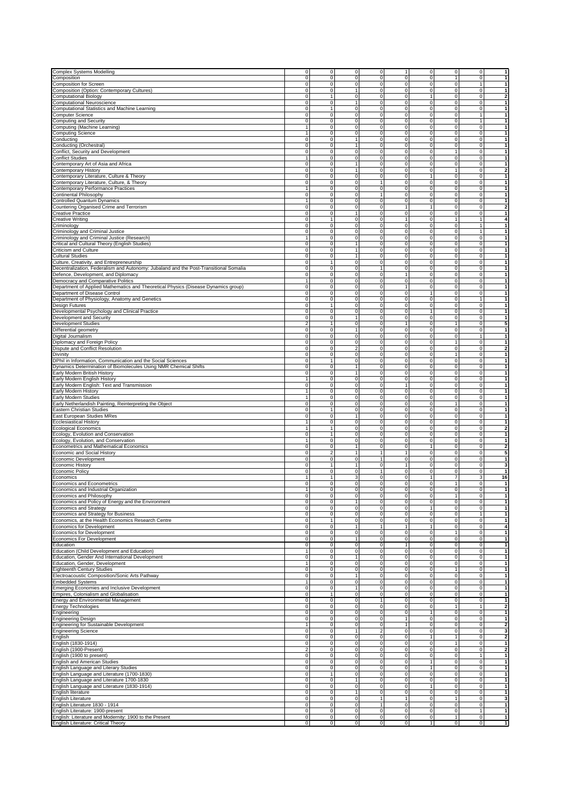| Complex Systems Modelling                                                                                                                                                                                                                                                                 | 0                     |              | $\overline{0}$                | $\mathbf 0$<br>$\overline{0}$                               | 1                           | $\mathbf 0$             | $\circ$                       | $\overline{0}$      | $\vert$          |
|-------------------------------------------------------------------------------------------------------------------------------------------------------------------------------------------------------------------------------------------------------------------------------------------|-----------------------|--------------|-------------------------------|-------------------------------------------------------------|-----------------------------|-------------------------|-------------------------------|---------------------|------------------|
| Composition                                                                                                                                                                                                                                                                               | $\mathbf 0$           |              | $\mathbf{0}$                  | $\mathbf{0}$<br>$\mathbf 0$                                 | $\mathbf 0$                 | 0                       | $\mathbf{1}$                  | $\overline{0}$      | $\vert$          |
|                                                                                                                                                                                                                                                                                           |                       |              |                               |                                                             |                             |                         |                               |                     |                  |
| Composition for Screen                                                                                                                                                                                                                                                                    | $\pmb{0}$             |              | $\bf 0$                       | $\mathsf{O}\xspace$<br>$\mathbf 0$                          | 0                           | $\pmb{0}$               | $\mathbf 0$                   | $\mathbf{1}$        | $\vert$          |
| Composition (Option: Contemporary Cultures)                                                                                                                                                                                                                                               | 0                     |              | $\pmb{0}$                     | $\mathbf 0$<br>$\mathbf{1}$                                 | $\pmb{0}$                   | 0                       | $\mathbf 0$                   | $\Omega$            | $\vert$          |
| <b>Computational Biology</b>                                                                                                                                                                                                                                                              | 0                     |              | $\mathbf{1}$                  | $\mathbf 0$<br>$\mathbf 0$                                  | $\mathbf 0$                 | 1                       | $\mathbf 0$                   | $\overline{0}$      | $\mathbf{2}$     |
| Computational Neuroscience                                                                                                                                                                                                                                                                | $\pmb{0}$             |              | $\mathbf 0$                   | $\mathbf 0$<br>$\mathbf{1}$                                 | $\mathbf 0$                 | $\mathbf 0$             | $\mathbf 0$                   | $\overline{0}$      | $\vert$          |
| Computational Statistics and Machine Learning                                                                                                                                                                                                                                             | 0                     |              | $\mathbf{1}$                  | $\mathbf{0}$<br>$\mathbf 0$                                 | $\pmb{0}$                   | $\mathbf 0$             | $\mathbf 0$                   | $\overline{0}$      | $\vert$ 1        |
| Computer Science                                                                                                                                                                                                                                                                          | 0                     |              | $\overline{0}$                | $\mathbf{0}$<br>$\mathbf 0$                                 | 0                           | 0                       | $\mathbf 0$                   | 1                   | $\vert$ 1        |
| Computing and Security                                                                                                                                                                                                                                                                    | 0                     |              | $\mathbf 0$                   | $\overline{0}$<br>$\mathbf{0}$                              | 0                           | $\overline{0}$          | $\mathbf 0$                   | 1                   | $\vert$          |
| Computing (Machine Learning)                                                                                                                                                                                                                                                              | $\mathbf{1}$          |              | $\mathbf 0$                   | $\mathbf{0}$<br>$\mathbf 0$                                 | $\pmb{0}$                   | 0                       | $\mathbf 0$                   | $\overline{0}$      | $\vert$ 1        |
| <b>Computing Science</b>                                                                                                                                                                                                                                                                  | 1                     |              | $\mathbf 0$                   | $\mathbf 0$<br>$\mathbf 0$                                  | 0                           | 0                       | $\mathbf 0$                   | $\overline{0}$      | 1                |
| Conducting                                                                                                                                                                                                                                                                                | 0                     |              | $\mathbf 0$<br>1              | $\mathbf 0$                                                 | 0                           | 0                       | $\mathbf 0$                   | $\Omega$            | 1                |
|                                                                                                                                                                                                                                                                                           | $\mathbf 0$           |              | $\mathbf 0$<br>1              | $\mathbf 0$                                                 | 0                           | $\pmb{0}$               | $\mathbf 0$                   | $\overline{0}$      |                  |
| Conducting (Orchestral)                                                                                                                                                                                                                                                                   |                       |              |                               |                                                             |                             |                         |                               |                     | 1                |
| Conflict, Security and Development                                                                                                                                                                                                                                                        | $\mathbf 0$           |              | $\mathbf{0}$                  | $\mathbf{0}$<br>$\mathbf 0$                                 | 0                           | 0                       | $\mathbf{1}$                  | $\overline{0}$      | $\vert$          |
| <b>Conflict Studies</b>                                                                                                                                                                                                                                                                   | $\overline{1}$        |              | $\mathbf 0$                   | $\mathbf 0$<br>$\mathbf{0}$                                 | 0                           | $\pmb{0}$               | $\mathbf 0$                   | $\overline{0}$      | 1                |
| Contemporary Art of Asia and Africa                                                                                                                                                                                                                                                       | $\overline{0}$        |              | $\overline{0}$                | $\overline{1}$<br>$\overline{0}$                            | $\overline{\text{o}}$       | $\overline{\text{o}}$   | $\overline{0}$                | $\overline{0}$      | $\overline{1}$   |
| Contemporary History                                                                                                                                                                                                                                                                      | 0                     |              | $\mathbf 0$                   | 1<br>$\mathbf 0$                                            | $\mathbf 0$                 | $\mathbf 0$             | $\mathbf{1}$                  | $\overline{0}$      | $\overline{2}$   |
| Contemporary Literature, Culture & Theory                                                                                                                                                                                                                                                 | 0                     |              | $\mathbf 0$                   | $\mathbf 0$<br>$\mathbf 0$                                  | 0                           | 1                       | 0                             | $\Omega$            | $\vert$          |
| Contemporary Literature, Culture, & Theory                                                                                                                                                                                                                                                | $\overline{0}$        |              | $\overline{0}$                | $\overline{0}$<br>$\overline{1}$                            | $\pmb{0}$                   | $\overline{0}$          | $\mathbf 0$                   | $\overline{0}$      | $\vert$          |
| Contemporary Performance Practices                                                                                                                                                                                                                                                        | $\mathbf{1}$          |              | $\mathbf{0}$                  | $\mathsf{O}\xspace$<br>$\mathbf{0}$                         | $\pmb{0}$                   | $\mathbf 0$             | $\circ$                       | $\overline{0}$      | $\vert$ 1        |
| Continental Philosophy                                                                                                                                                                                                                                                                    | 0                     |              | $\mathbf 0$                   | $\mathbf{1}$<br>$\mathbf{0}$                                | 0                           | $\pmb{0}$               | $\mathbf 0$                   | $\overline{0}$      | $\vert$          |
| Controlled Quantum Dynamics                                                                                                                                                                                                                                                               | $\overline{1}$        |              | $\mathbf 0$                   | $\mathbf{O}$<br>$\mathbf 0$                                 | $\pmb{0}$                   | $\pmb{0}$               | $\mathbf 0$                   | $\overline{0}$      | $\vert$          |
| Countering Organised Crime and Terrorism                                                                                                                                                                                                                                                  | $\pmb{0}$             |              | $\overline{0}$                | $\overline{0}$<br>$\overline{0}$                            | $\overline{1}$              | 1                       | $\overline{0}$                | $\overline{0}$      | $\overline{2}$   |
|                                                                                                                                                                                                                                                                                           |                       |              | 1                             |                                                             |                             |                         |                               |                     |                  |
| <b>Creative Practice</b>                                                                                                                                                                                                                                                                  | 0                     |              | $\mathbf 0$                   | $\mathbf 0$                                                 | $\pmb{0}$<br>$\overline{1}$ | 0                       | $\mathbf 0$                   | $\Omega$            | $\mathbf{1}$     |
| Creative Writing                                                                                                                                                                                                                                                                          | $\mathbf 0$           | $\mathbf{1}$ |                               | $\mathbf 0$<br>$\mathbf 0$                                  |                             | $\pmb{0}$               | $\mathbf{1}$                  | 1                   | $\overline{4}$   |
| Criminology                                                                                                                                                                                                                                                                               | $\mathbf 0$           |              | $\mathbf 0$                   | $\mathbf 0$<br>$\mathbf 0$                                  | $\mathbf 0$                 | 0                       | $\mathbf 0$                   | 1                   | $\vert$          |
| Criminology and Criminal Justice                                                                                                                                                                                                                                                          | $\mathbf 0$           |              | $\mathbf 0$                   | $\mathbf{0}$<br>$\mathbf 0$                                 | 0                           | $\pmb{0}$               | $\mathbf 0$                   | 1                   | $\vert$          |
| Criminology and Criminal Justice (Research)                                                                                                                                                                                                                                               | $\overline{1}$        |              | $\pmb{0}$                     | $\mathsf{O}\xspace$<br>$\mathbf 0$                          | 0                           | $\pmb{0}$               | $\mathbf 0$                   | $\circ$             | 1                |
| Critical and Cultural Theory (English Studies)                                                                                                                                                                                                                                            | $\pmb{0}$             |              | $\pmb{0}$                     | 1<br>$\mathbf 0$                                            | $\pmb{0}$                   | $\pmb{0}$               | $\mathbf 0$                   | $\Omega$            | $\vert$          |
| Criticism and Culture                                                                                                                                                                                                                                                                     | 0                     |              | $\mathbf 0$                   | 1<br>$\mathbf 0$                                            | $\overline{0}$              | $\overline{\text{o}}$   | $\mathbf 0$                   | $\overline{0}$      | 1                |
| <b>Cultural Studies</b>                                                                                                                                                                                                                                                                   | $\pmb{0}$             |              | $\mathbf 0$<br>1              | $\mathbf 0$                                                 | $\mathbf 0$                 | $\mathbf 0$             | $\mathbf 0$                   | $\overline{0}$      | $\vert$          |
| Culture, Creativity, and Entrepreneurship                                                                                                                                                                                                                                                 | $\mathbf 0$           |              | 1                             | $\mathbf{0}$<br>$\mathbf 0$                                 | $\pmb{0}$                   | $\mathbf 0$             | $\mathbf 0$                   | $\overline{0}$      | $\vert$ 1        |
| Decentralization, Federalism and Autonomy: Jubaland and the Post-Transitional Somalia                                                                                                                                                                                                     | 0                     |              | $\overline{0}$                | $\overline{0}$<br>$\mathbf{1}$                              | 0                           | 0                       | $\mathbf 0$                   | $\overline{0}$      | $\vert$          |
| Defence, Development, and Diplomacy                                                                                                                                                                                                                                                       | $\mathbf 0$           |              | $\mathbf 0$                   | $\mathbf 0$<br>$\mathbf 0$                                  | $\mathbf{1}$                | $\pmb{0}$               | $\mathbf 0$                   | $\circ$             | $\vert$          |
| Democracy and Comparative Politics                                                                                                                                                                                                                                                        | $\overline{1}$        |              | $\mathbf 0$                   | $\mathbf{0}$<br>$\mathbf 0$                                 | $\pmb{0}$                   | 0                       | $\mathbf 0$                   | $\circ$             | 1                |
|                                                                                                                                                                                                                                                                                           | 0                     |              | $\mathbf 0$                   | $\mathbf 0$<br>$\mathbf 0$                                  | 1                           | 0                       | $\mathbf 0$                   | $\overline{0}$      | $\mathbf{1}$     |
| Department of Applied Mathematics and Theoretical Physics (Disease Dynamics group)                                                                                                                                                                                                        |                       |              |                               | $\mathbf{0}$                                                | $\overline{0}$              | 1                       |                               | $\overline{0}$      |                  |
| Department of Disease Control                                                                                                                                                                                                                                                             | 0                     |              | $\mathbf 0$                   | 0                                                           |                             |                         | 0                             |                     | $\mathbf{1}$     |
| Department of Physiology, Anatomy and Genetics                                                                                                                                                                                                                                            | $\mathbf 0$           |              | $\mathbf{0}$                  | $\mathbf 0$<br>$\mathbf{0}$                                 | $\pmb{0}$                   | $\pmb{0}$               | $\mathbf 0$                   | 1                   | $\vert$ 1        |
| Design Futures                                                                                                                                                                                                                                                                            | 0                     |              | $\mathbf{1}$                  | $\overline{0}$<br>$\mathbf 0$                               | 0                           | 0                       | $\mathbf 0$                   | $\overline{0}$      | $\vert$          |
| Developmental Psychology and Clinical Practice                                                                                                                                                                                                                                            | 0                     |              | $\overline{0}$                | $\overline{0}$<br>$\overline{0}$                            | $\overline{0}$              | 1                       | $\overline{0}$                | $\overline{0}$      | 1                |
| Development and Security                                                                                                                                                                                                                                                                  | $\mathbf 0$           |              | $\mathbf 0$                   | $\overline{0}$<br>$\mathbf{1}$                              | $\pmb{0}$                   | $\pmb{0}$               | $\pmb{0}$                     | $\Omega$            | $\vert$          |
| <b>Development Studies</b>                                                                                                                                                                                                                                                                | $\overline{2}$        |              | $\mathbf{1}$                  | $\mathbf{0}$<br>$\mathbf 0$                                 | $\mathbf{1}$                | $\pmb{0}$               | $\mathbf{1}$                  | $\overline{0}$      | 5 <sub>5</sub>   |
| Differential geometry                                                                                                                                                                                                                                                                     | $\pmb{0}$             |              | $\mathbf 0$<br>1              | $\mathbf 0$                                                 | $\pmb{0}$                   | $\pmb{0}$               | $\pmb{0}$                     | $\overline{0}$      | 1                |
| Digital Journalism                                                                                                                                                                                                                                                                        | 0                     |              | $\overline{0}$                | $\overline{0}$<br>$\overline{0}$                            | $\overline{0}$              | $\overline{\text{o}}$   | $\overline{0}$                | 1                   | $\vert$          |
| Diplomacy and Foreign Policy                                                                                                                                                                                                                                                              | 0                     |              | $\overline{0}$                | $\overline{0}$<br>$\mathbf 0$                               | 0                           | 0                       | $\mathbf{1}$                  | $\overline{0}$      | $\vert$          |
| Dispute and Conflict Resolution                                                                                                                                                                                                                                                           | $\mathbf 0$           |              | $\mathbf 0$                   | $\mathbf 0$<br>$\overline{2}$                               | $\mathbf 0$                 | 0                       | $\mathbf 0$                   | $\overline{0}$      | $\overline{2}$   |
| Divinity                                                                                                                                                                                                                                                                                  | $\overline{0}$        |              | $\mathbf 0$                   | $\overline{0}$<br>$\overline{0}$                            | $\overline{0}$              | $\overline{0}$          | $\overline{1}$                | $\overline{0}$      | $\overline{1}$   |
|                                                                                                                                                                                                                                                                                           |                       |              |                               |                                                             |                             |                         |                               |                     |                  |
| DPhil in Information, Communication and the Social Sciences                                                                                                                                                                                                                               | 0                     |              | $\mathbf{1}$                  | $\mathbf 0$<br>$\mathbf{0}$                                 | 0                           | 0                       | $\mathbf 0$                   | $\overline{0}$      | $\vert$          |
| Dynamics Determination of Biomolecules Using NMR Chemical Shifts                                                                                                                                                                                                                          | 0                     |              | $\mathbf 0$<br>1              | $\mathbf 0$                                                 | 0                           | 0                       | 0                             | $\Omega$            | 1                |
| Early Modern British History                                                                                                                                                                                                                                                              | $\mathbf 0$           |              | $\mathbf 0$<br>1              | $\mathbf 0$                                                 | $\pmb{0}$                   | $\mathbf 0$             | $\mathbf 0$                   | $\overline{0}$      | 1                |
| Early Modern English History                                                                                                                                                                                                                                                              | 1                     |              | $\overline{0}$                | $\overline{0}$<br>$\mathbf 0$                               | $\overline{0}$              | $\mathbf 0$             | $\mathbf 0$                   | $\overline{0}$      | $\vert$ 1        |
| Early Modern English: Text and Transmission                                                                                                                                                                                                                                               | $\mathbf 0$           |              | $\mathbf 0$                   | $\mathbf 0$<br>$\mathbf 0$                                  | $\mathbf{1}$                | $\pmb{0}$               | $\mathbf 0$                   | $\overline{0}$      | $\vert$ 1        |
| Early Modern History                                                                                                                                                                                                                                                                      | $\overline{1}$        |              | $\mathbf 0$                   | $\mathbf 0$<br>$\mathbf 0$                                  | $\pmb{0}$                   | $\pmb{0}$               | $\pmb{0}$                     | $\Omega$            | $\vert$          |
| Early Modern Studies                                                                                                                                                                                                                                                                      | $\overline{1}$        |              | $\mathbf 0$                   | $\overline{0}$<br>$\mathbf 0$                               | $\overline{0}$              | 0                       | $\overline{0}$                | $\overline{0}$      | $\vert$          |
| Early Netherlandish Painting, Reinterpreting the Object                                                                                                                                                                                                                                   | 0                     |              | $\mathbf 0$                   | $\mathbf 0$<br>$\mathbf{0}$                                 | 0                           | $\pmb{0}$               | $\mathbf{1}$                  | $\overline{0}$      | 1                |
| Eastern Christian Studies                                                                                                                                                                                                                                                                 | $\mathbf 0$           | 1            |                               | $\mathbf{O}$<br>$\mathbf 0$                                 | 0                           | $\pmb{0}$               | $\mathbf 0$                   | $\overline{0}$      | $\mathbf{1}$     |
| East European Studies MRes                                                                                                                                                                                                                                                                | $\mathbf 0$           |              | $\mathbf 0$                   | $\mathbf 0$<br>1                                            | $\pmb{0}$                   | $\mathbf 0$             | $\mathbf 0$                   | $\overline{0}$      | $\vert$ 1        |
| <b>Ecclesiastical History</b>                                                                                                                                                                                                                                                             | $\mathbf{1}$          |              | $\mathbf{0}$                  | $\mathbf{0}$<br>$\mathbf 0$                                 | 0                           | 0                       | $\mathbf 0$                   | $\overline{0}$      | $\vert$ 1        |
| <b>Ecological Economics</b>                                                                                                                                                                                                                                                               | $\overline{1}$        | $\mathbf{1}$ |                               | $\mathbf{0}$<br>$\mathbf 0$                                 | 0                           | $\pmb{0}$               | $\pmb{0}$                     | $\Omega$            | $\overline{2}$   |
| Ecology, Evolution and Conservation                                                                                                                                                                                                                                                       | $\mathbf 0$           |              | $\mathbf{1}$                  | $\mathbf 0$<br>$\mathbf 0$                                  | $\pmb{0}$                   | 0                       | $\mathbf 0$                   | $\Omega$            | $\mathbf{1}$     |
| Ecology, Evolution, and Conservation                                                                                                                                                                                                                                                      | 1                     |              | $\mathbf 0$                   | $\mathbf 0$<br>$\mathbf 0$                                  | 0                           | 0                       | $\mathbf 0$                   | $\overline{0}$      | 1                |
|                                                                                                                                                                                                                                                                                           |                       |              |                               |                                                             |                             |                         |                               |                     |                  |
| Econometrics and Mathematical Economics                                                                                                                                                                                                                                                   | $\mathbf 0$           |              | $\mathbf 0$<br>1              | $\mathbf 0$                                                 | $\mathbf 0$                 | 1                       | $\mathbf 0$                   | $\overline{0}$      | $\mathbf{2}$     |
| Economic and Social History                                                                                                                                                                                                                                                               | $\mathbf 0$           |              | $\sqrt{2}$<br>$\mathbf{1}$    | $\mathbf{1}$                                                | $\mathbf{1}$                | $\pmb{0}$               | $\mathbf 0$                   | $\overline{0}$      | 5                |
| Economic Development                                                                                                                                                                                                                                                                      | 0                     |              | $\mathbf{0}$                  | $\mathbf{0}$<br>$\mathbf{1}$                                | $\mathbf 0$                 | 0                       | $\mathbf 0$                   | $\overline{0}$      | 1                |
| <b>Economic History</b>                                                                                                                                                                                                                                                                   | $\overline{0}$        |              | $\mathbf{1}$                  | $\overline{0}$<br>1                                         | 1                           | $\overline{0}$          | $\overline{0}$                | $\overline{0}$      | 3                |
| <b>Economic Policy</b>                                                                                                                                                                                                                                                                    | $\mathbf 0$           |              | $\pmb{0}$                     | $\mathbf{0}$<br>$\mathbf{1}$                                | $\pmb{0}$                   | $\pmb{0}$               | $\pmb{0}$                     | $\Omega$            | $\vert$ 1        |
| Economics                                                                                                                                                                                                                                                                                 | $\mathbf{1}$          |              | $\mathbf{1}$                  | $\mathbf 0$<br>3                                            | $\mathbf 0$                 | 1                       | $\overline{7}$                | 3 <sup>1</sup>      | 16               |
| Economics and Econometrics                                                                                                                                                                                                                                                                | 0                     |              | $\mathbf 0$                   | $\mathbf{0}$<br>$\mathbf 0$                                 | $\overline{\text{o}}$       | 0                       | $\mathbf{1}$                  | $\overline{0}$      | $\vert$          |
| Economics and Industrial Organization                                                                                                                                                                                                                                                     |                       |              | 0                             | $\overline{0}$<br>$\mathbf 0$                               | $\overline{\mathbf{0}}$     | $\overline{\mathbf{0}}$ | $\pmb{0}$                     | $\overline{0}$      | 1                |
| Economics and Philosophy                                                                                                                                                                                                                                                                  | 0                     |              | $\overline{0}$                | $\mathbf{0}$<br>$\mathbf 0$                                 | 0                           | 0                       | 1                             | $\overline{0}$      | 1                |
| Economics and Policy of Energy and the Environment                                                                                                                                                                                                                                        | 0                     |              | $\mathbf{0}$                  | $\mathbf{1}$<br>$\mathbf 0$                                 | 0                           | 0                       | $\mathbf 0$                   | $\overline{0}$      | 1                |
| <b>Economics and Strategy</b>                                                                                                                                                                                                                                                             | $\overline{0}$        |              | $\overline{0}$                | $\overline{0}$<br>$\overline{0}$                            | $\overline{0}$              | $\overline{1}$          | $\overline{0}$                | $\overline{0}$      | $\overline{1}$   |
| Economics and Strategy for Business                                                                                                                                                                                                                                                       | 0                     |              | $\mathbf 0$                   | $\mathbf 0$<br>$\mathbf 0$                                  | 0                           | $\mathbf 0$             | $\mathbf 0$                   | 1                   | $\mathbf{1}$     |
| Economics, at the Health Economics Research Centre                                                                                                                                                                                                                                        | 0                     | $\mathbf{1}$ |                               | 0<br>$\mathbf 0$                                            | 0                           | 0                       | 0                             | $\overline{0}$      | 1                |
| Economics for Development                                                                                                                                                                                                                                                                 | $\overline{\text{o}}$ |              | $\overline{0}$<br>1           | $\mathbf{1}$                                                | 1                           | $\mathbf{1}$            | $\overline{0}$                | $\overline{0}$      | $\boldsymbol{4}$ |
| <b>Economics for Development</b>                                                                                                                                                                                                                                                          | 0                     |              | $\mathbf 0$                   | $\mathbf{0}$<br>$\mathbf 0$                                 | 0                           | 0                       | $\mathbf{1}$                  | $\overline{0}$      | $\vert$          |
| <b>Economics For Development</b>                                                                                                                                                                                                                                                          | 0                     |              | $\pmb{0}$                     | $\mathbf{1}$<br>$\mathbf 0$                                 | 0                           | 0                       | $\mathbf 0$                   | $\overline{0}$      | $\vert$          |
| Education                                                                                                                                                                                                                                                                                 | $\pmb{0}$             |              | $\pmb{0}$                     | $\mathbf 0$<br>$\mathbf 0$                                  | $\mathbf{1}$                | $\pmb{0}$               | $\mathbf 0$                   | $\overline{0}$      | 1                |
| Education (Child Development and Education)                                                                                                                                                                                                                                               | $\mathbf{1}$          |              | $\pmb{0}$                     | $\overline{0}$<br>$\mathbf{0}$                              | $\overline{\mathbf{0}}$     | $\mathbf 0$             | $\mathbf 0$                   | $\overline{0}$      | $\vert$          |
| Education, Gender And International Development                                                                                                                                                                                                                                           |                       |              | 1                             | $\mathbf 0$                                                 | 0                           | $\pmb{0}$               | 0                             | $\Omega$            | 1                |
|                                                                                                                                                                                                                                                                                           | 0                     |              | $\pmb{0}$                     | $\mathbf 0$<br>$\mathbf{0}$                                 | $\mathbf 0$                 | $\pmb{0}$               | $\mathbf 0$                   | $\circ$             |                  |
| Education, Gender, Development                                                                                                                                                                                                                                                            | $\mathbf{1}$          |              | $\mathbf 0$                   |                                                             |                             |                         |                               |                     | 1                |
| <b>Eighteenth Century Studies</b>                                                                                                                                                                                                                                                         | $\mathbf 0$           |              | $\mathbf{0}$                  | $\mathbf{0}$<br>$\mathbf 0$                                 | 0                           | $\mathbf 0$             | $\mathbf{1}$                  | $\overline{0}$      | $\vert$ 1        |
| Electroacoustic Composition/Sonic Arts Pathway                                                                                                                                                                                                                                            | 0                     |              | $\mathbf 0$                   | $\mathbf{1}$<br>$\mathbf 0$                                 | 0                           | 0                       | $\mathbf 0$                   | $\overline{0}$      | $\vert$ 1        |
| <b>Embedded Systems</b>                                                                                                                                                                                                                                                                   | $\overline{1}$        |              | $\mathbf 0$                   | $\mathsf{O}\xspace$<br>$\mathbf 0$                          | 0                           | $\pmb{0}$               | $\mathbf 0$                   | $\Omega$            | $\vert$          |
| Emerging Economies and Inclusive Development                                                                                                                                                                                                                                              | 0                     |              | $\mathbf 0$                   | $\mathbf{1}$<br>$\mathbf 0$                                 | $\mathbf 0$                 | 0                       | $\mathbf 0$                   | $\Omega$            | $\vert$          |
| Empires, Colonialism and Globalisation                                                                                                                                                                                                                                                    | 0                     | $\mathbf{1}$ |                               | $\mathbf 0$<br>$\mathbf 0$                                  | 0                           | 0                       | 0                             | $\overline{0}$      | 1                |
| Energy and Environmental Management                                                                                                                                                                                                                                                       | 0                     |              | $\mathbf 0$                   | $\mathsf{O}\xspace$<br>1                                    | 0                           | $\pmb{0}$               | $\mathbf 0$                   | $\overline{0}$      | 1                |
| <b>Energy Technologies</b>                                                                                                                                                                                                                                                                | 0                     |              | $\mathbf 0$                   | $\mathbf{0}$<br>$\mathbf 0$                                 | 0                           | 0                       | $\mathbf{1}$                  | 1                   | $\mathbf{2}$     |
| Engineering                                                                                                                                                                                                                                                                               | $\mathbf 0$           |              | $\mathbf 0$                   | $\mathbf{0}$<br>$\mathbf 0$                                 | 0                           | 1                       | $\mathbf 0$                   | $\overline{0}$      | $\mathbf{1}$     |
| <b>Engineering Design</b>                                                                                                                                                                                                                                                                 | $\pmb{0}$             |              | $\pmb{0}$                     | $\mathsf{O}\xspace$<br>$\mathbf 0$                          | 1                           | $\pmb{0}$               | $\mathbf 0$                   | $\Omega$            | $\vert$          |
| Engineering for Sustainable Development                                                                                                                                                                                                                                                   | $\mathbf{1}$          |              | $\pmb{0}$                     | $\mathbf 0$<br>$\mathbf 0$                                  | $\mathbf{1}$                | 0                       | 0                             | $\Omega$            | $\mathbf{2}$     |
| <b>Engineering Science</b>                                                                                                                                                                                                                                                                | 0                     |              | $\mathbf 0$<br>1              | $\overline{2}$                                              | $\mathbf 0$                 | 0                       | $\mathbf 0$                   | $\Omega$            | 3                |
|                                                                                                                                                                                                                                                                                           | 0                     |              | $\mathbf 0$                   | $\mathbf{0}$<br>$\mathbf 0$                                 | $\mathbf 0$                 | 1                       | $\mathbf{1}$                  | $\overline{0}$      | $\mathbf{2}$     |
| English                                                                                                                                                                                                                                                                                   |                       |              |                               |                                                             |                             |                         |                               |                     |                  |
| English (1830-1914)                                                                                                                                                                                                                                                                       | 0                     |              | $\mathbf 0$                   | $\mathbf 0$<br>$\mathbf 0$                                  | $\pmb{0}$                   | $\mathbf 0$             | $\mathbf{1}$                  | $\overline{0}$      | $\vert$          |
| English (1900-Present)                                                                                                                                                                                                                                                                    |                       |              | $\mathbf{0}$                  | $\overline{0}$<br>$\mathbf 0$                               | 0                           | 0                       | $\mathbf 0$                   | $\overline{0}$      | $\overline{2}$   |
|                                                                                                                                                                                                                                                                                           | $\overline{2}$        |              | $\mathbf 0$                   | $\mathbf{0}$<br>$\mathbf 0$                                 | 0                           | 0                       | $\mathbf 0$                   | 1                   | $\vert$          |
|                                                                                                                                                                                                                                                                                           | 0                     |              |                               |                                                             |                             |                         |                               |                     |                  |
|                                                                                                                                                                                                                                                                                           | 0                     |              | $\mathbf 0$                   | $\mathbf 0$<br>$\mathbf{0}$                                 | 0                           | 1                       | $\mathbf 0$                   | $\overline{0}$      | $\vert$ 1        |
|                                                                                                                                                                                                                                                                                           | 0                     |              | $\mathbf 0$                   | $\mathbf 0$<br>$\mathbf 0$                                  | 0                           | 1                       | $\mathbf 0$                   | $\overline{0}$      | 1                |
|                                                                                                                                                                                                                                                                                           | 0                     | $\mathbf{1}$ |                               | $\mathbf{0}$<br>$\mathbf 0$                                 | 0                           | 0                       | $\mathbf 0$                   | $\Omega$            | 1                |
|                                                                                                                                                                                                                                                                                           | 0                     |              | $\overline{0}$<br>1           | $\mathbf 0$                                                 | $\overline{0}$              | $\overline{0}$          | $\overline{0}$                | $\overline{0}$      | 1                |
|                                                                                                                                                                                                                                                                                           | 0                     |              | $\mathbf{0}$                  | $\mathbf{0}$<br>$\mathbf 0$                                 | 0                           | 1                       | $\mathbf 0$                   | $\overline{0}$      | 1                |
|                                                                                                                                                                                                                                                                                           | 0                     |              | $\mathbf 0$                   | $\mathbf{1}$<br>$\mathbf 0$                                 | 0                           | 0                       | $\mathbf 0$                   | $\overline{0}$      | 1                |
|                                                                                                                                                                                                                                                                                           | $\overline{\text{o}}$ |              | $\overline{0}$                | $\overline{0}$<br>$\overline{1}$                            | $\overline{1}$              | $\boldsymbol{0}$        | $\overline{1}$                | $\overline{0}$      | 3                |
| English (1900 to present)<br>English and American Studies<br>English Language and Literary Studies<br>English Language and Literature (1700-1830)<br>English Language and Literature 1700-1830<br>English Language and Literature (1830-1914)<br>English literature<br>English Literature |                       |              |                               |                                                             |                             |                         |                               |                     |                  |
| English Literature 1830 - 1914                                                                                                                                                                                                                                                            | 0                     |              | $\mathbf 0$                   | $\mathbf{0}$<br>$\mathbf{1}$                                | $\mathbf 0$                 | $\mathbf 0$             | $\mathbf 0$                   | $\overline{0}$      | 1                |
| English Literature: 1900-present<br>English: Literature and Modernity: 1900 to the Present                                                                                                                                                                                                | 0<br>$\mathbf 0$      |              | $\mathbf 0$<br>$\overline{0}$ | $\mathbf 0$<br>$\mathbf 0$<br>$\overline{0}$<br>$\mathbf 0$ | $\pmb{0}$<br>$\pmb{0}$      | $\pmb{0}$<br>$\pmb{0}$  | $\mathbf 0$<br>$\overline{1}$ | 1<br>$\overline{0}$ | 1<br>1           |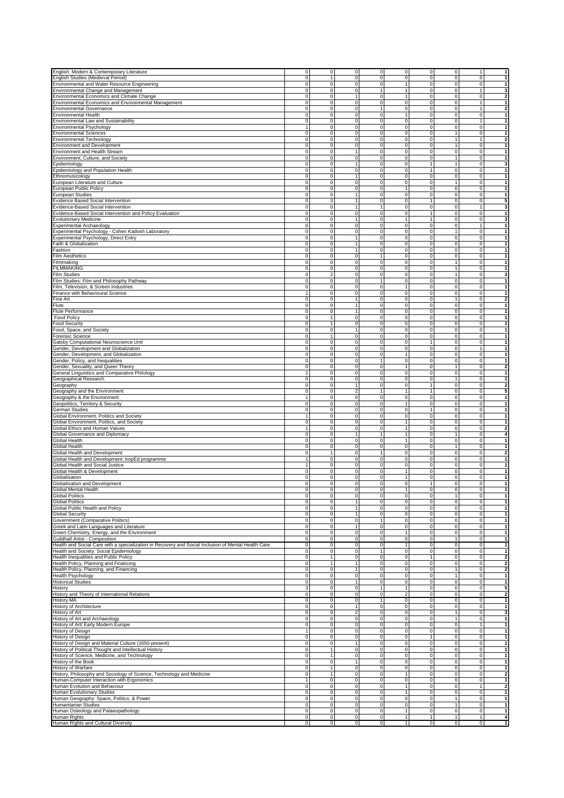| English: Modern & Contemporary Literature                                                           | 0                     | 0              | $\overline{0}$      | $\overline{0}$                     | $\circ$<br>0                            | $\mathbf 0$           | 1              | $\mathbf{1}$            |
|-----------------------------------------------------------------------------------------------------|-----------------------|----------------|---------------------|------------------------------------|-----------------------------------------|-----------------------|----------------|-------------------------|
| English Studies (Medieval Period)                                                                   | $\mathbf 0$           | $\mathbf{1}$   | $\overline{0}$      | $\overline{0}$<br>$\mathbf 0$      | $\mathbf 0$                             | 0                     | $\overline{0}$ | $\mathbf{1}$            |
| Environmental and Water Resource Engineering                                                        | 0                     | $\bf 0$        | $\mathsf{O}\xspace$ | $\overline{0}$                     | 1<br>0                                  | 0                     | $\Omega$       | $\mathbf{1}$            |
| Environmental Change and Management                                                                 | 0                     | $\pmb{0}$      | $\overline{0}$      | 1                                  | $\mathbf{1}$<br>0                       | $\pmb{0}$             | $\mathbf{1}$   | 3                       |
| Environmental Economics and Climate Change                                                          | 0                     | $\mathbf 0$    | 1                   | $\overline{0}$                     | $\mathbf 0$<br>1                        | $\pmb{0}$             | $\Omega$       | $\overline{\mathbf{2}}$ |
|                                                                                                     |                       |                |                     |                                    |                                         |                       |                |                         |
| Environmental Economics and Environmental Management                                                | 0                     | $\mathbf 0$    | $\overline{0}$      | $\mathsf{O}\xspace$                | $\pmb{0}$<br>$\mathbf 0$                | 0                     | 1              | 1                       |
| <b>Environmental Governance</b>                                                                     | $\mathbf 0$           | $\mathbf 0$    | $\mathbf{0}$        | 1                                  | $\mathbf 0$<br>0                        | 0                     | 1              | $\overline{2}$          |
| <b>Environmental Health</b>                                                                         | 0                     | $\mathbf 0$    | $\mathbf{0}$        | $\overline{0}$                     | $\mathbf{1}$<br>$\mathbf 0$             | 0                     | $\overline{0}$ | $\mathbf{1}$            |
| Environmental Law and Sustainability                                                                | 0                     | $\mathbf 0$    | $\mathbf{0}$        | $\overline{0}$                     | $\overline{0}$<br>0                     | $\overline{\text{o}}$ | 1              | $\mathbf{1}$            |
|                                                                                                     | 1                     | $\mathbf 0$    | $\overline{0}$      | $\mathsf{O}\xspace$                | $\pmb{0}$<br>$\mathbf 0$                | $\pmb{0}$             | $\Omega$       | $\mathbf{1}$            |
| Environmental Psychology                                                                            |                       |                |                     |                                    |                                         |                       |                |                         |
| <b>Environmental Sciences</b>                                                                       | 0                     | $\mathbf 0$    | $\overline{0}$      | 0                                  | $\mathbf 0$<br>0                        | 1                     | $\Omega$       | $\overline{1}$          |
| <b>Environmental Technology</b>                                                                     | 0                     | $\pmb{0}$      | $\mathbf{0}$        | 0                                  | $\pmb{0}$<br>0                          | $\mathbf{1}$          | $\mathbf{1}$   | $\overline{\mathbf{2}}$ |
| <b>Environment and Development</b>                                                                  | 0                     | $\mathbf 0$    | $\overline{0}$      | $\mathsf{O}\xspace$                | $\pmb{0}$<br>0                          | $\mathbf{1}$          | $\circ$        | $\mathbf{1}$            |
| Environment and Health Stream                                                                       | 0                     | $\mathbf 0$    | 1                   | $\overline{0}$<br>$\mathbf 0$      | $\mathbf 0$                             | 0                     | $\Omega$       | $\mathbf{1}$            |
|                                                                                                     | $\Omega$              | $\mathbf 0$    | $\mathbf{0}$        | $\mathbf 0$                        | $\pmb{0}$<br>0                          | $\mathbf{1}$          | $\Omega$       | $\overline{1}$          |
| Environment, Culture, and Society                                                                   |                       |                |                     |                                    |                                         |                       |                |                         |
| Epidemiology                                                                                        | $\overline{0}$        | $\overline{0}$ | $\overline{1}$      | $\overline{0}$                     | $\overline{\text{o}}$<br>$\overline{1}$ | $\overline{1}$        | $\overline{0}$ | $\overline{\mathbf{3}}$ |
| Epidemiology and Population Health                                                                  | 0                     | $\mathbf 0$    | $\mathbf{0}$        | $\overline{0}$                     | $\pmb{0}$<br>$\mathbf{1}$               | 0                     | $\Omega$       | $\mathbf{1}$            |
| Ethnomusicology                                                                                     | 0                     | $\pmb{0}$      | 1                   | $\mathbf 0$                        | $\pmb{0}$<br>0                          | $\pmb{0}$             | $\mathbf 0$    | $\mathbf{1}$            |
| European Literature and Culture                                                                     | 0                     | $\mathbf 0$    | $\overline{0}$      | $\mathbf 0$                        | $\mathbf 0$<br>$\pmb{0}$                | 1                     | $\overline{0}$ | $\overline{1}$          |
|                                                                                                     |                       | $\overline{0}$ | $\mathbf{0}$        |                                    |                                         | $\pmb{0}$             |                |                         |
| European Public Policy                                                                              | 0                     |                |                     | $\overline{0}$                     | $\mathbf{1}$<br>$\mathbf 0$             |                       | $\Omega$       | $\mathbf{1}$            |
| European Studies                                                                                    | 0                     | $\mathbf 0$    | 1                   | $\mathbf 0$<br>$\mathbf 0$         | 0                                       | 0                     | $\Omega$       | $\overline{1}$          |
| Evidence Based Social Intervention                                                                  | $\overline{0}$        | 3              | 1                   | $\mathsf{O}\xspace$<br>$\mathbf 0$ | $\mathbf{1}$                            | $\pmb{0}$             | $\Omega$       | 5                       |
| Evidence-Based Social Intervention                                                                  | 0                     | $\mathbf 0$    | $\mathbf{1}$        | $\overline{0}$<br>1                | $\overline{0}$                          | $\overline{0}$        | 1              | $\overline{\mathbf{3}}$ |
| Evidence-Based Social Intervention and Policy Evaluation                                            | 0                     | $\pmb{0}$      | $\mathbf{0}$        | 0                                  | $\pmb{0}$<br>1                          | $\pmb{0}$             | $\mathbf 0$    | $\mathbf{1}$            |
| <b>Evolutionary Medicine</b>                                                                        | 0                     | $\bf 0$        | 1                   | $\mathbf 0$                        | 1<br>1                                  | 0                     | $\Omega$       | $\mathbf{3}$            |
|                                                                                                     |                       |                |                     |                                    |                                         |                       |                |                         |
| <b>Experimental Archaeology</b>                                                                     | $\mathbf 0$           | $\mathbf 0$    | $\mathbf{0}$        | $\overline{0}$                     | $\pmb{0}$<br>0                          | 0                     | 1              | $\mathbf{1}$            |
| Experimental Psychology - Cohen Kadosh Laboratory                                                   | 0                     | $\mathbf 0$    | $\overline{0}$      | $\overline{0}$                     | $\pmb{0}$<br>0                          | $\mathbf{1}$          | $\circ$        | $\mathbf{1}$            |
| Experimental Psychology, Direct Entry                                                               | 0                     | $\pmb{0}$      | 1                   | $\overline{0}$                     | $\pmb{0}$<br>0                          | $\pmb{0}$             | $\Omega$       | $\mathbf{1}$            |
| Faith & Globalization                                                                               | 0                     | $\pmb{0}$      | 1                   | $\mathbf 0$<br>$\mathbf 0$         | 0                                       | $\pmb{0}$             | $\mathbf 0$    | $\overline{1}$          |
| Fashion                                                                                             | 0                     | $\mathbf 0$    | $\mathbf{1}$        | $\overline{0}$                     | $\overline{0}$<br>0                     | 0                     | $\mathbf 0$    | 1                       |
|                                                                                                     |                       |                |                     |                                    |                                         |                       |                |                         |
| Film Aesthetics                                                                                     | 0                     | $\mathbf 0$    | $\mathbf{O}$        | $\mathbf{1}$                       | $\pmb{0}$<br>$\mathbf 0$                | 0                     | $\Omega$       | $\mathbf{1}$            |
| Filmmaking                                                                                          | $\mathbf 0$           | 0              | $\mathbf{0}$        | $\overline{0}$<br>$\mathbf 0$      | $\mathbf 0$                             | 1                     | $\Omega$       | $\mathbf{1}$            |
| <b>FILMMAKING</b>                                                                                   | 0                     | $\overline{0}$ | $\mathbf{0}$        | $\overline{0}$<br>$\mathbf 0$      | $\mathbf 0$                             | 1                     | $\overline{0}$ | $\mathbf{1}$            |
| <b>Film Studies</b>                                                                                 | $\overline{0}$        | $\overline{2}$ | $\mathbf{0}$        | $\overline{0}$                     | $\pmb{0}$<br>$\mathbf 0$                | $\mathbf{1}$          | $\Omega$       | $\mathbf{3}$            |
| Film Studies: Film and Philosophy Pathway                                                           | 0                     | $\mathbf 0$    | $\overline{0}$      | 1<br>$\mathbf 0$                   | $\mathbf 0$                             | $\pmb{0}$             | $\Omega$       | $\mathbf{1}$            |
|                                                                                                     |                       |                | $\overline{0}$      |                                    | $\mathbf 0$                             | $\pmb{0}$             |                | $\overline{1}$          |
| Film, Television, & Screen Industries                                                               | 0                     | $\mathbf 0$    |                     | 0                                  | 1                                       |                       | $\mathbf 0$    |                         |
| Finance with Behavioural Science                                                                    | 1                     | $\mathbf 0$    | $\mathbf{0}$        | 0                                  | $\overline{0}$<br>0                     | $\overline{0}$        | $\mathbf 0$    | $\mathbf{1}$            |
| Fine Art                                                                                            | $\mathbf 0$           | $\mathbf 0$    | 1                   | $\overline{0}$                     | $\pmb{0}$<br>0                          | 1                     | $\Omega$       | $\overline{2}$          |
| Flute                                                                                               | 0                     | $\mathbf 0$    | 1                   | $\overline{0}$<br>$\mathbf 0$      | $\mathbf 0$                             | 0                     | $\overline{0}$ | $\mathbf{1}$            |
| Flute Performance                                                                                   | 0                     | $\mathbf 0$    | 1                   | 0                                  | $\overline{0}$<br>$\mathbf 0$           | $\mathbf 0$           | $\Omega$       | $\overline{1}$          |
|                                                                                                     | $\overline{0}$        |                |                     |                                    |                                         |                       |                |                         |
| <b>Food Policy</b>                                                                                  |                       | $\mathbf{1}$   | $\mathbf 0$         | $\mathsf{O}\xspace$                | $\overline{0}$<br>$\pmb{0}$             | $\pmb{0}$             | $\Omega$       | $\mathbf{1}$            |
| <b>Food Security</b>                                                                                | 0                     | 1              | $\mathbf{0}$        | $\overline{0}$                     | $\mathbf 0$<br>0                        | 0                     | $\Omega$       | $\mathbf{1}$            |
| Food, Space, and Society                                                                            | 0                     | $\mathbf 0$    | 1                   | $\mathbf 0$                        | $\pmb{0}$<br>0                          | $\mathbf 0$           | $\mathbf 0$    | 1                       |
| Forensic Science                                                                                    | 0                     | $\overline{1}$ | $\mathbf{0}$        | $\overline{0}$                     | $\overline{0}$<br>$\overline{0}$        | $\overline{0}$        | $\overline{0}$ | $\overline{1}$          |
| Gatsby Computational Neuroscience Unit                                                              | 0                     | $\overline{0}$ | $\overline{0}$      | $\overline{0}$<br>$\mathbf 0$      | $\mathbf{1}$                            | 0                     | $\overline{0}$ | $\mathbf{1}$            |
| Gender, Development and Globalization                                                               | $\Omega$              | $\mathbf 0$    | $\overline{0}$      | $\mathbf 0$                        | 0<br>0                                  | 0                     | 1              | $\mathbf{1}$            |
|                                                                                                     |                       |                |                     |                                    |                                         |                       |                | $\overline{1}$          |
| Gender, Development, and Globalization                                                              | $\overline{0}$        | $\overline{0}$ | $\overline{0}$      | $\overline{0}$                     | $\overline{1}$<br>$\pmb{0}$             | $\pmb{0}$             | $\overline{0}$ |                         |
| Gender, Policy, and Inequalities                                                                    | $\mathbf 0$           | $\mathbf 0$    | $\mathbf{0}$        | 1                                  | $\circ$<br>$\mathbf 0$                  | 0                     | $\Omega$       | $\overline{1}$          |
| Gender, Sexuality, and Queer Theory                                                                 | 0                     | $\pmb{0}$      | $\mathbf{0}$        | 0                                  | 1<br>0                                  | $\mathbf{1}$          | $\mathbf 0$    | $\overline{2}$          |
| General Linguistics and Comparative Philology                                                       | 1                     | $\mathbf 0$    | $\mathbf{O}$        | $\mathbf 0$                        | $\mathbf 0$<br>$\pmb{0}$                | $\pmb{0}$             | $\overline{0}$ | $\overline{1}$          |
| Geographical Research                                                                               | 0                     | $\mathbf 0$    | $\overline{0}$      | 0                                  | $\overline{0}$<br>$\overline{0}$        | 1                     | $\overline{0}$ | $\overline{1}$          |
|                                                                                                     |                       |                |                     | $\mathbf 0$                        |                                         |                       |                |                         |
| Geography                                                                                           | 0                     | $\mathbf 0$    | 1                   |                                    | $\pmb{0}$<br>$\mathbf{1}$               | $\pmb{0}$             | $\Omega$       | $\overline{\mathbf{2}}$ |
| Geography and the Environment                                                                       | 0                     | $\pmb{0}$      | $\overline{2}$      | 1                                  | 1<br>$\mathbf{1}$                       | $\pmb{0}$             | $\Omega$       | $\overline{5}$          |
| Geography & the Environment                                                                         | 1                     | $\mathbf 0$    | $\overline{0}$      | $\overline{0}$<br>$\overline{0}$   | $\overline{0}$                          | $\overline{0}$        | $\overline{0}$ | $\overline{1}$          |
| Geopolitics, Territory & Security                                                                   | 0                     | $\pmb{0}$      | $\overline{0}$      | $\mathsf{O}\xspace$                | 1<br>0                                  | 0                     | $\mathbf 0$    | $\mathbf{1}$            |
| German Studies                                                                                      | 0                     | $\mathbf 0$    | $\mathbf{O}$        | $\mathbf 0$                        | $\pmb{0}$<br>1                          | 0                     | $\Omega$       | $\mathbf{1}$            |
| Global Environment, Politics and Society                                                            | 1                     | $\mathbf 0$    | $\mathbf{0}$        | $\overline{0}$<br>$\mathbf 0$      | $\pmb{0}$                               | 0                     | $\Omega$       | $\overline{1}$          |
|                                                                                                     |                       |                | $\overline{0}$      |                                    |                                         |                       |                |                         |
| Global Environment, Politics, and Society                                                           | 0                     | $\mathbf 0$    |                     | $\overline{0}$                     | $\mathbf{1}$<br>$\mathbf 0$             | 0                     | $\overline{0}$ | $\mathbf{1}$            |
| Global Ethics and Human Values                                                                      | 1                     | $\mathbf 0$    | $\overline{0}$      | $\mathsf{O}\xspace$                | $\mathbf{1}$<br>0                       | $\pmb{0}$             | $\Omega$       | $\overline{2}$          |
| Global Governance and Diplomacy                                                                     | 0                     | $\mathbf 0$    | 1                   | $\mathbf{1}$                       | $\mathbf{1}$<br>0                       | $\mathbf{1}$          | $\Omega$       | 4                       |
| Global Health                                                                                       | 0                     | $\mathbf 0$    | $\mathbf{0}$        | 0                                  | $\overline{0}$<br>$\mathbf{1}$          | $\overline{\text{o}}$ | $\Omega$       | 1                       |
| Global Health                                                                                       | 0                     | $\mathbf 0$    | $\mathbf 0$         | $\mathsf{O}\xspace$                | $\pmb{0}$<br>0                          | $\mathbf{1}$          | $\Omega$       | $\mathbf{1}$            |
|                                                                                                     |                       |                |                     |                                    |                                         |                       |                |                         |
| Global Health and Development                                                                       | $\mathbf 0$           | $\mathbf{1}$   | $\mathbf{0}$        | 1<br>$\mathbf 0$                   | 0                                       | $\pmb{0}$             | $\Omega$       | $\mathbf{2}$            |
| Global Health and Development: tropEd programme                                                     | 1                     | $\mathbf 0$    | $\mathbf{0}$        | $\mathbf{0}$                       | 0<br>$\mathbf 0$                        | 0                     | $\Omega$       | 1                       |
| Global Health and Social Justice                                                                    | 1                     | $\overline{0}$ | $\overline{0}$      | $\overline{0}$                     | $\overline{0}$<br>0                     | $\overline{0}$        | $\Omega$       | 1                       |
| Global Health & Development                                                                         | 0                     | $\pmb{0}$      | $\overline{0}$      | $\mathsf{O}\xspace$                | $\mathbf{1}$<br>$\mathbf 0$             | $\pmb{0}$             | $\mathbf 0$    | $\mathbf{1}$            |
| Globalisation                                                                                       | 0                     | $\mathbf 0$    | $\overline{0}$      | $\mathbf{0}$                       | $\mathbf{1}$<br>$\mathbf 0$             | 0                     | $\Omega$       | 1                       |
|                                                                                                     | 0                     | $\mathbf 0$    | $\mathbf{0}$        | $\mathbf 0$                        | 0<br>1                                  | 0                     | $\mathbf 0$    | 1                       |
| Globalisation and Development                                                                       |                       |                |                     |                                    |                                         |                       |                |                         |
| Global Mental Health                                                                                | 0                     | $\mathbf 0$    | $\overline{0}$      | $\mathsf{O}\xspace$                | $\overline{0}$<br>1                     | 0                     | $\mathbf{0}$   | 1                       |
| <b>Global Politics</b>                                                                              | 0                     | 0              | $\overline{0}$      | $\overline{0}$                     | 0<br>0                                  | $\mathbf{1}$          | $\Omega$       | 1                       |
| <b>Global Politics</b>                                                                              | 0                     | $\mathbf 0$    | 1 <sup>1</sup>      | 0                                  | 0<br>0                                  | 0                     | $\Omega$       | $\overline{1}$          |
| Global Public Health and Policy                                                                     | $\overline{0}$        | $\mathbf 0$    | 1                   | $\overline{0}$<br>$\mathbf 0$      | $\overline{\text{o}}$                   | $\overline{0}$        | $\overline{0}$ | $\overline{1}$          |
| <b>Global Security</b>                                                                              | 0                     | $\mathbf 0$    | 1                   | 0<br>$\mathbf 0$                   | $\mathbf 0$                             | 0                     | $\Omega$       | $\mathbf{1}$            |
| Government (Comparative Politics)                                                                   | 0                     | $\pmb{0}$      | $\mathbf 0$         | $\mathbf{1}$                       | $\pmb{0}$<br>0                          | 0                     | $\mathbf 0$    | $\mathbf{1}$            |
|                                                                                                     |                       |                | 1                   | $\overline{0}$                     | 0                                       | $\mathbf 0$           | $\Omega$       | $\mathbf{1}$            |
| Greek and Latin Languages and Literature                                                            | $\pmb{0}$             | $\pmb{0}$      |                     |                                    | 0                                       |                       |                |                         |
| Green Chemistry, Energy, and the Environment                                                        | $\mathbf 0$           | $\mathbf{0}$   | $\mathbf{0}$        | $\mathbf{0}$                       | $\mathbf{1}$<br>$\mathbf 0$             | 0                     | $\Omega$       | $\mathbf{1}$            |
| Guildhall Artist - Composition                                                                      | 0                     | $\pmb{0}$      | $\mathbf{0}$        | 0                                  | $\pmb{0}$<br>$\mathbf 0$                | $\mathbf{1}$          | $\Omega$       | $\overline{1}$          |
| Health and Social Care with a specialization in Recovery and Social Inclusion of Mental Health Care | 0                     | $\pmb{0}$      | $\mathbf{0}$        | $\circ$                            | $\mathbf{1}$<br>$\pmb{0}$               | $\pmb{0}$             | $\overline{0}$ | $\overline{1}$          |
| Health and Society: Social Epidemiology                                                             | $\pmb{0}$             | $\pmb{0}$      | $\mathbf{0}$        | 1                                  | $\overline{\text{o}}$<br> 0             | $\pmb{0}$             | $\Omega$       | $\overline{1}$          |
| Health Inequalities and Public Policy                                                               | 0                     | $\mathbf{1}$   | $\mathbf 0$         | 0                                  | $\pmb{0}$<br>$\mathbf{1}$               | 0                     | $\Omega$       | $\mathbf{2}$            |
| Health Policy, Planning and Financing                                                               | 0                     | $\overline{1}$ | 1                   | $\mathbf 0$                        | $\mathbf 0$<br>0                        | 0                     | $\Omega$       | $\mathbf{2}$            |
|                                                                                                     |                       |                |                     |                                    |                                         |                       |                |                         |
| Health Policy, Planning, and Financing                                                              | 0                     | 0              | 1                   | $\mathbf 0$<br>$\overline{0}$      | $\mathbf 0$                             | 1                     | $\Omega$       | $\overline{2}$          |
| <b>Health Psychology</b>                                                                            | 0                     | $\mathbf 0$    | $\mathbf{0}$        | $\mathbf 0$                        | 0<br>$\mathbf 0$                        | $\mathbf{1}$          | $\Omega$       | $\mathbf{1}$            |
| <b>Historical Studies</b>                                                                           | $\overline{0}$        | $\mathbf 0$    | 1                   | $\mathsf{O}\xspace$<br>$\mathsf 0$ | $\mathbf 0$                             | 0                     | $\Omega$       | $\mathbf{1}$            |
| History                                                                                             | 3                     | 0              | $\mathbf 0$         | $\mathbf{1}$                       | $\mathbf{1}$<br>0                       | 0                     | $\mathbf 0$    | 5                       |
| History and Theory of International Relations                                                       | 0                     | $\pmb{0}$      | $\mathbf 0$         | 0                                  | $\overline{\mathbf{c}}$<br>0            | 0                     | $\mathbf 0$    | $\overline{\mathbf{2}}$ |
|                                                                                                     |                       | $\mathbf 0$    | $\mathbf{0}$        | $\mathbf{1}$                       | 0<br>0                                  | 0                     | $\Omega$       | $\mathbf{1}$            |
| <b>History MA</b>                                                                                   | 0                     |                |                     |                                    |                                         |                       |                |                         |
| History of Architecture                                                                             | 0                     | 0              | 1                   | 0                                  | 0<br>0                                  | 0                     | $\Omega$       | $\mathbf{1}$            |
| History of Art                                                                                      | $\mathbf 0$           | $\mathbf 0$    | $\overline{2}$      | $\overline{0}$<br>$\mathbf 0$      | $\mathbf 0$                             | 1                     | $\Omega$       | 3                       |
| History of Art and Archaeology                                                                      | 0                     | $\pmb{0}$      | $\mathbf 0$         | $\mathbf 0$                        | $\pmb{0}$<br>0                          | $\mathbf{1}$          | $\overline{0}$ | $\mathbf{1}$            |
| History of Art/ Early Modern Europe                                                                 | 0                     | 0              | $\mathbf 0$         | $\mathbf 0$                        | $\pmb{0}$<br>0                          | 0                     | $\mathbf{1}$   | $\mathbf{1}$            |
| History of Design                                                                                   | 1                     | $\mathbf 0$    | $\mathbf{0}$        | $\overline{0}$                     | 0 <br>$\mathbf 0$                       | 0                     | $\Omega$       | $\mathbf{1}$            |
|                                                                                                     | 0                     | $\mathbf 0$    | $\mathbf{0}$        | $\mathbf 0$                        | 0<br>1                                  | 0                     | $\Omega$       | 1                       |
| History of Design                                                                                   |                       |                |                     |                                    |                                         |                       |                |                         |
| History of Design and Material Culture (1650-present)                                               | $\mathbf 0$           | 0              | 1                   | $\overline{0}$<br>$\mathbf 0$      | $\mathbf 0$                             | 0                     | $\Omega$       | $\overline{1}$          |
| History of Political Thought and Intellectual History                                               | 0                     | $\overline{1}$ | $\overline{0}$      | $\overline{0}$                     | 0 <br>$\circ$                           | 0                     | $\Omega$       | $\mathbf{1}$            |
| History of Science, Medicine, and Technology                                                        | 0                     | 1              | $\mathbf{0}$        | $\overline{0}$                     | 0<br>$\mathbf 0$                        | 0                     | $\Omega$       | $\mathbf{1}$            |
| History of the Book                                                                                 | 0                     | 0              | 1                   | $\mathbf 0$<br>$\mathbf 0$         | $\mathbf 0$                             | 0                     | $\Omega$       | $\overline{1}$          |
| History of Warfare                                                                                  | 0                     | $\mathbf{1}$   | $\mathbf{0}$        | 0<br>$\mathbf 0$                   | $\mathbf 0$                             | 0                     | $\Omega$       | $\mathbf{1}$            |
|                                                                                                     |                       | $\overline{1}$ | $\mathbf{0}$        | 0                                  | $\mathbf{1}$<br>0                       | 0                     | $\mathbf 0$    | $\overline{2}$          |
| History, Philosophy and Sociology of Science, Technology and Medicine                               | 0                     |                |                     |                                    |                                         |                       |                |                         |
| Human-Computer Interaction with Ergonomics                                                          | 1                     | $\pmb{0}$      | $\mathbf{0}$        | 0<br>$\mathbf 0$                   | 0                                       | $\overline{0}$        | $\Omega$       | $\mathbf{1}$            |
| Human Evolution and Behaviour                                                                       | $\mathbf 0$           | $\mathbf{0}$   | $\overline{0}$      | $\overline{0}$                     | $\mathbf{1}$<br>$\mathbf 0$             | 0                     | 1              | $\overline{2}$          |
| Human Evolutionary Studies                                                                          | 0                     | $\pmb{0}$      | $\mathbf{0}$        | 0                                  | 1<br>0                                  | $\pmb{0}$             | $\Omega$       | $\mathbf{1}$            |
| Human Geography: Space, Politics, & Power                                                           | $\overline{\text{o}}$ | $\pmb{0}$      | $\overline{0}$      | $\overline{0}$<br>$\overline{0}$   | $\pmb{0}$                               | $\overline{1}$        | $\overline{0}$ | $\overline{1}$          |
| Humanitarian Studies                                                                                | 0                     | $\mathbf 0$    | $\mathbf{0}$        | $\overline{0}$                     | 0 <br>$\mathbf 0$                       | 1                     | $\Omega$       | $\mathbf{1}$            |
|                                                                                                     |                       |                |                     |                                    |                                         |                       |                |                         |
| Human Osteology and Palaeopathology                                                                 | 0                     | $\pmb{0}$      | $\mathbf{0}$        | 0                                  | $\mathbf{1}$<br>$\mathbf 0$             | $\pmb{0}$             | $\Omega$       | 1                       |
| Human Rights                                                                                        | 0                     | $\mathbf 0$    | $\mathbf{0}$        | $\overline{0}$                     | 1<br>$\mathbf{1}$                       | $\mathbf{1}$          | 1              | $\overline{\mathbf{4}}$ |
| Human Rights and Cultural Diversity                                                                 | $\overline{0}$        | $\mathbf 0$    | $\overline{0}$      | $\overline{0}$<br>$\mathbf{1}$     | $\overline{0}$                          | $\circ$               | 0              | $\vert$ 1               |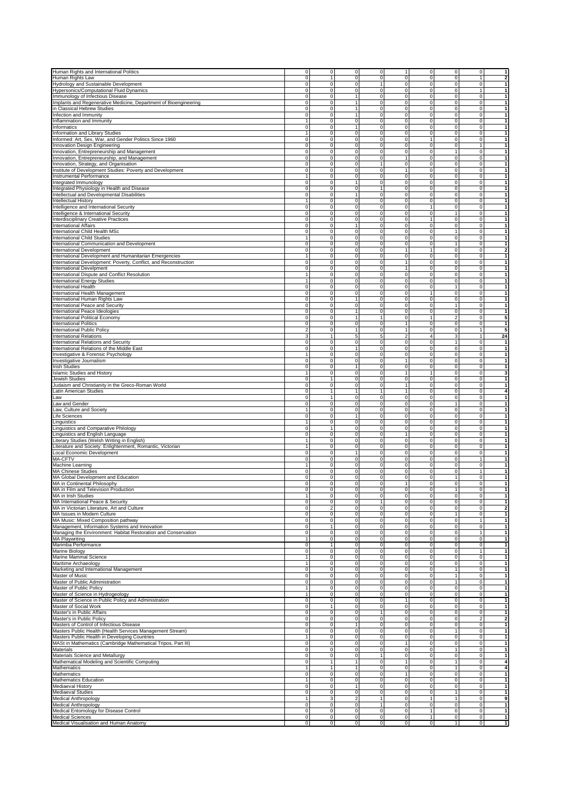| Human Rights and International Politics                                                                                                                                                                                                                                                                                                                                           | $\overline{0}$              | ō                                  | $\overline{0}$                 | o                             | $\overline{0}$<br>1                                           | $\overline{0}$              | $\overline{0}$                   | $\overline{1}$                                                                         |
|-----------------------------------------------------------------------------------------------------------------------------------------------------------------------------------------------------------------------------------------------------------------------------------------------------------------------------------------------------------------------------------|-----------------------------|------------------------------------|--------------------------------|-------------------------------|---------------------------------------------------------------|-----------------------------|----------------------------------|----------------------------------------------------------------------------------------|
| Human Rights Law                                                                                                                                                                                                                                                                                                                                                                  | 0                           | 1                                  | $\mathbf{0}$                   | $\mathbf 0$<br>1              | $\overline{0}$<br>$\mathbf 0$                                 | $\mathbf 0$                 | 1                                | $\overline{2}$                                                                         |
| Hydrology and Sustainable Development                                                                                                                                                                                                                                                                                                                                             | 0                           | $\mathbf 0$                        | $\mathbf 0$<br>$\mathbf{0}$    |                               | $\pmb{0}$<br>$\pmb{0}$                                        | $\mathbf 0$                 | $\overline{0}$<br>1              | $\overline{1}$<br>1                                                                    |
| Hypersonics/Computational Fluid Dynamics                                                                                                                                                                                                                                                                                                                                          | $\mathbf 0$                 | $\bf 0$                            |                                | $\mathbf 0$                   | 0<br>$\pmb{0}$                                                | $\mathbf 0$                 |                                  |                                                                                        |
| Immunology of Infectious Disease                                                                                                                                                                                                                                                                                                                                                  | $\mathbf 0$<br>$\mathbf 0$  | $\overline{0}$                     | 1<br>1                         | $\mathbf 0$<br>$\mathbf 0$    | $\pmb{0}$<br>0                                                | $\mathbf 0$                 | $\overline{0}$                   | 1                                                                                      |
| Implants and Regenerative Medicine, Department of Bioengineering<br>in Classical Hebrew Studies                                                                                                                                                                                                                                                                                   | 0                           | $\bf 0$<br>$\mathbf 0$             | 1                              | $\mathbf 0$                   | 0<br>$\pmb{0}$<br>0<br>$\pmb{0}$                              | $\pmb{0}$<br>$\mathbf 0$    | $\Omega$<br>$\overline{0}$       | 1<br>$\mathbf{1}$                                                                      |
| Infection and Immunity                                                                                                                                                                                                                                                                                                                                                            | 0                           | $\mathbf 0$                        | $\mathbf{1}$                   | $\mathbf 0$                   | $\pmb{0}$<br>$\mathbf 0$                                      | $\mathbf 0$                 | $\overline{0}$                   | $\vert$ 1                                                                              |
| Inflammation and Immunity                                                                                                                                                                                                                                                                                                                                                         | 1                           | $\mathbf 0$                        | $\mathbf{0}$                   | $\mathbf 0$                   | 0<br>0                                                        | $\mathbf 0$                 | $\overline{0}$                   | $\vert$                                                                                |
| Informatics                                                                                                                                                                                                                                                                                                                                                                       | $\mathbf 0$                 | $\bf 0$                            | $\overline{1}$                 | $\mathbf 0$                   | 0<br>$\pmb{0}$                                                | $\pmb{0}$                   | $\Omega$                         | $\vert$                                                                                |
| Information and Library Studies                                                                                                                                                                                                                                                                                                                                                   | $\mathbf{1}$                | 0                                  | $\mathbf 0$                    | $\mathbf 0$                   | 0<br>0                                                        | $\mathbf 0$                 | $\Omega$                         | $\mathbf{1}$                                                                           |
| Informed: Art, Sex, War, and Gender Politics Since 1960                                                                                                                                                                                                                                                                                                                           | 0                           | $\mathbf 0$                        | $\mathbf{0}$                   | $\mathbf 0$                   | 0<br>1                                                        | $\mathbf 0$                 | $\overline{0}$                   | 1                                                                                      |
| Innovation Design Engineering                                                                                                                                                                                                                                                                                                                                                     | $\mathbf 0$                 | $\mathbf 0$                        | $\mathbf{O}$                   | $\mathbf 0$                   | 0<br>$\pmb{0}$                                                | $\mathbf 0$                 | 1                                | 1                                                                                      |
| Innovation, Entrepreneurship and Management                                                                                                                                                                                                                                                                                                                                       | 0                           | $\mathbf{0}$                       | $\mathbf{0}$                   | $\mathbf 0$                   | 0<br>0                                                        | $\mathbf{1}$                | $\overline{0}$                   | $\vert$                                                                                |
| Innovation, Entrepreneurship, and Management                                                                                                                                                                                                                                                                                                                                      | 0                           | $\mathbf{0}$                       | $\mathbf{0}$                   | $\mathbf 0$                   | 0<br>1                                                        | $\mathbf 0$                 | $\overline{0}$                   | 1                                                                                      |
| Innovation, Strategy, and Organisation                                                                                                                                                                                                                                                                                                                                            | $\overline{0}$              | $\overline{0}$                     | $\overline{0}$                 | $\mathbf{1}$                  | $\overline{\text{o}}$<br>0                                    | $\overline{0}$              | $\overline{0}$                   | 1                                                                                      |
| Institute of Development Studies: Poverty and Development                                                                                                                                                                                                                                                                                                                         | 0                           | $\mathbf 0$                        | $\mathbf{0}$                   | $\mathbf 0$                   | $\mathbf{1}$<br>0                                             | $\pmb{0}$                   | $\Omega$                         | $\vert$ 1                                                                              |
| Instrumental Performance                                                                                                                                                                                                                                                                                                                                                          | 1                           | $\mathbf 0$                        | $\mathbf{0}$                   | $\mathbf 0$                   | $\mathbf 0$<br>0                                              | $\mathbf 0$                 | $\overline{0}$                   | 1                                                                                      |
| Integrated Immunology                                                                                                                                                                                                                                                                                                                                                             | 0                           | $\mathbf 0$                        |                                | $\mathbf 0$                   | $\overline{0}$<br>0                                           | $\mathbf 0$                 | $\Omega$                         | 1                                                                                      |
| Integrated Physiology in Health and Disease                                                                                                                                                                                                                                                                                                                                       | 0                           | $\mathbf 0$                        | $\mathbf{O}$                   | $\mathbf{1}$                  | 0<br>$\pmb{0}$                                                | $\mathbf 0$                 | $\overline{0}$                   | $\vert$                                                                                |
| Intellectual and Developmental Disabilities                                                                                                                                                                                                                                                                                                                                       | 0                           | $\mathbf{0}$                       | $\mathbf{1}$                   | $\mathbf 0$                   | 0<br>0                                                        | $\mathbf 0$                 | $\overline{0}$                   | $\vert$                                                                                |
| Intellectual History                                                                                                                                                                                                                                                                                                                                                              | 1                           | $\mathbf 0$                        | $\mathbf{0}$                   | $\mathbf 0$                   | $\pmb{0}$<br>0                                                | $\mathbf 0$                 | $\overline{0}$                   | $\vert$                                                                                |
| Intelligence and International Security                                                                                                                                                                                                                                                                                                                                           | $\overline{0}$              | $\mathbf 0$                        | $\overline{0}$                 | $\overline{0}$                | $\overline{0}$<br>$\overline{1}$                              | $\overline{0}$              | $\overline{0}$                   | $\overline{1}$                                                                         |
| Intelligence & International Security                                                                                                                                                                                                                                                                                                                                             | 0                           | $\mathbf 0$                        | $\mathbf 0$                    | $\mathbf 0$                   | $\mathbf 0$<br>0                                              | $\mathbf{1}$                | $\overline{0}$                   | $\mathbf{1}$                                                                           |
| Interdisciplinary Creative Practices                                                                                                                                                                                                                                                                                                                                              | 0                           | $\mathbf 0$                        | $\mathbf 0$<br>1               | $\mathbf 0$                   | 0<br>1                                                        | 0                           | $\Omega$                         | $\vert$                                                                                |
| <b>International Affairs</b>                                                                                                                                                                                                                                                                                                                                                      | $\overline{0}$              | $\overline{0}$                     |                                | $\overline{0}$                | $\pmb{0}$<br>$\overline{0}$                                   | $\mathbf 0$                 | $\overline{0}$                   | 1                                                                                      |
| International Child Health MSc<br><b>International Child Studies</b>                                                                                                                                                                                                                                                                                                              | 0<br>1                      | $\mathbf{0}$<br>$\mathbf 0$        | $\mathbf{0}$<br>$\mathbf{0}$   | $\mathbf 0$<br>$\mathbf 0$    | 0<br>0<br>0<br>0                                              | $\mathbf{1}$<br>$\mathbf 0$ | $\overline{0}$<br>$\overline{0}$ | $\vert$<br>1                                                                           |
| International Communication and Development                                                                                                                                                                                                                                                                                                                                       | $\mathbf 0$                 | $\pmb{0}$                          | $\mathbf{O}$                   | $\mathbf 0$                   | 0<br>$\pmb{0}$                                                | $\mathbf{1}$                | $\circ$                          | $\mathbf{1}$                                                                           |
| <b>International Development</b>                                                                                                                                                                                                                                                                                                                                                  | 0                           | $\overline{0}$                     | $\mathbf{0}$                   | $\overline{0}$                | $\overline{1}$<br>1                                           | $\overline{0}$              | $\overline{0}$                   | $\overline{2}$                                                                         |
| International Development and Humanitarian Emergencies                                                                                                                                                                                                                                                                                                                            | $\mathbf{1}$                | $\mathbf 0$                        | $\mathbf 0$                    | $\mathbf 0$                   | 0<br>$\pmb{0}$                                                | $\pmb{0}$                   | $\Omega$                         | $\mathbf{1}$                                                                           |
| International Development: Poverty, Conflict, and Reconstruction                                                                                                                                                                                                                                                                                                                  | $\mathbf 0$                 | $\mathbf 0$                        | $\mathbf{0}$                   | $\mathbf 0$                   | $\pmb{0}$<br>$\mathbf{1}$                                     | $\mathbf 0$                 | $\overline{0}$                   | $\mathbf{1}$                                                                           |
| <b>International Develpment</b>                                                                                                                                                                                                                                                                                                                                                   | $\mathbf 0$                 | $\mathbf 0$                        | $\mathbf{0}$                   | $\mathbf 0$                   | 1<br>0                                                        | $\mathbf 0$                 | $\overline{0}$                   | $\vert$ 1                                                                              |
| International Dispute and Conflict Resolution                                                                                                                                                                                                                                                                                                                                     | 1                           | $\mathbf 0$                        | $\overline{0}$                 | $\mathbf 0$                   | 0<br>0                                                        | $\mathbf 0$                 | $\overline{0}$                   | $\vert$                                                                                |
| International Energy Studies                                                                                                                                                                                                                                                                                                                                                      | $\overline{1}$              | $\mathbf 0$                        | $\mathbf{O}$                   | $\mathbf 0$                   | 0<br>$\pmb{0}$                                                | $\mathbf 0$                 | $\overline{0}$                   | 1                                                                                      |
| <b>International Health</b>                                                                                                                                                                                                                                                                                                                                                       | $\mathbf 0$                 | $\mathbf 0$                        | $\mathbf 0$                    | $\mathbf 0$                   | $\mathbf 0$<br>0                                              | $\mathbf{1}$                | $\overline{0}$                   | $\vert$                                                                                |
| International Health Management                                                                                                                                                                                                                                                                                                                                                   | 0                           | $\mathbf 0$                        | $\mathbf 0$                    | $\mathbf 0$                   | 0<br>1                                                        | 0                           | $\overline{0}$                   | 1                                                                                      |
| International Human Rights Law                                                                                                                                                                                                                                                                                                                                                    | $\mathbf 0$                 | $\mathbf 0$                        | 1                              | $\mathbf 0$                   | 0<br>$\pmb{0}$                                                | $\mathbf 0$                 | $\overline{0}$                   | $\mathbf{1}$                                                                           |
| International Peace and Security                                                                                                                                                                                                                                                                                                                                                  | $\mathbf 0$                 | $\mathbf 0$                        | $\mathbf{0}$                   | $\mathbf 0$                   | 0<br>0                                                        | $\mathbf{1}$                | $\overline{0}$                   | $\vert$ 1                                                                              |
| International Peace Ideologies                                                                                                                                                                                                                                                                                                                                                    | 0                           | $\mathbf{0}$                       | $\mathbf{1}$                   | $\mathbf 0$                   | 0<br>0                                                        | $\mathbf 0$                 | $\overline{0}$                   | 1                                                                                      |
| <b>International Political Economy</b>                                                                                                                                                                                                                                                                                                                                            | $\mathbf 0$                 | $\pmb{0}$                          | 1                              | $\mathbf{1}$                  | 0<br>$\mathbf{1}$                                             | $\overline{2}$              | $\overline{0}$                   | $5\overline{)}$                                                                        |
| <b>International Politics</b>                                                                                                                                                                                                                                                                                                                                                     | 0                           | $\pmb{0}$                          | $\mathsf{O}\xspace$            | $\mathbf 0$                   | $\mathbf{1}$<br>$\pmb{0}$                                     | $\pmb{0}$                   | $\Omega$                         | 1                                                                                      |
| International Public Policy                                                                                                                                                                                                                                                                                                                                                       | $\overline{\mathbf{c}}$     | $\mathbf 0$<br>1                   | 1                              | $\mathbf 0$                   | $\mathbf 0$<br>1                                              | 0                           | 1                                | 5 <sup>1</sup>                                                                         |
| <b>International Relations</b>                                                                                                                                                                                                                                                                                                                                                    | 3                           |                                    | 5                              | $\overline{5}$                | $\overline{\mathbf{2}}$<br>$\overline{4}$                     | 3                           | 1                                | 24                                                                                     |
| <b>International Relations and Security</b>                                                                                                                                                                                                                                                                                                                                       | 0<br>$\mathbf 0$            | $\mathbf{0}$<br>$\overline{0}$     | $\mathbf{0}$<br>$\mathbf{1}$   | $\mathbf 0$<br>$\mathbf 0$    | $\pmb{0}$<br>$\pmb{0}$<br>$\mathbf 0$<br>0                    | $\mathbf{1}$<br>$\mathbf 0$ | $\overline{0}$<br>$\overline{0}$ | $\vert$ 1<br>$\vert$ 1                                                                 |
| International Relations of the Middle East<br>Investigative & Forensic Psychology                                                                                                                                                                                                                                                                                                 | 1                           | $\mathbf 0$                        | $\mathbf{0}$                   | $\mathbf 0$                   | $\mathbf 0$<br>0                                              | $\mathbf 0$                 | $\overline{0}$                   | $\vert$                                                                                |
| Investigative Journalism                                                                                                                                                                                                                                                                                                                                                          | $\mathbf 0$                 | $\mathbf 0$                        | $\mathsf{O}\xspace$            | $\mathbf 0$                   | $\mathbf{1}$<br>$\pmb{0}$                                     | $\mathbf 0$                 | $\overline{0}$                   | $\vert$                                                                                |
| <b>Irish Studies</b>                                                                                                                                                                                                                                                                                                                                                              | 0                           | $\mathbf 0$                        | 1                              | $\mathbf 0$                   | 0<br>0                                                        | $\mathbf 0$                 | $\overline{0}$                   | 1                                                                                      |
| <b>Islamic Studies and History</b>                                                                                                                                                                                                                                                                                                                                                | 1                           | $\mathbf 0$                        | $\mathbf{0}$                   | $\mathbf 0$                   | 1<br>1                                                        | 0                           | $\Omega$                         | 3                                                                                      |
| Jewish Studies                                                                                                                                                                                                                                                                                                                                                                    | $\overline{0}$              | $\mathbf{1}$                       | $\overline{0}$                 | $\overline{0}$                | $\overline{0}$<br>$\overline{0}$                              | $\overline{0}$              | $\overline{0}$                   | 1                                                                                      |
| Judaism and Christianity in the Greco-Roman World                                                                                                                                                                                                                                                                                                                                 | 0                           | $\mathbf 0$                        | $\overline{0}$                 | $\mathbf 0$                   | $\mathbf{1}$<br>0                                             | $\mathbf 0$                 | $\overline{0}$                   | 1                                                                                      |
| Latin American Studies                                                                                                                                                                                                                                                                                                                                                            | $\mathbf 0$                 | $\mathbf{1}$                       | $\mathbf{1}$                   | 1                             | $\mathbf{1}$<br>0                                             | $\mathbf 0$                 | $\overline{0}$                   | $\overline{4}$                                                                         |
| Law                                                                                                                                                                                                                                                                                                                                                                               | $\overline{0}$              | $\overline{1}$                     | $\overline{0}$                 | $\mathbf 0$                   | $\pmb{0}$<br>$\overline{0}$                                   | $\overline{0}$              | $\overline{0}$                   | $\overline{1}$                                                                         |
| Law and Gender                                                                                                                                                                                                                                                                                                                                                                    | 0                           | $\mathbf 0$                        | $\overline{0}$                 | $\mathbf 0$                   | 0<br>0                                                        | $\mathbf{1}$                | $\overline{0}$                   | $\mathbf{1}$                                                                           |
| Law, Culture and Society                                                                                                                                                                                                                                                                                                                                                          | 1                           | $\mathbf 0$                        | $\mathbf{0}$                   | $\mathbf 0$                   | $\pmb{0}$<br>0                                                | $\pmb{0}$                   | $\Omega$                         | 1                                                                                      |
| Life Sciences                                                                                                                                                                                                                                                                                                                                                                     | $\mathbf 0$                 | $\mathbf 0$                        | 1                              | $\mathbf 0$                   | $\pmb{0}$<br>$\mathbf 0$                                      | $\mathbf 0$                 | $\circ$                          | 1                                                                                      |
| Linguistics                                                                                                                                                                                                                                                                                                                                                                       | 1                           | $\mathbf{0}$                       | $\overline{0}$                 | $\mathbf 0$                   | 0<br>$\mathbf 0$                                              | $\circ$                     | $\overline{0}$                   | $\vert$ 1                                                                              |
| Linguistics and Comparative Philology                                                                                                                                                                                                                                                                                                                                             | $\mathbf 0$                 | $\mathbf{1}$                       | $\mathbf 0$<br>$\mathbf{0}$    | $\mathbf 0$                   | 0<br>0<br>1                                                   | $\mathbf 0$                 | $\overline{0}$<br>$\Omega$       | $\vert$ 1<br>$\vert$                                                                   |
| Linguistics and English Language<br>Literary Studies (Welsh Writing in English)                                                                                                                                                                                                                                                                                                   | $\mathbf 0$<br>$\mathbf{1}$ | $\mathbf 0$<br>$\mathbf 0$         | $\mathbf 0$                    | $\mathbf 0$<br>$\mathbf 0$    | $\pmb{0}$<br>0<br>0                                           | $\mathbf 0$<br>$\mathbf 0$  | $\Omega$                         | $\overline{1}$                                                                         |
| Literature and Society: Enlightenment, Romantic, Victorian                                                                                                                                                                                                                                                                                                                        | 1                           | $\mathbf 0$                        | $\mathbf{0}$                   | $\mathbf 0$                   | 0<br>$\pmb{0}$                                                | $\pmb{0}$                   | $\overline{0}$                   | 1                                                                                      |
| Local Economic Development                                                                                                                                                                                                                                                                                                                                                        | $\mathbf 0$                 | $\mathbf 0$                        | 1                              | $\mathbf 0$                   | 0<br>$\pmb{0}$                                                | $\mathbf 0$                 | $\overline{0}$                   | 1                                                                                      |
| MA-CFTV                                                                                                                                                                                                                                                                                                                                                                           | 0                           | $\mathbf 0$                        | $\mathbf{0}$                   | $\mathbf 0$                   | $\mathbf 0$<br>0                                              | $\mathbf 0$                 | 1                                | 1                                                                                      |
| Machine Learning                                                                                                                                                                                                                                                                                                                                                                  | 1                           | $\mathbf{0}$                       | $\overline{0}$                 | $\mathbf 0$                   | 0<br>0                                                        | $\mathbf 0$                 | $\overline{0}$                   | 1                                                                                      |
| <b>MA Chinese Studies</b>                                                                                                                                                                                                                                                                                                                                                         | $\mathbf 0$                 | $\mathbf 0$                        | $\mathbf{O}$                   | $\mathbf 0$                   | 0<br>$\pmb{0}$                                                | $\mathbf 0$                 | 1                                | $\mathbf{1}$                                                                           |
| MA Global Development and Education                                                                                                                                                                                                                                                                                                                                               | 0                           | $\mathbf 0$                        | $\mathbf{0}$                   | $\mathbf 0$                   | $\pmb{0}$<br>0                                                | $\mathbf{1}$                | $\Omega$                         | 1                                                                                      |
| MA in Continental Philosophy                                                                                                                                                                                                                                                                                                                                                      | 0                           | $\mathbf 0$                        | $\mathbf{0}$                   | $\mathbf 0$                   | $\mathbf{1}$<br>0                                             | $\mathbf 0$                 | $\overline{0}$                   | 1                                                                                      |
| MA in Film and Television Production                                                                                                                                                                                                                                                                                                                                              | $\mathbf 0$                 | $\Omega$                           | $\Omega$                       | $\mathbf 0$                   | 0<br>$\mathbf 0$                                              |                             | $\overline{0}$                   | 1                                                                                      |
| MA in Irish Studies                                                                                                                                                                                                                                                                                                                                                               | -1                          | $\overline{0}$                     | $\overline{0}$                 | $\mathbf 0$                   | 0<br>0                                                        | $\mathbf 0$                 | $\overline{0}$                   | $\vert$                                                                                |
| MA International Peace & Security                                                                                                                                                                                                                                                                                                                                                 | 0                           | $\mathbf{0}$                       | $\overline{0}$                 | $\mathbf{1}$                  | 0<br>0                                                        | $\mathbf 0$                 | $\overline{0}$                   | $\vert$                                                                                |
| MA in Victorian Literature, Art and Culture                                                                                                                                                                                                                                                                                                                                       | $\overline{0}$              | $\overline{2}$                     | $\mathbf{0}$                   | $\overline{0}$                | $\overline{0}$<br>$\overline{\text{o}}$                       | $\overline{\mathbf{0}}$     | $\overline{0}$                   | $\overline{2}$                                                                         |
| MA Issues in Modern Culture                                                                                                                                                                                                                                                                                                                                                       | $\pmb{0}$                   | $\pmb{0}$                          | $\mathbf 0$                    | $\mathbf 0$                   | 0<br>$\pmb{0}$                                                | $\mathbf{1}$                | $\circ$                          | $\mathbf{1}$                                                                           |
| MA Music: Mixed Composition pathway<br>Management, Information Systems and Innovation                                                                                                                                                                                                                                                                                             | 0                           | $\mathbf 0$<br>$\mathbf{1}$        | $\mathbf 0$<br>$\mathbf 0$     | $\mathbf 0$<br>$\mathbf 0$    | $\pmb{0}$<br>0<br>0                                           | $\mathbf 0$<br>$\mathbf 0$  | 1<br>$\overline{0}$              | $\vert$<br>1                                                                           |
| Managing the Environment: Habitat Restoration and Conservation                                                                                                                                                                                                                                                                                                                    | 0<br>$\mathbf 0$            | $\mathbf 0$                        | $\mathsf{O}\xspace$            | $\mathbf 0$                   | 0<br>0<br>$\pmb{0}$                                           | $\mathbf 0$                 | 1                                | $\vert$                                                                                |
| MA Playwriting                                                                                                                                                                                                                                                                                                                                                                    | $\mathbf{1}$                | $\mathbf 0$                        | $\mathbf{0}$                   | $\mathbf 0$                   | 0<br>0                                                        | $\circ$                     | $\overline{0}$                   | $\vert$                                                                                |
| Marimba Performance                                                                                                                                                                                                                                                                                                                                                               | 0                           | $\mathbf{1}$                       | $\overline{0}$                 | $\mathbf 0$                   | 0<br>0                                                        | $\mathbf 0$                 | $\overline{0}$                   | 1                                                                                      |
| Marine Biology                                                                                                                                                                                                                                                                                                                                                                    | $\overline{0}$              | $\overline{0}$                     | $\overline{0}$                 | $\overline{\mathbf{0}}$       | $\overline{\text{o}}$<br>$\overline{\text{o}}$                | $\overline{\mathbf{0}}$     | $\overline{1}$                   | $\overline{1}$                                                                         |
| Marine Mammal Science                                                                                                                                                                                                                                                                                                                                                             | $\mathbf{1}$                | $\mathbf 0$                        | $\mathbf{0}$                   | $\mathbf 0$                   | $\mathbf 0$<br>$\pmb{0}$                                      | $\mathbf 0$                 | $\overline{0}$                   | $\mathbf{1}$                                                                           |
| Maritime Archaeology                                                                                                                                                                                                                                                                                                                                                              | 1                           | $\mathbf 0$                        | 0                              | $\mathbf 0$                   | 0<br>$\pmb{0}$                                                | $\mathbf 0$                 | $\overline{0}$                   | 1                                                                                      |
| Marketing and International Management                                                                                                                                                                                                                                                                                                                                            | $\overline{0}$              | $\overline{0}$                     | $\overline{0}$                 | $\overline{0}$                | $\overline{0}$<br>$\overline{\text{o}}$                       | $\overline{1}$              | $\overline{0}$                   | $\vert$                                                                                |
| Master of Music                                                                                                                                                                                                                                                                                                                                                                   | 0                           | $\mathbf 0$                        | $\mathbf{0}$                   | $\mathbf 0$                   | 0<br>0                                                        | $\mathbf{1}$                | $\overline{0}$                   | $\vert$ 1                                                                              |
| Master of Public Administration                                                                                                                                                                                                                                                                                                                                                   | 0                           | $\mathbf 0$                        | $\mathbf 0$                    | $\mathbf 0$                   | 0<br>0                                                        | $\mathbf{1}$                | $\overline{0}$                   | $\vert$ 1                                                                              |
| Master of Public Policy                                                                                                                                                                                                                                                                                                                                                           | $\overline{1}$              | $\overline{0}$                     | $\mathbf 0$                    | $\mathbf 0$                   | $\mathbf 0$<br>$\pmb{0}$                                      | $\mathbf 0$                 | $\overline{0}$                   | $\vert$                                                                                |
| Master of Science in Hydrogeology                                                                                                                                                                                                                                                                                                                                                 | $\mathbf{1}$                | $\mathbf 0$                        | $\mathbf 0$                    | $\overline{0}$                | $\overline{0}$<br>$\mathbf 0$                                 | $\overline{0}$              | $\overline{0}$                   | $\overline{1}$                                                                         |
| Master of Science in Public Policy and Administration                                                                                                                                                                                                                                                                                                                             | 0                           | $\mathbf 0$                        | $\mathbf{0}$                   | $\mathbf 0$                   | 0<br>1                                                        | $\pmb{0}$                   | $\Omega$                         | 1                                                                                      |
| Master of Social Work                                                                                                                                                                                                                                                                                                                                                             | $\pmb{0}$                   | $\mathbf{1}$                       | $\mathbf{0}$                   | $\mathbf 0$                   | 0<br>0                                                        | $\mathbf 0$                 | $\overline{0}$                   | 1                                                                                      |
| Master's in Public Affairs                                                                                                                                                                                                                                                                                                                                                        | 0                           | $\mathbf 0$                        | $\mathbf{0}$                   | $\mathbf{1}$                  | 0<br>0                                                        | $\mathbf 0$                 | $\overline{0}$                   | $\vert$                                                                                |
| Master's in Public Policy                                                                                                                                                                                                                                                                                                                                                         | $\mathbf 0$                 | $\mathsf{O}\xspace$<br>$\mathbf 0$ | $\mathbf 0$<br>$\overline{1}$  | $\mathbf 0$<br>$\mathbf 0$    | $\pmb{0}$<br>0<br>0<br>$\pmb{0}$                              | $\mathbf 0$<br>$\mathbf 0$  | $\mathbf{2}$<br>$\Omega$         | $\overline{2}$<br>$\vert$                                                              |
|                                                                                                                                                                                                                                                                                                                                                                                   |                             |                                    |                                | $\mathbf 0$                   | $\pmb{0}$<br>0                                                | $\overline{1}$              | $\overline{0}$                   | $\vert$                                                                                |
|                                                                                                                                                                                                                                                                                                                                                                                   | $\pmb{0}$                   |                                    |                                |                               |                                                               |                             |                                  |                                                                                        |
|                                                                                                                                                                                                                                                                                                                                                                                   | 0                           | $\pmb{0}$                          | $\mathbf 0$                    |                               |                                                               |                             |                                  |                                                                                        |
|                                                                                                                                                                                                                                                                                                                                                                                   | $\mathbf{1}$                | $\mathbf 0$                        | $\mathbf 0$                    | $\mathbf 0$                   | 0<br>0                                                        | $\mathbf 0$                 | $\overline{0}$                   |                                                                                        |
|                                                                                                                                                                                                                                                                                                                                                                                   | $\pmb{0}$                   | $\mathbf 0$                        | $\mathbf{O}$                   | $\mathbf 0$                   | $\pmb{0}$<br>1                                                | $\mathbf 0$                 | $\circ$                          |                                                                                        |
|                                                                                                                                                                                                                                                                                                                                                                                   | 0                           | $\mathbf{0}$                       | $\mathbf{0}$                   | $\mathbf 0$                   | $\pmb{0}$<br>$\mathbf 0$                                      | $\mathbf{1}$                | $\overline{0}$                   |                                                                                        |
|                                                                                                                                                                                                                                                                                                                                                                                   | 0                           | $\mathbf{0}$                       | $\mathbf{0}$<br>$\overline{1}$ | $\mathbf{1}$                  | 0<br>0                                                        | $\mathbf 0$                 | $\overline{0}$                   |                                                                                        |
|                                                                                                                                                                                                                                                                                                                                                                                   | $\mathbf 0$<br>$\mathbf{1}$ | $\mathbf{1}$                       |                                | $\mathbf 0$                   | $\mathbf{1}$<br>$\pmb{0}$                                     | $\mathbf{1}$                | $\Omega$                         |                                                                                        |
|                                                                                                                                                                                                                                                                                                                                                                                   | 0                           | $\mathbf{1}$<br>$\mathbf 0$        | $\overline{1}$<br>$\mathbf{0}$ | $\mathbf 0$<br>$\mathbf 0$    | 0<br>0<br>$\mathbf{1}$<br>0                                   | $\mathbf{1}$<br>$\mathbf 0$ | $\Omega$<br>$\overline{0}$       |                                                                                        |
| Masters of Control of Infectious Disease<br>Masters Public Health (Health Services Management Stream)<br>Masters Public Health in Developing Countries<br>MASt in Mathematics (Cambridge Mathematical Tripos, Part III)<br>Materials<br>Materials Science and Metallurgy<br>Mathematical Modeling and Scientific Computing<br>Mathematics<br>Mathematics<br>Mathematics Education | 1                           | $\mathbf 0$                        | $\mathbf{0}$                   | $\mathbf 0$                   | $\overline{0}$<br>$\overline{0}$                              | $\mathbf 0$                 | $\overline{0}$                   | 1<br>$\vert$<br>$\vert$ 1<br>$\vert$ 1<br>$\overline{4}$<br>$\boldsymbol{4}$<br>1<br>1 |
| Mediaeval History                                                                                                                                                                                                                                                                                                                                                                 | $\mathbf 0$                 | $\mathbf{0}$                       | 1                              | $\mathbf 0$                   | $\pmb{0}$<br>$\pmb{0}$                                        | $\mathbf 0$                 | $\overline{0}$                   | $\vert$                                                                                |
| Mediaeval Studies                                                                                                                                                                                                                                                                                                                                                                 | $\mathbf 0$                 | $\mathbf{0}$                       | $\mathbf{0}$                   | $\mathbf 0$                   | 0<br>0                                                        | $\mathbf{1}$                | $\overline{0}$                   | 1                                                                                      |
| Medical Anthropology                                                                                                                                                                                                                                                                                                                                                              | $\overline{1}$              | $\overline{3}$                     | $\overline{2}$                 | $\overline{1}$                | $\pmb{0}$<br>$\mathbf{1}$                                     | $\mathbf{1}$                | $\overline{0}$                   | 9                                                                                      |
| Medical Anthropology                                                                                                                                                                                                                                                                                                                                                              | $\pmb{0}$                   | $\mathbf 0$                        | $\mathbf{0}$                   | $\mathbf{1}$                  | $\pmb{0}$<br>$\mathbf 0$                                      | $\mathbf 0$                 | $\overline{0}$                   |                                                                                        |
| Medical Entomology for Disease Control                                                                                                                                                                                                                                                                                                                                            | 0                           | $\mathbf{0}$                       | $\mathbf{0}$                   | $\mathbf 0$                   | $\mathbf 0$<br>$\mathbf{1}$                                   | $\mathbf 0$                 | $\overline{0}$                   |                                                                                        |
| <b>Medical Sciences</b><br>Medical Visualisation and Human Anatomy                                                                                                                                                                                                                                                                                                                | $\mathbf 0$<br>$\mathbf 0$  | $\mathbf 0$<br>$\overline{0}$      | $\mathbf 0$<br>$\overline{0}$  | $\mathbf 0$<br>$\overline{0}$ | $\pmb{0}$<br>$\mathbf{1}$<br>$\overline{0}$<br>$\overline{0}$ | $\mathbf 0$<br>$\mathbf{1}$ | $\overline{0}$<br>$\circ$        | $\vert$ 1<br>$\vert$<br>1<br>$\vert$ 1                                                 |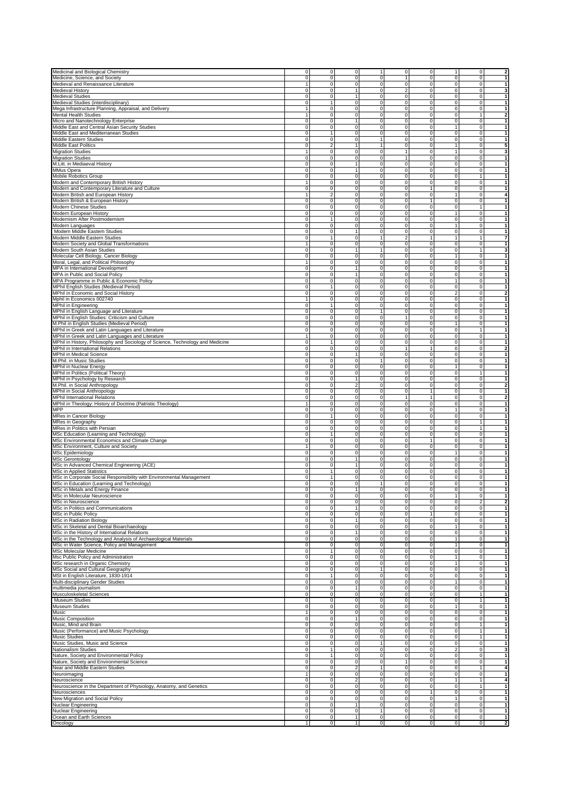| Medicinal and Biological Chemistry                                             |                         |                |                         |                               |                                  |                                                              |                |                                                                      |
|--------------------------------------------------------------------------------|-------------------------|----------------|-------------------------|-------------------------------|----------------------------------|--------------------------------------------------------------|----------------|----------------------------------------------------------------------|
|                                                                                | $\overline{0}$          | $\mathbf{0}$   | $\overline{0}$          | 1                             | o                                | $\circ$<br>$\mathbf{1}$                                      | $\overline{0}$ | $\overline{2}$                                                       |
| Medicine, Science, and Society                                                 | $\Omega$                | $\mathbf 0$    | $\mathbf{0}$            | $\mathbf 0$                   | 1                                | $\mathbf 0$<br>$\mathbf 0$                                   | $\overline{0}$ | $\vert$                                                              |
| Medieval and Renaissance Literature                                            | $\mathbf{1}$            | $\mathbf 0$    | $\mathbf 0$             | $\mathbf 0$                   | 0                                | $\pmb{0}$<br>$\mathbf 0$                                     | $\overline{0}$ | $\overline{1}$                                                       |
| Medieval History                                                               | $\mathbf 0$             | $\mathbf 0$    | 1                       | $\mathbf 0$                   | $\overline{\mathbf{c}}$          | $\pmb{0}$<br>$\mathbf 0$                                     | $\overline{0}$ | 3                                                                    |
| Medieval Studies                                                               | $\overline{0}$          | $\overline{0}$ | $\overline{1}$          | $\mathbf 0$                   | $\overline{0}$                   | $\pmb{0}$<br>$\mathbf 0$                                     | $\overline{0}$ | $\vert$                                                              |
| Medieval Studies (interdisciplinary)                                           | $\pmb{0}$               | $\overline{1}$ | $\mathsf{O}\xspace$     | $\mathbf 0$                   | 0                                | $\pmb{0}$<br>$\pmb{0}$                                       | $\overline{0}$ | $\vert$                                                              |
| Mega Infrastructure Planning, Appraisal, and Delivery                          | $\overline{1}$          | $\mathbf 0$    | $\mathbf 0$             | $\mathbf 0$                   | 0                                | $\pmb{0}$<br>$\mathbf 0$                                     | $\overline{0}$ | 1                                                                    |
|                                                                                |                         |                |                         |                               |                                  |                                                              |                |                                                                      |
| Mental Health Studies                                                          | 1                       | $\mathbf 0$    | $\mathbf{0}$            | $\mathbf 0$                   | $\pmb{0}$                        | 0<br>$\mathbf 0$                                             | 1              | $\mathbf{2}$                                                         |
| Micro and Nanotechnology Enterprise                                            | $\Omega$                | $\mathbf 0$    | 1                       | $\mathbf 0$                   | 0                                | $\mathbf 0$<br>$\mathbf 0$                                   | $\overline{0}$ | 1                                                                    |
| Middle East and Central Asian Security Studies                                 | $\mathbf 0$             | $\mathbf 0$    | $\mathsf 0$             | $\mathbf 0$                   | 0                                | $\pmb{0}$<br>$\mathbf{1}$                                    | $\overline{0}$ | $\vert$                                                              |
| Middle East and Mediterranean Studies                                          | $\overline{0}$          | $\overline{1}$ | $\mathsf{O}\xspace$     | $\mathbf 0$                   | 0                                | $\pmb{0}$<br>$\mathbf 0$                                     | $\overline{0}$ | $\mathbf{1}$                                                         |
| Middle Eastern Studies                                                         | $\Omega$                | $\mathbf 0$    | $\mathbf 0$             | $\mathbf{1}$                  | 0                                | 0<br>$\mathbf 0$                                             | $\overline{0}$ | $\mathbf{1}$                                                         |
| Middle East Politics                                                           | $\overline{0}$          | $\overline{2}$ | 1                       | $\mathbf{1}$                  | $\mathbf 0$                      | $\pmb{0}$<br>$\mathbf{1}$                                    | $\overline{0}$ | $5\overline{5}$                                                      |
| <b>Migration Studies</b>                                                       | 1                       | $\mathbf 0$    | $\mathbf{0}$            | $\mathbf 0$                   | 1                                | $\mathbf 0$<br>$\mathbf{1}$                                  | $\overline{0}$ | $\mathbf{3}$                                                         |
|                                                                                |                         | $\mathbf 0$    |                         |                               | $\mathbf{1}$                     |                                                              | $\overline{0}$ | $\mathbf{1}$                                                         |
| <b>Migration Studies</b>                                                       | $\mathbf{0}$            |                | $\mathbf 0$             | $\mathbf 0$                   |                                  | $\mathbf 0$<br>$\mathbf 0$                                   |                |                                                                      |
| M.Litt. in Mediaeval History                                                   | $\overline{0}$          | $\mathbf 0$    | 1                       | $\overline{0}$                | $\overline{0}$                   | $\overline{0}$<br>$\overline{0}$                             | $\overline{0}$ | $\vert$                                                              |
| MMus Opera                                                                     | $\pmb{0}$               | $\mathbf 0$    | 1                       | $\mathbf 0$                   | 0                                | $\pmb{0}$<br>$\mathbf 0$                                     | $\circ$        | $\vert$                                                              |
| Mobile Robotics Group                                                          | $\overline{0}$          | $\mathbf 0$    | $\mathbf 0$             | $\overline{0}$                | 0                                | $\mathbf 0$<br>0                                             | 1              | 1                                                                    |
| Modern and Contemporary British History                                        |                         | $\mathbf 0$    | $\mathbf{0}$            | $\mathbf 0$                   | $\overline{0}$                   | $\overline{0}$<br>$\mathbf 0$                                | $\overline{0}$ | 1                                                                    |
| Modern and Contemporary Literature and Culture                                 | $\overline{0}$          | $\mathbf 0$    | $\mathsf{O}\xspace$     | $\mathbf 0$                   | 0                                | $\mathbf 0$<br>1                                             | $\overline{0}$ | $\vert$                                                              |
| Modern British and European History                                            | $\mathbf{1}$            | $\overline{2}$ | $\mathbf 0$             | $\mathbf 0$                   | 0                                | $\mathbf 0$<br>$\mathbf{1}$                                  | $\overline{0}$ | $\overline{4}$                                                       |
|                                                                                | $\Omega$                | $\mathbf 0$    | $\mathbf{0}$            | $\mathbf 0$                   | 0                                | $\mathbf{1}$<br>$\mathbf 0$                                  | $\overline{0}$ | $\vert$                                                              |
| Modern British & European History                                              |                         |                |                         |                               |                                  |                                                              |                |                                                                      |
| Modern Chinese Studies                                                         | $\overline{0}$          | $\mathbf 0$    | $\overline{0}$          | $\overline{0}$                | $\overline{0}$                   | $\overline{0}$<br>$\overline{0}$                             | $\overline{1}$ | $\overline{1}$                                                       |
| Modern European History                                                        | $\overline{0}$          | $\mathbf 0$    | $\mathbf 0$             | $\overline{0}$                | 0                                | $\mathbf{1}$<br>0                                            | $\overline{0}$ | $\vert$                                                              |
| Modernism After Postmodernism                                                  | 0                       | 1              | 0                       | $\mathbf 0$                   | 0                                | $\pmb{0}$<br>$\pmb{0}$                                       | $\overline{0}$ | 1                                                                    |
| Modern Languages                                                               | $\overline{0}$          | $\overline{0}$ | $\overline{0}$          | $\mathbf 0$                   | $\overline{0}$                   | $\overline{0}$<br>$\mathbf{1}$                               | $\overline{0}$ | 1                                                                    |
| Modern Middle Eastern Studies                                                  | $\Omega$                | $\mathbf 0$    | 1                       | $\mathbf 0$                   | 0                                | $\mathbf 0$<br>0                                             | $\overline{0}$ | $\vert$                                                              |
| Modern Middle Eastern Studies                                                  | $\overline{0}$          | $\mathbf{1}$   | $\mathbf 0$             | 1                             | 2                                | $\mathbf{1}$<br>$\mathbf{1}$                                 | 1              | $\overline{7}$                                                       |
|                                                                                | $\mathbf{1}$            | $\mathbf 0$    | $\mathbf 0$             | $\mathbf 0$                   | 0                                | $\pmb{0}$<br>$\mathbf 0$                                     | $\overline{0}$ | $\vert$                                                              |
| Modern Society and Global Transformations                                      |                         |                |                         | $\overline{1}$                | $\overline{0}$                   |                                                              |                |                                                                      |
| Modern South Asian Studies                                                     | $\overline{\mathbf{0}}$ | $\overline{0}$ | 1                       |                               |                                  | $\overline{\mathbf{0}}$<br>$\overline{0}$                    | $\overline{1}$ | $\overline{\mathbf{3}}$                                              |
| Molecular Cell Biology, Cancer Biology                                         | $\pmb{0}$               | $\mathbf 0$    | 0                       | $\mathbf 0$                   | 0                                | $\pmb{0}$<br>$\mathbf{1}$                                    | $\overline{0}$ | 1                                                                    |
| Moral, Legal, and Political Philosophy                                         | $\overline{1}$          | $\mathbf 0$    | $\mathbf{0}$            | $\mathbf 0$                   | 0                                | $\pmb{0}$<br>$\mathbf 0$                                     | $\overline{0}$ | 1                                                                    |
| MPA in International Development                                               | $\Omega$                | $\mathbf 0$    | 1                       | $\mathbf 0$                   | $\overline{0}$                   | $\mathbf 0$<br>$\mathbf 0$                                   | $\overline{0}$ | $\vert$ 1                                                            |
| MPA in Public and Social Policy                                                | $\overline{0}$          | $\mathbf 0$    | 1                       | $\mathbf 0$                   | 0                                | $\pmb{0}$<br>$\mathbf 0$                                     | $\overline{0}$ | $\vert$                                                              |
| MPA Programme in Public & Economic Policy                                      | $\mathbf 0$             | $\mathbf 0$    | $\mathsf 0$             | $\mathbf 0$                   | 0                                | $\pmb{0}$<br>$\mathbf{1}$                                    | $\overline{0}$ | $\vert$                                                              |
| MPhil English Studies (Medieval Period)                                        | $\overline{0}$          | $\overline{1}$ | $\mathbf 0$             | $\mathbf 0$                   | 0                                | $\mathbf 0$<br>$\mathbf 0$                                   | $\overline{0}$ | 1                                                                    |
|                                                                                |                         |                |                         |                               |                                  |                                                              |                |                                                                      |
| MPhil in Economic and Social History                                           | $\overline{0}$          | $\mathbf 0$    | $\mathbf 0$             | $\mathbf 0$                   | 0                                | $\overline{2}$<br>0                                          | $\overline{0}$ | $\mathbf{2}$                                                         |
| Mphil in Economics 002740                                                      | $\overline{1}$          | $\mathbf 0$    | $\mathbf{O}$            | $\mathbf 0$                   | 0                                | $\pmb{0}$<br>$\mathbf 0$                                     | $\overline{0}$ | 1                                                                    |
| MPhil in Engineering                                                           | $\Omega$                | $\mathbf{1}$   | $\mathbf{0}$            | $\mathbf 0$                   | $\pmb{0}$                        | $\pmb{0}$<br>$\mathbf 0$                                     | $\overline{0}$ | $\vert$ 1                                                            |
| MPhil in English Language and Literature                                       | $\mathbf{0}$            | $\mathbf 0$    | $\mathbf{0}$            | $\mathbf{1}$                  | 0                                | 0<br>$\mathbf 0$                                             | $\overline{0}$ | 1                                                                    |
| MPhil in English Studies: Criticism and Culture                                | $\pmb{0}$               | $\mathbf 0$    | $\mathsf{O}\xspace$     | $\mathbf 0$                   | $\mathbf{1}$                     | $\pmb{0}$<br>$\mathbf 0$                                     | $\overline{0}$ | $\vert$                                                              |
| M.Phil in English Studies (Medieval Period)                                    | $\pmb{0}$               | $\mathbf 0$    | $\mathbf 0$             | $\mathbf 0$                   | 0                                | $\pmb{0}$<br>$\mathbf{1}$                                    | $\circ$        | $\mathbf{1}$                                                         |
|                                                                                |                         |                |                         |                               |                                  |                                                              |                |                                                                      |
| MPhil in Greek and Latin Languages and Literature                              | $\overline{0}$          | $\mathbf 0$    | $\mathbf 0$             | $\overline{0}$                | 0                                | $\mathbf 0$<br>0                                             | 1              | 1                                                                    |
| MPhil in Greek and Latin Languages and Literature                              |                         | $\mathbf 0$    | $\mathbf{0}$            | $\overline{\mathbf{0}}$       | $\overline{0}$                   | $\overline{\text{o}}$<br>$\overline{0}$                      | $\overline{0}$ | 1                                                                    |
| MPhil in History, Philosophy and Sociology of Science, Technology and Medicine | $\Omega$                | $\mathbf{1}$   | $\mathbf{0}$            | $\mathbf 0$                   | $\pmb{0}$                        | $\pmb{0}$<br>$\mathbf 0$                                     | $\overline{0}$ | $\vert$ 1                                                            |
| MPhil in International Relations                                               | $\mathbf{0}$            | $\mathbf 0$    | $\mathbf 0$             | $\mathbf 0$                   | 1                                | $\mathbf 0$<br>1                                             | $\Omega$       | $\mathbf{2}$                                                         |
| MPhil in Medical Science                                                       | $\mathbf{0}$            | $\mathbf 0$    | 1                       | $\overline{0}$                | 0                                | $\overline{0}$<br>0                                          | $\overline{0}$ | $\vert$                                                              |
| M.Phil. in Music Studies                                                       | $\mathbf 0$             | $\mathbf 0$    | $\mathsf{O}\xspace$     | $\overline{1}$                | 0                                | $\overline{0}$<br>$\pmb{0}$                                  | $\overline{0}$ | $\vert$                                                              |
|                                                                                |                         |                |                         |                               |                                  | $\mathbf{1}$                                                 |                | $\vert$                                                              |
| <b>MPhil in Nuclear Energy</b>                                                 | $\Omega$                | $\mathbf 0$    | $\mathbf{0}$            | $\overline{0}$                | 0                                | 0                                                            | $\overline{0}$ |                                                                      |
| MPhil in Politics (Political Theory)                                           | 0                       | $\mathbf 0$    | $\mathbf{0}$            | $\mathbf 0$                   | 0                                | $\mathbf 0$<br>0                                             | $\mathbf{1}$   | 1                                                                    |
| MPhil in Psychology by Research                                                | $\overline{0}$          | $\overline{0}$ | 1                       | $\overline{0}$                | $\overline{0}$                   | $\overline{0}$<br>$\overline{0}$                             | $\overline{0}$ | 1                                                                    |
| M.Phil. in Social Anthropology                                                 | $\mathbf{0}$            | $\mathbf 0$    | $\overline{2}$          | $\mathbf 0$                   | 0                                | $\mathbf 0$<br>0                                             | $\overline{0}$ | $\mathbf{2}$                                                         |
| MPhil in Social Anthropology                                                   | $\mathbf{0}$            | $\mathbf 0$    | $\mathbf{O}$            | $\mathbf 0$                   | 0                                | $\mathbf 0$<br>$\mathbf{1}$                                  | $\Omega$       | $\vert$                                                              |
| <b>MPhil International Relations</b>                                           | $\pmb{0}$               | $\overline{0}$ | $\overline{0}$          | $\overline{0}$                | $\overline{1}$                   | $\overline{1}$<br>$\mathbf 0$                                | $\overline{0}$ | $\overline{2}$                                                       |
| MPhil in Theology: History of Doctrine (Patristic Theology)                    | $\mathbf{1}$            | $\mathbf 0$    | $\mathsf{O}\xspace$     | $\overline{0}$                | $\mathbf 0$                      | $\pmb{0}$<br>$\mathbf 0$                                     | $\overline{0}$ | $\mathbf{1}$                                                         |
| MPP                                                                            | 0                       | $\mathbf 0$    | $\mathbf 0$             | $\mathbf 0$                   | 0                                | $\pmb{0}$<br>$\mathbf{1}$                                    | $\overline{0}$ | 1                                                                    |
|                                                                                |                         | $\overline{1}$ |                         |                               | $\mathbf 0$                      |                                                              | $\overline{0}$ |                                                                      |
| <b>MRes in Cancer Biology</b>                                                  | $\overline{0}$          |                | $\mathbf{0}$            | $\mathbf 0$                   |                                  | $\mathbf 0$<br>$\mathbf 0$                                   |                | 1                                                                    |
| <b>MRes in Geography</b>                                                       | $\Omega$                | $\mathbf 0$    | $\mathbf 0$             | $\overline{0}$                | $\overline{0}$                   | $\overline{0}$<br>$\mathbf 0$                                | 1              | $\vert$                                                              |
| MRes in Politics with Persian                                                  | $\Omega$                | $\mathbf 0$    | $\mathbf 0$             | $\mathbf 0$                   | 0                                | $\pmb{0}$<br>$\mathbf 0$                                     | 1              | $\vert$                                                              |
| MSc Education (Learning and Technology)                                        | $\mathbf 0$             | $\overline{1}$ | $\mathsf{O}\xspace$     | $\mathbf 0$                   | 0                                | $\pmb{0}$<br>$\mathbf 0$                                     | $\overline{0}$ | $\vert$                                                              |
| MSc Environmental Economics and Climate Change                                 | $\Omega$                | $\mathbf 0$    | $\mathbf 0$             | $\overline{0}$                | $\overline{0}$                   | $\overline{0}$<br>1                                          | $\overline{0}$ | $\overline{1}$                                                       |
| MSc Environment, Culture and Society                                           | $\overline{1}$          | $\mathbf 0$    | $\mathsf{O}\xspace$     | $\mathbf 0$                   | 0                                | $\pmb{0}$<br>$\pmb{0}$                                       | $\overline{0}$ | 1                                                                    |
| MSc Epidemiology                                                               | $\overline{0}$          | $\mathbf 0$    | $\mathbf{0}$            | $\mathbf 0$                   | 0                                | $\pmb{0}$<br>$\mathbf{1}$                                    | $\overline{0}$ | 1                                                                    |
|                                                                                |                         |                |                         | $\mathbf 0$                   | 0                                | $\mathbf 0$<br>$\mathbf 0$                                   | $\overline{0}$ |                                                                      |
| <b>MSc Gerontology</b>                                                         | $\Omega$                | $\mathbf 0$    | 1                       |                               |                                  |                                                              |                | 1                                                                    |
| MSc in Advanced Chemical Engineering (ACE)                                     | $\mathbf{0}$            | $\mathbf 0$    | 1                       | $\overline{0}$                | 0                                | $\mathbf 0$<br>$\mathbf 0$                                   | $\overline{0}$ | $\vert$                                                              |
| <b>MSc in Applied Statistics</b>                                               | $\pmb{0}$               | $\overline{1}$ | $\mathsf{O}\xspace$     | $\mathbf 0$                   | 0                                | $\pmb{0}$<br>$\mathbf 0$                                     | $\Omega$       | $\vert$                                                              |
| MSc in Corporate Social Responsibility with Environmental Management           | $\pmb{0}$               | $\overline{1}$ | $\mathbf 0$             | $\mathbf 0$                   | 0                                |                                                              | $\circ$        | $\mathbf{1}$                                                         |
| MSc in Education (Learning and Technology)                                     | $\Omega$                | $\mathbf 0$    | $\mathbf 0$             |                               | $\overline{0}$                   | $\pmb{0}$<br>0                                               |                |                                                                      |
| MSc in Metals and Energy Finance                                               | $\mathbf 0$             |                |                         | 1                             |                                  | 0<br>$\mathbf 0$                                             | $\overline{0}$ | 1                                                                    |
| MSc in Molecular Neuroscience                                                  |                         |                |                         |                               |                                  | $\Omega$                                                     | $\Omega$       |                                                                      |
|                                                                                |                         | 0              |                         | $\mathbf 0$                   | $\mathbf 0$                      | $\mathbf 0$                                                  |                |                                                                      |
|                                                                                | $\overline{0}$          | 0              | $\overline{0}$          | $\mathbf 0$                   | 0                                | 0<br>1                                                       | $\overline{0}$ |                                                                      |
| MSc in Neuroscience                                                            | $\mathbf{0}$            | $\mathbf 0$    | $\mathbf 0$             | $\mathbf 0$                   | 0                                | 0<br>$\mathbf 0$                                             | 2 <sub>1</sub> |                                                                      |
| MSc in Politics and Communications                                             | $\overline{0}$          | $\mathbf 0$    | 1                       | $\overline{0}$                | $\overline{0}$                   | $\overline{0}$<br>$\overline{0}$                             | $\overline{0}$ |                                                                      |
| MSc in Public Policy                                                           | $\pmb{0}$               | $\mathbf 0$    | $\mathbf 0$             | $\mathbf 0$                   | 0                                | $\mathbf 0$<br>1                                             | $\overline{0}$ | $\mathbf{1}$<br>$\vert$<br>$\mathbf{2}$<br>$\overline{1}$<br>$\vert$ |
| MSc in Radiation Biology                                                       | $\Omega$                | $\mathbf 0$    | 1                       | $\overline{0}$                | 0                                | 0<br>$\mathbf 0$                                             | $\overline{0}$ | $\vert$                                                              |
| MSc in Skeletal and Dental Bioarchaeology                                      | $\overline{0}$          | $\mathbf 0$    | $\mathbf 0$             | $\overline{0}$                | 0                                | $\bf 0$<br>$\mathbf{1}$                                      | $\overline{0}$ | $\vert$                                                              |
| MSc in the History of International Relations                                  | $\overline{0}$          | $\mathsf 0$    | 1                       | $\mathbf 0$                   | $\pmb{0}$                        | $\pmb{0}$<br>$\mathbf 0$                                     | $\overline{0}$ | $\vert$                                                              |
| MSc in the Technology and Analysis of Archaeological Materials                 | $\mathbf{0}$            | $\mathbf 0$    | $\mathbf{0}$            | $\overline{0}$                | 0                                | 0<br>$\mathbf{1}$                                            | $\overline{0}$ | $\vert$                                                              |
|                                                                                |                         |                |                         |                               |                                  | $\mathbf{1}$                                                 | $\overline{0}$ | $\vert$                                                              |
| MSc in Water Science, Policy and Management                                    | $\mathsf{O}\xspace$     | $\mathbf 0$    | $\mathbf 0$             | $\circ$                       | 0                                | $\bf 0$                                                      |                |                                                                      |
| <b>MSc Molecular Medicine</b>                                                  | $\overline{0}$          | $\overline{1}$ | $\overline{0}$          | $\overline{0}$                | $\overline{0}$                   | $\overline{0}$<br>$\overline{0}$                             | $\overline{0}$ | $\overline{1}$                                                       |
| Msc Public Policy and Administration                                           | $\Omega$                | $\mathbf 0$    | $\mathbf 0$             | $\overline{0}$                | 0                                | $\mathbf 0$<br>$\mathbf{1}$                                  | $\overline{0}$ | $\vert$                                                              |
| MSc research in Organic Chemistry                                              | $\overline{0}$          | $\mathbf 0$    | $\mathbf 0$             | $\mathbf 0$                   | $\mathbf 0$                      | $\pmb{0}$<br>$\mathbf{1}$                                    | $\overline{0}$ | $\vert$                                                              |
| MSc Social and Cultural Geography                                              | $\overline{0}$          | $\mathbf 0$    | $\mathbf 0$             | $\mathbf{1}$                  | $\overline{0}$                   | $\overline{0}$<br>$\overline{0}$                             | $\overline{0}$ | $\vert$                                                              |
| MSt in English Literature, 1830-1914                                           | $\mathbf{0}$            | $\mathbf{1}$   | $\mathbf{0}$            | $\overline{0}$                | 0                                | 0<br>$\circ$                                                 | $\overline{0}$ | $\vert$                                                              |
| Multi-disciplinary Gender Studies                                              | $\overline{0}$          | $\mathbf 0$    | $\mathbf 0$             | $\overline{0}$                | 0                                | $\pmb{0}$<br>$\mathbf{1}$                                    | $\overline{0}$ | $\vert$                                                              |
| multimedia journalism                                                          | $\overline{0}$          | $\mathbf 0$    | 1                       | $\overline{0}$                | 0                                | $\overline{0}$<br>$\mathbf 0$                                | $\overline{0}$ |                                                                      |
|                                                                                |                         |                |                         |                               |                                  |                                                              |                | $\vert$                                                              |
| Musculoskeletal Sciences                                                       | $\overline{0}$          | $\mathbf 0$    | $\mathbf 0$             | $\overline{0}$                | $\overline{0}$                   | $\overline{0}$<br>$\mathbf 0$                                | 1              | $\overline{1}$                                                       |
| Museum Studies                                                                 | $\overline{0}$          | $\mathbf 0$    | $\mathbf 0$             | $\mathbf 0$                   | $\mathbf 0$                      | $\pmb{0}$<br>$\mathbf 0$                                     | 1              | $\vert$                                                              |
| Museum Studies                                                                 | $\overline{0}$          | $\mathsf 0$    | $\mathbf{O}$            | $\mathbf 0$                   | $\mathbf 0$                      | $\pmb{0}$<br>$\mathbf{1}$                                    | $\overline{0}$ | 1                                                                    |
| Music                                                                          | 1                       | $\mathbf 0$    | $\mathbf{0}$            | $\overline{0}$                | $\overline{0}$                   | $\overline{0}$<br>$\mathbf 0$                                | $\overline{0}$ | $\vert$                                                              |
| Music Composition                                                              | $\pmb{0}$               | $\mathbf 0$    | 1                       | $\mathbf 0$                   | 0                                | $\pmb{0}$<br>$\mathbf 0$                                     | $\overline{0}$ | $\vert$                                                              |
| Music, Mind and Brain                                                          | $\pmb{0}$               | $\mathsf 0$    | $\mathsf{O}\xspace$     | $\mathbf 0$                   | 0                                | $\pmb{0}$<br>$\mathbf 0$                                     | 1              | $\vert$                                                              |
| Music (Performance) and Music Psychology                                       | $\overline{0}$          | $\mathbf 0$    | $\mathbf 0$             | $\mathbf 0$                   | $\mathbf 0$                      | 0<br>$\mathbf 0$                                             | 1              | $\vert$                                                              |
|                                                                                |                         |                |                         |                               |                                  |                                                              |                |                                                                      |
| Music Studies                                                                  | $\overline{0}$          | $\mathbf 0$    | $\mathbf 0$             | $\mathbf 0$                   | $\overline{0}$                   | 0<br>$\mathbf 0$                                             | 1              | 1                                                                    |
| Music Studies, Music and Science                                               | $\overline{0}$          | $\mathbf 0$    | $\mathbf{O}$            | $\mathbf{1}$                  | 0                                | $\pmb{0}$<br>$\mathbf 0$                                     | $\overline{0}$ | 1                                                                    |
| Nationalism Studies                                                            | $\mathbf{0}$            | $\mathbf{1}$   | $\mathbf{0}$            | $\mathbf 0$                   | 0                                | $\sqrt{2}$<br>0                                              | $\overline{0}$ | $\mathbf{3}$                                                         |
| Nature, Society and Environmental Policy                                       | $\mathbf{0}$            | $\overline{1}$ | $\mathbf 0$             | $\overline{0}$                | 0                                | 0<br>$\mathbf 0$                                             | $\overline{0}$ | $\vert$                                                              |
| Nature, Society and Environmental Science                                      | $\mathbf 0$             | $\mathbf 0$    | $\mathsf 0$             | $\mathbf 0$                   | $\mathbf{1}$                     | $\pmb{0}$<br>$\mathbf 0$                                     | $\overline{0}$ | $\vert$                                                              |
| Near and Middle Eastern Studies                                                | $\overline{0}$          | $\mathbf 0$    | $\overline{2}$          | $\mathbf{1}$                  | 0                                | $\mathbf 0$<br>$\mathbf 0$                                   | 1              | $\boldsymbol{4}$                                                     |
|                                                                                | $\mathbf{1}$            | $\mathbf 0$    | $\mathbf 0$             | $\mathbf 0$                   | 0                                | 0<br>$\mathbf 0$                                             | $\overline{0}$ | $\vert$                                                              |
| Neuroimaging                                                                   |                         |                |                         |                               |                                  | $\mathbf{1}$                                                 |                |                                                                      |
| Neuroscience                                                                   | $\overline{0}$          | $\mathbf 0$    | $\overline{\mathbf{c}}$ | $\overline{0}$                | $\overline{0}$                   | $\overline{0}$                                               | 1              | $\overline{4}$                                                       |
| Neuroscience in the Department of Physiology, Anatomy, and Genetics            | $\Omega$                | $\mathsf 0$    | $\mathbf{0}$            | $\mathbf 0$                   | 0                                | $\pmb{0}$<br>$\mathbf 0$                                     | 1              |                                                                      |
| Neurosciences                                                                  | $\mathbf{0}$            | $\mathbf 0$    | $\mathbf{0}$            | $\overline{0}$                | 0                                | 1<br>$\mathbf 0$                                             | $\overline{0}$ |                                                                      |
| New Migration and Social Policy                                                | $\mathbf 0$             | $\mathbf 0$    | $\mathbf 0$             | $\overline{0}$                | $\overline{0}$                   | $\boldsymbol{0}$<br>$\mathbf{1}$                             | $\overline{0}$ |                                                                      |
| Nuclear Engineering                                                            | $\pmb{0}$               | $\mathbf 0$    | 1                       | $\circ$                       | $\pmb{0}$                        | $\pmb{0}$<br>$\mathbf 0$                                     | $\circ$        | 1<br>1<br>$\vert$<br>$\vert$ 1                                       |
| Nuclear Engineering                                                            | $\mathbf{0}$            | $\mathbf 0$    | $\mathbf 0$             | $\mathbf{1}$                  | $\mathbf 0$                      | $\pmb{0}$<br>$\mathbf 0$                                     | $\overline{0}$ | 1                                                                    |
| Ocean and Earth Sciences                                                       | $\overline{0}$          | $\mathbf 0$    | 1                       | $\mathbf 0$<br>$\overline{0}$ | $\overline{0}$<br>$\overline{0}$ | $\pmb{0}$<br>$\mathbf 0$<br>$\overline{0}$<br>$\overline{0}$ | $\overline{0}$ | 1                                                                    |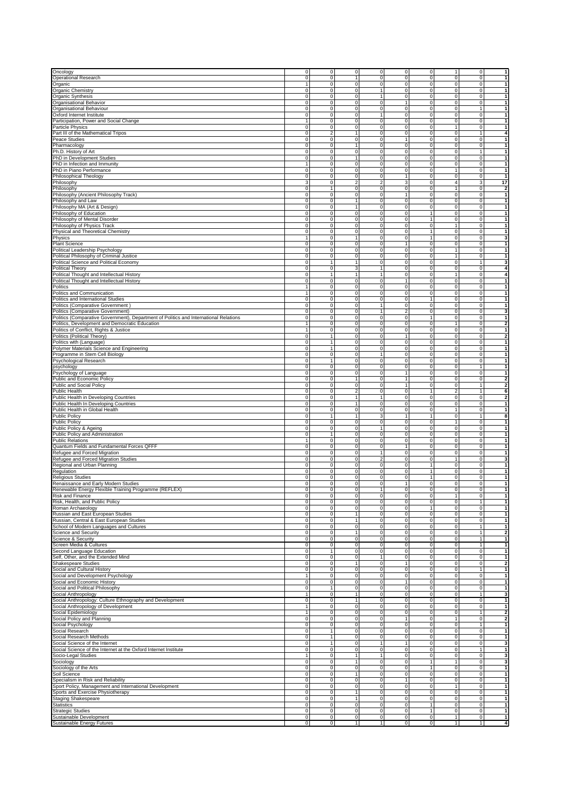| Oncology                                                                                    | $\mathbf{0}$                     | $\mathbf 0$<br>$\overline{0}$                                  | $\overline{0}$                   | $\circ$                  | $\mathbf 0$                | 11                         | $\overline{0}$                   | $\vert$ 1                     |
|---------------------------------------------------------------------------------------------|----------------------------------|----------------------------------------------------------------|----------------------------------|--------------------------|----------------------------|----------------------------|----------------------------------|-------------------------------|
| Operational Research                                                                        | $\overline{0}$                   | $\mathbf 0$<br>$\mathbf{1}$                                    | $\overline{0}$                   | 0                        | 0                          | $\overline{\mathbf{0}}$    | $\overline{0}$                   | 1                             |
| Organic                                                                                     | $\mathbf{1}$                     | $\mathbf 0$<br>$\mathbf 0$                                     | $\overline{0}$                   | 0                        | 0                          | $\mathbf 0$                | $\circ$                          | $\vert$                       |
| Organic Chemistry                                                                           | $\Omega$<br>$\overline{0}$       | $\mathbf 0$<br>$\mathbf 0$<br>$\mathbf 0$<br>$\mathbf 0$       | 1<br>1                           | 0<br>$\mathbf 0$         | $\mathbf 0$<br>$\pmb{0}$   | $\mathbf 0$<br>$\mathbf 0$ | $\overline{0}$<br>$\overline{0}$ | 1<br>1                        |
| Organic Synthesis<br>Organisational Behavior                                                | $\mathsf 0$                      | $\mathbf 0$<br>$\mathbf 0$                                     | $\overline{0}$                   | 1                        | $\pmb{0}$                  | $\mathbf 0$                | $\overline{0}$                   | $\vert$                       |
| Organisational Behaviour                                                                    | $\Omega$                         | $\mathbf 0$<br>$\mathbf 0$                                     | $\overline{0}$                   | 0                        | $\mathbf 0$                | $\mathbf 0$                | 1                                | $\vert$                       |
| Oxford Internet Institute                                                                   | $\Omega$                         | $\mathbf 0$<br>$\mathbf{0}$                                    | $\mathbf{1}$                     | 0                        | 0                          | $\mathbf 0$                | $\overline{0}$                   | $\vert$ 1                     |
| Participation, Power and Social Change                                                      | $\overline{1}$                   | $\overline{0}$<br>0                                            | $\overline{0}$                   | $\overline{0}$           | $\overline{0}$             | $\overline{0}$             | $\overline{0}$                   | $\overline{1}$                |
| Particle Physics                                                                            | $\Omega$                         | $\mathbf 0$<br>$\mathbf 0$                                     | $\overline{0}$                   | 0                        | $\mathbf 0$                | $\mathbf{1}$               | $\overline{0}$                   | $\vert$                       |
| Part III of the Mathematical Tripos                                                         | 0<br>$\overline{2}$              | 1                                                              | $\mathbf 0$                      | 0                        | 0                          | 0                          | 1                                | $\overline{4}$                |
| Peace Studies                                                                               | $\pmb{0}$                        | $\overline{0}$<br>$\mathsf 0$                                  | $\mathbf 0$                      | 1                        | 0                          | $\mathbf 0$                | $\overline{0}$                   | 1                             |
| Pharmacology                                                                                | $\Omega$                         | $\mathbf{0}$<br>$\mathbf{1}$                                   | $\overline{0}$                   | 0                        | $\mathbf 0$                | $\circ$                    | $\overline{0}$                   | $\vert$ 1                     |
| Ph.D. History of Art                                                                        | 0                                | 0<br>$\mathbf{0}$                                              | $\overline{0}$                   | 0                        | 0                          | $\mathbf 0$                | 1                                | $\vert$ 1                     |
| PhD in Development Studies                                                                  | $\mathsf 0$                      | $\mathbf 0$<br>$\overline{1}$                                  | $\mathbf 0$                      | $\pmb{0}$                | $\pmb{0}$                  | $\mathbf 0$                | $\overline{0}$                   | $\vert$                       |
| PhD in Infection and Immunity                                                               | $\overline{1}$                   | 0<br>$\mathbf 0$                                               | $\overline{0}$                   | $\overline{0}$           | 0                          | $\overline{0}$             | $\overline{0}$                   | $\overline{1}$                |
| PhD in Piano Performance                                                                    | 0                                | 0<br>$\mathbf 0$                                               | $\mathbf 0$                      | 0                        | $\pmb{0}$                  | $\mathbf{1}$               | $\overline{0}$                   | 1                             |
| Philosophical Theology                                                                      | $\overline{0}$                   | $\mathbf 0$<br>$\mathbf 0$                                     | $\overline{0}$                   | 1                        | $\pmb{0}$                  | $\mathbf 0$                | $\overline{0}$                   | $\vert$                       |
| Philosophy                                                                                  | $\mathbf{3}$                     | $\mathbf 0$<br>$\overline{2}$                                  | $\overline{a}$                   | 3                        | 0                          | $\overline{4}$             | 3 <sup>1</sup>                   | 17                            |
| Philosophy                                                                                  | 0                                | $\mathbf{1}$<br>$\mathbf 0$                                    | $\overline{0}$                   | 0                        | $\pmb{0}$                  | $\mathbf{1}$               | $\overline{0}$                   | $\overline{2}$                |
| Philosophy (Ancient Philosophy Track)                                                       | $\mathsf 0$                      | 0<br>$\mathbf 0$                                               | $\mathbf 0$                      | $\mathbf{1}$             | 0                          | $\pmb{0}$                  | $\Omega$                         | $\vert$                       |
| Philosophy and Law                                                                          | 0                                | 0<br>$\mathbf{1}$                                              | $\mathbf 0$                      | 0                        | 0                          | 0                          | $\Omega$                         | $\vert$ 1                     |
| Philosophy MA (Art & Design)                                                                | $\Omega$                         | 0<br>$\mathbf{1}$                                              | $\mathbf 0$                      | 0                        | 0                          | 0                          | $\overline{0}$                   | 1                             |
| Philosophy of Education                                                                     | $\overline{0}$                   | $\mathbf 0$<br>$\mathbf 0$                                     | $\mathbf 0$                      | 0                        | 1                          | $\mathbf 0$                | $\overline{0}$                   | 1                             |
| Philosophy of Mental Disorder                                                               | $\Omega$                         | $\mathbf 0$<br>$\mathbf 0$                                     | $\mathbf 0$                      | 0                        | 1                          | $\mathbf 0$                | $\overline{0}$                   | $\vert$                       |
| Philosophy of Physics Track                                                                 | $\Omega$                         | $\mathbf 0$<br>$\mathbf 0$                                     | $\overline{0}$                   | $\mathbf 0$              | 0                          | $\mathbf{1}$               | $\overline{0}$                   | 1                             |
| Physical and Theoretical Chemistry                                                          | $\pmb{0}$                        | $\pmb{0}$<br>$\mathbf 0$                                       | $\overline{0}$                   | 0                        | 1                          | $\mathbf 0$                | $\overline{0}$                   | $\vert$                       |
| Physics                                                                                     | $\mathbf{1}$                     | 0<br>1                                                         | $\circ$                          | 0                        | $\mathbf{1}$               | 0                          | $\overline{0}$                   | $\mathbf{3}$                  |
| <b>Plant Science</b>                                                                        | $\Omega$                         | $\mathbf 0$<br>$\mathbf 0$                                     | $\overline{0}$                   | 1                        | 0                          | $\mathbf 0$                | $\overline{0}$                   | 1                             |
| Political Leadership Psychology                                                             | $\Omega$                         | $\mathbf 0$<br>$\mathbf 0$                                     | $\mathbf 0$                      | $\mathbf 0$              | $\overline{0}$             | $\mathbf{1}$               | $\overline{0}$                   | 1                             |
| Political Philosophy of Criminal Justice<br>Political Science and Political Economy         | $\Omega$<br>$\Omega$             | $\mathbf 0$<br>$\mathbf 0$<br>$\mathbf{1}$<br>$\mathbf{1}$     | $\overline{0}$<br>$\overline{0}$ | 0<br>0                   | $\mathbf 0$<br>$\mathbf 0$ | $\mathbf{1}$<br>$\circ$    | $\overline{0}$<br>1              | $\vert$<br>$\mathbf{3}$       |
| <b>Political Theory</b>                                                                     | $\Omega$                         | 0<br>3                                                         | 1                                | 0                        | 0                          | $\mathbf 0$                | $\overline{0}$                   | $\boldsymbol{4}$              |
| Political Thought and Intellectual History                                                  | $\mathsf 0$<br>$\overline{1}$    | 1                                                              | $\overline{1}$                   | 0                        | 0                          | $\mathbf{1}$               | $\overline{0}$                   | $\overline{4}$                |
| Political Thought and Intellectual History                                                  | $\Omega$                         | $\mathbf 0$<br>$\mathbf{0}$                                    | $\mathbf 0$                      | 1                        | 0                          | $\mathbf 0$                | $\overline{0}$                   | $\vert$                       |
| Politics                                                                                    | $\mathbf{1}$                     | 0<br>$\mathbf 0$                                               | $\mathbf 0$                      | 0                        | 0                          | 0                          | $\Omega$                         | 1                             |
| Politics and Communication                                                                  | $\mathbf{1}$                     | $\overline{0}$<br>$\mathbf 0$                                  | $\overline{0}$                   | $\overline{0}$           | $\overline{0}$             | $\overline{0}$             | $\overline{0}$                   | 1                             |
| Politics and International Studies                                                          | $\mathbf{0}$                     | $\mathbf{0}$<br>$\mathbf 0$                                    | $\overline{0}$                   | 0                        | 1                          | $\circ$                    | $\overline{0}$                   | 1                             |
| Politics (Comparative Government)                                                           | $\overline{0}$                   | $\mathbf 0$<br>$\mathbf 0$                                     | 1                                | 0                        | 0                          | $\mathbf 0$                | $\overline{0}$                   | $\vert$                       |
| Politics (Comparative Government)                                                           | $\pmb{0}$                        | $\overline{0}$<br>$\mathsf 0$                                  | 1                                | $\overline{\mathbf{c}}$  | $\pmb{0}$                  | $\mathbf 0$                | $\overline{0}$                   | 3                             |
| Politics (Comparative Government), Department of Politics and International Relations       | $\Omega$                         | $\mathbf 0$<br>$\mathbf 0$                                     | $\overline{0}$                   | $\mathbf 0$              | 1                          | $\mathbf 0$                | $\overline{0}$                   | $\overline{1}$                |
| Politics, Development and Democratic Education                                              | $\mathbf{1}$                     | 0<br>$\mathbf 0$                                               | $\mathbf 0$                      | 0                        | $\mathbf 0$                | $\mathbf{1}$               | $\overline{0}$                   | $\mathbf{2}$                  |
| Politics of Conflict, Rights & Justice                                                      | $\mathbf{1}$                     | $\mathbf 0$<br>$\mathbf{0}$                                    | $\mathbf 0$                      | $\mathbf 0$              | $\bf 0$                    | $\mathbf 0$                | $\overline{0}$                   | $\vert$                       |
| Politics (Political Theory)                                                                 | $\Omega$                         | $\mathbf 0$<br>$\mathbf{1}$                                    | $\overline{0}$                   | 1                        | $\mathbf 0$                | $\mathbf 0$                | $\overline{0}$                   | $\mathbf{2}$                  |
| Politics with (Language)                                                                    | $\Omega$                         | $\mathbf{1}$<br>$\mathbf{0}$                                   | $\overline{0}$                   | 0                        | 0                          | $\mathbf 0$                | $\overline{0}$                   | $\vert$                       |
| Polymer Materials Science and Engineering                                                   | $\mathsf 0$<br>$\overline{1}$    | $\mathbf 0$                                                    | $\overline{0}$                   | 0                        | 0                          | $\mathbf 0$                | $\overline{0}$                   | $\vert$                       |
| Programme in Stem Cell Biology                                                              | 0                                | 0<br>$\mathbf 0$                                               | $\mathbf{1}$                     | 0                        | $\mathbf 0$                | $\mathbf 0$                | $\overline{0}$                   | $\overline{1}$                |
| Psychological Research                                                                      | $\mathsf 0$<br>$\overline{1}$    | $\mathbf 0$                                                    | $\mathbf 0$                      | 0                        | 0                          | $\pmb{0}$                  | $\overline{0}$                   | 1                             |
| psychology                                                                                  | $\overline{0}$                   | $\mathbf 0$<br>$\mathbf 0$                                     | $\mathbf 0$                      | $\mathbf 0$              | 0                          | $\mathbf 0$                | 1                                | 1                             |
| Psychology of Language                                                                      | $\Omega$                         | $\mathbf 0$<br>$\mathbf 0$                                     | $\mathbf 0$                      | $\mathbf{1}$             | $\mathbf 0$                | $\mathbf 0$                | $\overline{0}$                   | $\vert$                       |
| Public and Economic Policy                                                                  | $\Omega$                         | $\mathbf 0$<br>$\mathbf{1}$                                    | $\overline{0}$                   | $\mathbf{1}$             | $\mathbf 0$                | $\mathbf 0$                | $\overline{0}$                   | $\mathbf{2}$                  |
| Public and Social Policy                                                                    | $\mathsf 0$                      | $\mathbf 0$<br>$\mathsf 0$                                     | $\overline{0}$                   | $\mathbf{1}$             | 0                          | $\mathbf 0$                | 1                                | $\overline{2}$                |
| Public Health                                                                               | 0<br>$\Omega$                    | $\overline{2}$<br>0<br>$\mathbf 0$<br>$\mathbf{1}$             | $\overline{0}$<br>$\mathbf{1}$   | 0<br>$\mathbf 0$         | 1<br>0                     | $\sqrt{2}$<br>$\mathbf 0$  | 1<br>$\overline{0}$              | 6<br>$\mathbf{2}$             |
| Public Health in Developing Countries                                                       | $\overline{0}$                   | $\mathbf 0$<br>$\mathbf{1}$                                    | $\overline{0}$                   | 0                        | $\pmb{0}$                  | $\mathbf 0$                | $\overline{0}$                   |                               |
| Public Health In Developing Countries<br>Public Health in Global Health                     | $\Omega$                         | $\mathbf 0$<br>0                                               | $\overline{0}$                   | 0                        | 0                          | $\mathbf{1}$               | $\overline{0}$                   | $\vert$<br>$\vert$ 1          |
| <b>Public Policy</b>                                                                        | $\Omega$                         | $\mathbf{1}$<br>$\mathbf{1}$                                   | 3 <sup>1</sup>                   | 1                        | 1                          | $\mathbf 0$                | 1                                | 8                             |
| Public Policy                                                                               | $\overline{0}$                   | $\mathbf 0$<br>$\mathbf 0$                                     | $\overline{0}$                   | 0                        | $\mathbf 0$                | $\mathbf{1}$               | $\overline{0}$                   | $\vert$                       |
| Public Policy & Ageing                                                                      | $\mathsf 0$                      | 0<br>$\mathbf 0$                                               | $\overline{\phantom{a}}$         | 0                        | $\mathbf 0$                | $\mathbf 0$                | $\overline{0}$                   | $\vert$                       |
| Public Policy and Administration                                                            | $\Omega$<br>1                    | $\mathbf{0}$                                                   | $\overline{0}$                   | 0                        | 0                          | $\mathbf 0$                | $\overline{0}$                   | 1                             |
| <b>Public Relations</b>                                                                     | $\mathbf{1}$                     | 0<br>$\mathbf 0$                                               | $\mathbf 0$                      | 0                        | 0                          | $\mathbf 0$                | $\overline{0}$                   | 1                             |
| Quantum Fields and Fundamental Forces QFFF                                                  | $\mathsf 0$                      | $\mathsf 0$<br>$\mathbf 0$                                     | $\mathbf 0$                      | 1                        | $\pmb{0}$                  | $\mathbf 0$                | $\overline{0}$                   | $\vert$                       |
| Refugee and Forced Migration                                                                | $\Omega$                         | $\mathbf 0$<br>$\mathbf 0$                                     | 1                                | $\mathbf 0$              | $\mathbf 0$                | $\circ$                    | $\overline{0}$                   | 1                             |
| Refugee and Forced Migration Studies                                                        | $\overline{0}$                   | $\mathbf 0$<br>$\mathbf 0$                                     | $\overline{c}$                   | 0                        | 0                          | $\mathbf{1}$               | $\overline{0}$                   | 3                             |
| Regional and Urban Planning                                                                 | $\overline{\text{o}}$            | $\overline{0}$<br>$\overline{0}$                               | $\overline{0}$                   | $\overline{0}$           | 1                          | $\overline{\mathbf{0}}$    | $\overline{0}$                   | $\overline{1}$                |
| Regulation                                                                                  | $\Omega$                         | $\mathbf 0$<br>$\mathbf 0$                                     | $\overline{0}$                   | $\mathbf 0$              | 1                          | $\mathbf 0$                | $\overline{0}$                   | $\mathbf{1}$                  |
| <b>Religious Studies</b>                                                                    | 0                                | 0<br>$\mathbf{0}$                                              | $\mathbf 0$                      | 0                        | 1                          | $\mathbf 0$                | $\overline{0}$                   | 1                             |
| Renaissance and Early Modern Studies                                                        | $\overline{\text{o}}$            | $\mathbf 0$<br>$\mathbf 0$                                     | $\mathbf 0$                      | $\mathbf{1}$             | $\pmb{0}$                  | $\mathbf 0$                | $\overline{0}$                   | $\vert$                       |
| Renewable Energy Flexible Training Programme (REFLEX)                                       | $\Omega$                         | $\overline{0}$<br>$\mathbf 0$                                  | $\mathbf{1}$                     | $\mathbf 0$              | $\mathbf 0$                | $\mathbf 0$                | $\overline{0}$                   |                               |
| Risk and Finance                                                                            | $\overline{0}$                   | 0<br>$\mathbf{0}$                                              | $\circ$                          | 0                        | 0                          | $\mathbf{1}$               | $\overline{0}$                   | $\mathbf{1}$                  |
| Risk, Health, and Public Policy                                                             | $\pmb{0}$                        | $\mathbf 0$<br>$\mathbf 0$                                     | $\mathbf 0$                      | 0                        | 0                          | $\mathbf 0$                | 1                                | $\overline{1}$                |
| Roman Archaeology<br>Russian and East European Studies                                      | $\overline{0}$                   | $\mathbf 0$<br>$\mathbf 0$<br>$\mathbf{1}$                     | $\overline{0}$                   | 0                        | $\mathbf{1}$               | $\mathbf 0$                | $\circ$<br>$\overline{0}$        | $\overline{1}$                |
|                                                                                             | 0                                | 0                                                              | $\mathbf 0$                      | 0                        | 0                          | $\pmb{0}$                  |                                  | 1                             |
| Russian, Central & East European Studies<br>School of Modern Languages and Cultures         | $\overline{0}$<br>$\overline{0}$ | $\mathbf{0}$<br>$\mathbf{1}$<br>$\mathbf 0$<br>$\mathbf 0$     | $\mathbf 0$<br>$\overline{0}$    | $\mathbf 0$<br>0         | $\pmb{0}$<br>$\mathbf 0$   | $\mathbf 0$<br>$\circ$     | $\overline{0}$<br>1              | $\vert$<br>$\vert$            |
| Science and Security                                                                        | $\pmb{0}$                        | $\mathbf 0$<br>$\mathbf{1}$                                    | $\overline{0}$                   | 0                        | $\pmb{0}$                  | $\circ$                    | 1                                | $\overline{2}$                |
| Science & Security                                                                          | $\mathsf 0$                      | $\pmb{0}$<br>$\mathsf 0$                                       | $\circ$                          | 0                        | $\pmb{0}$                  | $\mathbf 0$                | 1                                | $\vert$                       |
| Screen Media & Cultures                                                                     | 0                                | 0<br>$\mathbf 0$                                               | $\circ$                          | $\pmb{0}$                | 0                          | $\mathbf 0$                | 1                                | 1                             |
| Second Language Education                                                                   | $\overline{0}$<br>$\mathbf{1}$   | $\mathbf 0$                                                    | $\overline{0}$                   | 0                        | 0                          | $\mathbf 0$                | $\overline{0}$                   | 1                             |
| Self, Other, and the Extended Mind                                                          | $\pmb{0}$                        | $\mathbf 0$<br>$\mathbf{0}$                                    | $\mathbf{1}$                     | $\mathbf 0$              | $\pmb{0}$                  | $\mathbf 0$                | $\overline{0}$                   | $\vert$                       |
| <b>Shakespeare Studies</b>                                                                  | $\overline{0}$                   | 0<br>$\mathbf{1}$                                              | $\overline{0}$                   | $\mathbf{1}$             | 0                          | $\circ$                    | $\overline{0}$                   | $\overline{2}$                |
| Social and Cultural History                                                                 | $\Omega$                         | $\mathbf{0}$<br>$\mathbf 0$                                    | $\overline{0}$                   | 0                        | 0                          | $\circ$                    | 1                                | $\vert$                       |
| Social and Development Psychology                                                           | $\mathbf{1}$                     | $\mathsf{O}\xspace$<br>$\mathbf 0$                             | $\overline{0}$                   | 0                        | $\pmb{0}$                  | $\mathbf 0$                | $\overline{0}$                   | $\vert$                       |
| Social and Economic History                                                                 | 0                                | $\mathbf 0$<br>0                                               | $\circ$                          | 1                        | 0                          | $\mathbf 0$                | $\circ$                          | $\vert$                       |
| Social and Political Philosophy                                                             | $\Omega$<br>$\mathbf{1}$         | $\mathbf 0$                                                    | $\overline{0}$                   | 0                        | $\mathbf 0$                | $\mathbf 0$                | $\overline{0}$                   | $\mathbf{1}$                  |
| Social Anthropology                                                                         | $\mathbf{1}$                     | $\mathbf 0$<br>$\mathbf{1}$                                    | $\mathbf 0$                      | 0                        | $\mathbf 0$                | $\mathbf 0$                | 1                                | $\mathbf{3}$                  |
| Social Anthropology: Culture Ethnography and Development                                    | $\overline{0}$                   | $\mathbf 0$<br>1                                               | $\overline{0}$                   | 0                        | $\mathbf 0$                | $\mathbf 0$                | $\circ$                          | $\vert$ 1                     |
| Social Anthropology of Development                                                          | $\mathbf{1}$                     | $\mathbf 0$<br>$\mathbf 0$                                     | $\overline{0}$                   | $\mathbf 0$              | $\mathbf 0$                | $\circ$                    | $\overline{0}$                   | $\vert$                       |
| Social Epidemiology                                                                         |                                  |                                                                |                                  | 0                        | 0                          | $\mathbf 0$                | 1                                | $\mathbf{2}$                  |
|                                                                                             | $\mathbf{1}$                     | $\mathbf 0$<br>$\mathbf 0$                                     | $\overline{0}$                   |                          |                            |                            |                                  | $\mathbf{2}$                  |
| Social Policy and Planning                                                                  | $\pmb{0}$                        | 0<br>$\mathbf 0$                                               | $\circ$                          | $\mathbf{1}$             | 0                          | $\mathbf 1$                | $\circ$                          |                               |
| Social Psychology                                                                           | $\Omega$                         | $\mathbf 0$<br>$\mathbf 0$                                     | $\overline{0}$                   | $\mathbf 0$              | 0                          | $\mathbf 0$                | 1                                | 1                             |
| Social Research                                                                             | $\overline{0}$                   | $\mathbf{1}$<br>$\mathbf{0}$                                   | $\overline{0}$                   | 0                        | $\pmb{0}$                  | $\mathbf 0$                | $\overline{0}$                   | 1                             |
| Social Research Methods                                                                     | $\overline{0}$                   | $\mathbf 0$<br>$\mathbf{1}$                                    | $\overline{0}$                   | $\overline{0}$           | $\overline{0}$             | $\overline{0}$             | $\overline{0}$                   | $\vert$                       |
| Social Science of the Internet                                                              | $\Omega$                         | $\mathbf 0$<br>$\overline{1}$                                  | 1                                | $\mathbf{1}$             | $\mathbf 0$                | $\mathbf 0$                | $\overline{0}$                   | $\mathbf{3}$                  |
| Social Science of the Internet at the Oxford Internet Institute                             | $\Omega$                         | $\mathbf 0$<br>$\mathbf 0$<br>$\overline{1}$                   | $\overline{0}$                   | 0                        | 0                          | $\mathbf 0$                | 1                                | $\vert$                       |
| Socio-Legal Studies                                                                         | $\overline{1}$                   | $\mathbf 0$                                                    | 1                                | $\overline{\text{o}}$    | $\mathbf 0$                | $\overline{0}$             | $\overline{0}$                   | 3                             |
| Sociology                                                                                   | $\Omega$                         | $\mathbf 0$<br>$\mathbf{1}$                                    | $\overline{0}$                   | 0                        | 1<br>1                     | $\mathbf{1}$               | $\overline{0}$                   | 3                             |
| Sociology of the Arts                                                                       | 0                                | 0<br>$\mathbf 0$<br>$\mathbf 0$<br>$\mathbf{1}$                | $\mathbf 0$<br>$\mathbf 0$       | 0<br>$\mathbf 0$         | 0                          | $\mathbf 0$<br>$\mathbf 0$ | $\mathbf{0}$<br>$\overline{0}$   | 1<br>1                        |
| Soil Science<br>Specialism in Risk and Reliability                                          | $\overline{0}$<br>$\overline{0}$ | $\mathbf 0$<br>$\mathbf 0$                                     | $\overline{0}$                   | 1                        | 0                          | $\mathbf 0$                | $\overline{0}$                   | $\vert$                       |
|                                                                                             | 0                                | 0<br>$\mathbf{0}$                                              | $\overline{0}$                   | 0                        | $\mathbf 0$                | $\mathbf{1}$               | $\overline{0}$                   | $\overline{1}$                |
| Sport Policy, Management and International Development<br>Sports and Exercise Physiotherapy | $\mathsf 0$                      | $\mathbf 0$<br>$\overline{1}$                                  | $\circ$                          | 0                        | $\pmb{0}$                  | $\mathbf 0$                | $\overline{0}$                   | $\vert$                       |
| <b>Staging Shakespeare</b>                                                                  | $\overline{0}$                   | 0<br>1                                                         | $\overline{0}$                   | $\overline{\text{o}}$    | 0                          | $\mathbf 0$                | $\overline{0}$                   | $\overline{1}$                |
| Statistics                                                                                  | $\overline{0}$                   | $\mathbf 0$<br>$\mathbf 0$                                     | $\overline{0}$                   | $\mathbf 0$              | 1                          | $\mathbf 0$                | $\overline{0}$                   | 1                             |
| <b>Strategic Studies</b>                                                                    | $\pmb{0}$                        | $\mathbf{0}$<br>$\mathbf 0$                                    | $\overline{0}$                   | $\mathbf 0$              | 1                          | $\mathbf 0$                | $\overline{0}$                   | $\vert$                       |
| Sustainable Development<br>Sustainable Energy Futures                                       | $\overline{0}$<br>$\overline{0}$ | $\mathbf{0}$<br>$\mathbf{0}$<br>$\overline{0}$<br>$\mathbf{1}$ | $\overline{0}$<br>1              | $\pmb{0}$<br>$\mathbf 0$ | $\mathbf 0$<br>$\pmb{0}$   | $\mathbf{1}$<br>1          | $\overline{0}$<br>1              | $\vert$ 1<br>$\boldsymbol{4}$ |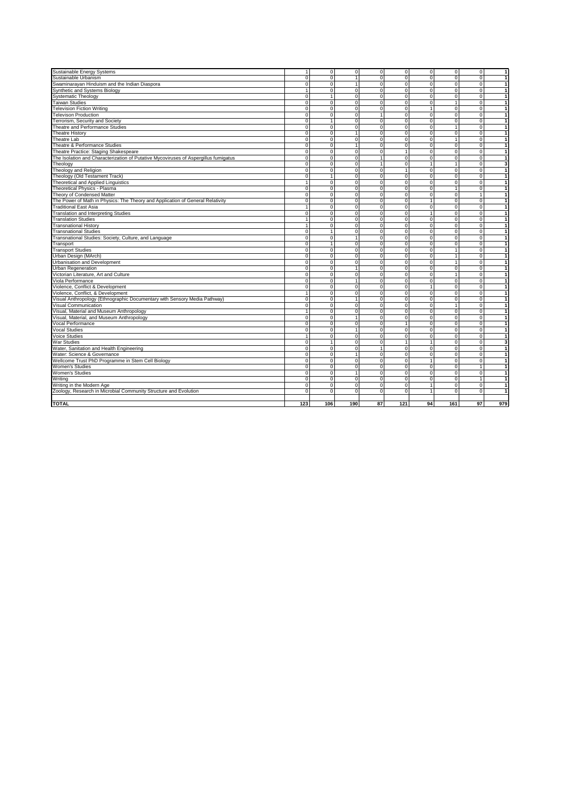| Sustainable Energy Systems                                                          | $\mathbf{1}$        | $\overline{0}$                 | $\mathbf{0}$                  | $\overline{0}$             | ō                       | $\overline{0}$                | $\overline{0}$                 | $\overline{0}$             | -1                             |
|-------------------------------------------------------------------------------------|---------------------|--------------------------------|-------------------------------|----------------------------|-------------------------|-------------------------------|--------------------------------|----------------------------|--------------------------------|
| Sustainable Urbanism                                                                | $\overline{0}$      | $\overline{0}$                 | $\mathbf{1}$                  | $\Omega$                   | $\overline{0}$          | $\overline{0}$                | $\overline{0}$                 | $\overline{0}$             | $\overline{1}$                 |
| Swaminarayan Hinduism and the Indian Diaspora                                       | $\mathbf 0$         | $\overline{0}$                 | $\overline{1}$                | $\mathbf 0$                | $\mathbf 0$             | $\mathbf 0$                   | $\mathbf 0$                    | $\Omega$                   | $\mathbf{1}$                   |
| Synthetic and Systems Biology                                                       | 1                   | $\mathbf{0}$                   | $\mathbf{0}$                  | $\mathbf 0$                | $\mathbf 0$             | $\mathbf 0$                   | $\overline{0}$                 | $\Omega$                   | $\overline{1}$                 |
| <b>Systematic Theology</b>                                                          | $\overline{0}$      | $\overline{1}$                 | $\Omega$                      | $\Omega$                   | $\overline{0}$          | $\overline{0}$                | $\overline{0}$                 | $\overline{0}$             | $\overline{1}$                 |
| <b>Taiwan Studies</b>                                                               | $\mathbf 0$         | $\Omega$                       | $\Omega$                      | $\Omega$                   | $\Omega$                | $\mathbf 0$                   | $\mathbf{1}$                   | $\Omega$                   | $\mathbf{1}$                   |
| <b>Television Fiction Writing</b>                                                   | $\mathbf 0$         | $\mathbf{0}$                   | $\mathbf 0$                   | $\overline{0}$             | $\mathbf 0$             | $\mathbf{1}$                  | $\overline{0}$                 | $\Omega$                   | $\overline{1}$                 |
| <b>Televison Production</b>                                                         | 0                   | $\overline{0}$                 | $\mathbf 0$                   | $\mathbf{1}$               | $\mathbf 0$             | $\mathbf 0$                   | 0                              | $\Omega$                   | $\mathbf{1}$                   |
| Terrorism, Security and Society                                                     | $\overline{0}$      | $\overline{1}$                 | $\overline{0}$                | $\Omega$                   | $\overline{0}$          | $\overline{0}$                | $\overline{0}$                 | $\overline{0}$             | $\overline{1}$                 |
| Theatre and Performance Studies                                                     | $\mathbf 0$         | $\mathbf{0}$                   | $\mathbf 0$                   | $\mathbf 0$                | $\mathbf 0$             | 0                             | $\mathbf{1}$                   | $\Omega$                   | $\mathbf{1}$                   |
| <b>Theatre History</b>                                                              | 0                   | $\mathbf{0}$                   | $\overline{1}$                | $\Omega$                   | $\Omega$                | $\Omega$                      | $\mathbf 0$                    | $\Omega$                   | $\vert$ 1                      |
| Theatre Lab                                                                         | $\overline{0}$      | $\overline{0}$                 | $\Omega$                      | $\Omega$                   | $\overline{0}$          | $\overline{0}$                | $\overline{1}$                 | $\overline{0}$             | $\overline{1}$                 |
| Theatre & Performance Studies                                                       | $\mathbf 0$         | $\mathbf{0}$                   | $\mathbf{1}$                  | $\mathbf 0$                | $\mathbf 0$             | $\mathbf 0$                   | $\overline{0}$                 | $\Omega$                   | $\mathbf{1}$                   |
| Theatre Practice: Staging Shakespeare                                               | $\overline{0}$      | $\mathbf{0}$                   | $\Omega$                      | $\Omega$                   | $\mathbf{1}$            | $\overline{0}$                | $\overline{0}$                 | $\Omega$                   | $\vert$ 1                      |
| The Isolation and Characterization of Putative Mycoviruses of Aspergillus fumigatus | 0                   | $\mathbf{0}$                   | $\mathbf{0}$                  | $\mathbf{1}$               | $\mathbf 0$             | $\mathbf 0$                   | $\pmb{0}$                      | $\Omega$                   | $\overline{1}$                 |
| Theology                                                                            | $\overline{0}$      | $\overline{0}$                 | $\overline{0}$                | $\overline{1}$             | $\overline{0}$          | $\overline{1}$                | $\overline{1}$                 | $\overline{0}$             | $\overline{\mathbf{3}}$        |
| Theology and Religion                                                               | $\mathbf 0$         | $\mathbf{0}$                   | $\mathbf 0$                   | $\mathbf 0$                | $\mathbf{1}$            | $\mathbf 0$                   | $\overline{0}$                 | $\Omega$                   | $\overline{1}$                 |
| Theology (Old Testament Track)                                                      | 0                   | $\mathbf{1}$                   | $\mathbf 0$                   | $\mathbf 0$                | $\mathbf 0$             | $\mathbf 0$                   | $\mathbf 0$                    | $\Omega$                   | $\overline{1}$                 |
| Theoretical and Applied Linguistics                                                 | $\overline{1}$      | $\overline{0}$                 | $\Omega$                      | $\overline{0}$             | $\overline{\mathbf{0}}$ | $\overline{\mathbf{0}}$       | $\overline{0}$                 | $\overline{0}$             | $\overline{1}$                 |
| Theoretical Physics - Plasma                                                        | $\mathbf 0$         | $\mathbf{0}$                   | $\mathbf 0$                   | $\mathbf 0$                | $\mathbf 0$             | $\mathbf 0$                   | $\mathbf{1}$                   | $\Omega$                   | $\mathbf{1}$                   |
| Theory of Condensed Matter                                                          | $\mathbf 0$         | $\mathbf{0}$                   | $\Omega$                      | $\Omega$                   | $\overline{0}$          | $\overline{\mathbf{0}}$       | $\overline{0}$                 | $\mathbf{1}$               | $\overline{1}$                 |
| The Power of Math in Physics: The Theory and Application of General Relativity      | $\mathbf 0$         | $\mathbf 0$                    | $\Omega$                      | $\mathbf 0$                | $\mathbf 0$             | $\mathbf{1}$                  | $\overline{0}$                 | $\Omega$                   | $\overline{1}$                 |
| <b>Traditional East Asia</b>                                                        | $\overline{1}$      | $\overline{0}$                 | $\overline{0}$                | $\overline{0}$             | $\overline{0}$          | $\overline{0}$                | $\overline{0}$                 | $\overline{0}$             | $\overline{1}$                 |
| Translation and Interpreting Studies                                                | $\mathbf 0$         | $\mathbf{0}$                   | $\mathbf 0$                   | $\mathbf 0$                | $\mathbf 0$             | $\mathbf{1}$                  | $\overline{0}$                 | $\Omega$                   | $\overline{1}$                 |
| <b>Translation Studies</b>                                                          | $\mathbf{1}$        | $\overline{0}$                 | $\mathbf 0$                   | $\mathbf 0$                | $\mathbf 0$             | $\mathbf 0$                   | $\mathbf 0$                    | $\Omega$                   | $\overline{1}$                 |
| <b>Transnational History</b>                                                        | 1                   | $\overline{0}$                 | $\Omega$                      | $\Omega$                   | ō                       | $\overline{0}$                | $\overline{0}$                 | $\overline{0}$             | $\overline{1}$                 |
| <b>Transnational Studies</b>                                                        | $\mathsf 0$         | $\mathbf{1}$                   | $\mathbf 0$                   | $\mathbf 0$                | $\mathbf 0$             | $\mathbf 0$                   | $\overline{0}$                 | $\Omega$                   | $\mathbf{1}$                   |
|                                                                                     | $\Omega$            | $\mathbf{0}$                   | $\overline{1}$                | $\Omega$                   | $\mathbf 0$             | $\mathbf 0$                   | $\mathbf 0$                    | $\Omega$                   | $\vert$ 1                      |
| Transnational Studies: Society, Culture, and Language                               | 0                   | $\overline{1}$                 | $\Omega$                      | $\mathbf 0$                | $\mathbf 0$             | $\mathbf 0$                   | $\mathbf 0$                    | $\Omega$                   | $\overline{1}$                 |
| Transport<br><b>Transport Studies</b>                                               | $\overline{0}$      | $\overline{0}$                 | $\mathbf 0$                   | $\overline{0}$             | $\overline{0}$          | $\overline{\mathbf{0}}$       | $\overline{1}$                 | $\overline{0}$             | $\overline{1}$                 |
| Urban Design (MArch)                                                                | $\overline{0}$      | $\mathbf{0}$                   | $\mathbf 0$                   | $\overline{0}$             | $\overline{0}$          | $\overline{0}$                | $\mathbf{1}$                   | $\Omega$                   | $\overline{1}$                 |
|                                                                                     |                     |                                | $\mathbf 0$                   | $\mathbf 0$                | $\mathbf 0$             | $\mathbf 0$                   | $\mathbf{1}$                   | $\Omega$                   |                                |
| Urbanisation and Development<br><b>Urban Regeneration</b>                           | 0<br>$\overline{0}$ | $\mathbf{0}$<br>$\overline{0}$ | 1                             | $\mathbf 0$                | $\mathbf 0$             | $\overline{0}$                | $\overline{0}$                 | $\overline{0}$             | $\mathbf{1}$<br>$\overline{1}$ |
|                                                                                     | $\mathbf 0$         | $\mathbf{0}$                   |                               | $\mathbf 0$                | $\overline{0}$          | $\mathbf 0$                   | $\mathbf{1}$                   | $\Omega$                   |                                |
| Victorian Literature, Art and Culture<br>Viola Performance                          | $\mathbf 0$         | $\mathbf{0}$                   | $\mathbf 0$<br>$\overline{1}$ | $\overline{0}$             | $\mathbf 0$             | $\mathbf 0$                   | $\mathbf 0$                    | $\Omega$                   | $\mathbf{1}$<br>$\overline{1}$ |
|                                                                                     | $\overline{0}$      | $\overline{0}$                 | $\Omega$                      | $\Omega$                   | $\Omega$                | $\overline{1}$                | $\overline{0}$                 | $\Omega$                   | $\overline{1}$                 |
| Violence, Conflict & Development                                                    | 1                   | $\overline{0}$                 | $\mathbf 0$                   | $\overline{0}$             | $\overline{0}$          | $\overline{0}$                | $\overline{0}$                 | $\overline{0}$             | $\overline{1}$                 |
| Violence, Conflict, & Development                                                   |                     |                                |                               | $\overline{0}$             | $\overline{0}$          |                               |                                |                            |                                |
| Visual Anthropology (Ethnographic Documentary with Sensory Media Pathway)           | $\mathbf 0$<br>0    | $\mathbf{0}$<br>$\mathbf{0}$   | $\overline{1}$                | $\mathbf 0$                | $\mathbf 0$             | $\overline{0}$<br>$\mathbf 0$ | $\overline{0}$<br>$\mathbf{1}$ | $\overline{0}$<br>$\Omega$ | $\overline{1}$                 |
| Visual Communication                                                                | $\overline{1}$      | $\overline{0}$                 | $\mathbf 0$<br>$\overline{0}$ | $\overline{0}$             | $\overline{0}$          | $\overline{0}$                | $\overline{0}$                 | $\overline{0}$             | $\mathbf{1}$<br>$\overline{1}$ |
| Visual, Material and Museum Anthropology                                            |                     |                                | $\overline{1}$                | $\overline{0}$             | $\overline{0}$          |                               |                                |                            |                                |
| Visual, Material, and Museum Anthropology                                           | $\mathsf 0$         | $\mathbf{0}$                   |                               |                            |                         | 0                             | $\overline{0}$                 | $\Omega$                   | $\mathbf{1}$                   |
| Vocal Performance                                                                   | $\mathbf 0$         | $\overline{0}$                 | $\mathbf 0$                   | $\overline{0}$<br>$\Omega$ | $\mathbf{1}$            | $\mathbf 0$                   | $\mathbf 0$                    | $\Omega$<br>$\Omega$       | $\vert$ 1<br>$\overline{1}$    |
| <b>Vocal Studies</b>                                                                | $\mathbf 0$         | $\mathbf{0}$                   | $\overline{1}$                |                            | $\mathbf 0$             | $\mathbf 0$                   | $\overline{0}$                 |                            |                                |
| <b>Voice Studies</b>                                                                | 1                   | $\overline{0}$                 | $\mathbf 0$                   | $\overline{0}$             | $\overline{0}$          | $\overline{0}$                | $\overline{0}$                 | $\overline{0}$             | $\overline{1}$                 |
| War Studies                                                                         | $\overline{0}$      | $\mathbf{1}$                   | $\Omega$                      | $\overline{0}$             | $\mathbf{1}$            | $\mathbf{1}$                  | $\overline{0}$                 | $\overline{0}$             | 3                              |
| Water, Sanitation and Health Engineering                                            | $\mathbf 0$         | $\mathbf{0}$                   | $\mathbf{0}$                  | $\mathbf{1}$               | $\mathbf 0$             | $\mathbf 0$                   | $\mathbf 0$                    | $\Omega$                   | $\overline{1}$                 |
| Water: Science & Governance                                                         | $\overline{0}$      | $\overline{0}$                 | $\overline{1}$                | $\overline{0}$             | $\overline{0}$          | $\overline{0}$                | $\overline{0}$                 | $\overline{0}$             | $\overline{1}$                 |
| Wellcome Trust PhD Programme in Stem Cell Biology                                   | $\mathbf 0$         | $\mathbf{0}$                   | $\mathbf 0$                   | $\overline{0}$             | $\overline{0}$          | $\mathbf{1}$                  | $\overline{0}$                 | $\Omega$                   | $\mathbf{1}$                   |
| <b>Women's Studies</b>                                                              | $\mathbf 0$         | $\mathbf 0$                    | $\mathbf 0$                   | $\overline{0}$             | $\mathbf 0$             | 0                             | 0                              | $\mathbf{1}$               | $\mathbf{1}$                   |
| <b>Women's Studies</b>                                                              | 0                   | $\mathbf{0}$                   | $\overline{1}$                | $\Omega$                   | $\Omega$                | $\Omega$                      | $\Omega$                       | $\Omega$                   | $\vert$                        |
| Writing                                                                             | $\overline{0}$      | $\overline{0}$                 | $\mathbf 0$                   | $\overline{0}$             | $\overline{0}$          | $\overline{0}$                | $\overline{0}$                 | 1                          | $\overline{1}$                 |
| Writing in the Modern Age                                                           | $\mathbf 0$         | $\mathbf{0}$                   | $\mathbf 0$                   | $\mathbf 0$                | $\mathbf 0$             | $\mathbf{1}$                  | $\pmb{0}$                      | $\Omega$                   | $\mathbf{1}$                   |
| Zoology, Research in Microbial Community Structure and Evolution                    | $\Omega$            | $\Omega$                       | $\Omega$                      | $\Omega$                   | $\Omega$                | $\mathbf{1}$                  | $\mathbf 0$                    | $\Omega$                   | $\mathbf{1}$                   |
|                                                                                     |                     |                                |                               |                            |                         |                               |                                |                            |                                |
| <b>TOTAL</b>                                                                        | 123                 | 106                            | 190                           | 87                         | 121                     | 94                            | 161                            | 97                         | 979                            |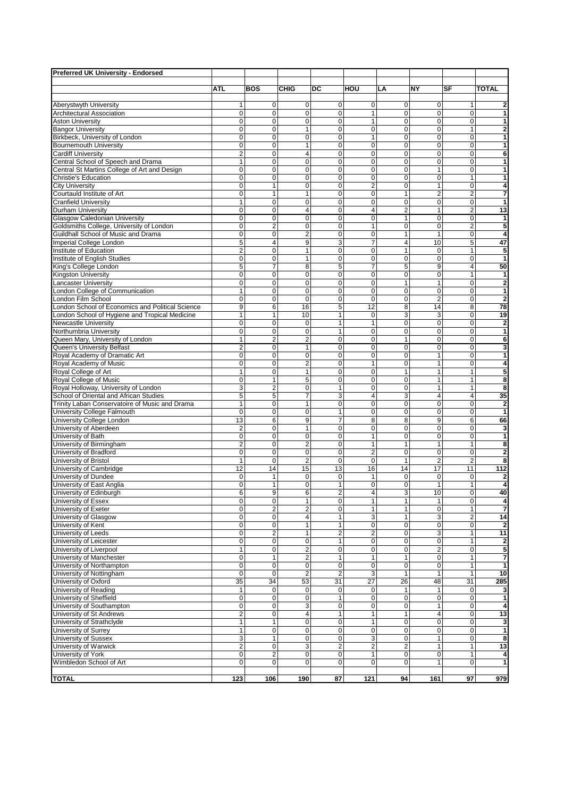| Preferred UK University - Endorsed                                            |                                      |                                        |                                           |                               |                               |                                  |                                        |                                  |                                |
|-------------------------------------------------------------------------------|--------------------------------------|----------------------------------------|-------------------------------------------|-------------------------------|-------------------------------|----------------------------------|----------------------------------------|----------------------------------|--------------------------------|
|                                                                               | ATL                                  | <b>BOS</b>                             | <b>CHIG</b>                               | DC                            | HOU                           | LA                               | <b>NY</b>                              | SF                               | <b>TOTAL</b>                   |
|                                                                               |                                      |                                        |                                           |                               |                               |                                  |                                        |                                  |                                |
| Aberystwyth University                                                        | 1                                    | 0                                      | $\overline{0}$                            | 0                             | $\overline{0}$                | $\mathbf 0$                      | 0                                      | $\mathbf{1}$                     | $\overline{\mathbf{c}}$        |
| <b>Architectural Association</b>                                              | 0                                    | $\mathbf 0$                            | $\mathbf{0}$                              | $\mathbf 0$                   | 1                             | $\mathbf 0$                      | $\pmb{0}$                              | $\pmb{0}$                        | $\overline{1}$                 |
| <b>Aston University</b><br><b>Bangor University</b>                           | 0<br>0                               | $\mathbf 0$<br>$\mathbf 0$             | $\mathbf{0}$<br>$\mathbf{1}$              | $\mathbf 0$<br>0              | 1<br>0                        | $\mathbf 0$<br>$\mathbf 0$       | 0<br>0                                 | $\overline{0}$<br>$\mathbf{1}$   | 1<br>$\bf{2}$                  |
| Birkbeck, University of London                                                | 0                                    | $\mathbf 0$                            | $\mathbf{0}$                              | 0                             | 1                             | $\mathbf 0$                      | $\mathbf 0$                            | $\mathbf 0$                      | 1                              |
| <b>Bournemouth University</b>                                                 | 0                                    | $\mathbf 0$                            | $\mathbf{1}$                              | $\mathbf 0$                   | $\mathbf 0$                   | $\mathbf 0$                      | 0                                      | 0                                | $\mathbf{1}$                   |
| <b>Cardiff University</b>                                                     | $\overline{c}$                       | $\mathbf 0$                            | $\overline{4}$                            | 0                             | 0                             | $\mathbf 0$                      | $\mathbf 0$                            | $\overline{0}$                   | 6                              |
| Central School of Speech and Drama                                            | $\mathbf{1}$<br>0                    | $\mathbf 0$<br>$\mathbf 0$             | $\mathbf{0}$<br>$\mathbf{0}$              | 0<br>$\overline{0}$           | 0<br>0                        | $\overline{0}$<br>$\overline{0}$ | $\mathbf 0$<br>$\mathbf{1}$            | $\overline{0}$<br>$\mathbf 0$    | $\mathbf{1}$<br>1              |
| Central St Martins College of Art and Design<br>Christie's Education          | 0                                    | $\mathbf 0$                            | $\Omega$                                  | 0                             | 0                             | $\mathbf 0$                      | $\mathbf 0$                            | $\mathbf{1}$                     | 1                              |
| City University                                                               | $\overline{0}$                       | $\mathbf{1}$                           | $\mathbf{0}$                              | $\overline{0}$                | $\overline{2}$                | $\overline{0}$                   | 1                                      | 0                                | 4                              |
| Courtauld Institute of Art                                                    | 0                                    | $\mathbf{1}$                           | $\mathbf{1}$                              | $\mathbf 0$                   | 0                             | $\mathbf{1}$                     | $\overline{2}$                         | $\overline{2}$                   | 7                              |
| <b>Cranfield University</b>                                                   | 1                                    | $\mathbf 0$                            | $\mathbf{0}$                              | 0                             | $\mathbf 0$                   | $\mathbf 0$                      | $\mathbf 0$                            | $\overline{0}$                   | $\mathbf{1}$                   |
| Durham University                                                             | $\pmb{0}$<br>$\overline{0}$          | 0<br>$\mathbf 0$                       | $\overline{4}$<br>$\overline{0}$          | $\mathbf 0$<br>$\overline{0}$ | 4<br>$\overline{0}$           | $\overline{2}$<br>$\overline{1}$ | 1<br>0                                 | $\overline{2}$<br>0              | 13<br>$\overline{\mathbf{1}}$  |
| Glasgow Caledonian University<br>Goldsmiths College, University of London     | 0                                    | $\overline{2}$                         | $\mathbf{0}$                              | 0                             | 1                             | $\mathbf 0$                      | 0                                      | $\overline{\mathbf{c}}$          | 5                              |
| Guildhall School of Music and Drama                                           | 0                                    | $\mathbf 0$                            | $\overline{2}$                            | 0                             | $\mathbf 0$                   | $\mathbf{1}$                     | $\mathbf{1}$                           | $\mathbf 0$                      | 4                              |
| Imperial College London                                                       | $\overline{5}$                       | $\overline{4}$                         | 9                                         | $\overline{3}$                | $\overline{7}$                | $\overline{\mathbf{4}}$          | 10                                     | 5                                | 47                             |
| Institute of Education                                                        | $\overline{\mathbf{c}}$              | $\mathbf 0$                            | $\mathbf{1}$                              | 0                             | 0                             | 1                                | $\mathbf 0$                            | $\mathbf{1}$                     | 5                              |
| Institute of English Studies                                                  | 0<br>$\overline{5}$                  | $\mathbf 0$<br>7                       | $\mathbf{1}$<br>8                         | $\mathbf 0$<br>$\overline{5}$ | 0<br>7                        | $\mathbf 0$<br>$\overline{5}$    | 0<br>9                                 | $\overline{0}$<br>$\overline{4}$ | $\mathbf{1}$<br>50             |
| King's College London<br>Kingston University                                  | 0                                    | $\mathbf 0$                            | $\mathbf{0}$                              | $\mathbf 0$                   | $\mathbf 0$                   | $\mathbf 0$                      | 0                                      | $\mathbf{1}$                     | $\mathbf{1}$                   |
| Lancaster University                                                          | 0                                    | $\mathbf 0$                            | $\mathbf 0$                               | 0                             | 0                             | $\mathbf{1}$                     | 1                                      | $\mathbf 0$                      | $\overline{\mathbf{2}}$        |
| London College of Communication                                               | $\mathbf{1}$                         | 0                                      | $\mathbf{0}$                              | 0                             | $\mathbf 0$                   | $\mathbf 0$                      | 0                                      | $\mathbf 0$                      | 1                              |
| London Film School                                                            | $\pmb{0}$                            | $\mathbf 0$                            | $\mathbf{0}$                              | $\mathbf 0$                   | $\mathbf 0$                   | $\mathbf 0$                      | $\overline{2}$                         | $\overline{0}$                   | $\overline{\mathbf{2}}$        |
| London School of Economics and Political Science                              | 9                                    | 6                                      | 16                                        | 5                             | 12                            | 8                                | 14                                     | 8                                | 78                             |
| London School of Hygiene and Tropical Medicine<br>Newcastle University        | $\mathbf{1}$<br>$\mathbf 0$          | $\mathbf{1}$<br>$\mathbf 0$            | 10<br>$\mathbf 0$                         | $\mathbf{1}$<br>$\mathbf{1}$  | $\mathbf 0$<br>1              | 3<br>$\mathbf 0$                 | 3<br>0                                 | $\overline{0}$<br>$\mathbf 0$    | 19<br>$\mathbf{2}$             |
| Northumbria University                                                        | 0                                    | $\mathbf 0$                            | $\mathbf{0}$                              | $\mathbf{1}$                  | $\mathbf 0$                   | $\mathbf 0$                      | $\mathbf 0$                            | $\Omega$                         | 1                              |
| Queen Mary, University of London                                              | $\overline{1}$                       | $\overline{2}$                         | $\overline{2}$                            | $\mathbf 0$                   | 0                             | $\overline{1}$                   | $\mathbf 0$                            | $\mathbf 0$                      | 6                              |
| Queen's University Belfast                                                    | $\overline{c}$                       | 0                                      | $\mathbf{1}$                              | $\mathbf 0$                   | 0                             | $\mathbf 0$                      | 0                                      | $\pmb{0}$                        | 3                              |
| Royal Academy of Dramatic Art<br>Royal Academy of Music                       | 0<br>$\overline{0}$                  | $\mathbf 0$<br>0                       | $\mathbf{0}$<br>$\overline{2}$            | 0<br>$\overline{0}$           | 0<br>1                        | $\mathbf 0$<br>$\overline{0}$    | 1<br>1                                 | $\overline{0}$<br>$\mathbf 0$    | $\mathbf{1}$<br>$\overline{4}$ |
| Royal College of Art                                                          | 1                                    | $\mathbf 0$                            | $\mathbf{1}$                              | $\mathbf 0$                   | 0                             | $\mathbf{1}$                     | $\mathbf{1}$                           | $\mathbf{1}$                     | 5                              |
| Royal College of Music                                                        | 0                                    | $\mathbf{1}$                           | 5                                         | 0                             | 0                             | $\mathbf 0$                      | $\mathbf{1}$                           | $\mathbf{1}$                     | 8                              |
| Royal Holloway, University of London                                          | $\overline{3}$                       | $\overline{2}$                         | $\mathbf{0}$                              | 1                             | $\mathbf 0$                   | $\mathbf 0$                      | $\mathbf{1}$                           | $\mathbf{1}$                     | 8                              |
| School of Oriental and African Studies                                        | 5                                    | 5                                      | $\overline{7}$                            | 3                             | 4                             | 3                                | 4                                      | $\overline{4}$                   | 35                             |
| Trinity Laban Conservatoire of Music and Drama<br>University College Falmouth | $\mathbf{1}$<br>$\pmb{0}$            | $\mathbf 0$<br>$\mathbf 0$             | $\mathbf{1}$<br>$\mathbf{0}$              | 0<br>1                        | 0<br>0                        | $\mathbf 0$<br>$\mathbf 0$       | $\mathbf 0$<br>0                       | $\overline{0}$<br>$\mathbf{O}$   | $\mathbf{2}$<br>$\mathbf{1}$   |
| University College London                                                     | 13                                   | 6                                      | 9                                         | $\overline{7}$                | 8                             | 8                                | 9                                      | 6                                | 66                             |
| University of Aberdeen                                                        | $\overline{2}$                       | $\mathbf 0$                            | 1                                         | 0                             | 0                             | $\mathbf 0$                      | 0                                      | 0                                | 3                              |
| University of Bath                                                            | $\pmb{0}$                            | 0                                      | $\mathbf{0}$                              | $\mathbf 0$                   | 1                             | $\mathbf 0$                      | $\mathbf 0$                            | $\mathbf 0$                      | $\mathbf{1}$                   |
| University of Birmingham                                                      | $\overline{c}$                       | 0                                      | $\overline{2}$                            | $\mathbf 0$                   | 1                             | $\mathbf{1}$                     | 1                                      | $\mathbf{1}$                     | 8                              |
| University of Bradford<br>University of Bristol                               | $\pmb{0}$<br>1                       | $\mathbf 0$<br>0                       | $\pmb{0}$<br>$\overline{2}$               | $\mathbf 0$<br>0              | $\overline{c}$<br>$\mathbf 0$ | $\mathbf 0$<br>$\mathbf{1}$      | $\mathbf 0$<br>$\overline{2}$          | $\mathbf 0$<br>$\overline{2}$    | $\bf{2}$<br>8                  |
| University of Cambridge                                                       | 12                                   | 14                                     | 15                                        | 13                            | 16                            | 14                               | 17                                     | 11                               | $\frac{1}{112}$                |
| University of Dundee                                                          | 0                                    | 1                                      | 0                                         | 0                             | 1                             | $\mathbf 0$                      | 0                                      | 0                                | $\mathbf 2$                    |
| University of East Anglia                                                     | 0                                    | $\mathbf{1}$                           | $\mathbf{0}$                              | 1                             | 0                             | 0                                | $\mathbf{1}$                           | $\mathbf{1}$                     | 4                              |
| University of Edinburgh                                                       | $6\overline{6}$                      | 9                                      | 6                                         | $\overline{c}$                | 4                             | 3                                | 10                                     | 0                                | 40                             |
| University of Essex<br>University of Exeter                                   | 0<br>0                               | $\pmb{0}$<br>$\overline{2}$            | $\mathbf{1}$<br>$\overline{2}$            | 0<br>0                        | 1<br>1                        | $\mathbf{1}$<br>$\mathbf{1}$     | $\mathbf{1}$<br>$\mathbf 0$            | $\mathbf 0$<br>$\mathbf{1}$      | 4<br>7                         |
| University of Glasgow                                                         | 0                                    | $\mathbf 0$                            | $\overline{\mathbf{4}}$                   | 1                             | 3                             | $\mathbf{1}$                     | 3                                      | $\overline{a}$                   | 14                             |
| University of Kent                                                            | 0                                    | $\pmb{0}$                              | $\mathbf{1}$                              | 1                             | 0                             | $\mathbf 0$                      | 0                                      | $\mathbf 0$                      | $\overline{\mathbf{2}}$        |
| University of Leeds                                                           | 0                                    | $\overline{2}$                         | 1                                         | $\overline{c}$                | $\overline{c}$                | $\mathbf 0$                      | 3                                      | $\mathbf{1}$                     | 11                             |
| University of Leicester                                                       | $\overline{0}$                       | $\mathbf 0$                            | $\mathbf 0$                               | $\mathbf{1}$                  | $\mathbf 0$<br>$\overline{0}$ | $\overline{0}$<br>$\pmb{0}$      | 0                                      | $\mathbf{1}$                     | 2                              |
| University of Liverpool<br>University of Manchester                           | $\mathbf{1}$<br>$\pmb{0}$            | 0<br>1                                 | $\overline{2}$<br>$\overline{\mathbf{c}}$ | 0<br>1                        | 1                             | $\mathbf{1}$                     | $\overline{\mathbf{c}}$<br>$\mathbf 0$ | $\mathbf 0$<br>$\mathbf{1}$      | 5<br>7                         |
| University of Northampton                                                     | $\overline{0}$                       | $\pmb{0}$                              | $\mathbf 0$                               | $\overline{0}$                | $\pmb{0}$                     | $\overline{0}$                   | 0                                      | $\mathbf{1}$                     | 1                              |
| University of Nottingham                                                      | $\overline{0}$                       | $\mathbf 0$                            | $\overline{2}$                            | $\overline{2}$                | $\overline{3}$                | $\mathbf{1}$                     | $\mathbf{1}$                           | $\mathbf{1}$                     | 10                             |
| University of Oxford                                                          | 35                                   | $\overline{34}$                        | 53                                        | 31                            | $\overline{27}$               | $\overline{26}$                  | 48                                     | 31                               | 285                            |
| University of Reading                                                         | $\mathbf{1}$                         | 0                                      | $\mathbf{0}$                              | $\mathbf 0$                   | $\mathbf 0$                   | $\mathbf{1}$                     | 1                                      | $\mathbf 0$                      | 3                              |
| University of Sheffield<br>University of Southampton                          | $\pmb{0}$<br>0                       | 0<br>$\mathbf 0$                       | $\mathbf 0$<br>3                          | $\mathbf{1}$<br>0             | $\pmb{0}$<br>0                | $\mathbf 0$<br>0                 | 0                                      | $\mathbf 0$<br>$\overline{0}$    | 1<br>4                         |
| University of St Andrews                                                      | $\overline{\mathbf{c}}$              | 0                                      | $\overline{4}$                            | $\mathbf{1}$                  | 1                             | $\mathbf{1}$                     | 4                                      | $\mathbf 0$                      | 13                             |
| University of Strathclyde                                                     | $\mathbf{1}$                         | 1                                      | $\mathbf{0}$                              | 0                             | 1                             | $\mathbf 0$                      | 0                                      | $\mathbf{O}$                     | 3                              |
| University of Surrey                                                          | $\mathbf{1}$                         | 0                                      | $\mathbf 0$                               | $\mathbf 0$                   | 0                             | $\mathbf 0$                      | 0                                      | $\mathbf 0$                      | 1                              |
| University of Sussex                                                          | 3                                    | 1                                      | $\mathbf 0$                               | 0                             | 3                             | $\pmb{0}$                        | 1                                      | $\mathbf 0$                      | 8                              |
| University of Warwick<br>University of York                                   | $\overline{\mathbf{c}}$<br>$\pmb{0}$ | $\mathbf 0$<br>$\overline{\mathbf{c}}$ | 3<br>$\mathbf 0$                          | $\overline{c}$<br>0           | 2<br>1                        | $\overline{2}$<br>$\pmb{0}$      | 1<br>0                                 | 1<br>$\mathbf{1}$                | 13<br>4                        |
| Wimbledon School of Art                                                       | $\overline{0}$                       | 0                                      | $\overline{0}$                            | 0                             | 0                             | 0                                | 1                                      | $\mathbf 0$                      | $\mathbf{1}$                   |
|                                                                               |                                      |                                        |                                           |                               |                               |                                  |                                        |                                  |                                |
| <b>TOTAL</b>                                                                  | 123                                  | 106                                    | 190                                       | 87                            | $\overline{121}$              | 94                               | 161                                    | 97                               | 979                            |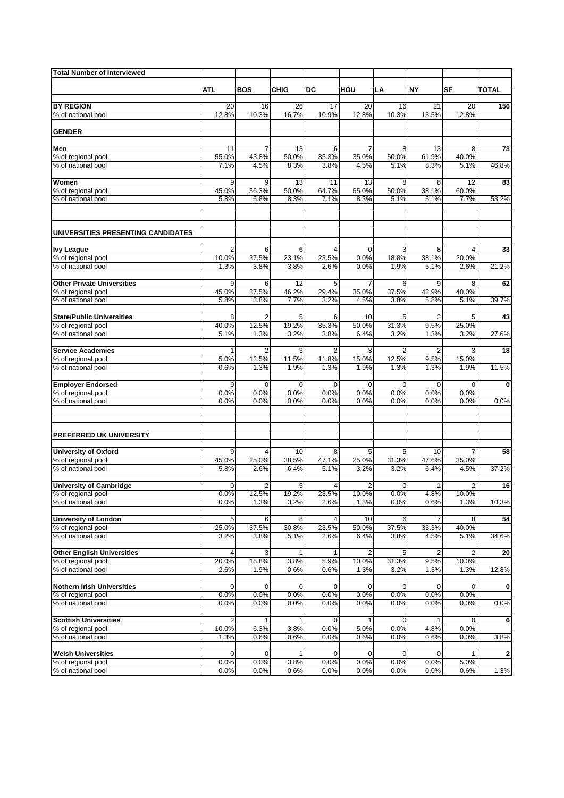| <b>Total Number of Interviewed</b>                 |                         |                      |                      |                     |                |                     |                |                         |                         |
|----------------------------------------------------|-------------------------|----------------------|----------------------|---------------------|----------------|---------------------|----------------|-------------------------|-------------------------|
|                                                    | ATL                     | <b>BOS</b>           | <b>CHIG</b>          | DC                  | HOU            | LA                  | ΝY             | SF                      | <b>TOTAL</b>            |
|                                                    |                         |                      |                      |                     |                |                     |                |                         |                         |
| <b>BY REGION</b>                                   | 20                      | 16                   | 26                   | 17                  | 20             | 16                  | 21             | 20                      | 156                     |
| % of national pool                                 | 12.8%                   | 10.3%                | 16.7%                | 10.9%               | 12.8%          | 10.3%               | 13.5%          | 12.8%                   |                         |
| <b>GENDER</b>                                      |                         |                      |                      |                     |                |                     |                |                         |                         |
|                                                    |                         |                      |                      |                     |                |                     |                |                         |                         |
| Men                                                | 11                      | 7                    | 13                   | 6                   | 7              | 8                   | 13             | 8                       | 73                      |
| % of regional pool                                 | 55.0%                   | 43.8%                | 50.0%                | 35.3%               | 35.0%          | 50.0%               | 61.9%          | 40.0%                   |                         |
| % of national pool                                 | 7.1%                    | 4.5%                 | 8.3%                 | 3.8%                | 4.5%           | 5.1%                | 8.3%           | 5.1%                    | 46.8%                   |
| Women                                              | 9                       | 9                    | 13                   | 11                  | 13             | 8                   | 8              | 12                      | 83                      |
| % of regional pool                                 | 45.0%                   | 56.3%                | 50.0%                | 64.7%               | 65.0%          | 50.0%               | 38.1%          | 60.0%                   |                         |
| % of national pool                                 | 5.8%                    | 5.8%                 | 8.3%                 | 7.1%                | 8.3%           | 5.1%                | 5.1%           | 7.7%                    | 53.2%                   |
|                                                    |                         |                      |                      |                     |                |                     |                |                         |                         |
| UNIVERSITIES PRESENTING CANDIDATES                 |                         |                      |                      |                     |                |                     |                |                         |                         |
|                                                    |                         |                      |                      |                     |                |                     |                |                         |                         |
| <b>Ivy League</b>                                  | 2                       | 6                    | 6                    | 4                   | $\mathbf 0$    | 3                   | 8              | 4                       | 33                      |
| % of regional pool                                 | 10.0%                   | 37.5%                | 23.1%                | 23.5%               | 0.0%           | 18.8%               | 38.1%          | 20.0%                   |                         |
| % of national pool                                 | 1.3%                    | 3.8%                 | 3.8%                 | 2.6%                | 0.0%           | 1.9%                | 5.1%           | 2.6%                    | 21.2%                   |
| <b>Other Private Universities</b>                  | 9                       | 6                    | 12                   | 5                   | $\overline{7}$ | 6                   | 9              | 8                       | 62                      |
| % of regional pool                                 | 45.0%                   | 37.5%                | 46.2%                | 29.4%               | 35.0%          | 37.5%               | 42.9%          | 40.0%                   |                         |
| % of national pool                                 | 5.8%                    | 3.8%                 | 7.7%                 | 3.2%                | 4.5%           | 3.8%                | 5.8%           | 5.1%                    | 39.7%                   |
| <b>State/Public Universities</b>                   | 8                       | $\overline{2}$       | 5                    | 6                   | 10             | 5                   | $\overline{2}$ | 5                       | 43                      |
| % of regional pool                                 | 40.0%                   | 12.5%                | 19.2%                | 35.3%               | 50.0%          | 31.3%               | 9.5%           | 25.0%                   |                         |
| % of national pool                                 | 5.1%                    | 1.3%                 | 3.2%                 | 3.8%                | 6.4%           | 3.2%                | 1.3%           | 3.2%                    | 27.6%                   |
|                                                    |                         |                      |                      |                     |                |                     |                |                         |                         |
| <b>Service Academies</b>                           | $\mathbf{1}$            | 2                    | 3                    | $\overline{2}$      | 3              | $\overline{2}$      | $\overline{2}$ | 3                       | 18                      |
| % of regional pool                                 | 5.0%                    | 12.5%                | 11.5%                | 11.8%               | 15.0%          | 12.5%               | 9.5%           | 15.0%                   |                         |
| % of national pool                                 | 0.6%                    | 1.3%                 | 1.9%                 | 1.3%                | 1.9%           | 1.3%                | 1.3%           | 1.9%                    | 11.5%                   |
| <b>Employer Endorsed</b>                           | $\mathbf 0$             | $\mathbf 0$          | $\mathbf 0$          | $\Omega$            | 0              | $\mathbf 0$         | $\mathbf 0$    | $\Omega$                | $\mathbf 0$             |
| % of regional pool                                 | 0.0%                    | 0.0%                 | 0.0%                 | 0.0%                | 0.0%           | 0.0%                | 0.0%           | 0.0%                    |                         |
| % of national pool                                 | 0.0%                    | 0.0%                 | 0.0%                 | 0.0%                | 0.0%           | 0.0%                | 0.0%           | 0.0%                    | 0.0%                    |
|                                                    |                         |                      |                      |                     |                |                     |                |                         |                         |
| PREFERRED UK UNIVERSITY                            |                         |                      |                      |                     |                |                     |                |                         |                         |
|                                                    |                         |                      |                      |                     |                |                     |                |                         |                         |
| <b>University of Oxford</b>                        | 9                       | 4                    | 10                   | 8                   | 5              | 5                   | 10             | 7                       | 58                      |
| % of regional pool                                 | 45.0%                   | 25.0%                | 38.5%                | 47.1%               | 25.0%          | 31.3%               | 47.6%          | 35.0%                   |                         |
| % of national pool                                 | 5.8%                    | 2.6%                 | 6.4%                 | 5.1%                | 3.2%           | 3.2%                | 6.4%           | 4.5%                    | 37.2%                   |
| <b>University of Cambridge</b>                     | 0                       | 2                    | 5                    | 4                   | $\overline{c}$ | 0                   | 1              | $\overline{\mathbf{c}}$ | 16                      |
| % of regional pool                                 | 0.0%                    | 12.5%                | 19.2%                | 23.5%               | 10.0%          | 0.0%                | 4.8%           | 10.0%                   |                         |
| % of national pool                                 | 0.0%                    | 1.3%                 | 3.2%                 | 2.6%                | 1.3%           | 0.0%                | 0.6%           | 1.3%                    | 10.3%                   |
|                                                    |                         |                      |                      |                     |                |                     |                |                         |                         |
| <b>University of London</b><br>% of regional pool  | 5<br>25.0%              | 6<br>37.5%           | 8<br>30.8%           | 4<br>23.5%          | 10<br>50.0%    | 6<br>37.5%          | 33.3%          | 8<br>40.0%              | 54                      |
| % of national pool                                 | 3.2%                    | 3.8%                 | 5.1%                 | 2.6%                | 6.4%           | 3.8%                | 4.5%           | 5.1%                    | 34.6%                   |
|                                                    |                         |                      |                      |                     |                |                     |                |                         |                         |
| <b>Other English Universities</b>                  | 4                       | 3                    | 1                    | 1                   | 2              | 5                   | 2              | 2                       | 20                      |
| % of regional pool                                 | 20.0%                   | 18.8%                | 3.8%                 | 5.9%                | 10.0%          | 31.3%               | 9.5%           | 10.0%                   |                         |
| % of national pool                                 | 2.6%                    | 1.9%                 | 0.6%                 | 0.6%                | 1.3%           | 3.2%                | 1.3%           | 1.3%                    | 12.8%                   |
| <b>Nothern Irish Universities</b>                  | 0                       | 0                    | 0                    | 0                   | 0              | 0                   | 0              | 0                       | $\mathbf 0$             |
| % of regional pool                                 | 0.0%                    | 0.0%                 | 0.0%                 | 0.0%                | 0.0%           | 0.0%                | 0.0%           | 0.0%                    |                         |
| % of national pool                                 | 0.0%                    | 0.0%                 | 0.0%                 | 0.0%                | 0.0%           | 0.0%                | 0.0%           | 0.0%                    | 0.0%                    |
|                                                    |                         |                      |                      |                     |                |                     |                |                         |                         |
| <b>Scottish Universities</b><br>% of regional pool | $\overline{2}$<br>10.0% | $\mathbf{1}$<br>6.3% | $\mathbf{1}$<br>3.8% | $\mathbf 0$<br>0.0% | 1<br>5.0%      | $\mathbf 0$<br>0.0% | 4.8%           | $\mathbf 0$<br>0.0%     | 6                       |
| % of national pool                                 | 1.3%                    | 0.6%                 | 0.6%                 | 0.0%                | 0.6%           | 0.0%                | 0.6%           | 0.0%                    | 3.8%                    |
|                                                    |                         |                      |                      |                     |                |                     |                |                         |                         |
| <b>Welsh Universities</b>                          | $\mathbf 0$             | 0                    | 1                    | 0                   | 0              | $\mathbf 0$         | 0              |                         | $\overline{\mathbf{2}}$ |
| % of regional pool                                 | 0.0%                    | 0.0%                 | 3.8%                 | 0.0%                | 0.0%           | 0.0%                | 0.0%           | 5.0%                    |                         |
| % of national pool                                 | 0.0%                    | 0.0%                 | 0.6%                 | 0.0%                | 0.0%           | 0.0%                | 0.0%           | 0.6%                    | 1.3%                    |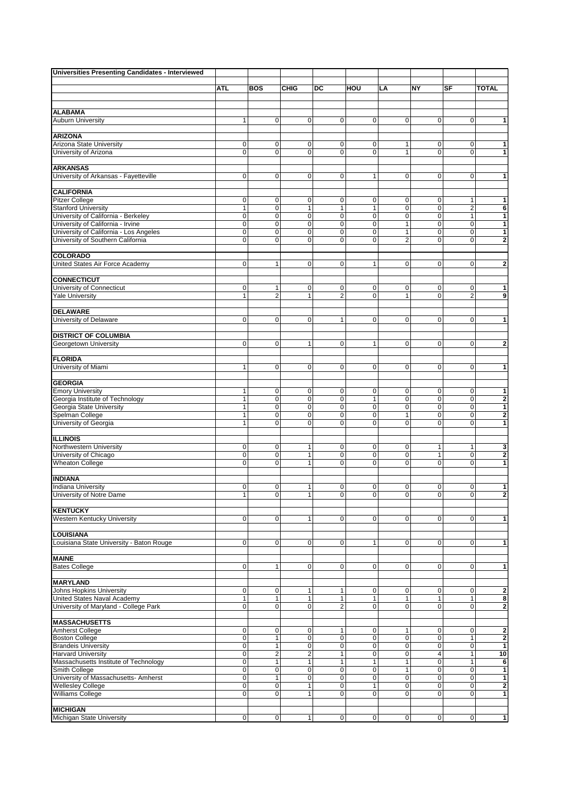| <b>Universities Presenting Candidates - Interviewed</b>                     |                |                             |                               |                |                             |                                |                             |                   |                                         |
|-----------------------------------------------------------------------------|----------------|-----------------------------|-------------------------------|----------------|-----------------------------|--------------------------------|-----------------------------|-------------------|-----------------------------------------|
|                                                                             | <b>ATL</b>     | <b>BOS</b>                  | <b>CHIG</b>                   | DC             | HOU                         | LA                             | NY                          | SF                | <b>TOTAL</b>                            |
|                                                                             |                |                             |                               |                |                             |                                |                             |                   |                                         |
|                                                                             |                |                             |                               |                |                             |                                |                             |                   |                                         |
| <b>ALABAMA</b>                                                              |                |                             |                               |                |                             |                                |                             |                   |                                         |
| <b>Auburn University</b>                                                    | 1              | $\mathbf 0$                 | $\mathbf 0$                   | 0              | $\mathbf 0$                 | $\pmb{0}$                      | 0                           | $\mathbf 0$       | 1                                       |
| <b>ARIZONA</b>                                                              |                |                             |                               |                |                             |                                |                             |                   |                                         |
| Arizona State University                                                    | 0              | 0                           | 0                             | 0              | 0                           | 1                              | 0                           | 0                 | 1                                       |
| University of Arizona                                                       | $\overline{0}$ | $\overline{0}$              | $\mathbf 0$                   | 0              | $\mathbf 0$                 | $\overline{1}$                 | 0                           | $\overline{0}$    | $\mathbf{1}$                            |
| <b>ARKANSAS</b>                                                             |                |                             |                               |                |                             |                                |                             |                   |                                         |
| University of Arkansas - Fayetteville                                       | $\mathbf 0$    | $\mathbf 0$                 | $\mathbf 0$                   | 0              | $\mathbf{1}$                | $\mathbf 0$                    | $\mathbf 0$                 | $\mathbf 0$       | 1                                       |
| <b>CALIFORNIA</b>                                                           |                |                             |                               |                |                             |                                |                             |                   |                                         |
| <b>Pitzer College</b>                                                       | 0              | 0                           | $\mathbf 0$                   | 0              | 0                           | $\pmb{0}$                      | 0                           | 1                 | 1                                       |
| <b>Stanford University</b>                                                  | $\mathbf{1}$   | $\pmb{0}$                   | $\mathbf{1}$                  | $\mathbf{1}$   | $\mathbf{1}$                | $\pmb{0}$                      | $\mathbf 0$                 | $\overline{c}$    | 6                                       |
| University of California - Berkeley                                         | 0              | 0                           | $\mathbf 0$                   | 0              | $\mathbf 0$                 | $\pmb{0}$                      | 0                           | 1                 | 1                                       |
| University of California - Irvine<br>University of California - Los Angeles | 0<br>0         | 0<br>$\overline{0}$         | $\mathbf 0$<br>$\overline{0}$ | 0<br>0         | 0<br>0                      | $\mathbf{1}$<br>$\overline{1}$ | 0<br>0                      | $\mathbf 0$<br>0  | $\mathbf{1}$<br>$\mathbf{1}$            |
| University of Southern California                                           | 0              | $\mathbf 0$                 | $\mathbf 0$                   | 0              | 0                           | $\overline{2}$                 | 0                           | 0                 | $\mathbf 2$                             |
|                                                                             |                |                             |                               |                |                             |                                |                             |                   |                                         |
| <b>COLORADO</b><br>United States Air Force Academy                          | $\mathbf 0$    | $\mathbf{1}$                | $\mathbf 0$                   | $\mathbf 0$    | $\mathbf{1}$                | 0                              | $\mathbf{0}$                | $\mathbf 0$       | $\overline{2}$                          |
|                                                                             |                |                             |                               |                |                             |                                |                             |                   |                                         |
| <b>CONNECTICUT</b>                                                          |                |                             |                               |                |                             |                                |                             |                   |                                         |
| University of Connecticut                                                   | 0              | $\mathbf{1}$                | $\mathbf 0$                   | 0              | 0                           | 0                              | 0                           | 0                 | $\mathbf{1}$                            |
| <b>Yale University</b>                                                      | 1              | $\overline{2}$              | $\mathbf{1}$                  | 2              | $\mathbf 0$                 | $\mathbf{1}$                   | $\mathbf 0$                 | $\overline{2}$    | $\overline{9}$                          |
| <b>DELAWARE</b>                                                             |                |                             |                               |                |                             |                                |                             |                   |                                         |
| University of Delaware                                                      | 0              | $\mathbf 0$                 | $\mathbf 0$                   | $\mathbf{1}$   | 0                           | $\mathbf 0$                    | 0                           | 0                 | $\mathbf{1}$                            |
| <b>DISTRICT OF COLUMBIA</b>                                                 |                |                             |                               |                |                             |                                |                             |                   |                                         |
| Georgetown University                                                       | 0              | 0                           | $\mathbf{1}$                  | $\pmb{0}$      | $\mathbf{1}$                | $\pmb{0}$                      | $\mathbf 0$                 | 0                 | $\overline{\mathbf{c}}$                 |
|                                                                             |                |                             |                               |                |                             |                                |                             |                   |                                         |
| <b>FLORIDA</b>                                                              |                |                             |                               |                |                             |                                |                             |                   |                                         |
| University of Miami                                                         | 1              | $\mathbf 0$                 | $\mathbf 0$                   | $\mathbf 0$    | $\mathbf 0$                 | 0                              | $\mathbf{0}$                | $\mathbf 0$       | $\mathbf{1}$                            |
| <b>GEORGIA</b>                                                              |                |                             |                               |                |                             |                                |                             |                   |                                         |
| <b>Emory University</b>                                                     | 1              | 0                           | $\mathbf 0$                   | 0              | 0                           | $\pmb{0}$                      | 0                           | 0                 | $\overline{\mathbf{1}}$                 |
| Georgia Institute of Technology                                             | 1              | $\mathbf 0$                 | $\mathbf 0$                   | 0              | $\mathbf{1}$                | $\mathbf 0$                    | 0                           | 0                 | $\mathbf 2$                             |
| Georgia State University<br>Spelman College                                 | 1<br>1         | $\overline{0}$<br>$\pmb{0}$ | $\mathbf 0$<br>$\mathbf 0$    | 0<br>0         | 0<br>0                      | $\pmb{0}$<br>$\mathbf{1}$      | 0<br>$\mathbf 0$            | $\mathbf 0$<br>0  | $\mathbf{1}$<br>$\overline{\mathbf{2}}$ |
| University of Georgia                                                       | 1              | $\mathbf 0$                 | $\mathbf 0$                   | 0              | $\mathbf 0$                 | $\mathbf 0$                    | 0                           | $\mathbf 0$       | 1                                       |
|                                                                             |                |                             |                               |                |                             |                                |                             |                   |                                         |
| <b>ILLINOIS</b><br>Northwestern University                                  | 0              | 0                           | $\mathbf{1}$                  | 0              | 0                           | 0                              | 1                           | 1                 | 3                                       |
| University of Chicago                                                       | 0              | $\pmb{0}$                   | $\mathbf{1}$                  | $\mathbf 0$    | 0                           | $\pmb{0}$                      | 1                           | 0                 | $\mathbf 2$                             |
| <b>Wheaton College</b>                                                      | 0              | $\pmb{0}$                   | $\overline{1}$                | 0              | $\mathbf 0$                 | 0                              | 0                           | $\mathbf 0$       | 1                                       |
|                                                                             |                |                             |                               |                |                             |                                |                             |                   |                                         |
| <b>INDIANA</b><br><b>Indiana University</b>                                 | 0              | 0                           | $\mathbf{1}$                  | 0              | 0                           | 0                              | 0                           | 0                 | $\mathbf{1}$                            |
| University of Notre Dame                                                    | 1              | 0                           | 1                             | 0              | 0                           | 0                              | 0                           | 0                 | $\mathbf{z}$                            |
|                                                                             |                |                             |                               |                |                             |                                |                             |                   |                                         |
| <b>KENTUCKY</b><br><b>Western Kentucky University</b>                       |                |                             |                               |                | $\mathbf 0$                 | $\mathbf 0$                    |                             | $\mathbf 0$       | $\mathbf{1}$                            |
|                                                                             | 0              | 0                           | $\mathbf{1}$                  | 0              |                             |                                | 0                           |                   |                                         |
| <b>LOUISIANA</b>                                                            |                |                             |                               |                |                             |                                |                             |                   |                                         |
| Louisiana State University - Baton Rouge                                    | 0              | 0                           | $\mathbf 0$                   | 0              | $\mathbf{1}$                | 0                              | 0                           | 0                 | $\mathbf{1}$                            |
| <b>MAINE</b>                                                                |                |                             |                               |                |                             |                                |                             |                   |                                         |
| <b>Bates College</b>                                                        | $\overline{0}$ | $\mathbf{1}$                | $\mathbf 0$                   | 0              | 0                           | 0                              | $\mathbf{0}$                | 0                 | $\overline{1}$                          |
|                                                                             |                |                             |                               |                |                             |                                |                             |                   |                                         |
| <b>MARYLAND</b>                                                             |                |                             |                               |                |                             |                                |                             |                   |                                         |
| Johns Hopkins University<br>United States Naval Academy                     | 0<br>1         | 0<br>$\mathbf{1}$           | $\mathbf{1}$<br>$\mathbf{1}$  | 1<br>1         | $\mathbf 0$<br>$\mathbf{1}$ | 0<br>$\mathbf{1}$              | $\mathbf 0$<br>$\mathbf{1}$ | 0<br>$\mathbf{1}$ | $\mathbf 2$<br>8                        |
| University of Maryland - College Park                                       | $\overline{0}$ | $\overline{0}$              | $\mathbf 0$                   | $\overline{2}$ | $\mathbf 0$                 | $\overline{0}$                 | $\mathbf{0}$                | $\mathbf 0$       | $\overline{2}$                          |
|                                                                             |                |                             |                               |                |                             |                                |                             |                   |                                         |
| <b>MASSACHUSETTS</b><br><b>Amherst College</b>                              | 0              | 0                           | $\mathbf 0$                   | 1              | 0                           | 1                              | 0                           | 0                 | $\bf{2}$                                |
| <b>Boston College</b>                                                       | 0              | $\mathbf{1}$                | $\mathbf 0$                   | 0              | $\mathbf 0$                 | $\pmb{0}$                      | 0                           | $\mathbf{1}$      | $\mathbf 2$                             |
| <b>Brandeis University</b>                                                  | 0              | $\mathbf{1}$                | $\overline{0}$                | 0              | $\mathbf 0$                 | $\overline{0}$                 | $\mathbf 0$                 | $\mathbf 0$       | $\overline{1}$                          |
| <b>Harvard University</b>                                                   | 0              | $\mathbf 2$                 | $\mathbf 2$                   | 1              | 0                           | $\pmb{0}$                      | 4                           | 1                 | 10                                      |
| Massachusetts Institute of Technology<br>Smith College                      | 0<br>0         | 1<br>$\pmb{0}$              | $\mathbf{1}$<br>$\mathbf 0$   | 1<br>0         | $\mathbf{1}$<br>0           | $\mathbf{1}$<br>$\mathbf{1}$   | 0<br>0                      | 1<br>0            | 6<br>$\mathbf{1}$                       |
| University of Massachusetts- Amherst                                        | 0              | $\overline{1}$              | $\mathbf 0$                   | 0              | $\mathbf 0$                 | $\pmb{0}$                      | 0                           | $\mathbf 0$       | 1                                       |
| <b>Wellesley College</b>                                                    | 0              | $\overline{0}$              | $\overline{1}$                | 0              | $\mathbf{1}$                | 0                              | $\mathbf 0$                 | $\mathbf 0$       | $\mathbf{2}$                            |
| <b>Williams College</b>                                                     | 0              | $\mathbf 0$                 | $\mathbf{1}$                  | 0              | 0                           | $\mathbf 0$                    | 0                           | $\mathbf 0$       | $\mathbf{1}$                            |
| <b>MICHIGAN</b>                                                             |                |                             |                               |                |                             |                                |                             |                   |                                         |
| Michigan State University                                                   | $\overline{0}$ | 0                           | 1                             | 0              | 0                           | 0                              | 0                           | $\mathbf 0$       | $\mathbf{1}$                            |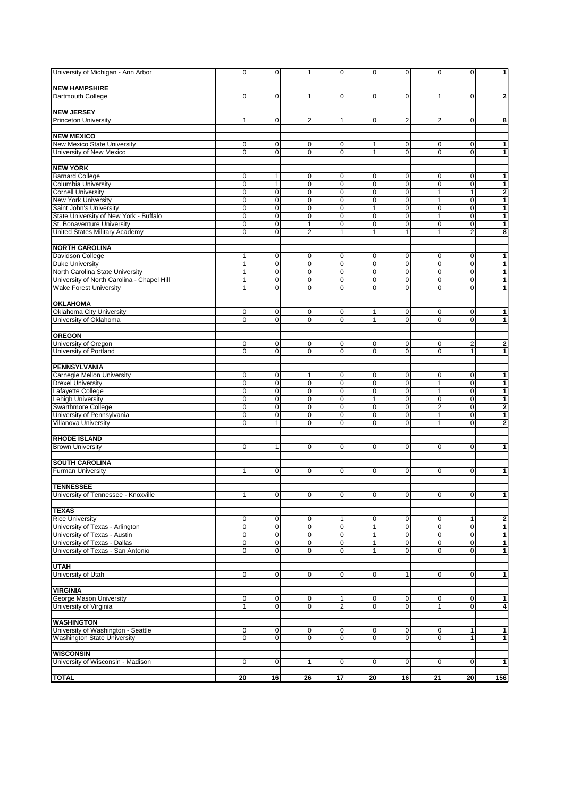| University of Michigan - Ann Arbor                                   | $\overline{\mathbf{0}}$ | 0                        | 1                              | $\overline{0}$   | $\overline{0}$   | $\overline{0}$            | $\mathbf{0}$                | $\overline{0}$                   | $\overline{\mathbf{1}}$ |
|----------------------------------------------------------------------|-------------------------|--------------------------|--------------------------------|------------------|------------------|---------------------------|-----------------------------|----------------------------------|-------------------------|
| <b>NEW HAMPSHIRE</b>                                                 |                         |                          |                                |                  |                  |                           |                             |                                  |                         |
| Dartmouth College                                                    | 0                       | 0                        | $\mathbf{1}$                   | 0                | $\mathbf 0$      | 0                         | 1                           | $\mathbf 0$                      | $\mathbf{2}$            |
|                                                                      |                         |                          |                                |                  |                  |                           |                             |                                  |                         |
| <b>NEW JERSEY</b>                                                    |                         |                          |                                |                  |                  |                           |                             |                                  |                         |
| <b>Princeton University</b>                                          | 1                       | 0                        | 2                              | 1                | $\mathbf 0$      | $\overline{\mathbf{c}}$   | $\overline{2}$              | $\overline{0}$                   | 8                       |
|                                                                      |                         |                          |                                |                  |                  |                           |                             |                                  |                         |
| <b>NEW MEXICO</b>                                                    |                         |                          |                                |                  |                  |                           |                             |                                  |                         |
| New Mexico State University                                          | 0                       | 0                        | $\mathbf 0$                    | 0                | 1                | 0                         | $\mathbf 0$                 | 0                                | $\mathbf{1}$            |
| University of New Mexico                                             | 0                       | $\mathbf 0$              | $\mathbf 0$                    | 0                | 1                | 0                         | $\mathbf 0$                 | $\overline{0}$                   | $\mathbf{1}$            |
|                                                                      |                         |                          |                                |                  |                  |                           |                             |                                  |                         |
| <b>NEW YORK</b>                                                      |                         |                          |                                |                  |                  |                           |                             |                                  |                         |
| <b>Barnard College</b>                                               | 0                       | 1                        | $\mathbf 0$                    | 0                | 0                | 0                         | $\mathbf 0$                 | 0                                | $\mathbf{1}$            |
| Columbia University                                                  | $\pmb{0}$               | $\mathbf{1}$             | $\pmb{0}$                      | $\pmb{0}$        | $\mathbf 0$      | $\pmb{0}$                 | $\mathbf 0$                 | $\overline{0}$                   | $\mathbf{1}$            |
| <b>Cornell University</b>                                            | 0                       | $\overline{0}$           | $\mathbf 0$                    | 0                | $\mathbf 0$      | $\mathbf 0$               | $\mathbf{1}$                | $\mathbf{1}$                     | $\overline{\mathbf{2}}$ |
| <b>New York University</b>                                           | 0                       | $\overline{0}$           | $\overline{0}$                 | 0                | $\mathbf 0$      | 0                         | $\mathbf{1}$                | $\Omega$                         | $\overline{\mathbf{1}}$ |
| Saint John's University                                              | 0                       | 0                        | $\pmb{0}$                      | 0                | 1                | $\mathbf 0$               | $\mathbf 0$                 | 0                                | $\overline{\mathbf{1}}$ |
| State University of New York - Buffalo<br>St. Bonaventure University | 0                       | $\overline{0}$           | $\mathbf 0$                    | 0<br>$\mathbf 0$ | $\mathbf 0$      | 0                         | $\mathbf{1}$<br>$\mathbf 0$ | $\mathbf 0$                      | $\mathbf{1}$            |
| United States Military Academy                                       | $\mathbf 0$<br>0        | $\pmb{0}$<br>$\mathbf 0$ | $\mathbf{1}$<br>$\overline{2}$ | 1                | $\mathbf 0$<br>1 | $\pmb{0}$<br>$\mathbf{1}$ | $\mathbf{1}$                | $\overline{0}$<br>$\overline{2}$ | $\mathbf{1}$<br>8       |
|                                                                      |                         |                          |                                |                  |                  |                           |                             |                                  |                         |
| <b>NORTH CAROLINA</b>                                                |                         |                          |                                |                  |                  |                           |                             |                                  |                         |
| Davidson College                                                     | 1                       | 0                        | $\mathbf 0$                    | 0                | 0                | 0                         | $\mathbf 0$                 | 0                                | $\mathbf{1}$            |
| <b>Duke University</b>                                               | $\mathbf{1}$            | $\pmb{0}$                | $\pmb{0}$                      | $\mathbf 0$      | $\mathbf 0$      | $\pmb{0}$                 | $\mathbf 0$                 | $\overline{0}$                   | $\mathbf{1}$            |
| North Carolina State University                                      | 1                       | 0                        | $\overline{0}$                 | 0                | $\mathbf 0$      | $\mathbf 0$               | $\mathbf 0$                 | $\Omega$                         | $\mathbf{1}$            |
| University of North Carolina - Chapel Hill                           | 1                       | 0                        | $\pmb{0}$                      | 0                | $\mathbf 0$      | 0                         | $\mathbf 0$                 | $\Omega$                         | $\mathbf{1}$            |
| <b>Wake Forest University</b>                                        | 1                       | $\overline{0}$           | $\mathbf 0$                    | 0                | 0                | 0                         | $\Omega$                    | 0                                | $\overline{\mathbf{1}}$ |
|                                                                      |                         |                          |                                |                  |                  |                           |                             |                                  |                         |
| <b>OKLAHOMA</b>                                                      |                         |                          |                                |                  |                  |                           |                             |                                  |                         |
| Oklahoma City University                                             | $\mathbf 0$             | 0                        | $\mathbf 0$                    | 0                | 1                | 0                         | $\mathbf 0$                 | 0                                | $\mathbf{1}$            |
| University of Oklahoma                                               | 0                       | $\mathbf 0$              | $\overline{0}$                 | 0                | 1                | $\overline{0}$            | $\mathbf 0$                 | $\overline{0}$                   | $\mathbf{1}$            |
|                                                                      |                         |                          |                                |                  |                  |                           |                             |                                  |                         |
| <b>OREGON</b>                                                        |                         |                          |                                |                  |                  |                           |                             |                                  |                         |
| University of Oregon                                                 | 0                       | 0                        | $\mathbf 0$                    | 0                | $\mathbf 0$      | 0                         | $\mathbf 0$                 | $\overline{2}$                   | $\mathbf{2}$            |
| University of Portland                                               | 0                       | $\mathbf 0$              | $\overline{0}$                 | 0                | $\mathbf 0$      | 0                         | $\mathbf 0$                 | 1                                | $\overline{1}$          |
|                                                                      |                         |                          |                                |                  |                  |                           |                             |                                  |                         |
| <b>PENNSYLVANIA</b>                                                  |                         |                          |                                |                  |                  |                           |                             |                                  |                         |
| <b>Carnegie Mellon University</b>                                    | 0                       | 0                        | 1                              | 0                | 0                | 0                         | $\mathbf 0$                 | 0                                | 1                       |
| <b>Drexel University</b>                                             | $\mathbf 0$             | $\overline{0}$           | $\pmb{0}$                      | $\mathbf 0$      | $\mathbf 0$      | $\pmb{0}$                 | $\mathbf{1}$                | $\overline{0}$                   | $\mathbf{1}$            |
| Lafayette College                                                    | 0                       | 0                        | $\overline{0}$                 | 0                | $\mathbf 0$      | $\mathbf 0$               | $\mathbf{1}$                | $\Omega$                         | $\mathbf{1}$            |
| Lehigh University                                                    | 0                       | $\pmb{0}$                | $\pmb{0}$                      | 0                | 1                | 0                         | $\mathbf 0$                 | $\overline{0}$                   | $\mathbf{1}$            |
| Swarthmore College                                                   | 0                       | $\overline{0}$           | $\overline{0}$                 | $\overline{0}$   | 0                | $\overline{0}$            | $\overline{2}$              | $\overline{0}$                   | $\overline{\mathbf{2}}$ |
| University of Pennsylvania                                           | 0                       | $\pmb{0}$                | $\mathbf 0$                    | 0                | $\mathbf 0$      | 0                         | 1                           | $\mathbf 0$                      | $\mathbf{1}$            |
| <b>Villanova University</b>                                          | 0                       | $\mathbf{1}$             | $\mathbf 0$                    | $\mathbf 0$      | $\Omega$         | 0                         | $\mathbf{1}$                | $\Omega$                         | $\overline{\mathbf{c}}$ |
|                                                                      |                         |                          |                                |                  |                  |                           |                             |                                  |                         |
| <b>RHODE ISLAND</b><br><b>Brown University</b>                       | 0                       | 1                        | $\mathbf 0$                    | 0                | 0                | 0                         | $\mathbf 0$                 | $\mathbf 0$                      | $\mathbf{1}$            |
|                                                                      |                         |                          |                                |                  |                  |                           |                             |                                  |                         |
| <b>SOUTH CAROLINA</b>                                                |                         |                          |                                |                  |                  |                           |                             |                                  |                         |
| <b>Furman University</b>                                             | 1                       | $\mathbf 0$              | $\mathbf 0$                    | $\mathbf 0$      | $\mathbf 0$      | 0                         | $\mathbf 0$                 | $\overline{0}$                   | $\mathbf{1}$            |
|                                                                      |                         |                          |                                |                  |                  |                           |                             |                                  |                         |
| <b>TENNESSEE</b>                                                     |                         |                          |                                |                  |                  |                           |                             |                                  |                         |
| University of Tennessee - Knoxville                                  | 1                       | 0                        | $\overline{0}$                 | 0                | $\overline{0}$   | 0                         | $\pmb{0}$                   | $\overline{0}$                   | 1                       |
|                                                                      |                         |                          |                                |                  |                  |                           |                             |                                  |                         |
| <b>TEXAS</b>                                                         |                         |                          |                                |                  |                  |                           |                             |                                  |                         |
| <b>Rice University</b>                                               | 0                       | 0                        | $\overline{0}$                 | 1                | 0                | 0                         | $\mathbf 0$                 | $\mathbf{1}$                     | $\mathbf{2}$            |
| University of Texas - Arlington                                      | $\overline{0}$          | $\overline{0}$           | $\overline{0}$                 | $\overline{0}$   | 1                | $\overline{0}$            | $\mathbf 0$                 | $\Omega$                         | $\overline{1}$          |
| University of Texas - Austin                                         | 0                       | $\pmb{0}$                | $\mathbf 0$                    | 0                | 1                | 0                         | $\mathbf 0$                 | $\overline{0}$                   | $\mathbf{1}$            |
| University of Texas - Dallas                                         | 0                       | $\overline{0}$           | $\pmb{0}$                      | 0                | $\mathbf{1}$     | $\mathsf{O}\xspace$       | $\mathbf 0$                 | $\Omega$                         | $\mathbf{1}$            |
| University of Texas - San Antonio                                    | 0                       | 0                        | $\mathbf 0$                    | 0                | $\mathbf{1}$     | $\overline{0}$            | $\mathbf 0$                 | $\overline{0}$                   | $\mathbf{1}$            |
|                                                                      |                         |                          |                                |                  |                  |                           |                             |                                  |                         |
| <b>UTAH</b>                                                          |                         |                          |                                |                  |                  |                           |                             |                                  |                         |
| University of Utah                                                   | 0                       | 0                        | $\mathbf 0$                    | 0                | $\mathbf 0$      | $\mathbf{1}$              | $\mathbf 0$                 | $\mathbf 0$                      | 1                       |
|                                                                      |                         |                          |                                |                  |                  |                           |                             |                                  |                         |
| <b>VIRGINIA</b>                                                      |                         |                          |                                |                  |                  |                           |                             |                                  |                         |
| George Mason University                                              | $\mathbf 0$             | 0                        | $\overline{0}$                 | 1                | 0                | $\mathbf 0$               | $\mathbf 0$                 | $\overline{0}$                   | $\mathbf{1}$            |
| University of Virginia                                               | 1                       | $\overline{0}$           | $\overline{0}$                 | $\overline{2}$   | 0                | 0                         | 1                           | $\overline{0}$                   | $\overline{\mathbf{4}}$ |
| <b>WASHINGTON</b>                                                    |                         |                          |                                |                  |                  |                           |                             |                                  |                         |
| University of Washington - Seattle                                   | 0                       | 0                        | $\overline{0}$                 | 0                | 0                | 0                         | $\mathbf 0$                 | 1                                | $\mathbf{1}$            |
| Washington State University                                          | 0                       | $\pmb{0}$                | $\overline{0}$                 | 0                | $\pmb{0}$        | $\mathbf 0$               | $\mathbf 0$                 | $\mathbf{1}$                     | 1                       |
|                                                                      |                         |                          |                                |                  |                  |                           |                             |                                  |                         |
| <b>WISCONSIN</b>                                                     |                         |                          |                                |                  |                  |                           |                             |                                  |                         |
| University of Wisconsin - Madison                                    | 0                       | 0                        | 1                              | 0                | 0                | $\mathbf 0$               | $\mathbf 0$                 | $\mathbf 0$                      | 1                       |
|                                                                      |                         |                          |                                |                  |                  |                           |                             |                                  |                         |
| <b>TOTAL</b>                                                         | 20                      | 16                       | 26                             | $\overline{17}$  | $\overline{20}$  | 16                        | $\overline{21}$             | 20 <sub>2</sub>                  | 156                     |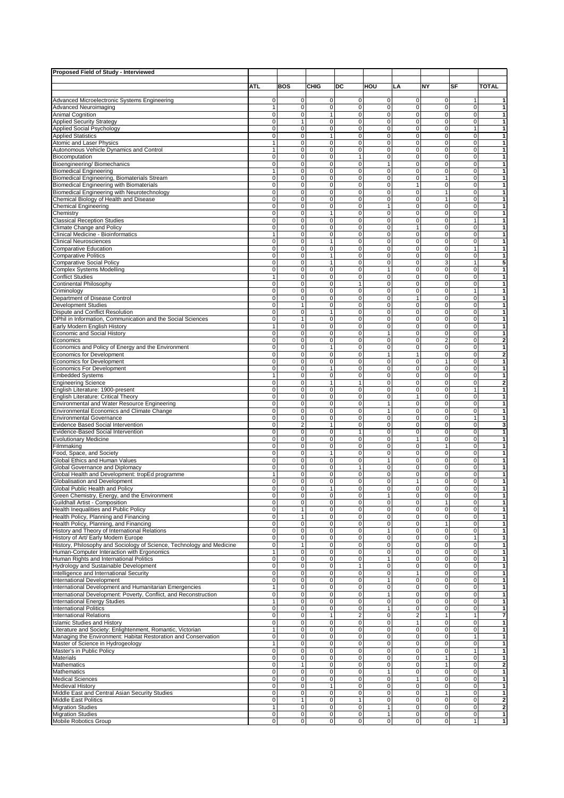| Proposed Field of Study - Interviewed                                                               |                            |                               |                             |                            |                                  |                                      |                                         |                           |                                |
|-----------------------------------------------------------------------------------------------------|----------------------------|-------------------------------|-----------------------------|----------------------------|----------------------------------|--------------------------------------|-----------------------------------------|---------------------------|--------------------------------|
|                                                                                                     |                            |                               |                             |                            |                                  |                                      | NY                                      |                           |                                |
|                                                                                                     | ATL                        | <b>BOS</b>                    | CHIG                        | DC                         | HOU                              | LA                                   |                                         | SF                        | <b>TOTAL</b>                   |
| Advanced Microelectronic Systems Engineering                                                        | 0                          | 0                             | 0                           | 0                          | $\mathbf{0}$                     | $\mathbf 0$                          | $\mathbf 0$                             | 1                         | 1                              |
| <b>Advanced Neuroimaging</b>                                                                        | 1                          | 0                             | 0                           | 0                          | $\overline{0}$                   | $\overline{0}$                       | $\overline{0}$                          | 0                         | $\mathbf{1}$                   |
| Animal Cognition                                                                                    | 0                          | 0                             | 1                           | 0                          | 0                                | $\mathbf 0$                          | $\mathbf 0$                             | 0                         | 1                              |
| <b>Applied Security Strategy</b><br><b>Applied Social Psychology</b>                                | 0<br>$\mathbf 0$           | $\mathbf{1}$<br>0             | 0<br>0                      | 0<br>0                     | 0<br>$\overline{0}$              | $\mathbf 0$<br>$\mathbf 0$           | $\mathbf 0$<br>$\mathbf 0$              | 0<br>$\mathbf{1}$         | $\mathbf{1}$<br>1              |
| <b>Applied Statistics</b>                                                                           | 0                          | 0                             | $\mathbf{1}$                | 0                          | $\overline{0}$                   | $\mathbf 0$                          | $\mathbf 0$                             | 0                         | 1                              |
| <b>Atomic and Laser Physics</b>                                                                     | 1                          | 0                             | 0                           | 0                          | 0                                | 0                                    | $\mathbf 0$                             | $\mathbf 0$               | 1                              |
| Autonomous Vehicle Dynamics and Control                                                             | 1                          | 0                             | $\mathbf 0$                 | 0                          | 0                                | 0                                    | $\mathbf 0$                             | 0                         | 1                              |
| Biocomputation                                                                                      | $\mathbf 0$                | 0                             | $\mathbf 0$                 | $\mathbf{1}$               | 0                                | 0                                    | $\mathbf 0$                             | 0                         | 1                              |
| Bioengineering/ Biomechanics<br><b>Biomedical Engineering</b>                                       | 0<br>$\mathbf{1}$          | 0<br>0                        | $\mathbf 0$<br>0            | 0<br>$\pmb{0}$             | 1<br>$\mathbf 0$                 | 0<br>$\mathbf 0$                     | $\mathbf 0$<br>$\mathbf 0$              | 0<br>0                    | 1<br>$\mathbf{1}$              |
| Biomedical Engineering, Biomaterials Stream                                                         | $\mathbf 0$                | 0                             | $\mathbf 0$                 | 0                          | 0                                | $\mathbf 0$                          | 1                                       | 0                         | $\mathbf{1}$                   |
| Biomedical Engineering with Biomaterials                                                            | $\mathbf 0$                | 0                             | $\mathbf 0$                 | $\mathbf 0$                | $\mathbf 0$                      | $\mathbf{1}$                         | $\mathbf 0$                             | 0                         | $\mathbf{1}$                   |
| Biomedical Engineering with Neurotechnology                                                         | $\mathbf 0$                | 0                             | $\overline{0}$              | 0                          | 0                                | $\overline{0}$                       | $\overline{1}$                          | 0                         | $\overline{1}$                 |
| Chemical Biology of Health and Disease                                                              | $\mathbf 0$                | $\overline{0}$                | $\overline{0}$              | $\mathbf 0$                | $\mathbf{0}$                     | $\overline{0}$                       | $\mathbf{1}$                            | 0                         | $\overline{1}$                 |
| <b>Chemical Engineering</b>                                                                         | $\mathbf 0$                | $\mathbf 0$                   | $\mathbf 0$                 | 0                          | 1                                | 0                                    | $\mathbf{O}$                            | $\mathbf 0$               | $\mathbf{1}$                   |
| Chemistry                                                                                           | $\mathbf 0$<br>$\mathbf 0$ | $\mathbf 0$<br>0              | $\mathbf{1}$<br>$\mathbf 0$ | 0<br>0                     | $\mathbf{0}$<br>0                | $\mathbf 0$<br>$\mathbf 0$           | $\mathbf 0$<br>$\mathbf 0$              | 0<br>$\mathbf{1}$         | $\mathbf{1}$<br>$\mathbf{1}$   |
| <b>Classical Reception Studies</b><br>Climate Change and Policy                                     | $\mathbf 0$                | $\mathbf 0$                   | $\mathbf 0$                 | $\mathbf 0$                | $\mathbf{0}$                     | $\mathbf{1}$                         | $\mathbf 0$                             | $\mathbf 0$               | $\mathbf{1}$                   |
| Clinical Medicine - Bioinformatics                                                                  | $\mathbf{1}$               | 0                             | $\mathbf 0$                 | 0                          | 0                                | $\overline{0}$                       | $\overline{0}$                          | $\overline{0}$            | 1                              |
| <b>Clinical Neurosciences</b>                                                                       | $\mathbf 0$                | 0                             | $\mathbf{1}$                | 0                          | $\mathbf 0$                      | $\overline{0}$                       | $\overline{0}$                          | 0                         | $\mathbf{1}$                   |
| Comparative Education                                                                               | 0                          | 0                             | $\mathbf 0$                 | 0                          | 0                                | $\overline{0}$                       | $\overline{0}$                          | $\overline{1}$            | $\overline{1}$                 |
| <b>Comparative Politics</b>                                                                         | 0                          | 0                             | $\mathbf{1}$                | $\pmb{0}$                  | $\mathbf 0$                      | $\mathbf 0$                          | $\mathsf{O}\xspace$                     | $\pmb{0}$                 | $\mathbf{1}$                   |
| Comparative Social Policy                                                                           | $\mathbf 0$                | $\mathbf 0$                   | $\mathbf{1}$                | $\mathbf 0$                | 0                                | 0                                    | 3                                       | 1                         | 5                              |
| Complex Systems Modelling                                                                           | 0                          | 0                             | $\mathbf 0$                 | $\pmb{0}$                  | 1                                | $\mathbf 0$                          | $\mathsf{O}\xspace$                     | $\pmb{0}$                 | $\mathbf{1}$                   |
| <b>Conflict Studies</b><br>Continental Philosophy                                                   | $\mathbf{1}$<br>0          | $\mathbf 0$<br>0              | $\mathbf 0$<br>$\mathbf 0$  | 0<br>1                     | 0<br>0                           | $\mathbf{0}$<br>$\mathbf 0$          | $\mathbf{0}$<br>$\mathbf 0$             | $\mathbf 0$<br>0          | 1<br>$\mathbf{1}$              |
| Criminology                                                                                         | 0                          | 0                             | 0                           | 0                          | 0                                | $\mathbf 0$                          | $\mathbf 0$                             | 1                         | 1                              |
| Department of Disease Control                                                                       | 0                          | 0                             | 0                           | 0                          | 0                                | $\mathbf{1}$                         | $\overline{0}$                          | 0                         | $\mathbf{1}$                   |
| <b>Development Studies</b>                                                                          | $\mathbf 0$                | $\mathbf{1}$                  | 0                           | 0                          | 0                                | $\mathbf 0$                          | $\mathbf 0$                             | 0                         | 1                              |
| Dispute and Conflict Resolution                                                                     | 0                          | 0                             | 1                           | 0                          | $\overline{0}$                   | $\mathbf 0$                          | $\mathbf 0$                             | 0                         | 1                              |
| DPhil in Information, Communication and the Social Sciences                                         | 0                          | 1                             | 0                           | 0                          | 0                                | 0                                    | $\mathbf 0$                             | 0                         | 1                              |
| Early Modern English History                                                                        | $\mathbf{1}$               | 0                             | 0                           | 0                          | $\overline{0}$                   | $\mathbf 0$                          | $\mathbf 0$                             | 0                         | 1                              |
| Economic and Social History                                                                         | $\mathbf 0$                | 0                             | $\mathbf 0$                 | 0                          | 1                                | $\mathbf 0$                          | $\mathbf 0$                             | 0                         | $\mathbf{1}$                   |
| Economics<br>Economics and Policy of Energy and the Environment                                     | 0<br>$\mathbf 0$           | 0<br>0                        | $\mathbf 0$<br>$\mathbf{1}$ | 0<br>0                     | 0<br>0                           | 0<br>0                               | $\overline{2}$<br>$\mathbf 0$           | 0<br>0                    | 2<br>$\mathbf{1}$              |
| Economics for Development                                                                           | $\mathbf 0$                | 0                             | $\mathbf 0$                 | 0                          | 1                                | $\mathbf{1}$                         | $\mathbf 0$                             | $\mathbf 0$               | $\overline{\mathbf{2}}$        |
| Economics for Development                                                                           | $\mathbf 0$                | 0                             | $\mathbf 0$                 | 0                          | $\mathbf 0$                      | $\mathbf 0$                          | 1                                       | 0                         | 1                              |
| <b>Economics For Development</b>                                                                    | $\mathbf 0$                | 0                             | 1                           | 0                          | 0                                | $\mathbf 0$                          | $\mathbf 0$                             | 0                         | 1                              |
| <b>Embedded Systems</b>                                                                             | $\mathbf{1}$               | $\mathbf 0$                   | $\mathbf 0$                 | $\mathbf 0$                | $\mathbf{0}$                     | $\mathbf 0$                          | $\mathbf 0$                             | 0                         | $\mathbf{1}$                   |
| <b>Engineering Science</b>                                                                          | $\overline{0}$             | $\overline{0}$                | $\overline{1}$              | $\mathbf{1}$               | 0                                | $\overline{0}$                       | $\overline{0}$                          | $\mathbf 0$               | $\overline{2}$                 |
| English Literature: 1900-present                                                                    | $\mathbf 0$                | $\mathbf 0$                   | $\mathbf 0$                 | 0                          | $\mathbf{0}$                     | $\mathbf 0$                          | $\mathbf 0$                             | $\mathbf{1}$              | $\mathbf{1}$                   |
| English Literature: Critical Theory<br>Environmental and Water Resource Engineering                 | $\mathbf 0$<br>$\mathbf 0$ | 0<br>$\mathbf 0$              | $\mathbf 0$<br>$\mathbf 0$  | $\mathbf 0$<br>$\mathbf 0$ | 0<br>1                           | $\mathbf{1}$<br>$\mathsf{O}\xspace$  | $\mathbf 0$<br>$\mathbf 0$              | $\mathbf 0$<br>0          | $\mathbf{1}$<br>$\mathbf{1}$   |
| Environmental Economics and Climate Change                                                          | $\mathbf 0$                | 0                             | $\mathbf 0$                 | 0                          | 1                                | $\mathbf 0$                          | $\overline{0}$                          | $\mathbf 0$               | $\mathbf{1}$                   |
| <b>Environmental Governance</b>                                                                     | $\mathbf 0$                | 0                             | $\mathbf 0$                 | 0                          | $\mathbf{0}$                     | $\mathbf 0$                          | $\mathbf 0$                             | $\mathbf{1}$              | $\mathbf{1}$                   |
| <b>Evidence Based Social Intervention</b>                                                           | 0                          | $\overline{2}$                | $\mathbf{1}$                | 0                          | 0                                | 0                                    | $\overline{0}$                          | $\mathbf 0$               | 3                              |
| Evidence-Based Social Intervention                                                                  | $\mathbf 0$                | 0                             | $\overline{\text{o}}$       | $\mathbf{1}$               | $\mathbf 0$                      | $\overline{0}$                       | $\overline{0}$                          | $\overline{0}$            | $\mathbf{1}$                   |
| <b>Evolutionary Medicine</b>                                                                        | $\mathbf 0$                | 0                             | $\mathbf 0$                 | $\mathbf 0$                | 0                                | $\mathbf{1}$                         | $\overline{0}$                          | $\overline{0}$            | 1                              |
| Filmmaking                                                                                          | $\mathbf 0$                | 0                             | $\mathbf 0$                 | $\pmb{0}$                  | 0                                | $\mathbf 0$                          | 1                                       | 0                         | $\mathbf{1}$                   |
| Food, Space, and Society                                                                            | $\mathbf 0$                | $\mathbf 0$                   | 1                           | 0                          | 0                                | 0                                    | $\mathbf 0$                             | $\mathbf 0$               | $\mathbf{1}$                   |
| Global Ethics and Human Values<br>Global Governance and Diplomacy                                   | $\mathbf 0$<br>0           | 0<br>0                        | 0<br>0                      | $\pmb{0}$<br>$\mathbf{1}$  | 1<br>0                           | $\mathbf 0$<br>$\mathbf 0$           | $\mathbf 0$<br>$\mathbf 0$              | $\pmb{0}$<br>$\mathbf 0$  | $\mathbf{1}$<br>1              |
| Global Health and Development: tropEd programme                                                     | 1                          | 0                             | 0                           | 0                          | $\mathbf{O}$                     | $\overline{0}$                       | $\mathbf 0$                             | 0                         | 1                              |
| Globalisation and Development                                                                       | 0                          | 0                             | 0                           | 0                          | $\overline{0}$                   | 1                                    | $\mathbf 0$                             | 0                         | 1                              |
| Global Public Health and Policy                                                                     | 0                          | 0                             | $\mathbf{1}$                | 0                          | $\overline{0}$                   | $\mathbf 0$                          | $\mathbf 0$                             | 0                         | 1                              |
| Green Chemistry, Energy, and the Environment                                                        | 0                          | 0                             | 0                           | 0                          | 1                                | $\pmb{0}$                            | $\pmb{0}$                               | $\mathsf{O}\xspace$       | 1                              |
| Guildhall Artist - Composition                                                                      | 0                          | 0                             | 0                           | 0                          | $\overline{0}$                   | $\mathbf 0$                          | 1                                       | $\mathbf 0$               | 1                              |
| Health Inequalities and Public Policy                                                               | $\mathbf 0$                | $\mathbf{1}$                  | 0                           | 0                          | $\mathbf 0$                      | $\mathbf 0$                          | $\mathbf 0$                             | $\mathbf 0$               | $\mathbf{1}$                   |
| Health Policy, Planning and Financing<br>Health Policy, Planning, and Financing                     | 0<br>0                     | $\mathbf{1}$<br>0             | 0<br>0                      | 0<br>0                     | $\overline{0}$<br>$\overline{0}$ | $\overline{\mathbf{0}}$<br>$\pmb{0}$ | $\overline{\mathbf{0}}$<br>$\mathbf{1}$ | 0<br>0                    | 1<br>$\mathbf{1}$              |
| History and Theory of International Relations                                                       | 0                          | 0                             | 0                           | 0                          | 1                                | $\mathbf 0$                          | $\mathbf 0$                             | 0                         | 1                              |
| History of Art/ Early Modern Europe                                                                 | $\mathbf 0$                | 0                             | 0                           | 0                          | $\mathbf 0$                      | $\mathbf 0$                          | $\mathbf 0$                             | $\mathbf{1}$              | $\mathbf{1}$                   |
| History, Philosophy and Sociology of Science, Technology and Medicine                               | 0                          | $\mathbf{1}$                  | 0                           | $\pmb{0}$                  | $\mathbf{0}$                     | $\mathbf 0$                          | $\mathsf{O}\xspace$                     | 0                         | $\mathbf{1}$                   |
| Human-Computer Interaction with Ergonomics                                                          | $\mathbf{1}$               | 0                             | 0                           | $\pmb{0}$                  | $\mathbf 0$                      | $\mathsf{O}\xspace$                  | $\mathbf 0$                             | 0                         | 1                              |
| Human Rights and International Politics                                                             | 0                          | 0                             | $\mathbf 0$                 | $\pmb{0}$                  | 1                                | $\mathsf{O}\xspace$                  | $\mathsf{O}\xspace$                     | 0                         | $\mathbf{1}$                   |
| Hydrology and Sustainable Development                                                               | $\mathbf 0$                | 0                             | $\mathbf 0$                 | 1                          | $\mathbf{0}$                     | $\overline{0}$                       | $\overline{0}$                          | 0                         | $\mathbf{1}$                   |
| Intelligence and International Security<br><b>International Development</b>                         | $\mathbf 0$<br>0           | $\overline{0}$<br>$\mathbf 0$ | $\overline{0}$<br>$\pmb{0}$ | $\mathbf 0$<br>$\pmb{0}$   | $\mathbf{0}$                     | 1<br>$\mathsf{O}\xspace$             | $\overline{0}$<br>$\mathsf{O}\xspace$   | 0<br>0                    | $\overline{1}$<br>$\mathbf{1}$ |
| International Development and Humanitarian Emergencies                                              | 1                          | 0                             | $\pmb{0}$                   | $\pmb{0}$                  | $\mathbf{1}$<br>$\mathbf 0$      | $\mathsf{O}\xspace$                  | $\circ$                                 | 0                         | $\mathbf{1}$                   |
| International Development: Poverty, Conflict, and Reconstruction                                    | 0                          | 0                             | 0                           | $\mathbf 0$                | $\mathbf{1}$                     | $\mathbf 0$                          | $\overline{0}$                          | 0                         | $\mathbf{1}$                   |
| <b>International Energy Studies</b>                                                                 | $\mathbf{1}$               | 0                             | 0                           | $\mathbf 0$                | $\mathbf{0}$                     | $\mathbf 0$                          | $\circ$                                 | 0                         | $\mathbf{1}$                   |
| <b>International Politics</b>                                                                       | 0                          | 0                             | 0                           | $\pmb{0}$                  | 1                                | $\overline{0}$                       | $\overline{0}$                          | 0                         | $\mathbf{1}$                   |
| <b>International Relations</b>                                                                      | 0                          | 0                             | $\overline{1}$              | $\overline{\mathbf{c}}$    | $\overline{0}$                   | $\overline{2}$                       | $\overline{1}$                          | $\overline{1}$            | $\overline{7}$                 |
| <b>Islamic Studies and History</b>                                                                  | 0                          | $\overline{\text{o}}$         | 0                           | $\overline{0}$             | $\mathbf{0}$                     | $\mathbf{1}$                         | $\overline{0}$                          | $\overline{0}$            | $\mathbf{1}$                   |
| Literature and Society: Enlightenment, Romantic, Victorian                                          | $\mathbf{1}$               | 0                             | 0                           | 0                          | 0                                | $\mathsf{O}\xspace$                  | $\mathbf 0$                             | 0                         | $\mathbf{1}$                   |
| Managing the Environment: Habitat Restoration and Conservation<br>Master of Science in Hydrogeology | 0<br>$\mathbf{1}$          | $\pmb{0}$<br>0                | 0<br>0                      | $\pmb{0}$<br>$\pmb{0}$     | $\mathbf 0$<br>0                 | $\mathsf{O}\xspace$<br>$\mathbf 0$   | $\circ$<br>$\mathbf 0$                  | $\mathbf{1}$<br>$\pmb{0}$ | $\mathbf{1}$<br>1              |
| Master's in Public Policy                                                                           | 0                          | 0                             | 0                           | 0                          | $\mathbf 0$                      | $\mathsf{O}\xspace$                  | $\circ$                                 | $\mathbf{1}$              | 1                              |
| Materials                                                                                           | 0                          | 0                             | 0                           | 0                          | $\mathbf 0$                      | $\mathbf 0$                          | 1                                       | 0                         | 1                              |
| Mathematics                                                                                         | 0                          | $\mathbf{1}$                  | 0                           | 0                          | $\overline{0}$                   | $\overline{0}$                       | 1                                       | 0                         | $\overline{2}$                 |
| <b>Mathematics</b>                                                                                  | 0                          | 0                             | 0                           | 0                          | $\mathbf{1}$                     | $\mathbf 0$                          | $\mathbf 0$                             | 0                         | 1                              |
| <b>Medical Sciences</b>                                                                             | 0                          | 0                             | 0                           | 0                          | $\overline{0}$                   | $\mathbf{1}$                         | οl                                      | 0                         | 1                              |
| <b>Medieval History</b>                                                                             | 0                          | 0                             | $\mathbf{1}$                | 0                          | $\overline{0}$                   | $\mathbf 0$                          | $\mathbf 0$                             | 0                         | 1                              |
| Middle East and Central Asian Security Studies                                                      | 0                          | 0                             | 0                           | $\mathbf 0$                | $\overline{0}$                   | $\mathsf{O}\xspace$                  | 1                                       | 0                         | 1                              |
| Middle East Politics<br><b>Migration Studies</b>                                                    | 0<br>$\mathbf{1}$          | $\mathbf{1}$<br>0             | 0<br>$\mathbf 0$            | $\mathbf{1}$<br>0          | $\overline{0}$<br>1              | $\pmb{0}$<br>$\overline{0}$          | $\mathbf 0$<br>$\overline{0}$           | 0<br>$\mathbf 0$          | 2<br>2                         |
| <b>Migration Studies</b>                                                                            | 0                          | 0                             | 0                           | 0                          | 1                                | $\mathsf{O}\xspace$                  | $\overline{0}$                          | $\mathbf 0$               | 1                              |
| Mobile Robotics Group                                                                               | $\mathbf 0$                | $\pmb{0}$                     | $\mathbf 0$                 | $\pmb{0}$                  | $\mathbf 0$                      | $\pmb{0}$                            | $\overline{0}$                          | 1                         | $\mathbf{1}$                   |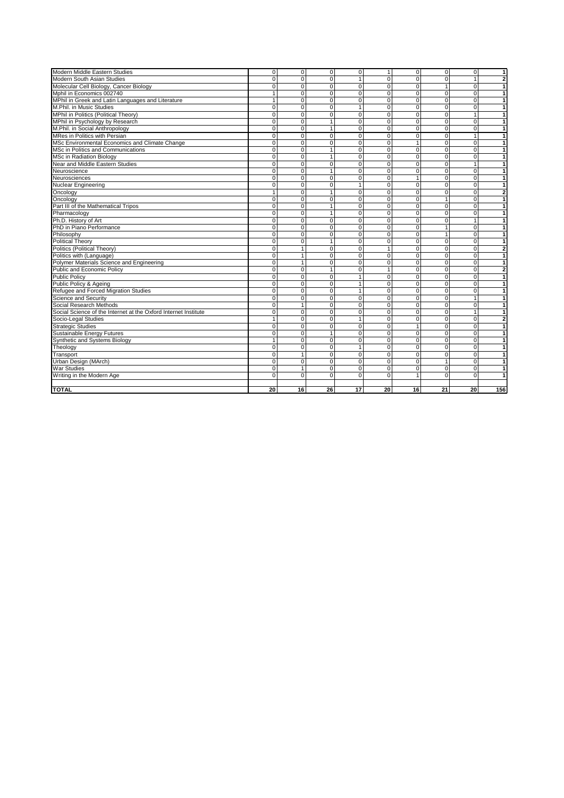| Modern Middle Eastern Studies                                   | $\mathbf 0$    | 0              | $\mathbf 0$    | $\mathbf 0$    | $\mathbf{1}$   | $\mathbf 0$    | $\overline{0}$ | 0              | $\overline{1}$          |
|-----------------------------------------------------------------|----------------|----------------|----------------|----------------|----------------|----------------|----------------|----------------|-------------------------|
| Modern South Asian Studies                                      | $\Omega$       | $\overline{0}$ | $\Omega$       | $\mathbf{1}$   | $\Omega$       | 0              | $\Omega$       | $\mathbf{1}$   | $\overline{2}$          |
| Molecular Cell Biology, Cancer Biology                          | $\mathbf 0$    | 0              | $\Omega$       | $\mathbf 0$    | $\mathbf 0$    | 0              | $\mathbf{1}$   | $\mathbf 0$    | $\mathbf{1}$            |
| Mphil in Economics 002740                                       | $\mathbf{1}$   | 0              | $\mathbf 0$    | $\mathbf 0$    | $\mathbf 0$    | 0              | $\mathbf 0$    | $\overline{0}$ | $\mathbf{1}$            |
| MPhil in Greek and Latin Languages and Literature               | $\mathbf{1}$   | $\overline{0}$ | $\Omega$       | $\overline{0}$ | $\Omega$       | $\overline{0}$ | $\Omega$       | $\overline{0}$ | $\overline{1}$          |
| M.Phil. in Music Studies                                        | $\overline{0}$ | $\overline{0}$ | $\Omega$       | $\mathbf{1}$   | $\Omega$       | $\overline{0}$ | $\Omega$       | $\overline{0}$ | $\mathbf{1}$            |
| MPhil in Politics (Political Theory)                            | $\Omega$       | $\Omega$       | $\Omega$       | $\mathbf 0$    | $\Omega$       | $\overline{0}$ | $\Omega$       | $\overline{1}$ | $\mathbf{1}$            |
| MPhil in Psychology by Research                                 | $\Omega$       | $\overline{0}$ | 1              | $\mathbf 0$    | $\Omega$       | $\overline{0}$ | $\Omega$       | $\Omega$       | $\mathbf{1}$            |
| M.Phil. in Social Anthropology                                  | $\Omega$       | 0              | $\mathbf{1}$   | $\pmb{0}$      | $\mathbf 0$    | $\overline{0}$ | $\mathbf{0}$   | $\overline{0}$ | $\mathbf{1}$            |
| MRes in Politics with Persian                                   | $\overline{0}$ | $\overline{0}$ | $\Omega$       | $\overline{0}$ | $\Omega$       | $\overline{0}$ | $\Omega$       | $\mathbf{1}$   | 1                       |
| MSc Environmental Economics and Climate Change                  | $\Omega$       | $\Omega$       | $\Omega$       | $\mathbf 0$    | $\Omega$       | $\mathbf{1}$   | $\Omega$       | $\Omega$       | $\mathbf{1}$            |
| MSc in Politics and Communications                              | $\overline{0}$ | $\overline{0}$ | $\overline{1}$ | $\overline{0}$ | $\overline{0}$ | $\overline{0}$ | $\overline{0}$ | $\overline{0}$ | $\overline{1}$          |
| <b>MSc in Radiation Biology</b>                                 | $\overline{0}$ | $\overline{0}$ | $\mathbf{1}$   | $\overline{0}$ | $\overline{0}$ | $\overline{0}$ | $\Omega$       | $\overline{0}$ | $\overline{1}$          |
| Near and Middle Eastern Studies                                 | $\Omega$       | 0              | $\Omega$       | $\mathbf 0$    | $\Omega$       | 0              | $\Omega$       | $\mathbf{1}$   | $\mathbf{1}$            |
| Neuroscience                                                    | $\Omega$       | $\Omega$       | $\overline{1}$ | $\Omega$       | $\Omega$       | 0              | $\Omega$       | $\Omega$       | $\mathbf{1}$            |
| Neurosciences                                                   | $\Omega$       | $\Omega$       | $\Omega$       | $\mathbf 0$    | $\Omega$       | $\mathbf{1}$   | $\Omega$       | $\mathbf 0$    | $\mathbf{1}$            |
| Nuclear Engineering                                             | $\Omega$       | 0              | $\Omega$       | $\mathbf{1}$   | $\Omega$       | 0              | $\Omega$       | $\Omega$       | $\mathbf{1}$            |
| Oncology                                                        | $\mathbf{1}$   | 0              | $\mathbf{1}$   | $\mathbf 0$    | $\Omega$       | $\overline{0}$ | $\Omega$       | $\overline{0}$ | $\overline{2}$          |
| Oncology                                                        | $\mathbf 0$    | 0              | 0              | $\overline{0}$ | $\mathbf 0$    | 0              | $\mathbf{1}$   | $\overline{0}$ | $\overline{1}$          |
| Part III of the Mathematical Tripos                             | $\Omega$       | $\overline{0}$ | $\overline{1}$ | $\overline{0}$ | $\Omega$       | $\overline{0}$ | $\Omega$       | $\Omega$       | $\overline{1}$          |
| Pharmacology                                                    | $\mathbf 0$    | $\overline{0}$ | $\mathbf{1}$   | $\mathbf 0$    | $\Omega$       | 0              | $\mathbf 0$    | $\mathbf 0$    | $\mathbf{1}$            |
| Ph.D. History of Art                                            | $\mathbf 0$    | 0              | $\mathbf 0$    | $\mathbf 0$    | $\mathbf 0$    | $\mathbf 0$    | $\mathbf 0$    | $\mathbf{1}$   | $\mathbf{1}$            |
| PhD in Piano Performance                                        | $\Omega$       | 0              | $\Omega$       | $\mathbf 0$    | $\Omega$       | 0              | $\mathbf{1}$   | $\mathbf 0$    | 1                       |
| Philosophy                                                      | $\overline{0}$ | 0              | $\Omega$       | $\overline{0}$ | $\Omega$       | $\overline{0}$ | $\mathbf{1}$   | $\mathbf 0$    | $\mathbf{1}$            |
| <b>Political Theory</b>                                         | $\overline{0}$ | $\overline{0}$ | $\mathbf{1}$   | $\overline{0}$ | $\mathbf 0$    | $\overline{0}$ | $\Omega$       | $\overline{0}$ | $\overline{1}$          |
| Politics (Political Theory)                                     | $\overline{0}$ | 1              | $\Omega$       | $\overline{0}$ | $\overline{1}$ | $\overline{0}$ | $\Omega$       | $\Omega$       | $\overline{\mathbf{2}}$ |
| Politics with (Language)                                        | $\mathbf 0$    | $\mathbf{1}$   | $\mathbf 0$    | $\pmb{0}$      | $\mathbf 0$    | $\overline{0}$ | $\mathbf 0$    | $\mathbf 0$    | $\mathbf{1}$            |
| Polymer Materials Science and Engineering                       | $\overline{0}$ | 1              | $\Omega$       | $\mathbf 0$    | $\Omega$       | $\overline{0}$ | $\Omega$       | $\Omega$       | $\overline{1}$          |
| Public and Economic Policy                                      | $\Omega$       | 0              | $\mathbf{1}$   | $\pmb{0}$      | $\mathbf{1}$   | 0              | $\mathbf 0$    | $\mathbf 0$    | $\overline{\mathbf{c}}$ |
| <b>Public Policy</b>                                            | $\Omega$       | 0              | $\Omega$       | $\mathbf{1}$   | $\mathbf 0$    | 0              | $\mathbf 0$    | $\mathbf 0$    | $\overline{1}$          |
| Public Policy & Ageing                                          | $\overline{0}$ | $\overline{0}$ | $\overline{0}$ | $\overline{1}$ | $\overline{0}$ | $\overline{0}$ | $\overline{0}$ | $\overline{0}$ | $\overline{1}$          |
| Refugee and Forced Migration Studies                            | $\overline{0}$ | $\overline{0}$ | $\overline{0}$ | $\mathbf{1}$   | $\overline{0}$ | $\overline{0}$ | $\Omega$       | $\overline{0}$ | $\mathbf{1}$            |
| Science and Security                                            | $\overline{0}$ | $\overline{0}$ | $\overline{0}$ | $\overline{0}$ | $\Omega$       | $\overline{0}$ | $\Omega$       | $\overline{1}$ | $\overline{1}$          |
| Social Research Methods                                         | $\Omega$       | 1              | $\Omega$       | $\mathbf 0$    | $\Omega$       | 0              | $\Omega$       | $\Omega$       | 1                       |
| Social Science of the Internet at the Oxford Internet Institute | $\Omega$       | 0              | $\Omega$       | $\mathbf 0$    | $\Omega$       | 0              | $\Omega$       | $\mathbf{1}$   | $\mathbf{1}$            |
| Socio-Legal Studies                                             | $\mathbf{1}$   | 0              | $\Omega$       | $\mathbf{1}$   | $\Omega$       | 0              | $\Omega$       | $\mathbf 0$    | $\mathbf{2}$            |
| <b>Strategic Studies</b>                                        | $\Omega$       | 0              | $\Omega$       | $\mathbf 0$    | $\Omega$       | $\mathbf{1}$   | $\Omega$       | $\Omega$       | $\mathbf{1}$            |
| <b>Sustainable Energy Futures</b>                               | $\Omega$       | $\overline{0}$ | $\mathbf{1}$   | $\overline{0}$ | $\mathbf 0$    | $\overline{0}$ | $\Omega$       | $\overline{0}$ | $\overline{1}$          |
| Synthetic and Systems Biology                                   | $\mathbf{1}$   | $\overline{0}$ | $\Omega$       | $\mathbf 0$    | 0              | $\overline{0}$ | $\mathbf 0$    | $\mathbf 0$    | $\mathbf{1}$            |
| Theology                                                        | $\mathbf 0$    | 0              | $\mathbf 0$    | $\overline{1}$ | $\mathbf 0$    | $\overline{0}$ | $\mathbf 0$    | $\mathbf 0$    | $\mathbf{1}$            |
| Transport                                                       | $\mathbf 0$    | 1              | $\Omega$       | $\mathbf 0$    | $\mathbf 0$    | 0              | $\mathbf 0$    | $\mathbf 0$    | $\mathbf{1}$            |
| Urban Design (MArch)                                            | $\Omega$       | 0              | $\Omega$       | $\mathbf 0$    | $\mathbf 0$    | 0              | $\mathbf{1}$   | $\mathbf 0$    | $\mathbf{1}$            |
| <b>War Studies</b>                                              | $\mathbf 0$    | 1              | 0              | $\mathbf 0$    | $\mathbf 0$    | 0              | $\mathbf 0$    | $\mathbf 0$    | $\mathbf{1}$            |
| Writing in the Modern Age                                       | $\overline{0}$ | $\overline{0}$ | $\Omega$       | $\overline{0}$ | $\Omega$       | $\mathbf{1}$   | $\Omega$       | $\Omega$       | 1                       |
|                                                                 |                |                |                |                |                |                |                |                |                         |
| <b>TOTAL</b>                                                    | 20             | 16             | 26             | 17             | 20             | 16             | 21             | 20             | 156                     |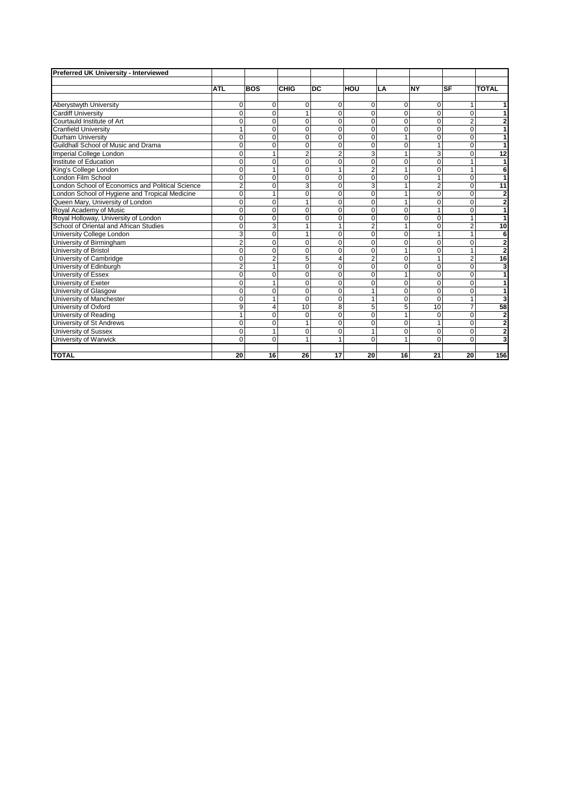| <b>Preferred UK University - Interviewed</b>     |                |              |                |                |                |                |                |           |                         |
|--------------------------------------------------|----------------|--------------|----------------|----------------|----------------|----------------|----------------|-----------|-------------------------|
|                                                  |                |              |                |                |                |                |                |           |                         |
|                                                  | <b>ATL</b>     | <b>BOS</b>   | <b>CHIG</b>    | <b>DC</b>      | Ιнου           | LA             | <b>NY</b>      | <b>SF</b> | <b>TOTAL</b>            |
|                                                  |                |              |                |                |                |                |                |           |                         |
| Aberystwyth University                           | 0              | 0            | $\Omega$       | $\mathbf 0$    | 0              | 0              | 0              |           | 1                       |
| <b>Cardiff University</b>                        | $\Omega$       | $\Omega$     | 1              | $\Omega$       | $\overline{0}$ | $\Omega$       | $\Omega$       | $\Omega$  | 1                       |
| Courtauld Institute of Art                       | 0              | $\mathbf 0$  | $\Omega$       | $\mathbf 0$    | 0              | $\mathbf 0$    | 0              | 2         | $\mathbf{2}$            |
| <b>Cranfield University</b>                      |                | $\Omega$     | $\Omega$       | $\Omega$       | $\overline{0}$ | $\Omega$       | $\Omega$       | $\Omega$  | $\overline{1}$          |
| Durham University                                | $\Omega$       | $\mathbf 0$  | $\Omega$       | 0              | 0              | 1              | $\Omega$       | $\Omega$  | 1                       |
| Guildhall School of Music and Drama              | 0              | $\Omega$     | $\Omega$       | $\Omega$       | 0              | $\Omega$       |                | 0         | 1                       |
| Imperial College London                          | 0              |              | $\overline{2}$ | $\overline{2}$ | 3              | 1              | 3              | $\Omega$  | 12                      |
| Institute of Education                           | $\Omega$       | $\Omega$     | $\Omega$       | $\overline{0}$ | $\overline{0}$ | $\Omega$       | $\Omega$       |           | 1                       |
| King's College London                            | $\Omega$       |              | $\Omega$       | 1              | $\overline{2}$ | 1              | $\Omega$       |           | 6                       |
| London Film School                               | 0              | $\Omega$     | $\Omega$       | 0              | 0              | $\mathbf 0$    |                | $\Omega$  | 1                       |
| London School of Economics and Political Science | 2              | $\Omega$     | 3              | $\overline{0}$ | 3              | 1              | $\overline{2}$ | $\Omega$  | $\overline{11}$         |
| London School of Hygiene and Tropical Medicine   | $\Omega$       |              | $\Omega$       | $\mathbf 0$    | $\overline{0}$ |                | $\Omega$       | $\Omega$  | $\overline{2}$          |
| Queen Mary, University of London                 | $\Omega$       | $\Omega$     |                | $\Omega$       | $\overline{0}$ | 1              | $\Omega$       | $\Omega$  | $\overline{\mathbf{2}}$ |
| Royal Academy of Music                           | 0              | $\mathbf 0$  | 0              | $\mathbf 0$    | 0              | $\mathbf 0$    |                | 0         | $\overline{1}$          |
| Royal Holloway, University of London             | 0              | $\mathbf 0$  | $\Omega$       | $\mathbf 0$    | 0              | $\mathbf 0$    | 0              | 1         | $\overline{1}$          |
| School of Oriental and African Studies           | $\Omega$       | 3            | 1              | 1              | $\overline{2}$ | 1              | $\Omega$       | 2         | 10                      |
| University College London                        | 3              | $\mathbf 0$  | 1              | 0              | 0              | $\Omega$       | 1              | 1         | 6                       |
| University of Birmingham                         | $\overline{2}$ | $\mathbf 0$  | $\Omega$       | 0              | $\overline{0}$ | $\Omega$       | $\Omega$       | 0         | $\overline{2}$          |
| University of Bristol                            | 0              | $\Omega$     | $\Omega$       | $\Omega$       | $\Omega$       | 1              | $\Omega$       |           | $\overline{2}$          |
| University of Cambridge                          | 0              | 2            | 5              | $\overline{4}$ | $\overline{2}$ | $\Omega$       |                | 2         | 16                      |
| University of Edinburgh                          | $\overline{2}$ | $\mathbf{1}$ | $\Omega$       | $\mathbf 0$    | $\overline{0}$ | $\Omega$       | $\Omega$       | $\Omega$  | 3                       |
| University of Essex                              | 0              | $\Omega$     | $\Omega$       | $\mathbf 0$    | 0              | 1              | $\Omega$       | $\Omega$  | 1                       |
| University of Exeter                             | $\Omega$       |              | $\Omega$       | $\mathbf 0$    | 0              | $\overline{0}$ | $\Omega$       | $\Omega$  | 1                       |
| University of Glasgow                            | 0              | $\mathbf 0$  | $\mathbf 0$    | 0              | 1              | $\mathbf 0$    | 0              | $\Omega$  | 1                       |
| University of Manchester                         | 0              |              | $\Omega$       | $\mathbf 0$    | 1              | $\Omega$       | $\Omega$       |           | $\overline{\mathbf{3}}$ |
| University of Oxford                             | 9              | 4            | 10             | 8              | 5              | 5              | 10             |           | 58                      |
| University of Reading                            |                | 0            | $\Omega$       | $\mathbf 0$    | $\overline{0}$ | 1              | $\Omega$       | $\Omega$  | $\bf{2}$                |
| University of St Andrews                         | $\Omega$       | $\Omega$     | 1              | $\Omega$       | $\Omega$       | $\Omega$       | 1              | $\Omega$  | $\overline{\mathbf{c}}$ |
| University of Sussex                             | 0              | $\mathbf{1}$ | $\mathbf 0$    | $\mathbf 0$    | 1              | $\mathbf 0$    | 0              | $\Omega$  | $\overline{\mathbf{2}}$ |
| University of Warwick                            | $\Omega$       | $\mathbf 0$  | 1              | 1              | 0              | 1              | $\Omega$       | 0         | $\overline{\mathbf{3}}$ |
|                                                  |                |              |                |                |                |                |                |           |                         |
| <b>TOTAL</b>                                     | 20             | 16           | 26             | 17             | 20             | 16             | 21             | 20        | 156                     |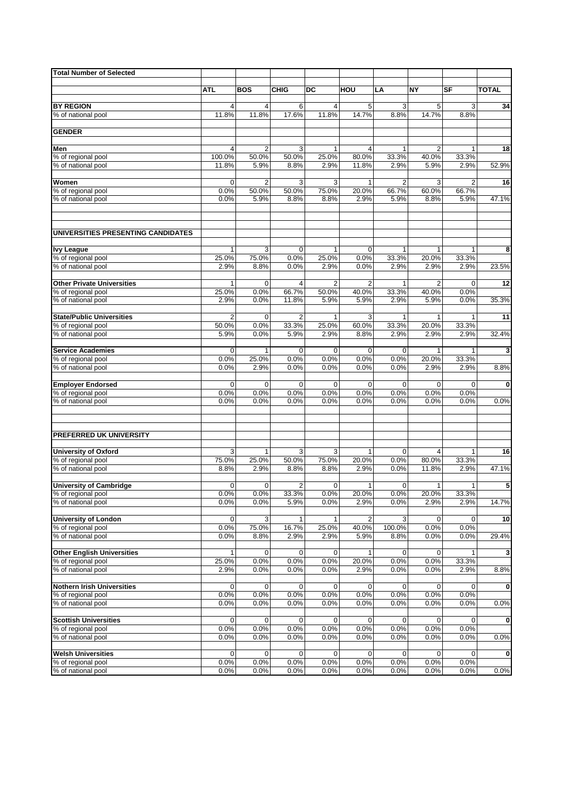| <b>Total Number of Selected</b>          |                         |                         |                         |                |                       |                       |               |               |              |
|------------------------------------------|-------------------------|-------------------------|-------------------------|----------------|-----------------------|-----------------------|---------------|---------------|--------------|
|                                          |                         |                         |                         |                |                       |                       |               |               |              |
|                                          | ATL                     | <b>BOS</b>              | <b>CHIG</b>             | DC             | HOU                   | LA                    | <b>NY</b>     | <b>SF</b>     | <b>TOTAL</b> |
|                                          |                         |                         |                         |                |                       |                       |               |               |              |
| <b>BY REGION</b>                         | $\overline{4}$<br>11.8% | 4<br>11.8%              | 6<br>17.6%              | 4<br>11.8%     | 5<br>14.7%            | 3<br>8.8%             | 5<br>14.7%    | 3<br>8.8%     | 34           |
| % of national pool                       |                         |                         |                         |                |                       |                       |               |               |              |
| <b>GENDER</b>                            |                         |                         |                         |                |                       |                       |               |               |              |
|                                          |                         |                         |                         |                |                       |                       |               |               |              |
| Men                                      | $\overline{4}$          | $\overline{\mathbf{c}}$ | 3                       | 1              | $\overline{4}$        | $\mathbf{1}$          | 2             | 1             | 18           |
| % of regional pool                       | 100.0%                  | 50.0%                   | 50.0%                   | 25.0%          | 80.0%                 | 33.3%                 | 40.0%         | 33.3%         |              |
| % of national pool                       | 11.8%                   | 5.9%                    | 8.8%                    | 2.9%           | 11.8%                 | 2.9%                  | 5.9%          | 2.9%          | 52.9%        |
|                                          |                         |                         |                         |                |                       |                       |               |               |              |
| Women                                    | 0                       | 2                       | 3                       | 3              | 1                     | 2                     | 3             | 2             | 16           |
| % of regional pool<br>% of national pool | 0.0%<br>0.0%            | 50.0%<br>5.9%           | 50.0%<br>8.8%           | 75.0%<br>8.8%  | 20.0%<br>2.9%         | 66.7%<br>5.9%         | 60.0%<br>8.8% | 66.7%<br>5.9% | 47.1%        |
|                                          |                         |                         |                         |                |                       |                       |               |               |              |
| UNIVERSITIES PRESENTING CANDIDATES       |                         |                         |                         |                |                       |                       |               |               |              |
|                                          |                         |                         |                         |                |                       |                       |               |               |              |
| <b>Ivy League</b><br>% of regional pool  | 1<br>25.0%              | 3<br>75.0%              | $\mathbf 0$<br>0.0%     | 1<br>25.0%     | $\mathbf 0$<br>0.0%   | $\mathbf{1}$<br>33.3% | 1<br>20.0%    | 33.3%         | 8            |
| % of national pool                       | 2.9%                    | 8.8%                    | 0.0%                    | 2.9%           | 0.0%                  | 2.9%                  | 2.9%          | 2.9%          | 23.5%        |
|                                          |                         |                         |                         |                |                       |                       |               |               |              |
| <b>Other Private Universities</b>        | $\mathbf{1}$            | $\mathbf 0$             | $\overline{4}$          | $\overline{2}$ | $\overline{2}$        | $\mathbf{1}$          | 2             | 0             | 12           |
| % of regional pool                       | 25.0%                   | 0.0%                    | 66.7%                   | 50.0%          | 40.0%                 | 33.3%                 | 40.0%         | 0.0%          |              |
| % of national pool                       | 2.9%                    | 0.0%                    | 11.8%                   | 5.9%           | 5.9%                  | 2.9%                  | 5.9%          | 0.0%          | 35.3%        |
|                                          |                         |                         |                         |                |                       |                       |               |               |              |
| <b>State/Public Universities</b>         | $\overline{2}$          | $\mathbf 0$             | $\overline{2}$          | $\mathbf{1}$   | 3                     | $\mathbf{1}$          | 1             | 1             | 11           |
| % of regional pool<br>% of national pool | 50.0%<br>5.9%           | 0.0%<br>0.0%            | 33.3%<br>5.9%           | 25.0%<br>2.9%  | 60.0%<br>8.8%         | 33.3%<br>2.9%         | 20.0%<br>2.9% | 33.3%<br>2.9% | 32.4%        |
|                                          |                         |                         |                         |                |                       |                       |               |               |              |
| <b>Service Academies</b>                 | 0                       | $\mathbf{1}$            | 0                       | 0              | $\mathbf 0$           | $\mathbf 0$           | $\mathbf{1}$  | 1             | 3            |
| % of regional pool                       | 0.0%                    | 25.0%                   | 0.0%                    | 0.0%           | 0.0%                  | 0.0%                  | 20.0%         | 33.3%         |              |
| % of national pool                       | 0.0%                    | 2.9%                    | 0.0%                    | 0.0%           | 0.0%                  | 0.0%                  | 2.9%          | 2.9%          | 8.8%         |
|                                          |                         |                         |                         |                |                       |                       |               |               |              |
| <b>Employer Endorsed</b>                 | 0                       | $\mathbf 0$             | $\mathbf 0$             | 0              | $\mathbf 0$           | $\mathbf 0$           | $\mathbf 0$   | 0             | $\mathbf 0$  |
| % of regional pool<br>% of national pool | 0.0%<br>0.0%            | 0.0%<br>0.0%            | 0.0%<br>0.0%            | 0.0%<br>0.0%   | 0.0%<br>0.0%          | 0.0%<br>0.0%          | 0.0%<br>0.0%  | 0.0%<br>0.0%  | 0.0%         |
|                                          |                         |                         |                         |                |                       |                       |               |               |              |
| PREFERRED UK UNIVERSITY                  |                         |                         |                         |                |                       |                       |               |               |              |
|                                          |                         |                         |                         |                |                       |                       |               |               |              |
| <b>University of Oxford</b>              | 3                       | 1                       | 3                       | 3              | 1                     | 0                     | 4             | 1             | 16           |
| % of regional pool                       | 75.0%                   | 25.0%                   | 50.0%                   | 75.0%          | 20.0%                 | 0.0%                  | 80.0%         | 33.3%         |              |
| % of national pool                       | 8.8%                    | 2.9%                    | 8.8%                    | 8.8%           | 2.9%                  | 0.0%                  | 11.8%         | 2.9%          | 47.1%        |
|                                          |                         |                         |                         |                |                       |                       |               |               |              |
| <b>University of Cambridge</b>           | 0                       | 0                       | $\overline{2}$<br>33.3% | 0              | $\mathbf{1}$<br>20.0% | 0                     | $\mathbf{1}$  | 1             | 5            |
| % of regional pool<br>% of national pool | 0.0%<br>0.0%            | 0.0%<br>0.0%            | 5.9%                    | 0.0%<br>0.0%   | 2.9%                  | $0.0\%$<br>0.0%       | 20.0%<br>2.9% | 33.3%<br>2.9% | 14.7%        |
|                                          |                         |                         |                         |                |                       |                       |               |               |              |
| <b>University of London</b>              | 0                       | 3                       | 1                       | 1              | 2                     | 3                     | 0             | 0             | 10           |
| % of regional pool                       | 0.0%                    | 75.0%                   | 16.7%                   | 25.0%          | 40.0%                 | 100.0%                | 0.0%          | 0.0%          |              |
| % of national pool                       | 0.0%                    | 8.8%                    | 2.9%                    | 2.9%           | 5.9%                  | 8.8%                  | 0.0%          | 0.0%          | 29.4%        |
|                                          |                         |                         |                         |                |                       |                       |               |               |              |
| <b>Other English Universities</b>        | $\mathbf{1}$            | $\mathbf 0$             | 0                       | 0<br>0.0%      | $\mathbf{1}$<br>20.0% | 0<br>0.0%             | 0<br>0.0%     | 1<br>33.3%    | 3            |
| % of regional pool<br>% of national pool | 25.0%<br>2.9%           | 0.0%<br>0.0%            | 0.0%<br>0.0%            | 0.0%           | 2.9%                  | 0.0%                  | 0.0%          | 2.9%          | 8.8%         |
|                                          |                         |                         |                         |                |                       |                       |               |               |              |
| <b>Nothern Irish Universities</b>        | 0                       | 0                       | 0                       | 0              | 0                     | 0                     | 0             | 0             | $\mathbf 0$  |
| % of regional pool                       | 0.0%                    | 0.0%                    | 0.0%                    | 0.0%           | 0.0%                  | 0.0%                  | 0.0%          | 0.0%          |              |
| % of national pool                       | 0.0%                    | 0.0%                    | 0.0%                    | 0.0%           | 0.0%                  | 0.0%                  | 0.0%          | 0.0%          | 0.0%         |
|                                          |                         |                         |                         |                |                       |                       |               |               |              |
| <b>Scottish Universities</b>             | 0                       | $\mathbf 0$             | 0                       | 0              | 0                     | $\overline{0}$        | $\mathbf 0$   | 0             | $\mathbf 0$  |
| % of regional pool<br>% of national pool | 0.0%<br>0.0%            | 0.0%<br>0.0%            | 0.0%<br>0.0%            | 0.0%<br>0.0%   | 0.0%<br>0.0%          | 0.0%<br>0.0%          | 0.0%<br>0.0%  | 0.0%<br>0.0%  | 0.0%         |
|                                          |                         |                         |                         |                |                       |                       |               |               |              |
| <b>Welsh Universities</b>                | 0                       | 0                       | $\mathbf 0$             | 0              | 0                     | $\mathbf 0$           | 0             | $\mathbf 0$   | $\mathbf{0}$ |
| % of regional pool                       | 0.0%                    | 0.0%                    | 0.0%                    | 0.0%           | 0.0%                  | 0.0%                  | 0.0%          | 0.0%          |              |
| % of national pool                       | 0.0%                    | 0.0%                    | 0.0%                    | 0.0%           | 0.0%                  | 0.0%                  | 0.0%          | 0.0%          | 0.0%         |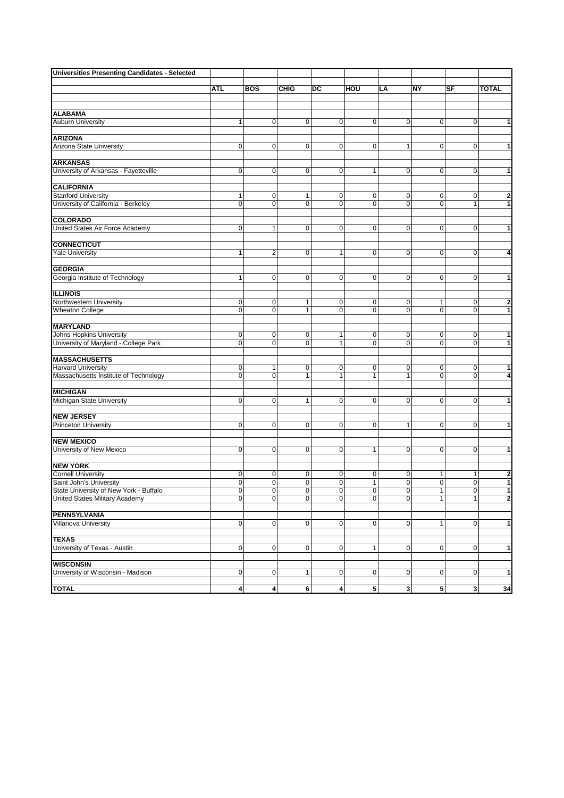| <b>Universities Presenting Candidates - Selected</b> |              |                         |                |                |                   |                |                     |                |                              |
|------------------------------------------------------|--------------|-------------------------|----------------|----------------|-------------------|----------------|---------------------|----------------|------------------------------|
|                                                      |              |                         |                |                |                   |                |                     |                |                              |
|                                                      | <b>ATL</b>   | <b>BOS</b>              | <b>CHIG</b>    | DC             | HOU               | LA             | NY                  | SF             | <b>TOTAL</b>                 |
|                                                      |              |                         |                |                |                   |                |                     |                |                              |
| <b>ALABAMA</b>                                       |              |                         |                |                |                   |                |                     |                |                              |
| <b>Auburn University</b>                             | $\mathbf{1}$ | $\overline{0}$          | $\overline{0}$ | $\pmb{0}$      | $\overline{0}$    | $\mathbf 0$    | $\overline{0}$      | $\mathbf 0$    | $\mathbf{1}$                 |
|                                                      |              |                         |                |                |                   |                |                     |                |                              |
| <b>ARIZONA</b>                                       |              |                         |                |                |                   |                |                     |                |                              |
| Arizona State University                             | $\mathbf 0$  | 0                       | $\overline{0}$ | $\pmb{0}$      | $\overline{0}$    | 1              | $\overline{0}$      | $\mathbf 0$    | $\mathbf{1}$                 |
| <b>ARKANSAS</b>                                      |              |                         |                |                |                   |                |                     |                |                              |
| University of Arkansas - Fayetteville                | 0            | $\mathbf 0$             | $\mathbf 0$    | $\pmb{0}$      | $\mathbf{1}$      | $\mathbf 0$    | $\overline{0}$      | $\mathbf 0$    | $\mathbf{1}$                 |
|                                                      |              |                         |                |                |                   |                |                     |                |                              |
| <b>CALIFORNIA</b>                                    |              |                         |                |                |                   |                |                     |                |                              |
| <b>Stanford University</b>                           | 1            | $\overline{0}$          | 1              | $\pmb{0}$      | $\overline{0}$    | 0              | $\overline{0}$      | 0              | $\mathbf{2}$                 |
| University of California - Berkeley                  | $\mathbf 0$  | 0                       | 0              | $\mathbf 0$    | $\mathbf 0$       | 0              | $\overline{0}$      | $\mathbf{1}$   | 1                            |
| <b>COLORADO</b>                                      |              |                         |                |                |                   |                |                     |                |                              |
| United States Air Force Academy                      | 0            | $\mathbf{1}$            | $\mathbf 0$    | $\pmb{0}$      | $\pmb{0}$         | $\mathbf 0$    | $\overline{0}$      | $\mathbf 0$    | $\overline{1}$               |
|                                                      |              |                         |                |                |                   |                |                     |                |                              |
| <b>CONNECTICUT</b>                                   |              |                         |                |                |                   |                |                     |                |                              |
| <b>Yale University</b>                               | 1            | 2                       | 0              | 1              | $\overline{0}$    | 0              | $\overline{0}$      | 0              | $\overline{4}$               |
|                                                      |              |                         |                |                |                   |                |                     |                |                              |
| <b>GEORGIA</b>                                       |              |                         |                |                |                   |                |                     |                |                              |
| Georgia Institute of Technology                      | $\mathbf{1}$ | 0                       | $\overline{0}$ | $\mathbf 0$    | $\overline{0}$    | 0              | $\overline{0}$      | $\mathbf 0$    | $\mathbf{1}$                 |
| <b>ILLINOIS</b>                                      |              |                         |                |                |                   |                |                     |                |                              |
| Northwestern University                              | 0            | $\pmb{0}$               | 1              | 0              | 0                 | 0              | 1                   | 0              | $\mathbf{2}$                 |
| <b>Wheaton College</b>                               | 0            | $\overline{0}$          | $\mathbf{1}$   | $\overline{0}$ | $\overline{0}$    | $\Omega$       | $\overline{0}$      | $\mathbf 0$    | $\mathbf{1}$                 |
|                                                      |              |                         |                |                |                   |                |                     |                |                              |
| <b>MARYLAND</b>                                      |              |                         |                |                |                   |                |                     |                |                              |
| <b>Johns Hopkins University</b>                      | 0            | $\mathbf 0$             | $\mathbf 0$    | 1              | $\overline{0}$    | 0              | $\overline{0}$      | 0              | $\mathbf{1}$                 |
| University of Maryland - College Park                | $\mathbf 0$  | 0                       | $\overline{0}$ | $\mathbf{1}$   | $\mathbf 0$       | $\Omega$       | $\overline{0}$      | $\Omega$       | 1                            |
| <b>MASSACHUSETTS</b>                                 |              |                         |                |                |                   |                |                     |                |                              |
| <b>Harvard University</b>                            | 0            | 1                       | $\mathbf 0$    | $\pmb{0}$      | $\overline{0}$    | $\mathbf 0$    | $\overline{0}$      | $\pmb{0}$      | $\mathbf{1}$                 |
| Massachusetts Institute of Technology                | $\mathbf 0$  | 0                       | $\mathbf{1}$   | $\mathbf{1}$   | $\mathbf{1}$      | 1              | $\overline{0}$      | $\overline{0}$ | $\boldsymbol{4}$             |
|                                                      |              |                         |                |                |                   |                |                     |                |                              |
| <b>MICHIGAN</b>                                      |              |                         |                |                |                   |                |                     |                |                              |
| Michigan State University                            | $\pmb{0}$    | $\mathbf 0$             | $\mathbf{1}$   | $\pmb{0}$      | $\overline{0}$    | $\overline{0}$ | $\overline{0}$      | $\mathbf 0$    | $\overline{1}$               |
| <b>NEW JERSEY</b>                                    |              |                         |                |                |                   |                |                     |                |                              |
| <b>Princeton University</b>                          | 0            | 0                       | $\mathbf 0$    | $\mathbf 0$    | $\mathbf 0$       | $\mathbf{1}$   | $\overline{0}$      | 0              | $\mathbf{1}$                 |
|                                                      |              |                         |                |                |                   |                |                     |                |                              |
| <b>NEW MEXICO</b>                                    |              |                         |                |                |                   |                |                     |                |                              |
| University of New Mexico                             | $\mathbf 0$  | $\mathbf 0$             | $\overline{0}$ | $\pmb{0}$      | $\mathbf{1}$      | 0              | $\overline{0}$      | $\mathbf 0$    | $\mathbf{1}$                 |
|                                                      |              |                         |                |                |                   |                |                     |                |                              |
| <b>NEW YORK</b>                                      |              |                         |                |                |                   |                |                     |                |                              |
| <b>Cornell University</b><br>Saint John's University | 0<br>0       | 0<br>0                  | 0<br>0         | 0<br>$\pmb{0}$ | 0<br>$\mathbf{1}$ | 0<br>0         | 1<br>$\overline{0}$ | 1<br>$\pmb{0}$ | $\mathbf{2}$<br>$\mathbf{1}$ |
| State University of New York - Buffalo               | $\mathbf 0$  | $\overline{0}$          | $\overline{0}$ | $\mathbf 0$    | $\overline{0}$    | 0              | 1                   | $\mathbf 0$    | $\mathbf{1}$                 |
| United States Military Academy                       | 0            | $\overline{\mathbf{0}}$ | $\mathbf 0$    | $\pmb{0}$      | $\overline{0}$    | $\pmb{0}$      | 1                   | 1              | $\overline{2}$               |
|                                                      |              |                         |                |                |                   |                |                     |                |                              |
| <b>PENNSYLVANIA</b>                                  |              |                         |                |                |                   |                |                     |                |                              |
| Villanova University                                 | 0            | $\mathsf{O}\xspace$     | $\mathbf 0$    | $\pmb{0}$      | $\overline{0}$    | $\mathbf 0$    | 1                   | $\pmb{0}$      | $\mathbf{1}$                 |
| <b>TEXAS</b>                                         |              |                         |                |                |                   |                |                     |                |                              |
| University of Texas - Austin                         | $\pmb{0}$    | 0                       | 0              | 0              | $\mathbf{1}$      | 0              | $\overline{0}$      | $\mathbf 0$    | $\mathbf{1}$                 |
|                                                      |              |                         |                |                |                   |                |                     |                |                              |
| <b>WISCONSIN</b>                                     |              |                         |                |                |                   |                |                     |                |                              |
| University of Wisconsin - Madison                    | 0            | $\mathbf 0$             | $\mathbf{1}$   | $\pmb{0}$      | $\overline{0}$    | 0              | $\overline{0}$      | $\pmb{0}$      | $\overline{1}$               |
|                                                      |              |                         |                |                |                   |                |                     |                |                              |
| <b>TOTAL</b>                                         | 4            | 4                       | 6              | 4              | 5                 | $\mathbf{3}$   | 5                   | $\mathbf{3}$   | 34                           |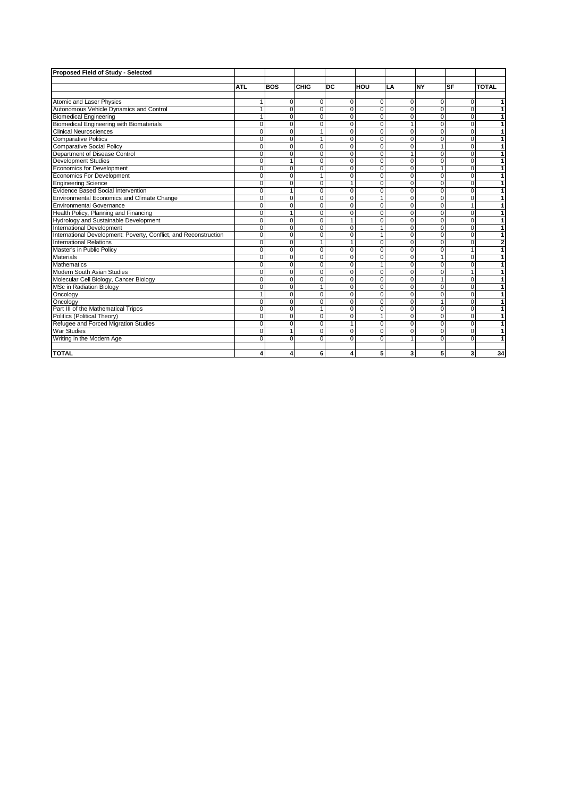| Proposed Field of Study - Selected                               |                |                |              |           |                |                |                |              |                |
|------------------------------------------------------------------|----------------|----------------|--------------|-----------|----------------|----------------|----------------|--------------|----------------|
|                                                                  |                |                |              |           |                |                |                |              |                |
|                                                                  | <b>ATL</b>     | <b>BOS</b>     | CHIG         | <b>DC</b> | HOU            | LA             | <b>NY</b>      | <b>SF</b>    | <b>TOTAL</b>   |
|                                                                  |                |                |              |           |                |                |                |              |                |
| <b>Atomic and Laser Physics</b>                                  | $\mathbf{1}$   | $\mathbf 0$    | 0            | 0         | 0              | $\Omega$       | $\Omega$       | $\Omega$     | $\mathbf{1}$   |
| Autonomous Vehicle Dynamics and Control                          | $\mathbf{1}$   | $\mathbf 0$    | 0            | $\Omega$  | $\mathbf{0}$   | $\overline{0}$ | $\overline{0}$ | $\Omega$     | $\mathbf{1}$   |
| <b>Biomedical Engineering</b>                                    | $\mathbf{1}$   | $\Omega$       | $\Omega$     | $\Omega$  | $\Omega$       | $\Omega$       | $\Omega$       | $\Omega$     | 1              |
| <b>Biomedical Engineering with Biomaterials</b>                  | 0              | $\mathbf 0$    | 0            | 0         | $\mathbf 0$    | 1              | $\overline{0}$ | 0            | 1              |
| <b>Clinical Neurosciences</b>                                    | $\mathbf 0$    | $\mathbf 0$    | 1            | $\Omega$  | $\mathbf 0$    | $\overline{0}$ | $\Omega$       | $\Omega$     | 1              |
| <b>Comparative Politics</b>                                      | $\overline{0}$ | $\overline{0}$ | 1            | $\Omega$  | $\overline{0}$ | $\Omega$       | $\overline{0}$ | $\Omega$     | $\mathbf{1}$   |
| <b>Comparative Social Policy</b>                                 | $\Omega$       | $\Omega$       | $\Omega$     | $\Omega$  | $\Omega$       | $\Omega$       | $\mathbf{1}$   | $\Omega$     | 1              |
| Department of Disease Control                                    | $\mathbf 0$    | $\mathbf 0$    | 0            | $\Omega$  | $\Omega$       | 1              | $\Omega$       | $\Omega$     | 1              |
| <b>Development Studies</b>                                       | $\overline{0}$ | 1              | $\Omega$     | $\Omega$  | $\overline{0}$ | $\Omega$       | $\overline{0}$ | $\Omega$     | 1              |
| <b>Economics for Development</b>                                 | $\mathbf 0$    | $\mathbf 0$    | 0            | $\Omega$  | $\mathbf 0$    | 0              | $\mathbf{1}$   | 0            | 1              |
| <b>Economics For Development</b>                                 | $\mathbf 0$    | $\Omega$       | 1            | $\Omega$  | $\Omega$       | $\Omega$       | $\Omega$       | $\Omega$     | 1              |
| <b>Engineering Science</b>                                       | $\Omega$       | $\Omega$       | $\Omega$     |           | $\Omega$       | $\Omega$       | $\Omega$       | $\Omega$     | 1              |
| Evidence Based Social Intervention                               | $\Omega$       | $\mathbf{1}$   | 0            | $\Omega$  | $\Omega$       | $\Omega$       | $\Omega$       | $\Omega$     | 1              |
| Environmental Economics and Climate Change                       | $\mathbf 0$    | $\Omega$       | $\Omega$     | $\Omega$  | 1              | $\Omega$       | $\Omega$       | $\Omega$     | 1              |
| Environmental Governance                                         | $\Omega$       | $\Omega$       | $\Omega$     | $\Omega$  | $\Omega$       | $\Omega$       | $\Omega$       | 1            | 1              |
| Health Policy, Planning and Financing                            | $\Omega$       | $\mathbf{1}$   | 0            | $\Omega$  | $\Omega$       | $\Omega$       | $\Omega$       | $\Omega$     | $\mathbf{1}$   |
| Hydrology and Sustainable Development                            | $\overline{0}$ | $\mathbf 0$    | 0            |           | $\overline{0}$ | $\Omega$       | $\overline{0}$ | $\Omega$     | $\overline{1}$ |
| <b>International Development</b>                                 | $\mathbf 0$    | $\mathbf 0$    | 0            | $\Omega$  | 1              | $\Omega$       | $\Omega$       | $\Omega$     | $\overline{1}$ |
| International Development: Poverty, Conflict, and Reconstruction | $\mathbf 0$    | $\Omega$       | $\Omega$     | $\Omega$  | $\mathbf{1}$   | $\Omega$       | $\Omega$       | $\Omega$     | $\overline{1}$ |
| <b>International Relations</b>                                   | $\mathbf 0$    | $\mathbf 0$    | $\mathbf{1}$ | 1         | $\mathbf{0}$   | $\overline{0}$ | $\overline{0}$ | 0            | $\overline{2}$ |
| Master's in Public Policy                                        | $\overline{0}$ | $\overline{0}$ | 0            | 0         | $\overline{0}$ | 0              | $\overline{0}$ | $\mathbf{1}$ | 1              |
| <b>Materials</b>                                                 | $\overline{0}$ | $\overline{0}$ | 0            | $\Omega$  | $\mathbf 0$    | $\Omega$       | $\overline{1}$ | $\Omega$     | $\overline{1}$ |
| <b>Mathematics</b>                                               | 0              | $\Omega$       | $\Omega$     | $\Omega$  | 1              | $\Omega$       | $\Omega$       | $\Omega$     | $\mathbf{1}$   |
| Modern South Asian Studies                                       | $\mathbf 0$    | $\mathbf 0$    | 0            | $\Omega$  | $\mathbf{0}$   | $\overline{0}$ | $\overline{0}$ | 1            | 1              |
| Molecular Cell Biology, Cancer Biology                           | $\overline{0}$ | $\mathbf 0$    | 0            | $\Omega$  | $\mathbf{0}$   | $\Omega$       | $\mathbf{1}$   | $\Omega$     | 1              |
| MSc in Radiation Biology                                         | $\overline{0}$ | $\Omega$       | $\mathbf{1}$ | $\Omega$  | $\Omega$       | $\Omega$       | $\overline{0}$ | $\Omega$     | 1              |
| Oncology                                                         | $\mathbf{1}$   | $\Omega$       | 0            | $\Omega$  | $\Omega$       | $\Omega$       | $\overline{0}$ | $\Omega$     | 1              |
| Oncology                                                         | $\mathbf 0$    | $\Omega$       | $\Omega$     | $\Omega$  | $\Omega$       | $\Omega$       | $\mathbf{1}$   | $\Omega$     | $\mathbf{1}$   |
| Part III of the Mathematical Tripos                              | $\Omega$       | $\Omega$       | $\mathbf{1}$ | $\Omega$  | $\Omega$       | $\Omega$       | $\Omega$       | $\Omega$     | 1              |
| Politics (Political Theory)                                      | $\mathbf 0$    | $\mathbf 0$    | 0            | $\Omega$  | $\mathbf{1}$   | $\Omega$       | $\Omega$       | $\Omega$     | 1              |
| Refugee and Forced Migration Studies                             | $\Omega$       | $\Omega$       | $\Omega$     |           | $\Omega$       | $\Omega$       | $\Omega$       | $\Omega$     | 1              |
| <b>War Studies</b>                                               | $\Omega$       | $\mathbf{1}$   | $\Omega$     | $\Omega$  | $\Omega$       | $\Omega$       | $\overline{0}$ | $\Omega$     | 1              |
| Writing in the Modern Age                                        | $\Omega$       | $\Omega$       | $\Omega$     | $\Omega$  | $\Omega$       |                | $\Omega$       | $\Omega$     | 1              |
|                                                                  |                |                |              |           |                |                |                |              |                |
| <b>TOTAL</b>                                                     | 4              | 4              | 6            | 4         | 5              | 3 <sup>1</sup> | 5              | 3            | 34             |